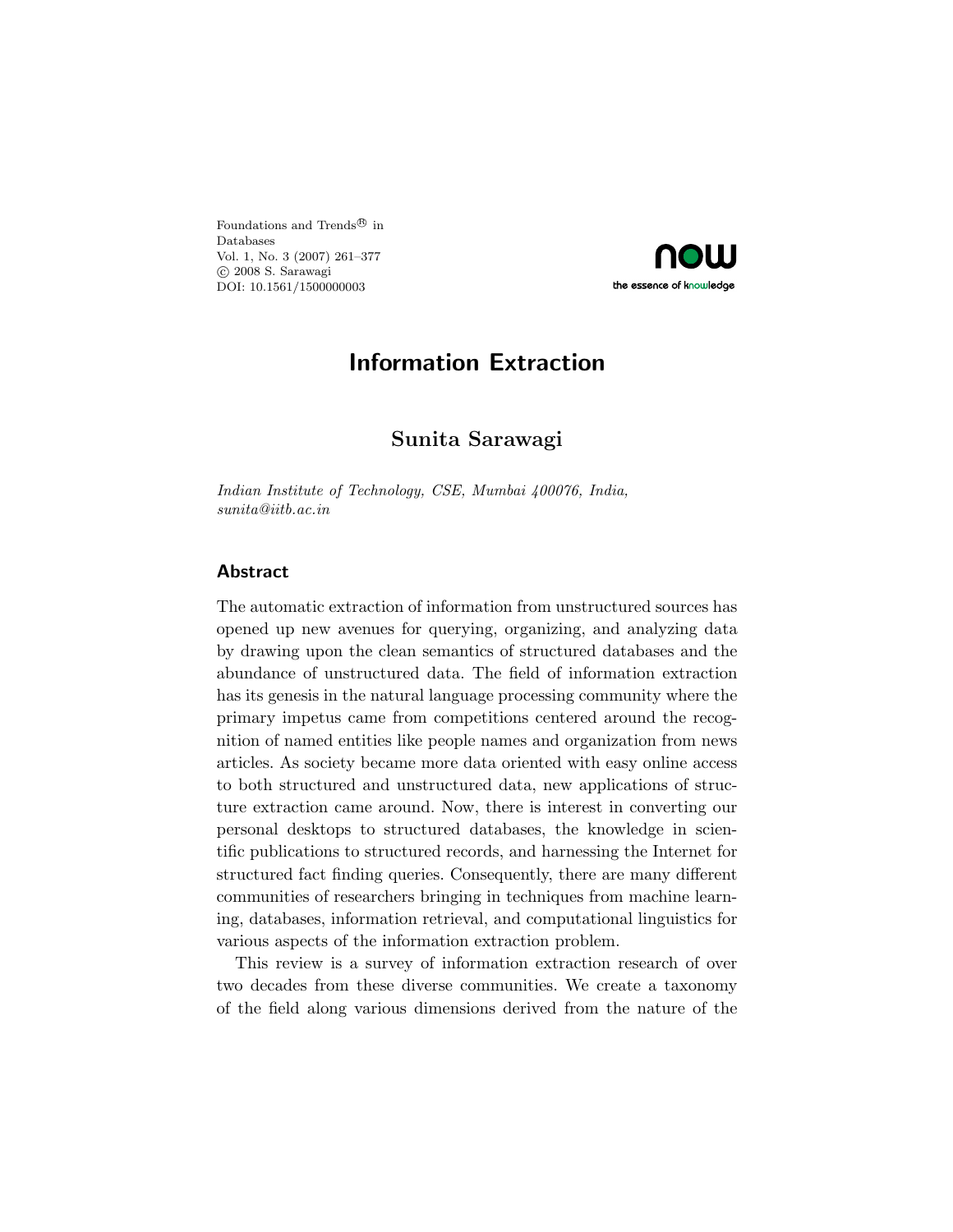Foundations and Trends $^{\textcircled{\tiny{\textregistered}}}$  in Databases Vol. 1, No. 3 (2007) 261–377 c 2008 S. Sarawagi DOI: 10.1561/1500000003



## **Information Extraction**

### **Sunita Sarawagi**

*Indian Institute of Technology, CSE, Mumbai 400076, India, sunita@iitb.ac.in*

#### **Abstract**

The automatic extraction of information from unstructured sources has opened up new avenues for querying, organizing, and analyzing data by drawing upon the clean semantics of structured databases and the abundance of unstructured data. The field of information extraction has its genesis in the natural language processing community where the primary impetus came from competitions centered around the recognition of named entities like people names and organization from news articles. As society became more data oriented with easy online access to both structured and unstructured data, new applications of structure extraction came around. Now, there is interest in converting our personal desktops to structured databases, the knowledge in scientific publications to structured records, and harnessing the Internet for structured fact finding queries. Consequently, there are many different communities of researchers bringing in techniques from machine learning, databases, information retrieval, and computational linguistics for various aspects of the information extraction problem.

This review is a survey of information extraction research of over two decades from these diverse communities. We create a taxonomy of the field along various dimensions derived from the nature of the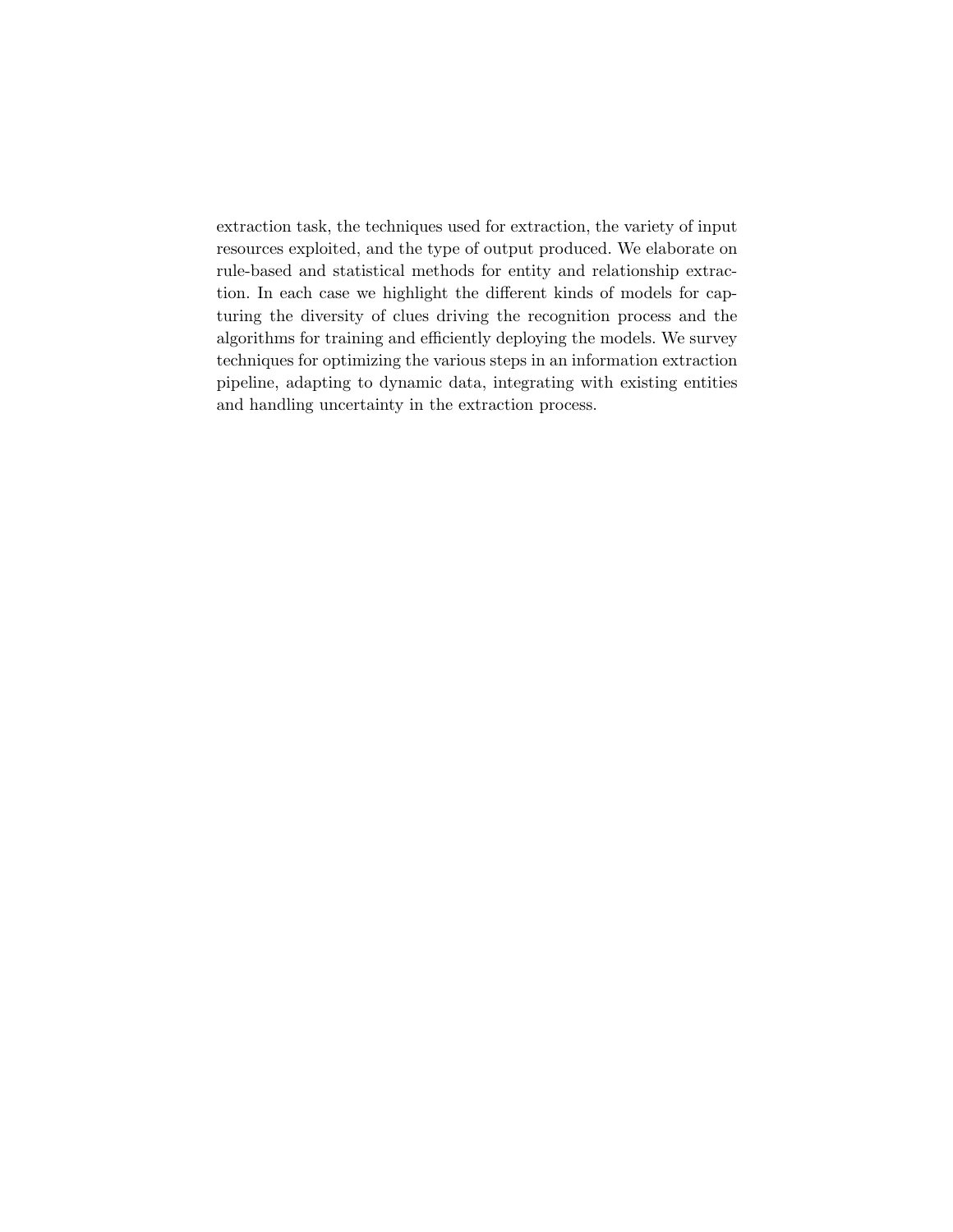extraction task, the techniques used for extraction, the variety of input resources exploited, and the type of output produced. We elaborate on rule-based and statistical methods for entity and relationship extraction. In each case we highlight the different kinds of models for capturing the diversity of clues driving the recognition process and the algorithms for training and efficiently deploying the models. We survey techniques for optimizing the various steps in an information extraction pipeline, adapting to dynamic data, integrating with existing entities and handling uncertainty in the extraction process.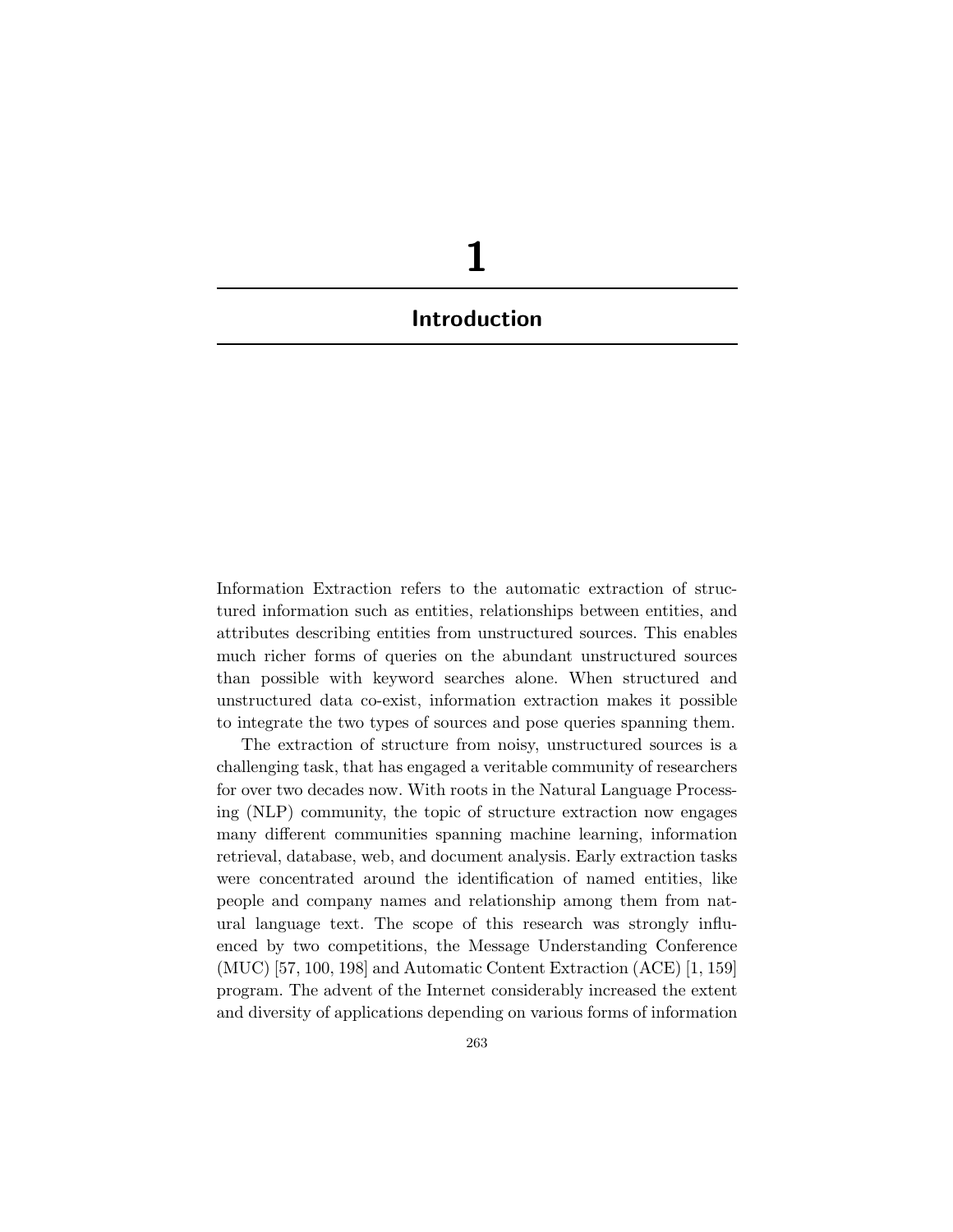Information Extraction refers to the automatic extraction of structured information such as entities, relationships between entities, and attributes describing entities from unstructured sources. This enables much richer forms of queries on the abundant unstructured sources than possible with keyword searches alone. When structured and unstructured data co-exist, information extraction makes it possible to integrate the two types of sources and pose queries spanning them.

The extraction of structure from noisy, unstructured sources is a challenging task, that has engaged a veritable community of researchers for over two decades now. With roots in the Natural Language Processing (NLP) community, the topic of structure extraction now engages many different communities spanning machine learning, information retrieval, database, web, and document analysis. Early extraction tasks were concentrated around the identification of named entities, like people and company names and relationship among them from natural language text. The scope of this research was strongly influenced by two competitions, the Message Understanding Conference (MUC) [57, 100, 198] and Automatic Content Extraction (ACE) [1, 159] program. The advent of the Internet considerably increased the extent and diversity of applications depending on various forms of information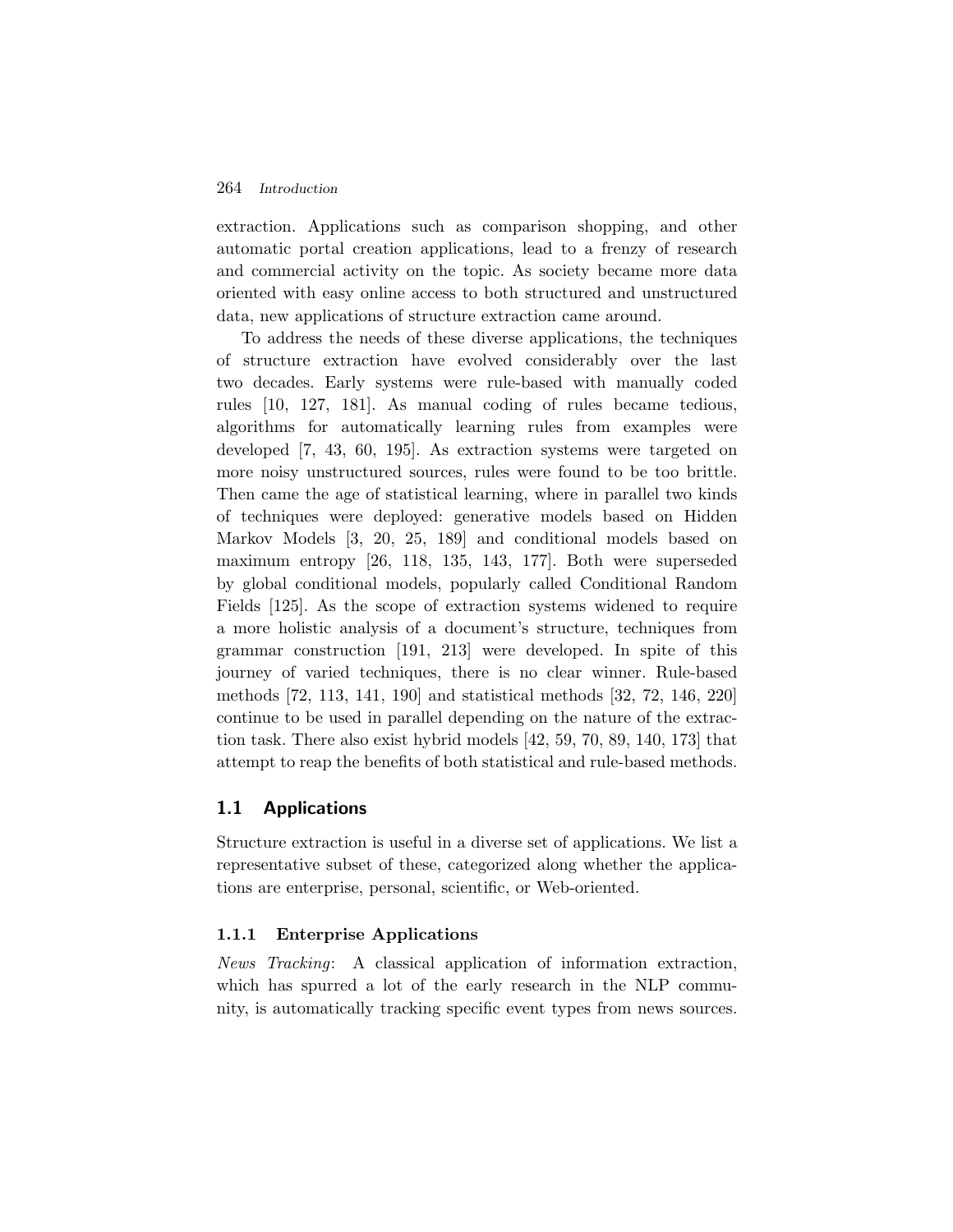extraction. Applications such as comparison shopping, and other automatic portal creation applications, lead to a frenzy of research and commercial activity on the topic. As society became more data oriented with easy online access to both structured and unstructured data, new applications of structure extraction came around.

To address the needs of these diverse applications, the techniques of structure extraction have evolved considerably over the last two decades. Early systems were rule-based with manually coded rules [10, 127, 181]. As manual coding of rules became tedious, algorithms for automatically learning rules from examples were developed [7, 43, 60, 195]. As extraction systems were targeted on more noisy unstructured sources, rules were found to be too brittle. Then came the age of statistical learning, where in parallel two kinds of techniques were deployed: generative models based on Hidden Markov Models [3, 20, 25, 189] and conditional models based on maximum entropy [26, 118, 135, 143, 177]. Both were superseded by global conditional models, popularly called Conditional Random Fields [125]. As the scope of extraction systems widened to require a more holistic analysis of a document's structure, techniques from grammar construction [191, 213] were developed. In spite of this journey of varied techniques, there is no clear winner. Rule-based methods [72, 113, 141, 190] and statistical methods [32, 72, 146, 220] continue to be used in parallel depending on the nature of the extraction task. There also exist hybrid models [42, 59, 70, 89, 140, 173] that attempt to reap the benefits of both statistical and rule-based methods.

#### **1.1 Applications**

Structure extraction is useful in a diverse set of applications. We list a representative subset of these, categorized along whether the applications are enterprise, personal, scientific, or Web-oriented.

#### **1.1.1 Enterprise Applications**

*News Tracking*: A classical application of information extraction, which has spurred a lot of the early research in the NLP community, is automatically tracking specific event types from news sources.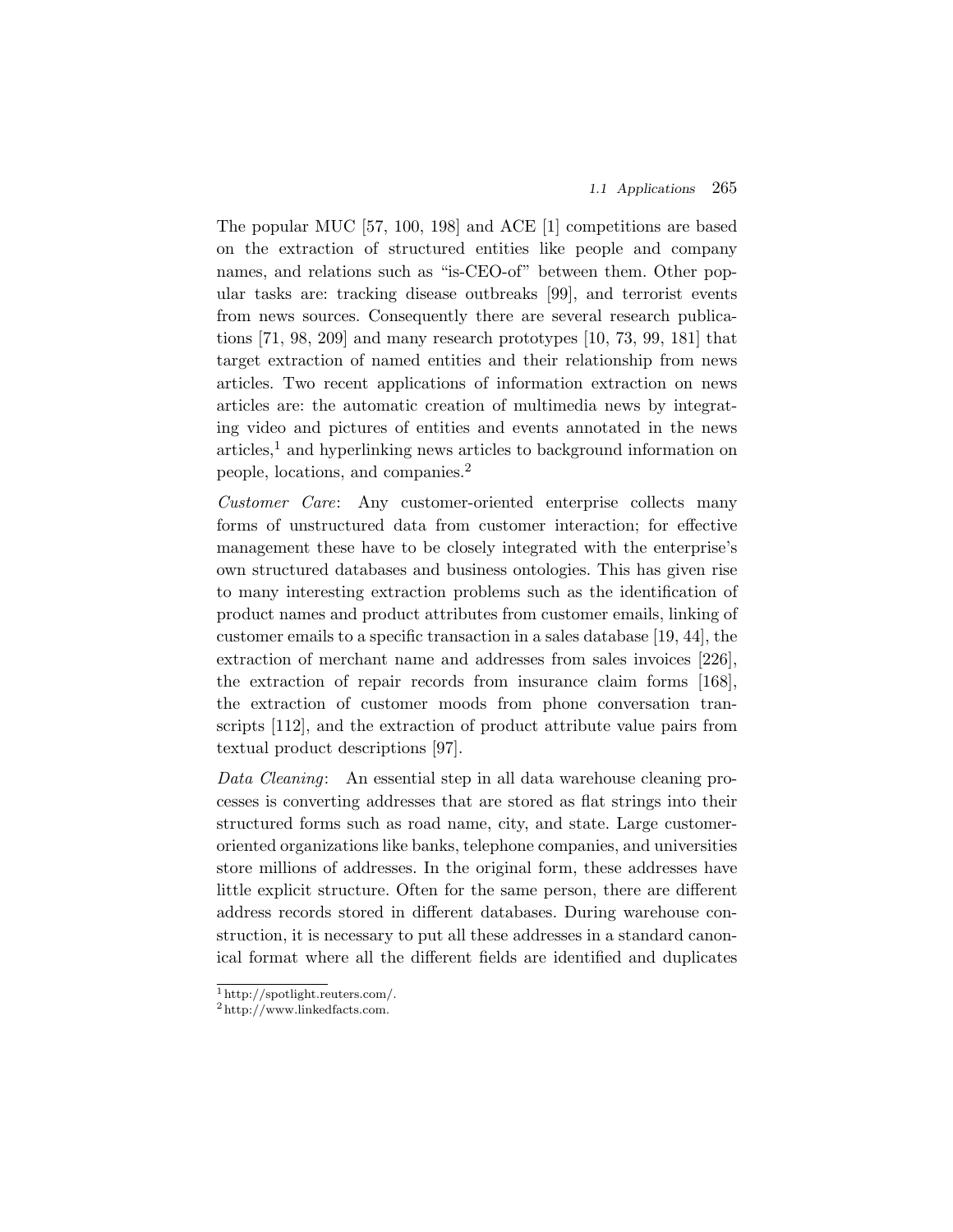The popular MUC [57, 100, 198] and ACE [1] competitions are based on the extraction of structured entities like people and company names, and relations such as "is-CEO-of" between them. Other popular tasks are: tracking disease outbreaks [99], and terrorist events from news sources. Consequently there are several research publications [71, 98, 209] and many research prototypes [10, 73, 99, 181] that target extraction of named entities and their relationship from news articles. Two recent applications of information extraction on news articles are: the automatic creation of multimedia news by integrating video and pictures of entities and events annotated in the news  $\arities$ <sup>1</sup> and hyperlinking news articles to background information on people, locations, and companies.<sup>2</sup>

*Customer Care*: Any customer-oriented enterprise collects many forms of unstructured data from customer interaction; for effective management these have to be closely integrated with the enterprise's own structured databases and business ontologies. This has given rise to many interesting extraction problems such as the identification of product names and product attributes from customer emails, linking of customer emails to a specific transaction in a sales database [19, 44], the extraction of merchant name and addresses from sales invoices [226], the extraction of repair records from insurance claim forms [168], the extraction of customer moods from phone conversation transcripts [112], and the extraction of product attribute value pairs from textual product descriptions [97].

*Data Cleaning*: An essential step in all data warehouse cleaning processes is converting addresses that are stored as flat strings into their structured forms such as road name, city, and state. Large customeroriented organizations like banks, telephone companies, and universities store millions of addresses. In the original form, these addresses have little explicit structure. Often for the same person, there are different address records stored in different databases. During warehouse construction, it is necessary to put all these addresses in a standard canonical format where all the different fields are identified and duplicates

<sup>1</sup> http://spotlight.reuters.com/.

<sup>2</sup> http://www.linkedfacts.com.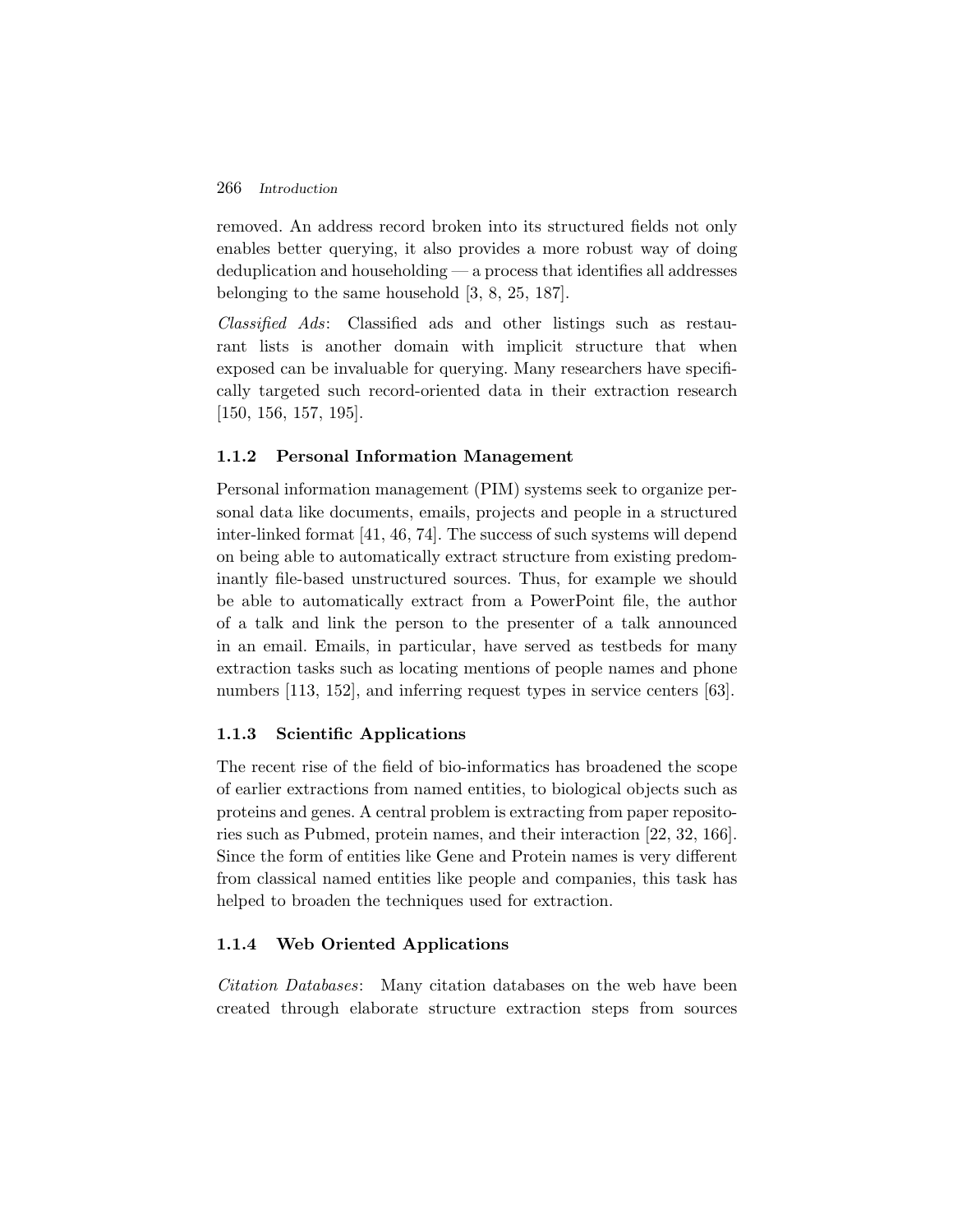removed. An address record broken into its structured fields not only enables better querying, it also provides a more robust way of doing deduplication and householding — a process that identifies all addresses belonging to the same household [3, 8, 25, 187].

*Classified Ads*: Classified ads and other listings such as restaurant lists is another domain with implicit structure that when exposed can be invaluable for querying. Many researchers have specifically targeted such record-oriented data in their extraction research [150, 156, 157, 195].

#### **1.1.2 Personal Information Management**

Personal information management (PIM) systems seek to organize personal data like documents, emails, projects and people in a structured inter-linked format [41, 46, 74]. The success of such systems will depend on being able to automatically extract structure from existing predominantly file-based unstructured sources. Thus, for example we should be able to automatically extract from a PowerPoint file, the author of a talk and link the person to the presenter of a talk announced in an email. Emails, in particular, have served as testbeds for many extraction tasks such as locating mentions of people names and phone numbers [113, 152], and inferring request types in service centers [63].

#### **1.1.3 Scientific Applications**

The recent rise of the field of bio-informatics has broadened the scope of earlier extractions from named entities, to biological objects such as proteins and genes. A central problem is extracting from paper repositories such as Pubmed, protein names, and their interaction [22, 32, 166]. Since the form of entities like Gene and Protein names is very different from classical named entities like people and companies, this task has helped to broaden the techniques used for extraction.

#### **1.1.4 Web Oriented Applications**

*Citation Databases*: Many citation databases on the web have been created through elaborate structure extraction steps from sources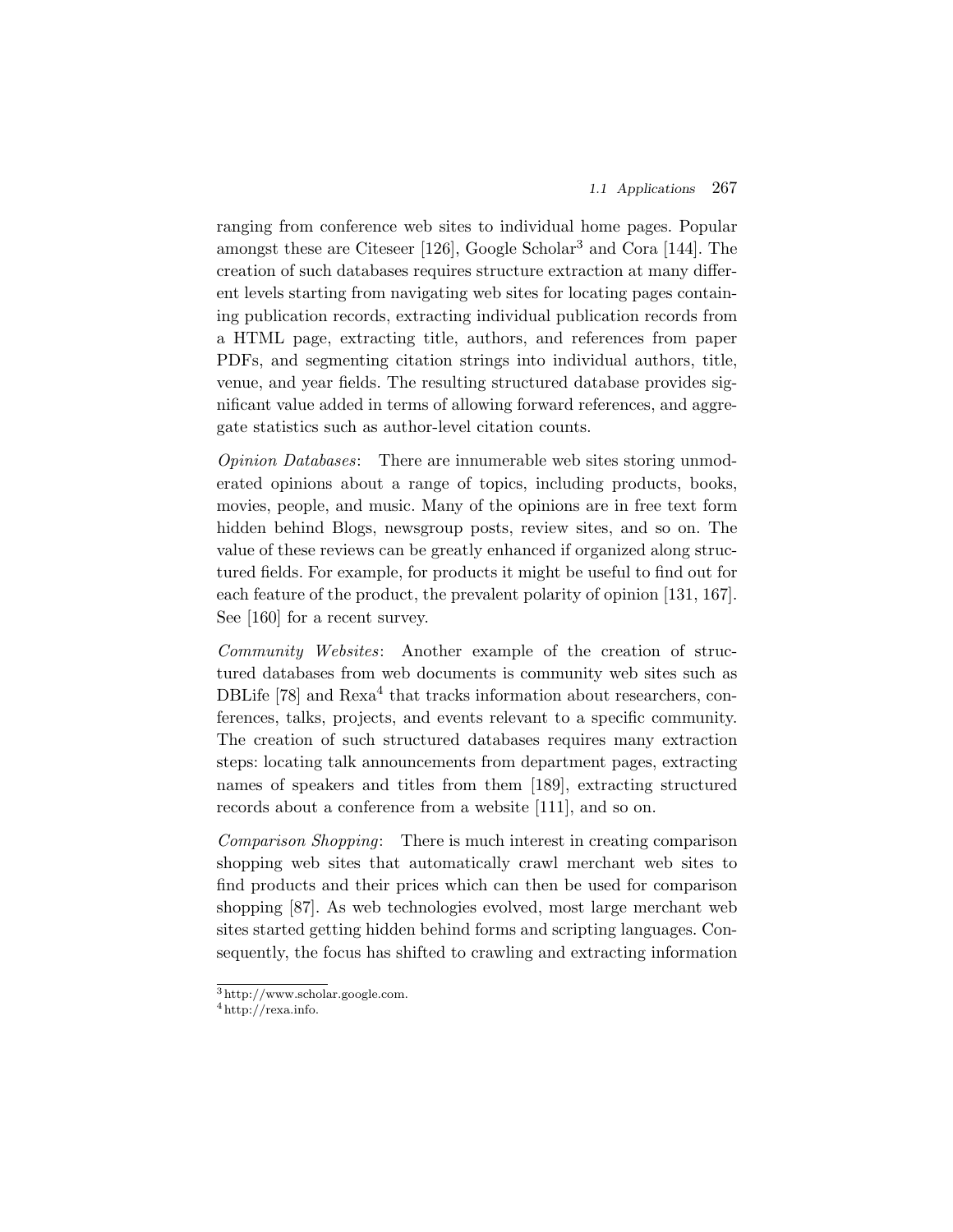ranging from conference web sites to individual home pages. Popular amongst these are Citeseer [126], Google Scholar<sup>3</sup> and Cora [144]. The creation of such databases requires structure extraction at many different levels starting from navigating web sites for locating pages containing publication records, extracting individual publication records from a HTML page, extracting title, authors, and references from paper PDFs, and segmenting citation strings into individual authors, title, venue, and year fields. The resulting structured database provides significant value added in terms of allowing forward references, and aggregate statistics such as author-level citation counts.

*Opinion Databases*: There are innumerable web sites storing unmoderated opinions about a range of topics, including products, books, movies, people, and music. Many of the opinions are in free text form hidden behind Blogs, newsgroup posts, review sites, and so on. The value of these reviews can be greatly enhanced if organized along structured fields. For example, for products it might be useful to find out for each feature of the product, the prevalent polarity of opinion [131, 167]. See [160] for a recent survey.

*Community Websites*: Another example of the creation of structured databases from web documents is community web sites such as DBLife [78] and  $Rexa<sup>4</sup>$  that tracks information about researchers, conferences, talks, projects, and events relevant to a specific community. The creation of such structured databases requires many extraction steps: locating talk announcements from department pages, extracting names of speakers and titles from them [189], extracting structured records about a conference from a website [111], and so on.

*Comparison Shopping*: There is much interest in creating comparison shopping web sites that automatically crawl merchant web sites to find products and their prices which can then be used for comparison shopping [87]. As web technologies evolved, most large merchant web sites started getting hidden behind forms and scripting languages. Consequently, the focus has shifted to crawling and extracting information

<sup>3</sup> http://www.scholar.google.com.

 $4$  http://rexa.info.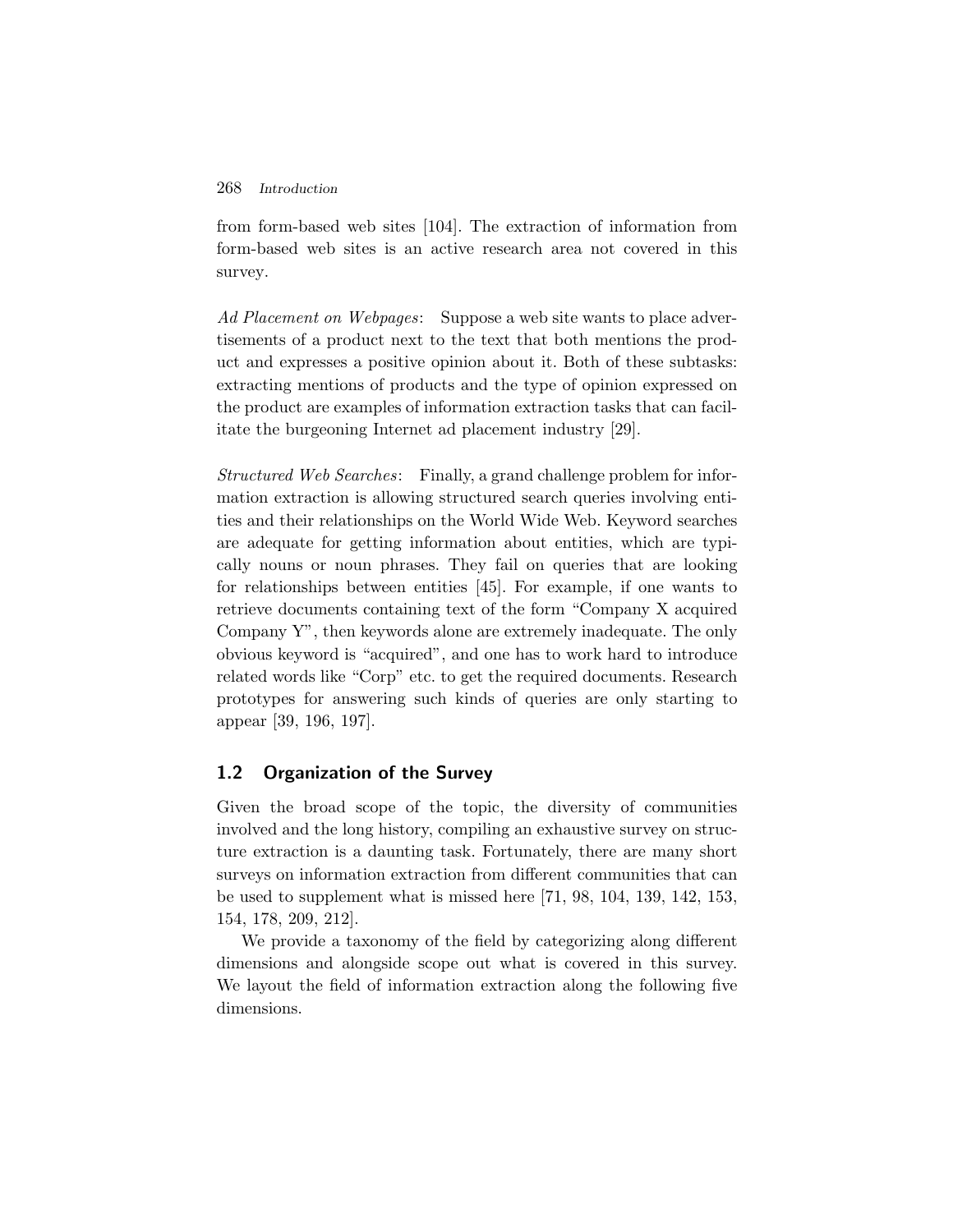from form-based web sites [104]. The extraction of information from form-based web sites is an active research area not covered in this survey.

*Ad Placement on Webpages*: Suppose a web site wants to place advertisements of a product next to the text that both mentions the product and expresses a positive opinion about it. Both of these subtasks: extracting mentions of products and the type of opinion expressed on the product are examples of information extraction tasks that can facilitate the burgeoning Internet ad placement industry [29].

*Structured Web Searches*: Finally, a grand challenge problem for information extraction is allowing structured search queries involving entities and their relationships on the World Wide Web. Keyword searches are adequate for getting information about entities, which are typically nouns or noun phrases. They fail on queries that are looking for relationships between entities [45]. For example, if one wants to retrieve documents containing text of the form "Company X acquired Company Y", then keywords alone are extremely inadequate. The only obvious keyword is "acquired", and one has to work hard to introduce related words like "Corp" etc. to get the required documents. Research prototypes for answering such kinds of queries are only starting to appear [39, 196, 197].

#### **1.2 Organization of the Survey**

Given the broad scope of the topic, the diversity of communities involved and the long history, compiling an exhaustive survey on structure extraction is a daunting task. Fortunately, there are many short surveys on information extraction from different communities that can be used to supplement what is missed here [71, 98, 104, 139, 142, 153, 154, 178, 209, 212].

We provide a taxonomy of the field by categorizing along different dimensions and alongside scope out what is covered in this survey. We layout the field of information extraction along the following five dimensions.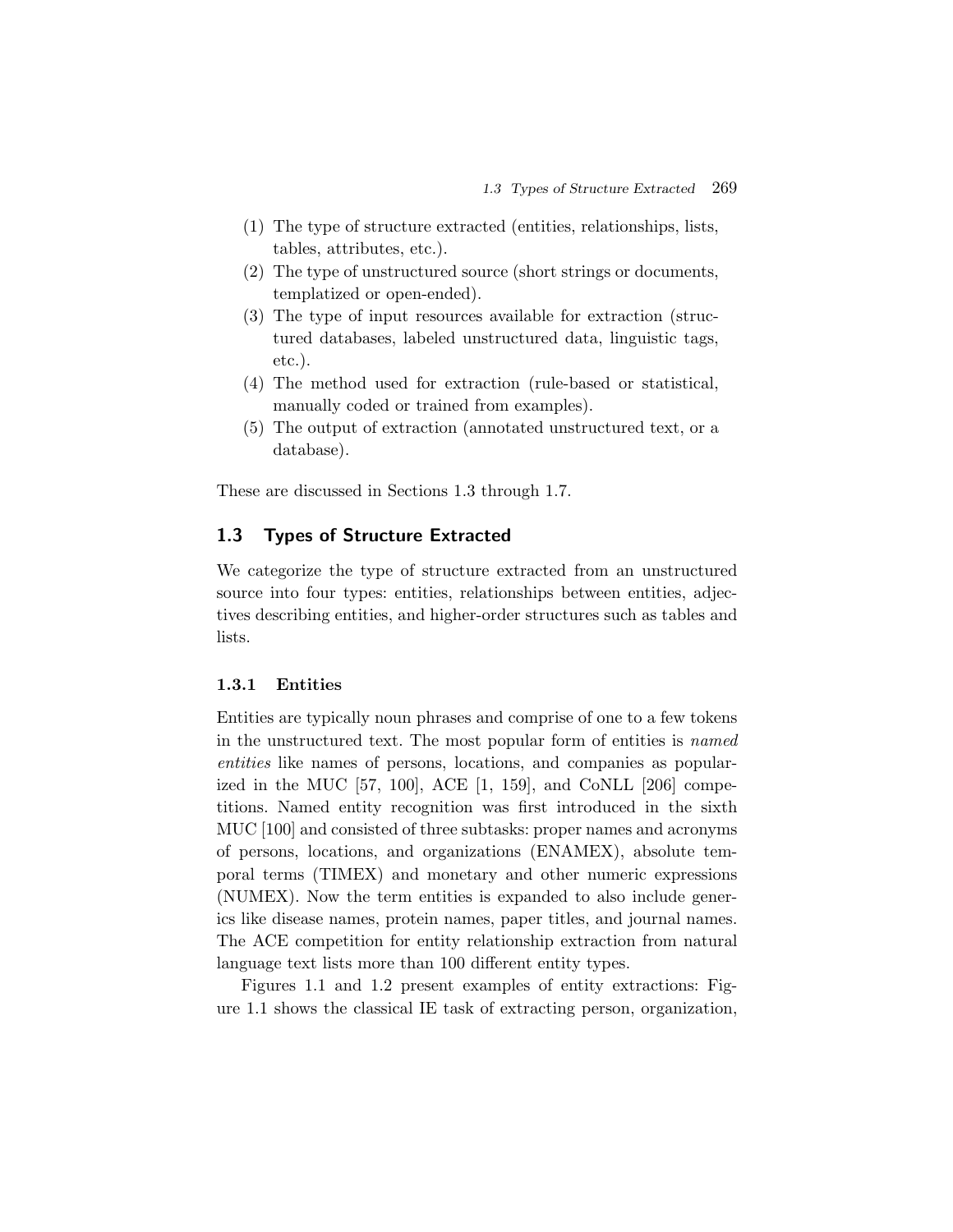- (1) The type of structure extracted (entities, relationships, lists, tables, attributes, etc.).
- (2) The type of unstructured source (short strings or documents, templatized or open-ended).
- (3) The type of input resources available for extraction (structured databases, labeled unstructured data, linguistic tags, etc.).
- (4) The method used for extraction (rule-based or statistical, manually coded or trained from examples).
- (5) The output of extraction (annotated unstructured text, or a database).

These are discussed in Sections 1.3 through 1.7.

#### **1.3 Types of Structure Extracted**

We categorize the type of structure extracted from an unstructured source into four types: entities, relationships between entities, adjectives describing entities, and higher-order structures such as tables and lists.

#### **1.3.1 Entities**

Entities are typically noun phrases and comprise of one to a few tokens in the unstructured text. The most popular form of entities is *named entities* like names of persons, locations, and companies as popularized in the MUC [57, 100], ACE [1, 159], and CoNLL [206] competitions. Named entity recognition was first introduced in the sixth MUC [100] and consisted of three subtasks: proper names and acronyms of persons, locations, and organizations (ENAMEX), absolute temporal terms (TIMEX) and monetary and other numeric expressions (NUMEX). Now the term entities is expanded to also include generics like disease names, protein names, paper titles, and journal names. The ACE competition for entity relationship extraction from natural language text lists more than 100 different entity types.

Figures 1.1 and 1.2 present examples of entity extractions: Figure 1.1 shows the classical IE task of extracting person, organization,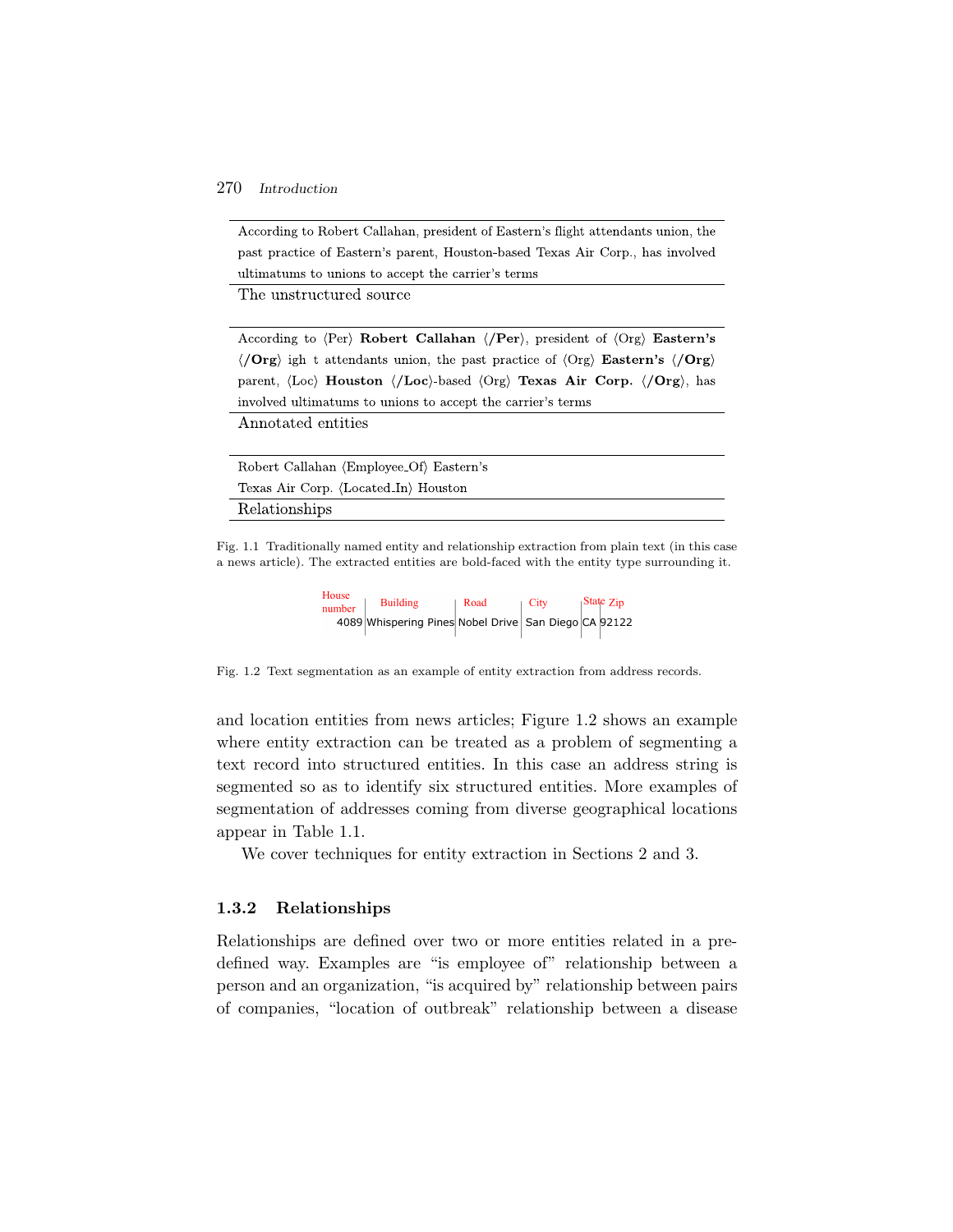According to Robert Callahan, president of Eastern's flight attendants union, the past practice of Eastern's parent, Houston-based Texas Air Corp., has involved ultimatums to unions to accept the carrier's terms

The unstructured source

According to  $\langle Per \rangle$  Robert Callahan  $\langle/Per \rangle$ , president of  $\langle Org \rangle$  Eastern's  $\langle$  Org) ight attendants union, the past practice of  $\langle \text{Org} \rangle$  Eastern's  $\langle$  Org) parent,  $\langle Loc \rangle$  Houston  $\langle/Loc \rangle$ -based  $\langle Org \rangle$  Texas Air Corp.  $\langle/Org \rangle$ , has involved ultimatums to unions to accept the carrier's terms

Annotated entities

| Robert Callahan (Employee Of) Eastern's |
|-----------------------------------------|
| Texas Air Corp. (Located In) Houston    |
| Relationships                           |
|                                         |

Fig. 1.1 Traditionally named entity and relationship extraction from plain text (in this case a news article). The extracted entities are bold-faced with the entity type surrounding it.

| House<br>number | <b>Building</b>                                      | Road | $\sqrt{C}$ ity |  | $\frac{1}{1}$ State Zip |
|-----------------|------------------------------------------------------|------|----------------|--|-------------------------|
|                 | 4089 Whispering Pines Nobel Drive San Diego CA 92122 |      |                |  |                         |

Fig. 1.2 Text segmentation as an example of entity extraction from address records.

and location entities from news articles; Figure 1.2 shows an example where entity extraction can be treated as a problem of segmenting a text record into structured entities. In this case an address string is segmented so as to identify six structured entities. More examples of segmentation of addresses coming from diverse geographical locations appear in Table 1.1.

We cover techniques for entity extraction in Sections 2 and 3.

#### **1.3.2 Relationships**

Relationships are defined over two or more entities related in a predefined way. Examples are "is employee of" relationship between a person and an organization, "is acquired by" relationship between pairs of companies, "location of outbreak" relationship between a disease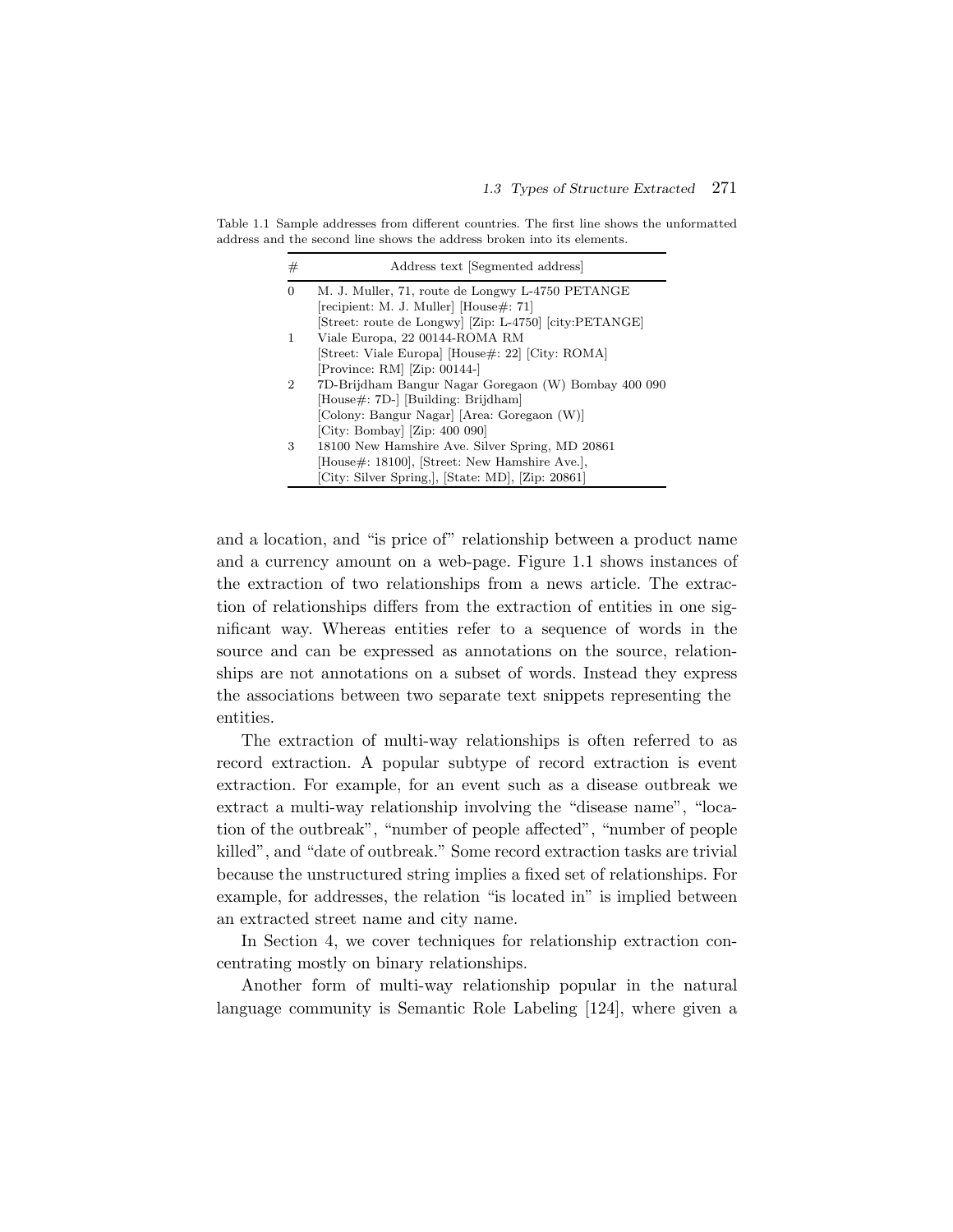Table 1.1 Sample addresses from different countries. The first line shows the unformatted address and the second line shows the address broken into its elements.

| # | Address text [Segmented address]                       |
|---|--------------------------------------------------------|
| 0 | M. J. Muller, 71, route de Longwy L-4750 PETANGE       |
|   | recipient: M. J. Muller [House#: 71]                   |
|   | [Street: route de Longwy] [Zip: L-4750] [city:PETANGE] |
| 1 | Viale Europa, 22 00144-ROMA RM                         |
|   | Street: Viale Europa [House#: 22] [City: ROMA]         |
|   | [Province: RM] [Zip: 00144-]                           |
| 2 | 7D-Brijdham Bangur Nagar Goregaon (W) Bombay 400 090   |
|   | House#: 7D- Building: Brijdham                         |
|   | [Colony: Bangur Nagar] [Area: Goregaon (W)]            |
|   | [City: Bombay] [Zip: 400 090]                          |
| 3 | 18100 New Hamshire Ave. Silver Spring, MD 20861        |
|   | House#: 18100, Street: New Hamshire Ave.,              |
|   | [City: Silver Spring,], [State: MD], [Zip: 20861]      |

and a location, and "is price of" relationship between a product name and a currency amount on a web-page. Figure 1.1 shows instances of the extraction of two relationships from a news article. The extraction of relationships differs from the extraction of entities in one significant way. Whereas entities refer to a sequence of words in the source and can be expressed as annotations on the source, relationships are not annotations on a subset of words. Instead they express the associations between two separate text snippets representing the entities.

The extraction of multi-way relationships is often referred to as record extraction. A popular subtype of record extraction is event extraction. For example, for an event such as a disease outbreak we extract a multi-way relationship involving the "disease name", "location of the outbreak", "number of people affected", "number of people killed", and "date of outbreak." Some record extraction tasks are trivial because the unstructured string implies a fixed set of relationships. For example, for addresses, the relation "is located in" is implied between an extracted street name and city name.

In Section 4, we cover techniques for relationship extraction concentrating mostly on binary relationships.

Another form of multi-way relationship popular in the natural language community is Semantic Role Labeling [124], where given a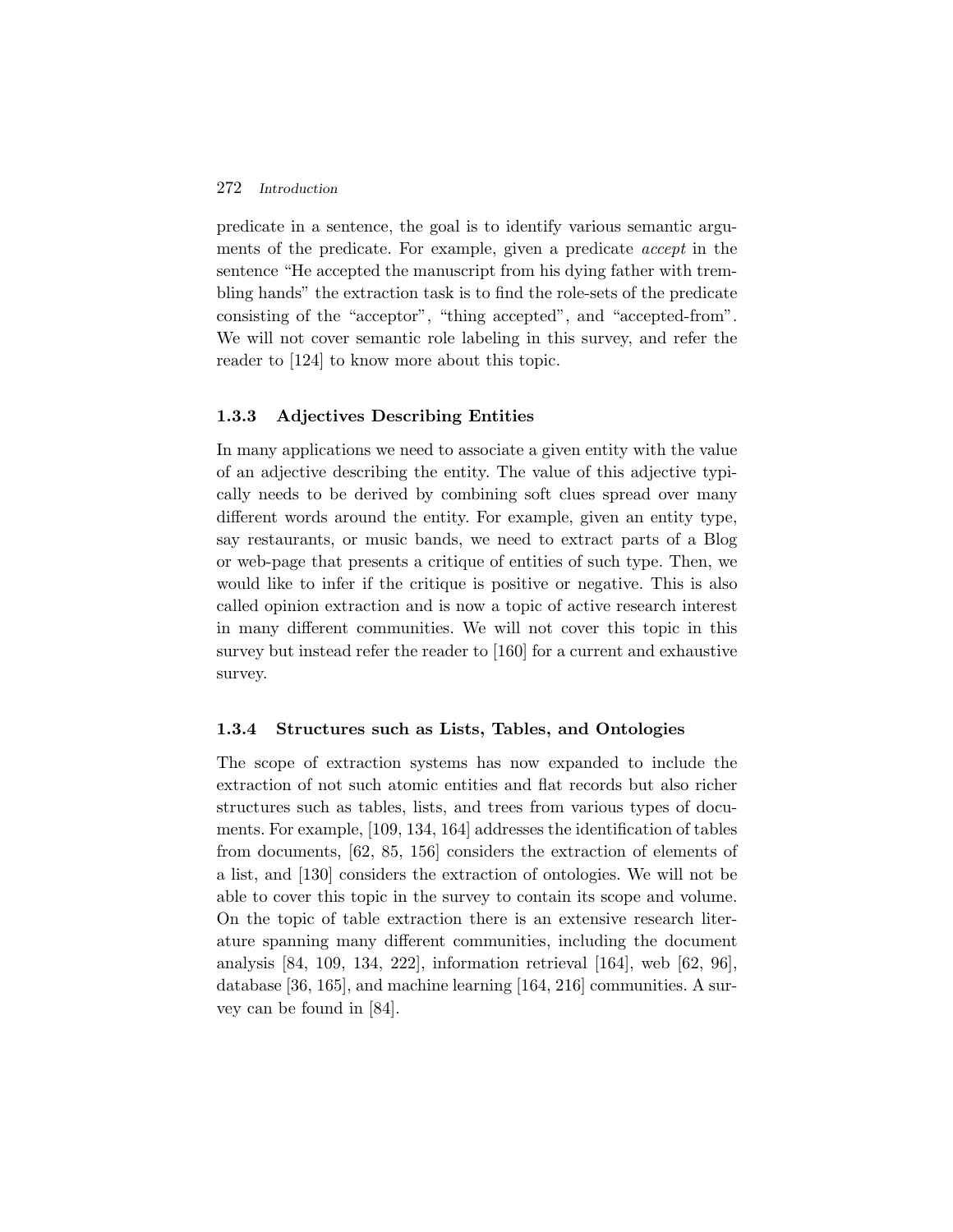predicate in a sentence, the goal is to identify various semantic arguments of the predicate. For example, given a predicate *accept* in the sentence "He accepted the manuscript from his dying father with trembling hands" the extraction task is to find the role-sets of the predicate consisting of the "acceptor", "thing accepted", and "accepted-from". We will not cover semantic role labeling in this survey, and refer the reader to [124] to know more about this topic.

#### **1.3.3 Adjectives Describing Entities**

In many applications we need to associate a given entity with the value of an adjective describing the entity. The value of this adjective typically needs to be derived by combining soft clues spread over many different words around the entity. For example, given an entity type, say restaurants, or music bands, we need to extract parts of a Blog or web-page that presents a critique of entities of such type. Then, we would like to infer if the critique is positive or negative. This is also called opinion extraction and is now a topic of active research interest in many different communities. We will not cover this topic in this survey but instead refer the reader to [160] for a current and exhaustive survey.

#### **1.3.4 Structures such as Lists, Tables, and Ontologies**

The scope of extraction systems has now expanded to include the extraction of not such atomic entities and flat records but also richer structures such as tables, lists, and trees from various types of documents. For example, [109, 134, 164] addresses the identification of tables from documents, [62, 85, 156] considers the extraction of elements of a list, and [130] considers the extraction of ontologies. We will not be able to cover this topic in the survey to contain its scope and volume. On the topic of table extraction there is an extensive research literature spanning many different communities, including the document analysis [84, 109, 134, 222], information retrieval [164], web [62, 96], database [36, 165], and machine learning [164, 216] communities. A survey can be found in [84].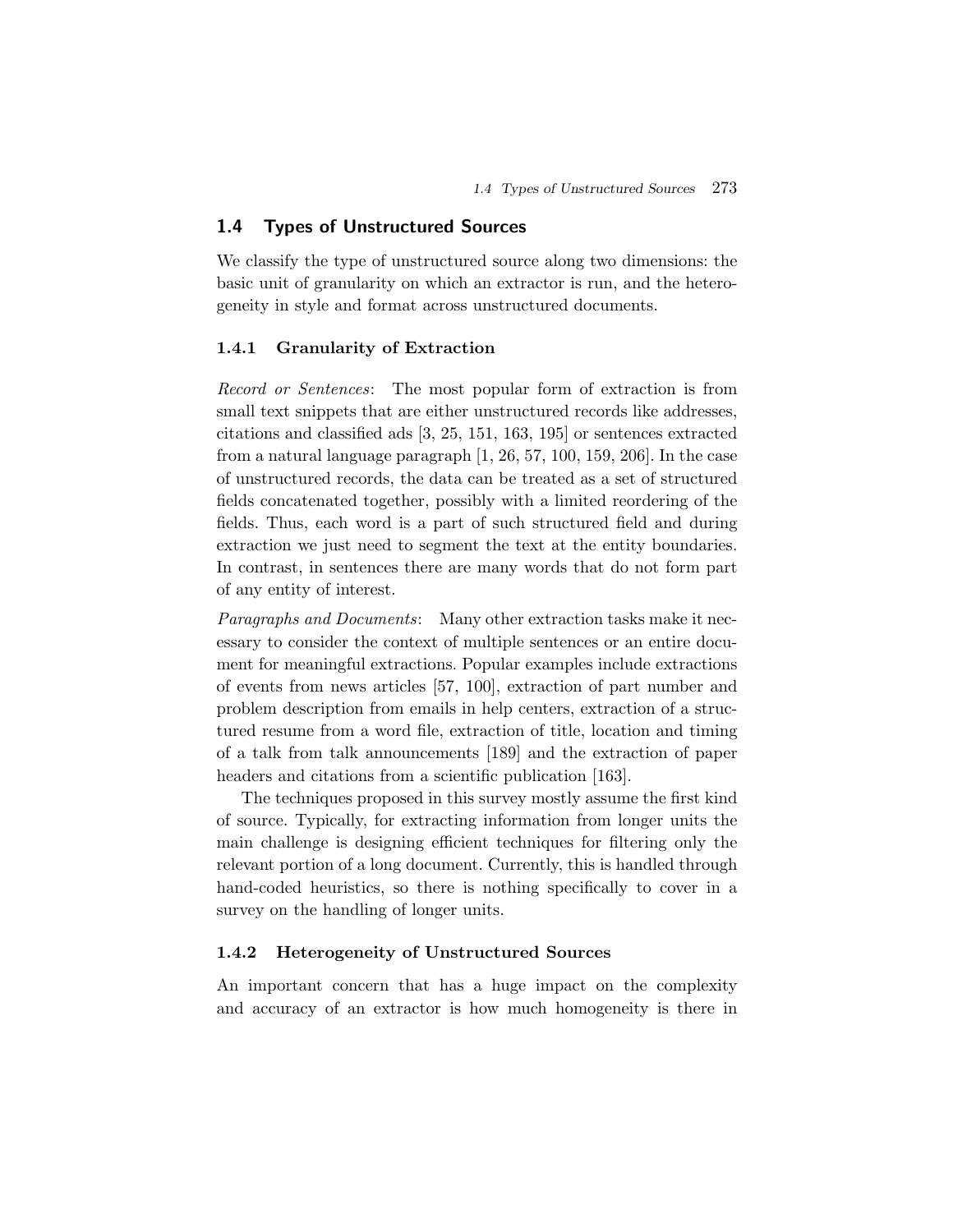#### **1.4 Types of Unstructured Sources**

We classify the type of unstructured source along two dimensions: the basic unit of granularity on which an extractor is run, and the heterogeneity in style and format across unstructured documents.

#### **1.4.1 Granularity of Extraction**

*Record or Sentences*: The most popular form of extraction is from small text snippets that are either unstructured records like addresses, citations and classified ads [3, 25, 151, 163, 195] or sentences extracted from a natural language paragraph [1, 26, 57, 100, 159, 206]. In the case of unstructured records, the data can be treated as a set of structured fields concatenated together, possibly with a limited reordering of the fields. Thus, each word is a part of such structured field and during extraction we just need to segment the text at the entity boundaries. In contrast, in sentences there are many words that do not form part of any entity of interest.

*Paragraphs and Documents*: Many other extraction tasks make it necessary to consider the context of multiple sentences or an entire document for meaningful extractions. Popular examples include extractions of events from news articles [57, 100], extraction of part number and problem description from emails in help centers, extraction of a structured resume from a word file, extraction of title, location and timing of a talk from talk announcements [189] and the extraction of paper headers and citations from a scientific publication [163].

The techniques proposed in this survey mostly assume the first kind of source. Typically, for extracting information from longer units the main challenge is designing efficient techniques for filtering only the relevant portion of a long document. Currently, this is handled through hand-coded heuristics, so there is nothing specifically to cover in a survey on the handling of longer units.

#### **1.4.2 Heterogeneity of Unstructured Sources**

An important concern that has a huge impact on the complexity and accuracy of an extractor is how much homogeneity is there in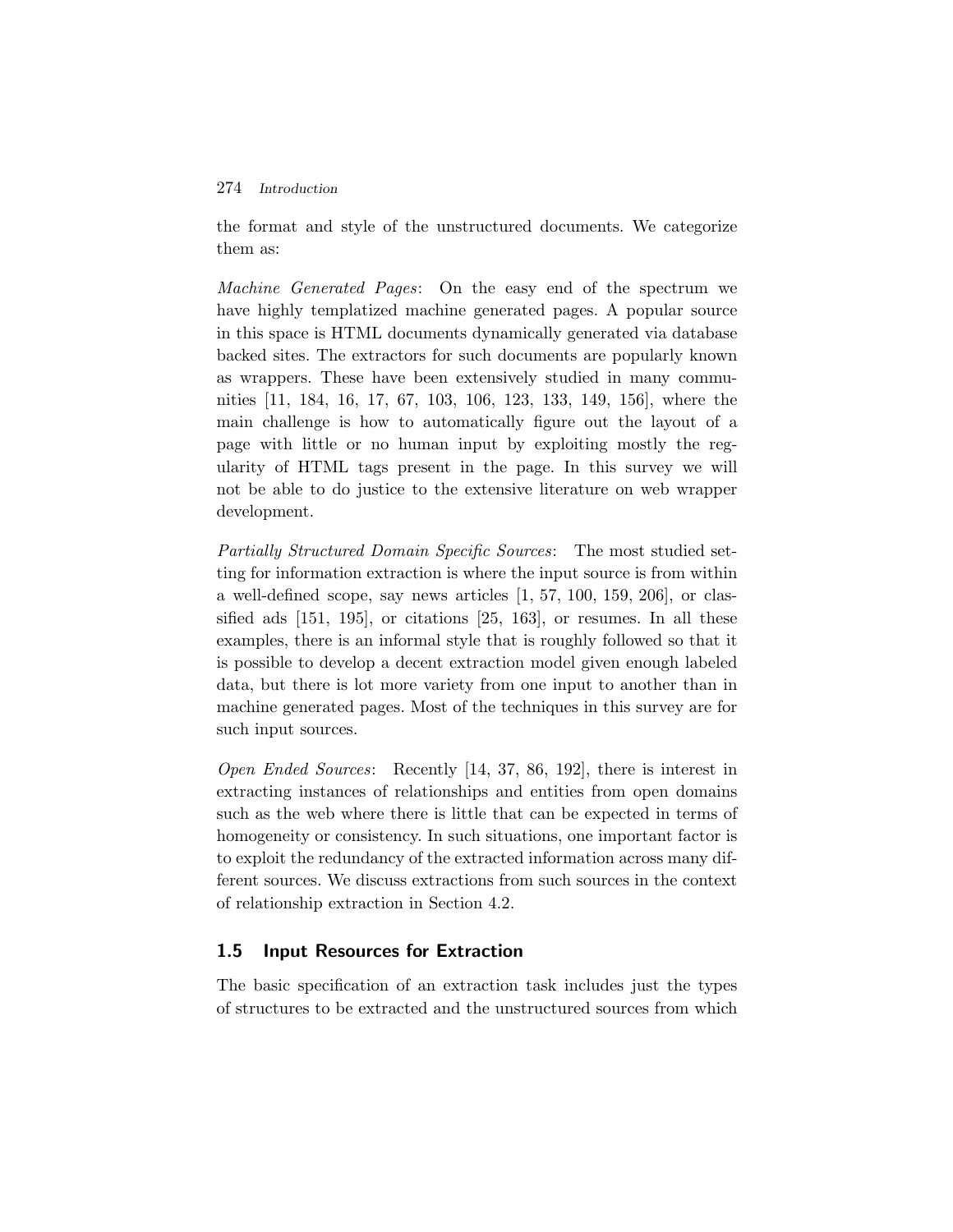the format and style of the unstructured documents. We categorize them as:

*Machine Generated Pages*: On the easy end of the spectrum we have highly templatized machine generated pages. A popular source in this space is HTML documents dynamically generated via database backed sites. The extractors for such documents are popularly known as wrappers. These have been extensively studied in many communities [11, 184, 16, 17, 67, 103, 106, 123, 133, 149, 156], where the main challenge is how to automatically figure out the layout of a page with little or no human input by exploiting mostly the regularity of HTML tags present in the page. In this survey we will not be able to do justice to the extensive literature on web wrapper development.

*Partially Structured Domain Specific Sources*: The most studied setting for information extraction is where the input source is from within a well-defined scope, say news articles [1, 57, 100, 159, 206], or classified ads [151, 195], or citations [25, 163], or resumes. In all these examples, there is an informal style that is roughly followed so that it is possible to develop a decent extraction model given enough labeled data, but there is lot more variety from one input to another than in machine generated pages. Most of the techniques in this survey are for such input sources.

*Open Ended Sources*: Recently [14, 37, 86, 192], there is interest in extracting instances of relationships and entities from open domains such as the web where there is little that can be expected in terms of homogeneity or consistency. In such situations, one important factor is to exploit the redundancy of the extracted information across many different sources. We discuss extractions from such sources in the context of relationship extraction in Section 4.2.

#### **1.5 Input Resources for Extraction**

The basic specification of an extraction task includes just the types of structures to be extracted and the unstructured sources from which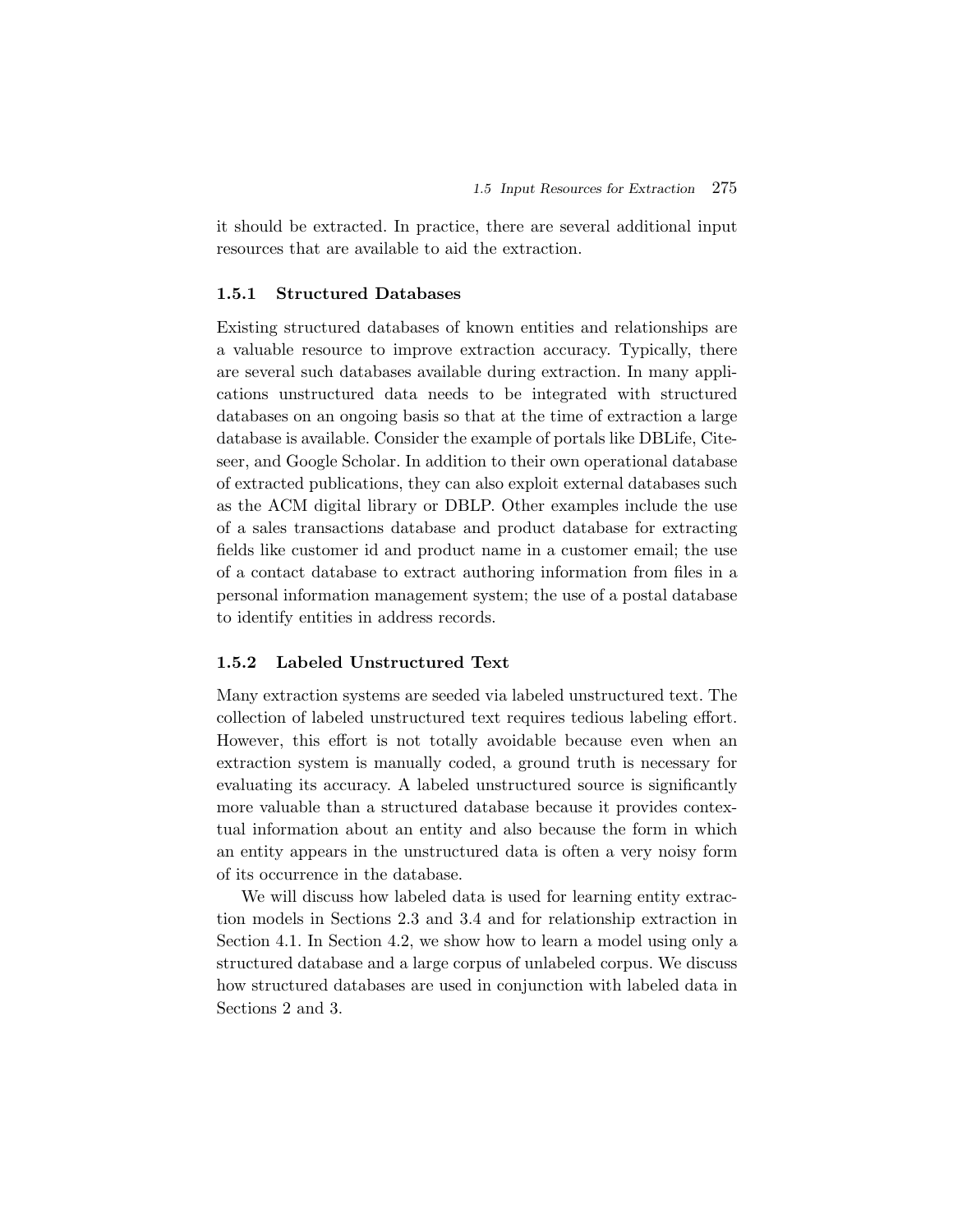it should be extracted. In practice, there are several additional input resources that are available to aid the extraction.

#### **1.5.1 Structured Databases**

Existing structured databases of known entities and relationships are a valuable resource to improve extraction accuracy. Typically, there are several such databases available during extraction. In many applications unstructured data needs to be integrated with structured databases on an ongoing basis so that at the time of extraction a large database is available. Consider the example of portals like DBLife, Citeseer, and Google Scholar. In addition to their own operational database of extracted publications, they can also exploit external databases such as the ACM digital library or DBLP. Other examples include the use of a sales transactions database and product database for extracting fields like customer id and product name in a customer email; the use of a contact database to extract authoring information from files in a personal information management system; the use of a postal database to identify entities in address records.

#### **1.5.2 Labeled Unstructured Text**

Many extraction systems are seeded via labeled unstructured text. The collection of labeled unstructured text requires tedious labeling effort. However, this effort is not totally avoidable because even when an extraction system is manually coded, a ground truth is necessary for evaluating its accuracy. A labeled unstructured source is significantly more valuable than a structured database because it provides contextual information about an entity and also because the form in which an entity appears in the unstructured data is often a very noisy form of its occurrence in the database.

We will discuss how labeled data is used for learning entity extraction models in Sections 2.3 and 3.4 and for relationship extraction in Section 4.1. In Section 4.2, we show how to learn a model using only a structured database and a large corpus of unlabeled corpus. We discuss how structured databases are used in conjunction with labeled data in Sections 2 and 3.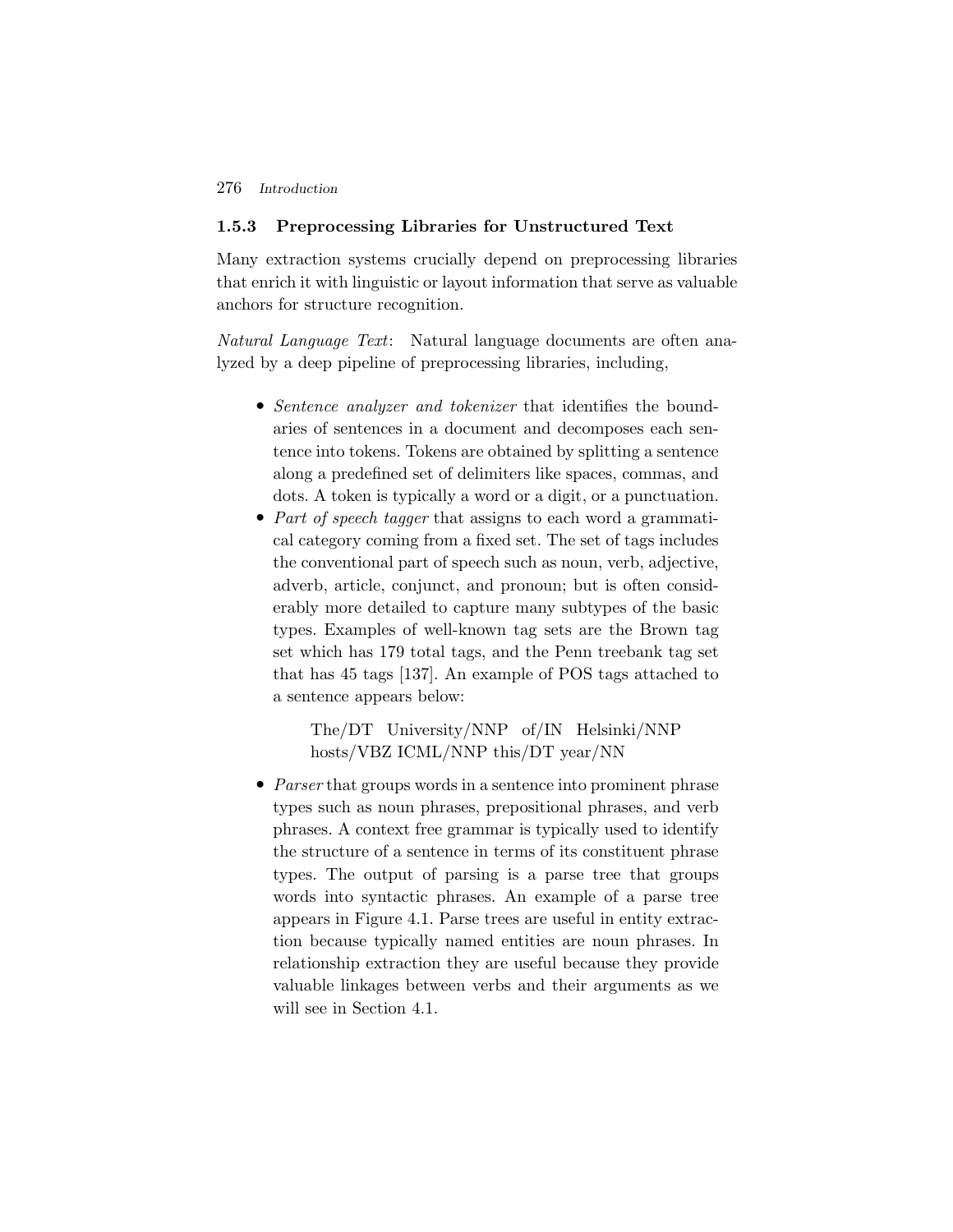#### **1.5.3 Preprocessing Libraries for Unstructured Text**

Many extraction systems crucially depend on preprocessing libraries that enrich it with linguistic or layout information that serve as valuable anchors for structure recognition.

*Natural Language Text*: Natural language documents are often analyzed by a deep pipeline of preprocessing libraries, including,

- *Sentence analyzer and tokenizer* that identifies the boundaries of sentences in a document and decomposes each sentence into tokens. Tokens are obtained by splitting a sentence along a predefined set of delimiters like spaces, commas, and dots. A token is typically a word or a digit, or a punctuation.
- *Part of speech tagger* that assigns to each word a grammatical category coming from a fixed set. The set of tags includes the conventional part of speech such as noun, verb, adjective, adverb, article, conjunct, and pronoun; but is often considerably more detailed to capture many subtypes of the basic types. Examples of well-known tag sets are the Brown tag set which has 179 total tags, and the Penn treebank tag set that has 45 tags [137]. An example of POS tags attached to a sentence appears below:

The/DT University/NNP of/IN Helsinki/NNP hosts/VBZ ICML/NNP this/DT year/NN

• *Parser* that groups words in a sentence into prominent phrase types such as noun phrases, prepositional phrases, and verb phrases. A context free grammar is typically used to identify the structure of a sentence in terms of its constituent phrase types. The output of parsing is a parse tree that groups words into syntactic phrases. An example of a parse tree appears in Figure 4.1. Parse trees are useful in entity extraction because typically named entities are noun phrases. In relationship extraction they are useful because they provide valuable linkages between verbs and their arguments as we will see in Section 4.1.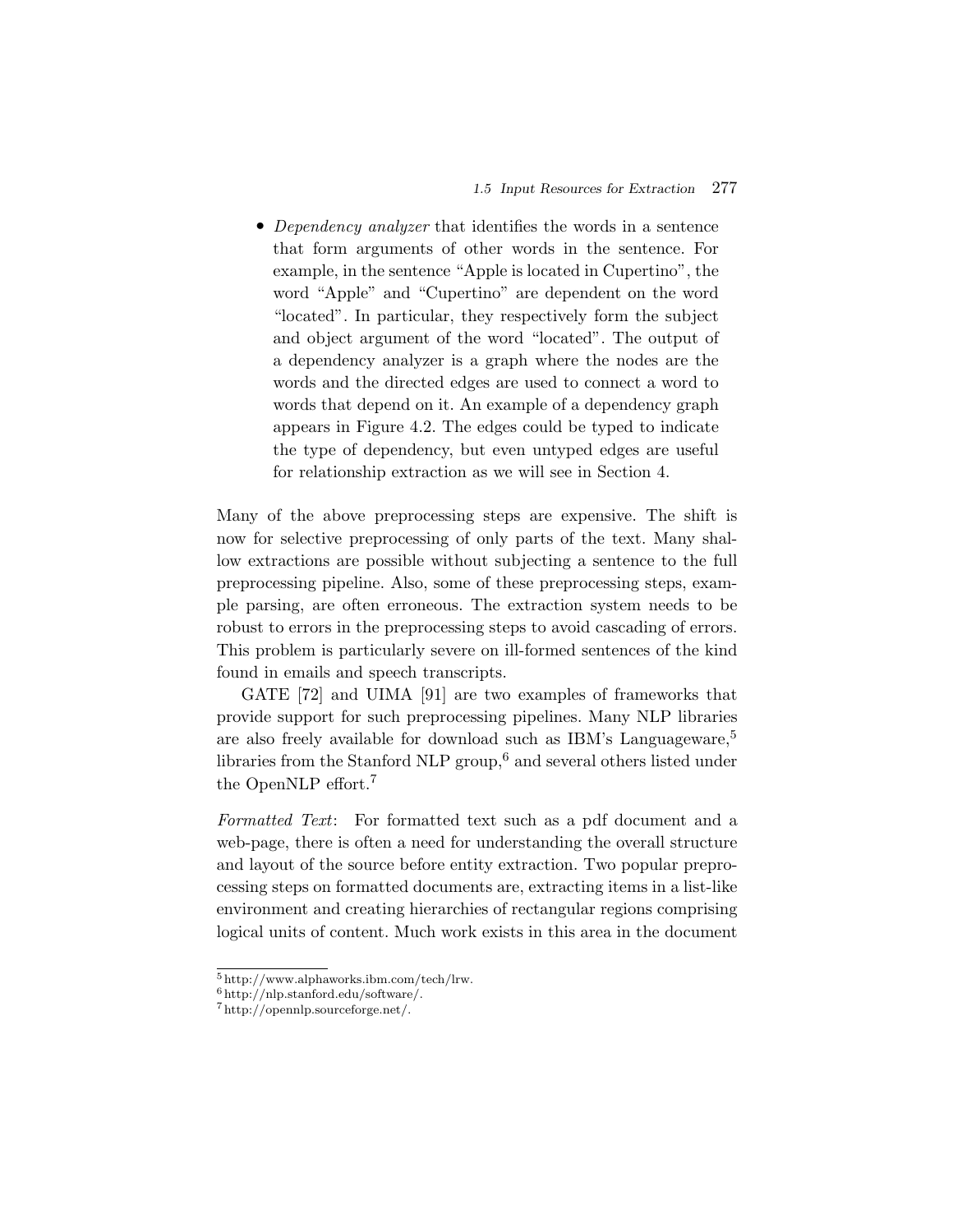• *Dependency analyzer* that identifies the words in a sentence that form arguments of other words in the sentence. For example, in the sentence "Apple is located in Cupertino", the word "Apple" and "Cupertino" are dependent on the word "located". In particular, they respectively form the subject and object argument of the word "located". The output of a dependency analyzer is a graph where the nodes are the words and the directed edges are used to connect a word to words that depend on it. An example of a dependency graph appears in Figure 4.2. The edges could be typed to indicate the type of dependency, but even untyped edges are useful for relationship extraction as we will see in Section 4.

Many of the above preprocessing steps are expensive. The shift is now for selective preprocessing of only parts of the text. Many shallow extractions are possible without subjecting a sentence to the full preprocessing pipeline. Also, some of these preprocessing steps, example parsing, are often erroneous. The extraction system needs to be robust to errors in the preprocessing steps to avoid cascading of errors. This problem is particularly severe on ill-formed sentences of the kind found in emails and speech transcripts.

GATE [72] and UIMA [91] are two examples of frameworks that provide support for such preprocessing pipelines. Many NLP libraries are also freely available for download such as IBM's Languageware,<sup>5</sup> libraries from the Stanford NLP group,<sup>6</sup> and several others listed under the OpenNLP effort.<sup>7</sup>

*Formatted Text*: For formatted text such as a pdf document and a web-page, there is often a need for understanding the overall structure and layout of the source before entity extraction. Two popular preprocessing steps on formatted documents are, extracting items in a list-like environment and creating hierarchies of rectangular regions comprising logical units of content. Much work exists in this area in the document

 $5 \,\mathrm{http://www.alphaworks.ibm.com/tech/lrw}.$ 

<sup>6</sup> http://nlp.stanford.edu/software/.

<sup>7</sup> http://opennlp.sourceforge.net/.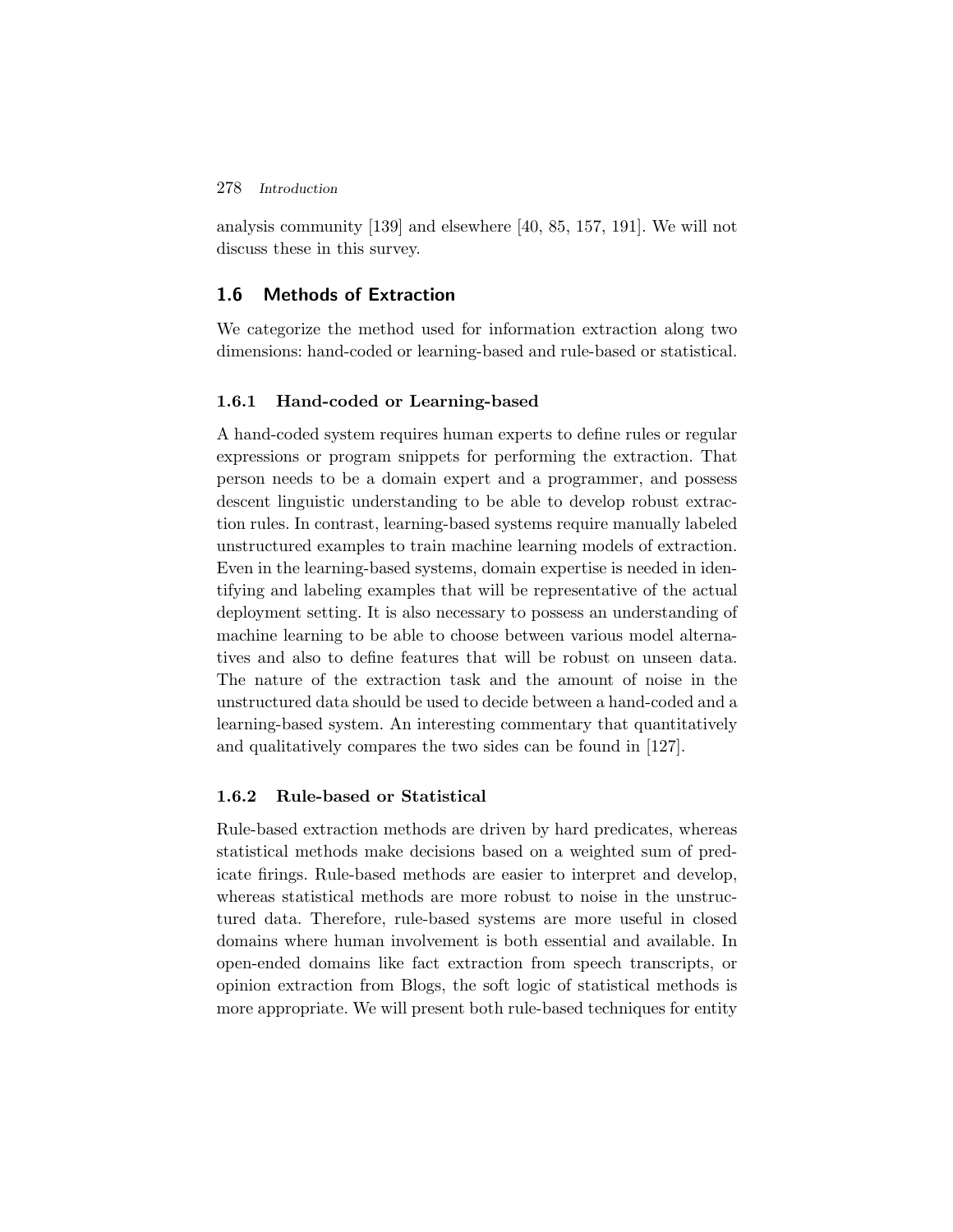analysis community [139] and elsewhere [40, 85, 157, 191]. We will not discuss these in this survey.

#### **1.6 Methods of Extraction**

We categorize the method used for information extraction along two dimensions: hand-coded or learning-based and rule-based or statistical.

#### **1.6.1 Hand-coded or Learning-based**

A hand-coded system requires human experts to define rules or regular expressions or program snippets for performing the extraction. That person needs to be a domain expert and a programmer, and possess descent linguistic understanding to be able to develop robust extraction rules. In contrast, learning-based systems require manually labeled unstructured examples to train machine learning models of extraction. Even in the learning-based systems, domain expertise is needed in identifying and labeling examples that will be representative of the actual deployment setting. It is also necessary to possess an understanding of machine learning to be able to choose between various model alternatives and also to define features that will be robust on unseen data. The nature of the extraction task and the amount of noise in the unstructured data should be used to decide between a hand-coded and a learning-based system. An interesting commentary that quantitatively and qualitatively compares the two sides can be found in [127].

#### **1.6.2 Rule-based or Statistical**

Rule-based extraction methods are driven by hard predicates, whereas statistical methods make decisions based on a weighted sum of predicate firings. Rule-based methods are easier to interpret and develop, whereas statistical methods are more robust to noise in the unstructured data. Therefore, rule-based systems are more useful in closed domains where human involvement is both essential and available. In open-ended domains like fact extraction from speech transcripts, or opinion extraction from Blogs, the soft logic of statistical methods is more appropriate. We will present both rule-based techniques for entity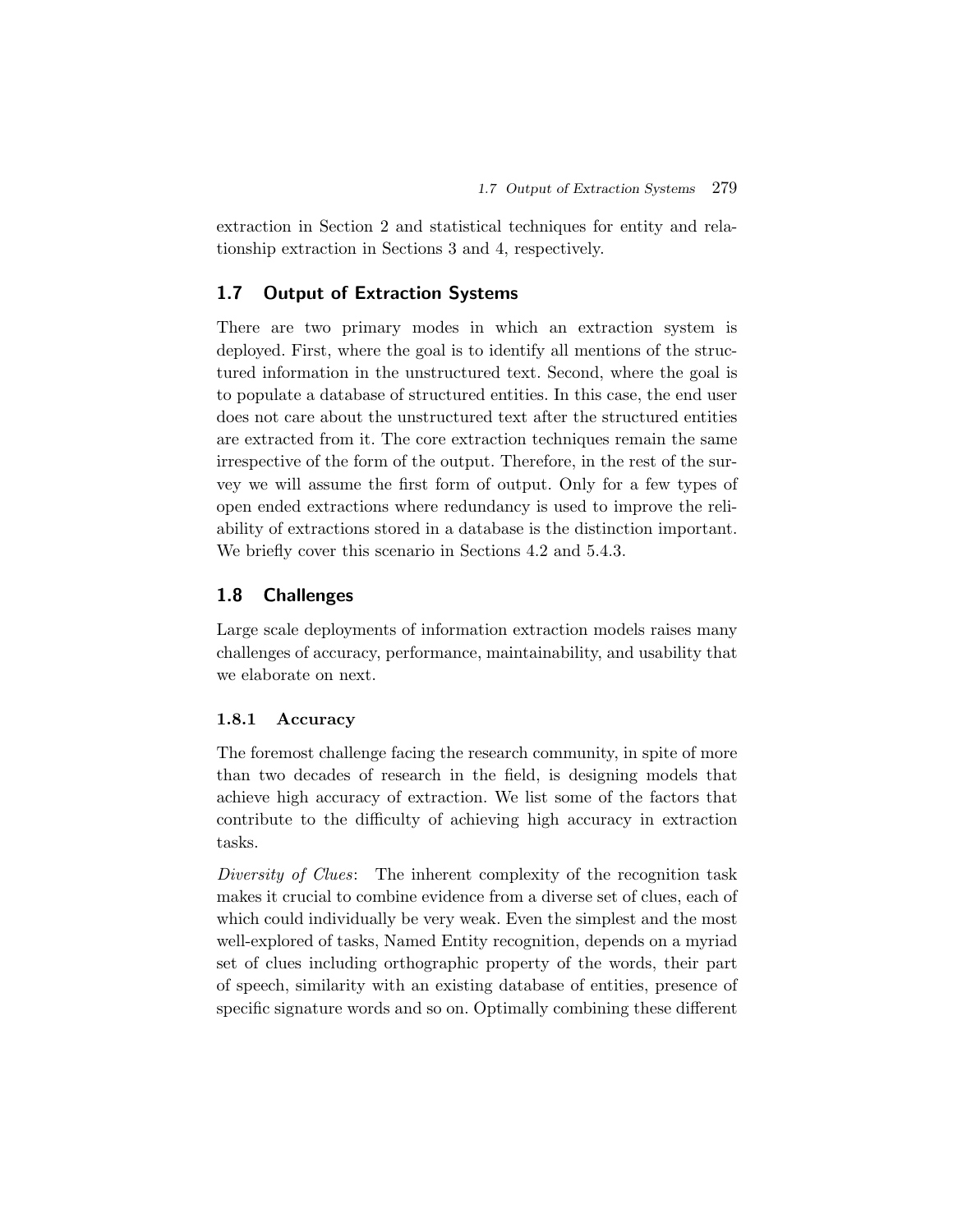extraction in Section 2 and statistical techniques for entity and relationship extraction in Sections 3 and 4, respectively.

#### **1.7 Output of Extraction Systems**

There are two primary modes in which an extraction system is deployed. First, where the goal is to identify all mentions of the structured information in the unstructured text. Second, where the goal is to populate a database of structured entities. In this case, the end user does not care about the unstructured text after the structured entities are extracted from it. The core extraction techniques remain the same irrespective of the form of the output. Therefore, in the rest of the survey we will assume the first form of output. Only for a few types of open ended extractions where redundancy is used to improve the reliability of extractions stored in a database is the distinction important. We briefly cover this scenario in Sections 4.2 and 5.4.3.

#### **1.8 Challenges**

Large scale deployments of information extraction models raises many challenges of accuracy, performance, maintainability, and usability that we elaborate on next.

#### **1.8.1 Accuracy**

The foremost challenge facing the research community, in spite of more than two decades of research in the field, is designing models that achieve high accuracy of extraction. We list some of the factors that contribute to the difficulty of achieving high accuracy in extraction tasks.

*Diversity of Clues*: The inherent complexity of the recognition task makes it crucial to combine evidence from a diverse set of clues, each of which could individually be very weak. Even the simplest and the most well-explored of tasks, Named Entity recognition, depends on a myriad set of clues including orthographic property of the words, their part of speech, similarity with an existing database of entities, presence of specific signature words and so on. Optimally combining these different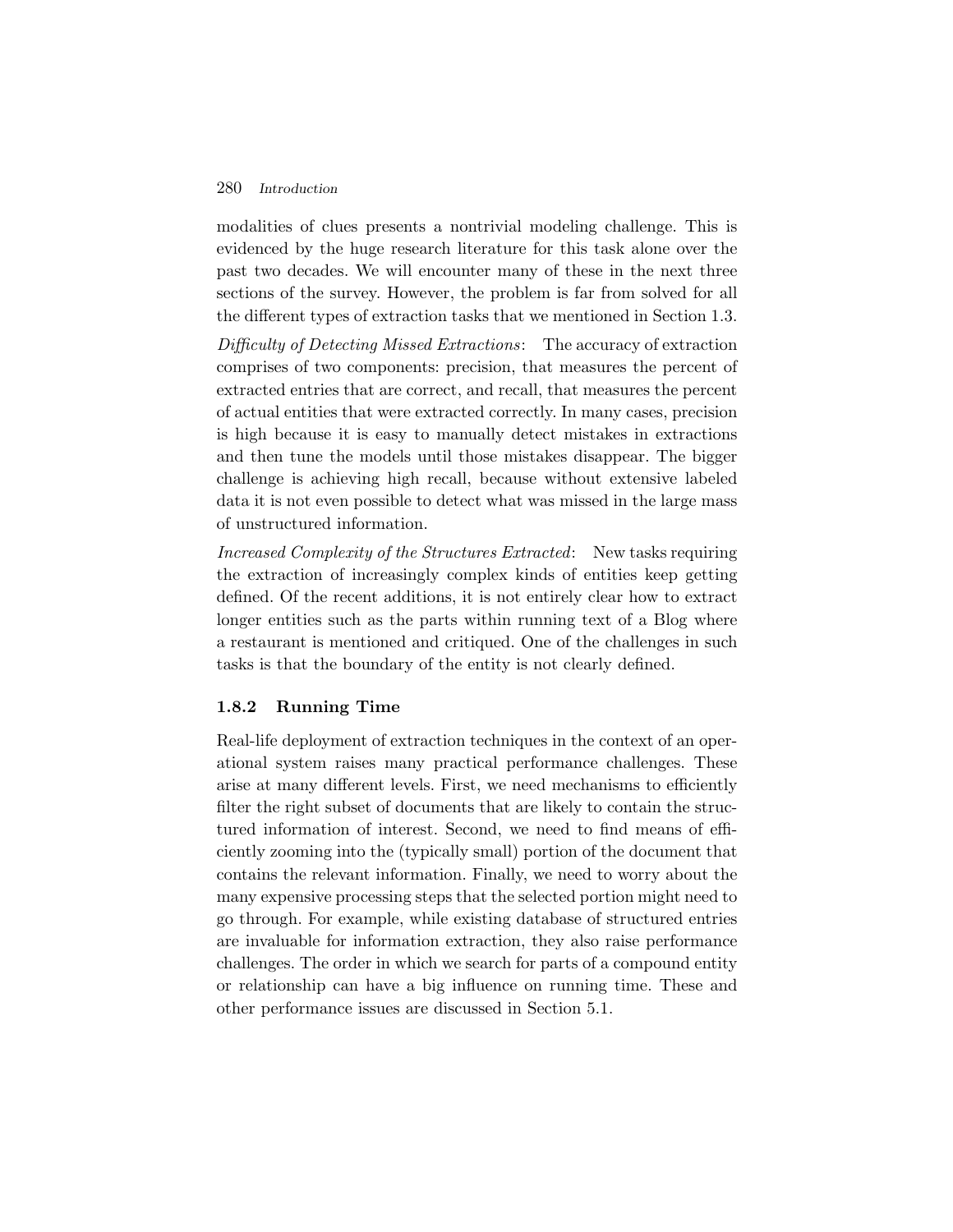modalities of clues presents a nontrivial modeling challenge. This is evidenced by the huge research literature for this task alone over the past two decades. We will encounter many of these in the next three sections of the survey. However, the problem is far from solved for all the different types of extraction tasks that we mentioned in Section 1.3.

*Difficulty of Detecting Missed Extractions*: The accuracy of extraction comprises of two components: precision, that measures the percent of extracted entries that are correct, and recall, that measures the percent of actual entities that were extracted correctly. In many cases, precision is high because it is easy to manually detect mistakes in extractions and then tune the models until those mistakes disappear. The bigger challenge is achieving high recall, because without extensive labeled data it is not even possible to detect what was missed in the large mass of unstructured information.

*Increased Complexity of the Structures Extracted*: New tasks requiring the extraction of increasingly complex kinds of entities keep getting defined. Of the recent additions, it is not entirely clear how to extract longer entities such as the parts within running text of a Blog where a restaurant is mentioned and critiqued. One of the challenges in such tasks is that the boundary of the entity is not clearly defined.

#### **1.8.2 Running Time**

Real-life deployment of extraction techniques in the context of an operational system raises many practical performance challenges. These arise at many different levels. First, we need mechanisms to efficiently filter the right subset of documents that are likely to contain the structured information of interest. Second, we need to find means of efficiently zooming into the (typically small) portion of the document that contains the relevant information. Finally, we need to worry about the many expensive processing steps that the selected portion might need to go through. For example, while existing database of structured entries are invaluable for information extraction, they also raise performance challenges. The order in which we search for parts of a compound entity or relationship can have a big influence on running time. These and other performance issues are discussed in Section 5.1.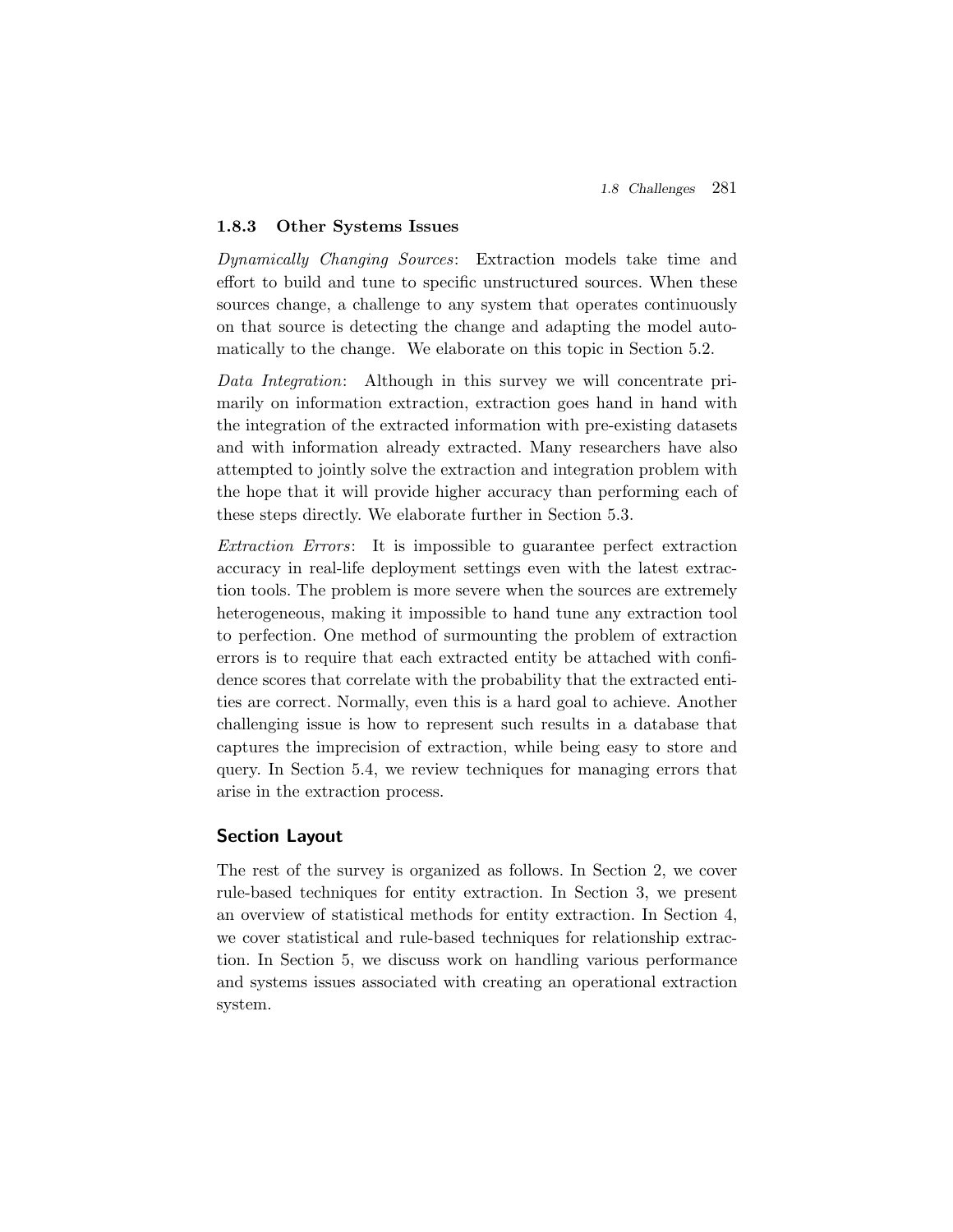#### **1.8.3 Other Systems Issues**

*Dynamically Changing Sources*: Extraction models take time and effort to build and tune to specific unstructured sources. When these sources change, a challenge to any system that operates continuously on that source is detecting the change and adapting the model automatically to the change. We elaborate on this topic in Section 5.2.

*Data Integration*: Although in this survey we will concentrate primarily on information extraction, extraction goes hand in hand with the integration of the extracted information with pre-existing datasets and with information already extracted. Many researchers have also attempted to jointly solve the extraction and integration problem with the hope that it will provide higher accuracy than performing each of these steps directly. We elaborate further in Section 5.3.

*Extraction Errors*: It is impossible to guarantee perfect extraction accuracy in real-life deployment settings even with the latest extraction tools. The problem is more severe when the sources are extremely heterogeneous, making it impossible to hand tune any extraction tool to perfection. One method of surmounting the problem of extraction errors is to require that each extracted entity be attached with confidence scores that correlate with the probability that the extracted entities are correct. Normally, even this is a hard goal to achieve. Another challenging issue is how to represent such results in a database that captures the imprecision of extraction, while being easy to store and query. In Section 5.4, we review techniques for managing errors that arise in the extraction process.

#### **Section Layout**

The rest of the survey is organized as follows. In Section 2, we cover rule-based techniques for entity extraction. In Section 3, we present an overview of statistical methods for entity extraction. In Section 4, we cover statistical and rule-based techniques for relationship extraction. In Section 5, we discuss work on handling various performance and systems issues associated with creating an operational extraction system.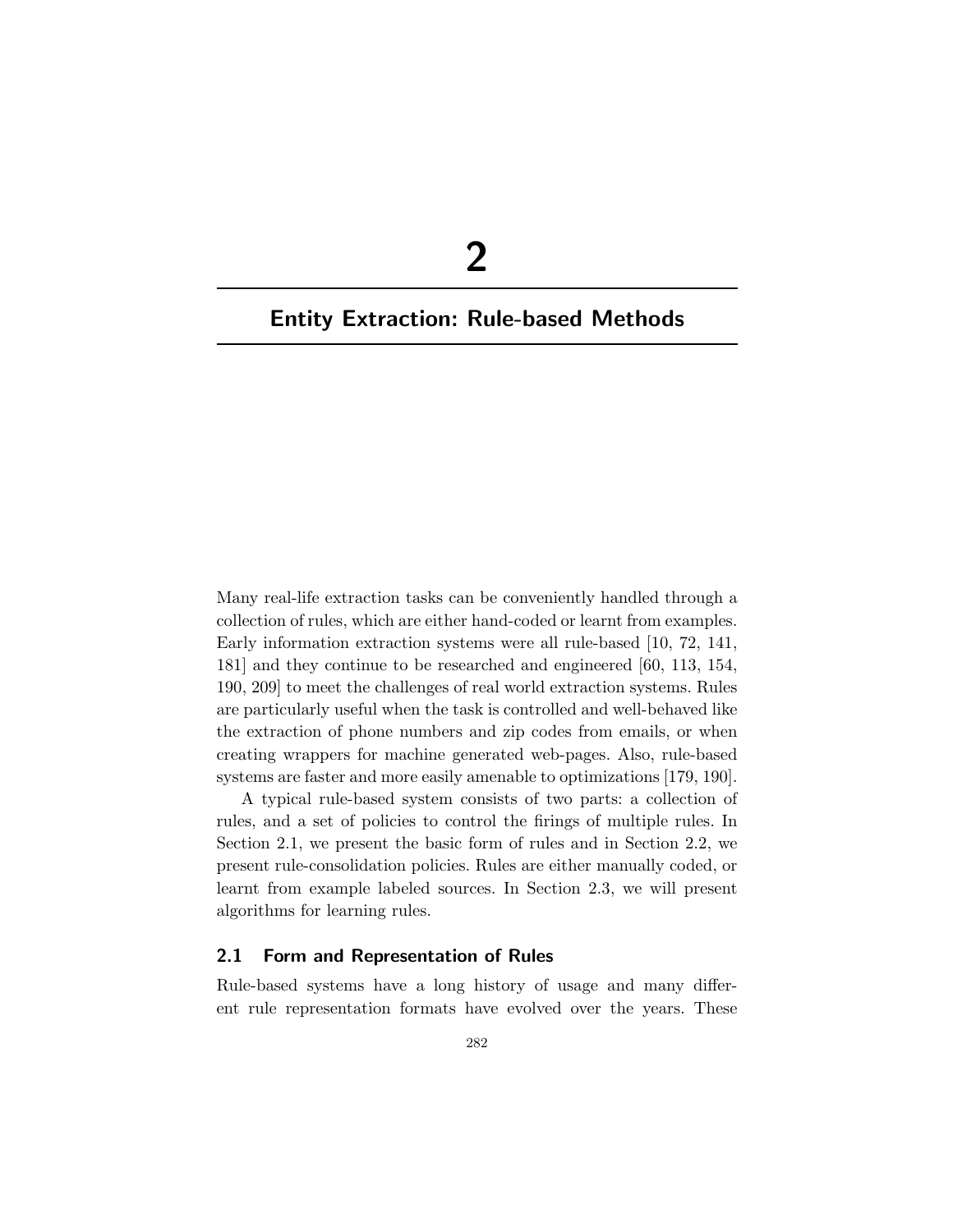## **2**

### **Entity Extraction: Rule-based Methods**

Many real-life extraction tasks can be conveniently handled through a collection of rules, which are either hand-coded or learnt from examples. Early information extraction systems were all rule-based [10, 72, 141, 181] and they continue to be researched and engineered [60, 113, 154, 190, 209] to meet the challenges of real world extraction systems. Rules are particularly useful when the task is controlled and well-behaved like the extraction of phone numbers and zip codes from emails, or when creating wrappers for machine generated web-pages. Also, rule-based systems are faster and more easily amenable to optimizations [179, 190].

A typical rule-based system consists of two parts: a collection of rules, and a set of policies to control the firings of multiple rules. In Section 2.1, we present the basic form of rules and in Section 2.2, we present rule-consolidation policies. Rules are either manually coded, or learnt from example labeled sources. In Section 2.3, we will present algorithms for learning rules.

#### **2.1 Form and Representation of Rules**

Rule-based systems have a long history of usage and many different rule representation formats have evolved over the years. These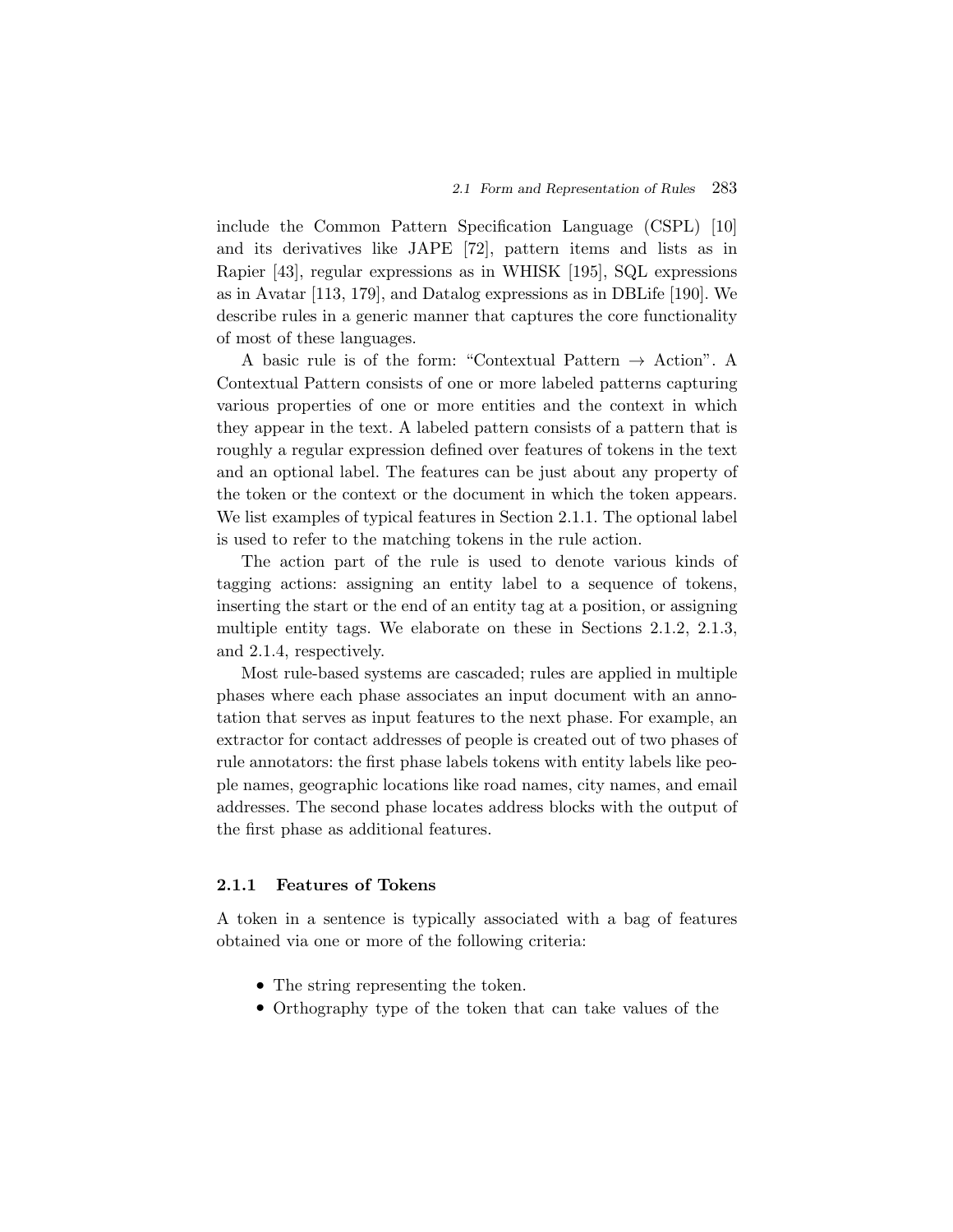include the Common Pattern Specification Language (CSPL) [10] and its derivatives like JAPE [72], pattern items and lists as in Rapier [43], regular expressions as in WHISK [195], SQL expressions as in Avatar [113, 179], and Datalog expressions as in DBLife [190]. We describe rules in a generic manner that captures the core functionality of most of these languages.

A basic rule is of the form: "Contextual Pattern  $\rightarrow$  Action". A Contextual Pattern consists of one or more labeled patterns capturing various properties of one or more entities and the context in which they appear in the text. A labeled pattern consists of a pattern that is roughly a regular expression defined over features of tokens in the text and an optional label. The features can be just about any property of the token or the context or the document in which the token appears. We list examples of typical features in Section 2.1.1. The optional label is used to refer to the matching tokens in the rule action.

The action part of the rule is used to denote various kinds of tagging actions: assigning an entity label to a sequence of tokens, inserting the start or the end of an entity tag at a position, or assigning multiple entity tags. We elaborate on these in Sections 2.1.2, 2.1.3, and 2.1.4, respectively.

Most rule-based systems are cascaded; rules are applied in multiple phases where each phase associates an input document with an annotation that serves as input features to the next phase. For example, an extractor for contact addresses of people is created out of two phases of rule annotators: the first phase labels tokens with entity labels like people names, geographic locations like road names, city names, and email addresses. The second phase locates address blocks with the output of the first phase as additional features.

#### **2.1.1 Features of Tokens**

A token in a sentence is typically associated with a bag of features obtained via one or more of the following criteria:

- The string representing the token.
- Orthography type of the token that can take values of the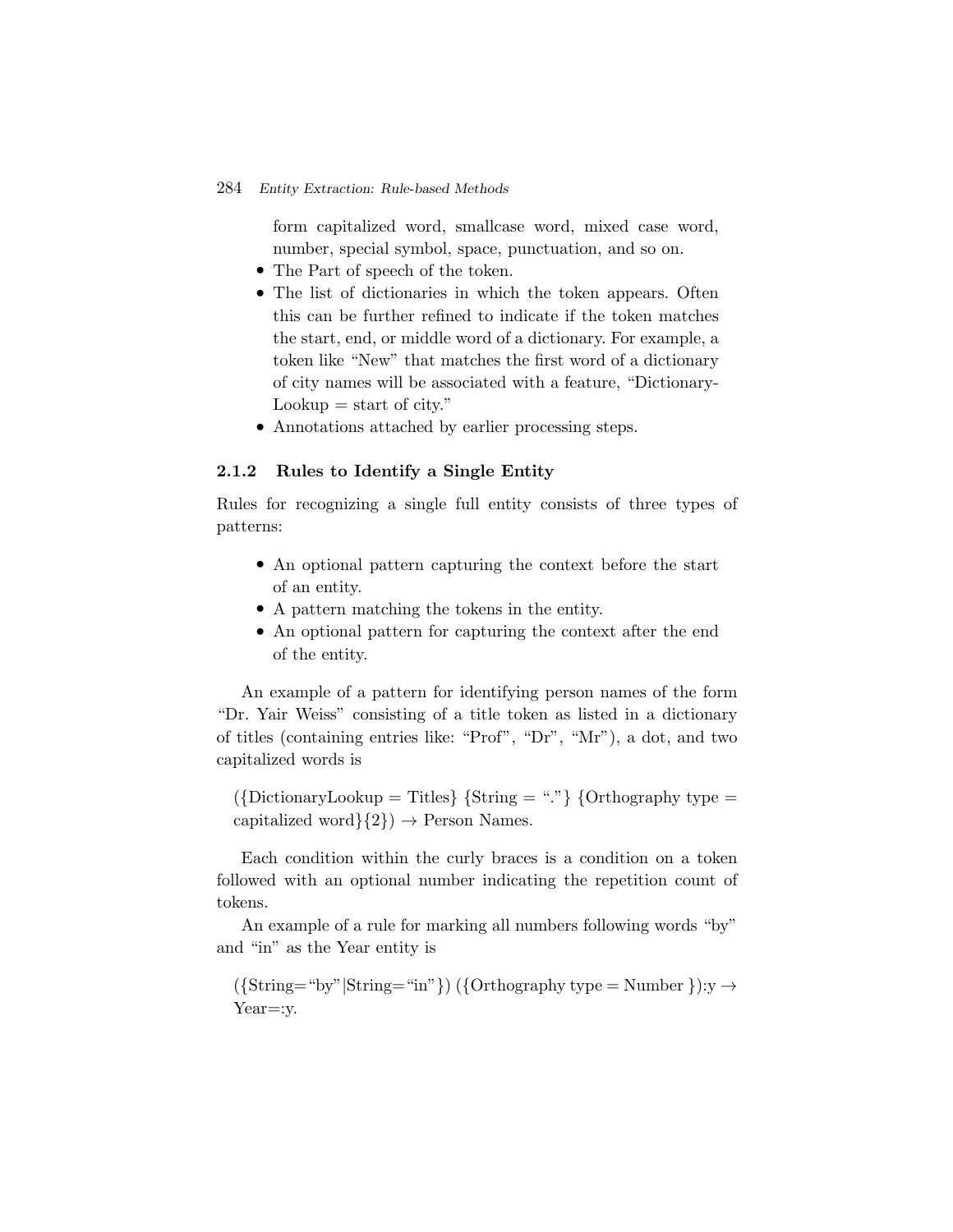#### 284 *Entity Extraction: Rule-based Methods*

form capitalized word, smallcase word, mixed case word, number, special symbol, space, punctuation, and so on.

- The Part of speech of the token.
- The list of dictionaries in which the token appears. Often this can be further refined to indicate if the token matches the start, end, or middle word of a dictionary. For example, a token like "New" that matches the first word of a dictionary of city names will be associated with a feature, "Dictionary- $Lookup = start of city.$ "
- Annotations attached by earlier processing steps.

#### **2.1.2 Rules to Identify a Single Entity**

Rules for recognizing a single full entity consists of three types of patterns:

- An optional pattern capturing the context before the start of an entity.
- A pattern matching the tokens in the entity.
- An optional pattern for capturing the context after the end of the entity.

An example of a pattern for identifying person names of the form "Dr. Yair Weiss" consisting of a title token as listed in a dictionary of titles (containing entries like: "Prof", "Dr", "Mr"), a dot, and two capitalized words is

 $({\rm DictionaryLookup = Titles} \$   ${\rm String = "."}$  {Orthography type = capitalized word $\{2\}$ )  $\rightarrow$  Person Names.

Each condition within the curly braces is a condition on a token followed with an optional number indicating the repetition count of tokens.

An example of a rule for marking all numbers following words "by" and "in" as the Year entity is

 $({\{String = "by" | String = "in"\}})({\{Orthography type = Number}\};y \rightarrow$ Year=:y.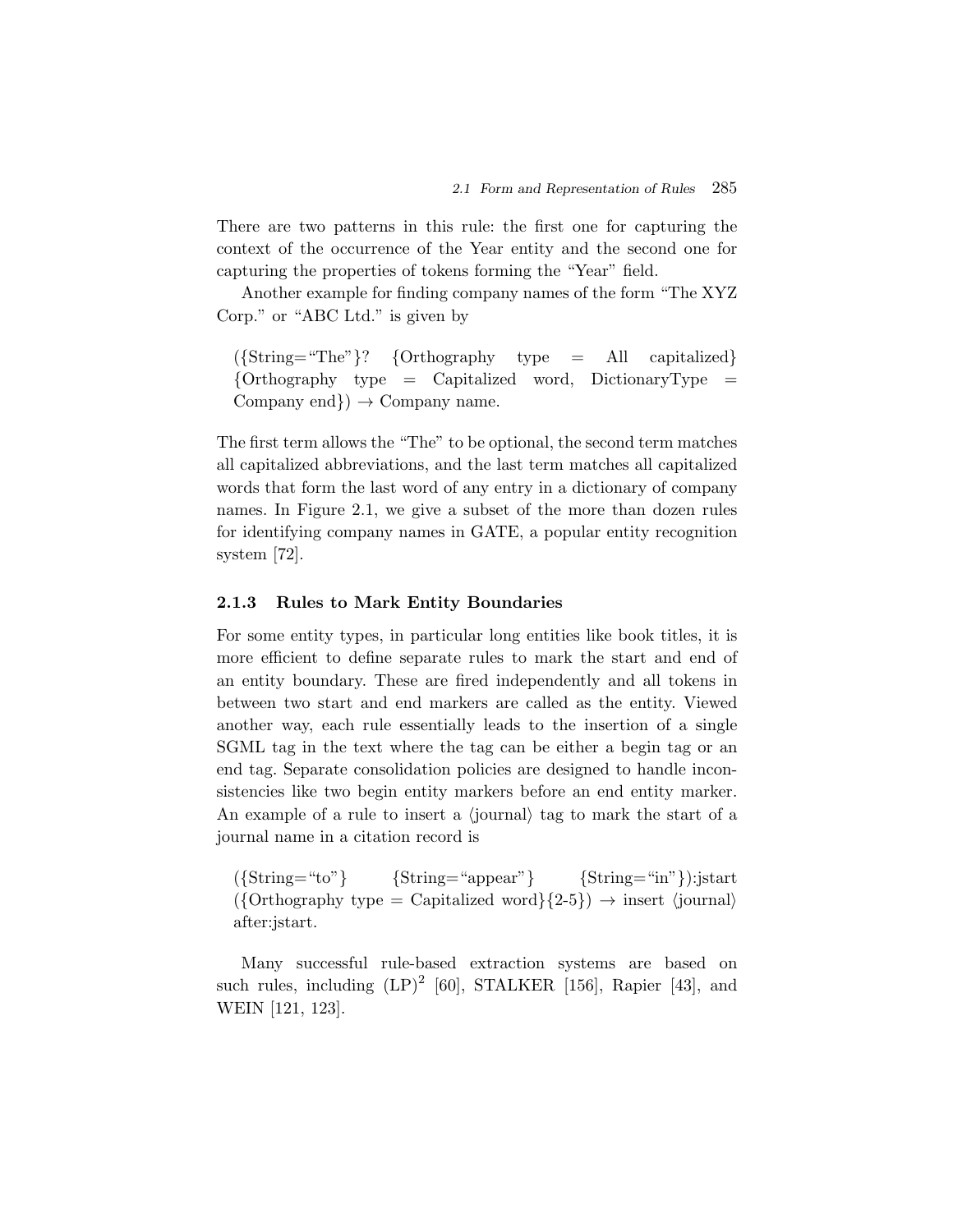There are two patterns in this rule: the first one for capturing the context of the occurrence of the Year entity and the second one for capturing the properties of tokens forming the "Year" field.

Another example for finding company names of the form "The XYZ Corp." or "ABC Ltd." is given by

({String="The"}? {Orthography type = All capitalized} {Orthography type = Capitalized word, DictionaryType = Company end $\{\rangle \rightarrow$  Company name.

The first term allows the "The" to be optional, the second term matches all capitalized abbreviations, and the last term matches all capitalized words that form the last word of any entry in a dictionary of company names. In Figure 2.1, we give a subset of the more than dozen rules for identifying company names in GATE, a popular entity recognition system [72].

#### **2.1.3 Rules to Mark Entity Boundaries**

For some entity types, in particular long entities like book titles, it is more efficient to define separate rules to mark the start and end of an entity boundary. These are fired independently and all tokens in between two start and end markers are called as the entity. Viewed another way, each rule essentially leads to the insertion of a single SGML tag in the text where the tag can be either a begin tag or an end tag. Separate consolidation policies are designed to handle inconsistencies like two begin entity markers before an end entity marker. An example of a rule to insert a  $\langle$  journal $\rangle$  tag to mark the start of a journal name in a citation record is

 $({\{String = "to"\} \{String = "appear"\} \{String = "in"\}):\}$  $({\text{Orthography type = Capitalized word}}\{2-5\}) \rightarrow {\text{insert (journal)}}$ after:jstart.

Many successful rule-based extraction systems are based on such rules, including  $(LP)^2$  [60], STALKER [156], Rapier [43], and WEIN [121, 123].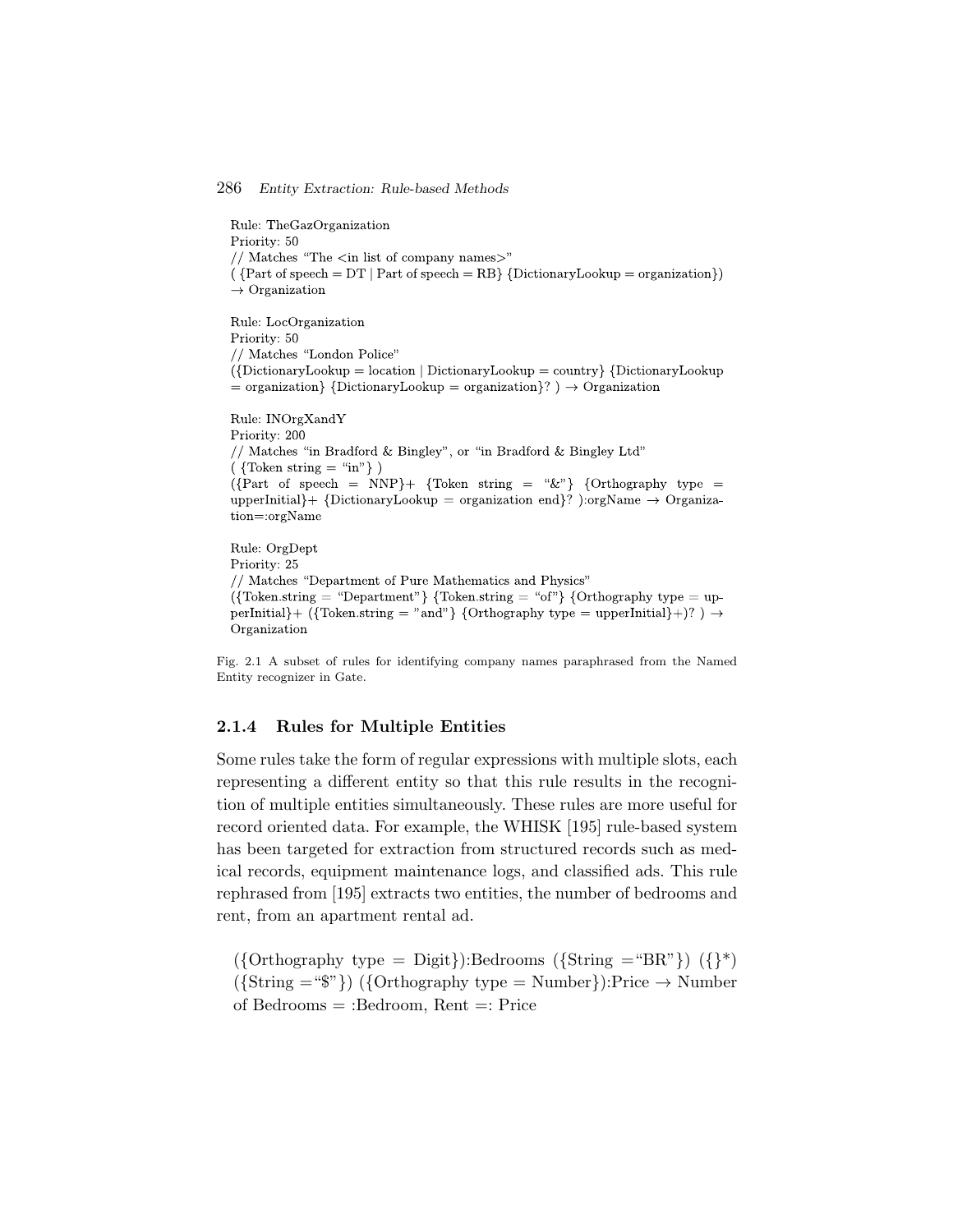#### 286 *Entity Extraction: Rule-based Methods*

Rule: TheGazOrganization Priority: 50 // Matches "The <in list of company names>"  $({$  {Part of speech = DT | Part of speech = RB} {DictionaryLookup = organization})  $\rightarrow$  Organization

Rule: LocOrganization Priority: 50 // Matches "London Police"  $({\rm DictionaryLookup} = {\rm location} | {\rm DictionaryLookup} = {\rm country} \}$  {DictionaryLookup = organization { Dictionary Lookup = organization { $?$  }  $\rightarrow$  Organization

Rule: INOrgXandY Priority: 200 // Matches "in Bradford & Bingley", or "in Bradford & Bingley Ltd"  $({$  {Token string = "in"}  $)$  $({\text{Part of speech = NNP}} + {\text{Token string = "&" } {\text{Orthography type =}}}$ upperInitial}+ {DictionaryLookup = organization end}? ):orgName  $\rightarrow$  Organiza $tion =:orgName$ 

Rule: OrgDept Priority: 25 // Matches "Department of Pure Mathematics and Physics"  $({$ Token.string = "Department" }  ${$  Token.string = "of" }  ${$  Orthography type = upperInitial}+ ({Token.string = "and"} {Orthography type = upperInitial}+)?)  $\rightarrow$ Organization

Fig. 2.1 A subset of rules for identifying company names paraphrased from the Named Entity recognizer in Gate.

#### **2.1.4 Rules for Multiple Entities**

Some rules take the form of regular expressions with multiple slots, each representing a different entity so that this rule results in the recognition of multiple entities simultaneously. These rules are more useful for record oriented data. For example, the WHISK [195] rule-based system has been targeted for extraction from structured records such as medical records, equipment maintenance logs, and classified ads. This rule rephrased from [195] extracts two entities, the number of bedrooms and rent, from an apartment rental ad.

 $({\text{Orthography type = Digit}}):{\text{Bedrooms }({\text{String = "BR}}') (\}^*)$  $({\{String = "\}") (\{Orthography type = Number}\})$ :Price  $\rightarrow$  Number of Bedrooms  $=$ :Bedroom, Rent  $=$ : Price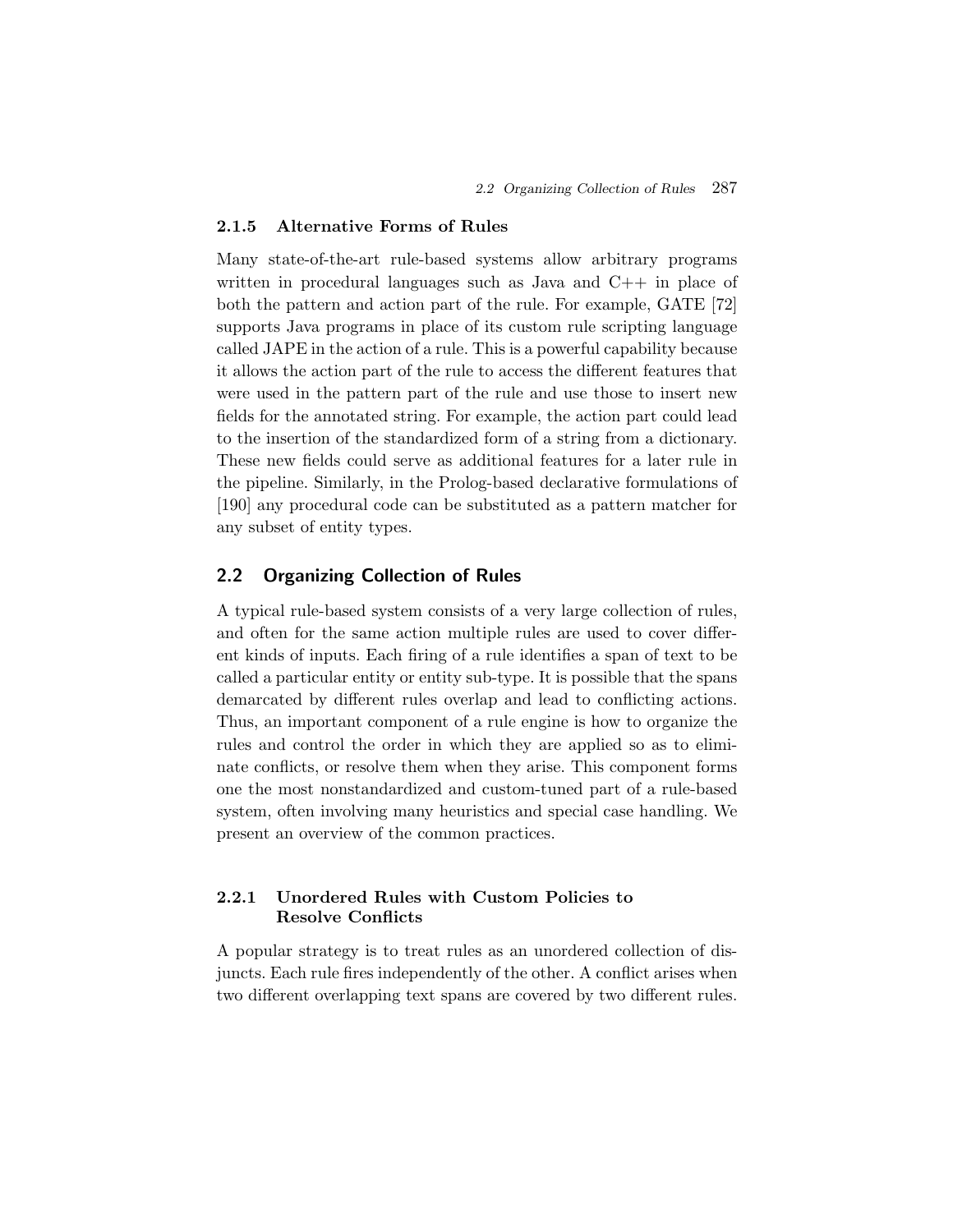#### **2.1.5 Alternative Forms of Rules**

Many state-of-the-art rule-based systems allow arbitrary programs written in procedural languages such as Java and  $C_{++}$  in place of both the pattern and action part of the rule. For example, GATE [72] supports Java programs in place of its custom rule scripting language called JAPE in the action of a rule. This is a powerful capability because it allows the action part of the rule to access the different features that were used in the pattern part of the rule and use those to insert new fields for the annotated string. For example, the action part could lead to the insertion of the standardized form of a string from a dictionary. These new fields could serve as additional features for a later rule in the pipeline. Similarly, in the Prolog-based declarative formulations of [190] any procedural code can be substituted as a pattern matcher for any subset of entity types.

#### **2.2 Organizing Collection of Rules**

A typical rule-based system consists of a very large collection of rules, and often for the same action multiple rules are used to cover different kinds of inputs. Each firing of a rule identifies a span of text to be called a particular entity or entity sub-type. It is possible that the spans demarcated by different rules overlap and lead to conflicting actions. Thus, an important component of a rule engine is how to organize the rules and control the order in which they are applied so as to eliminate conflicts, or resolve them when they arise. This component forms one the most nonstandardized and custom-tuned part of a rule-based system, often involving many heuristics and special case handling. We present an overview of the common practices.

#### **2.2.1 Unordered Rules with Custom Policies to Resolve Conflicts**

A popular strategy is to treat rules as an unordered collection of disjuncts. Each rule fires independently of the other. A conflict arises when two different overlapping text spans are covered by two different rules.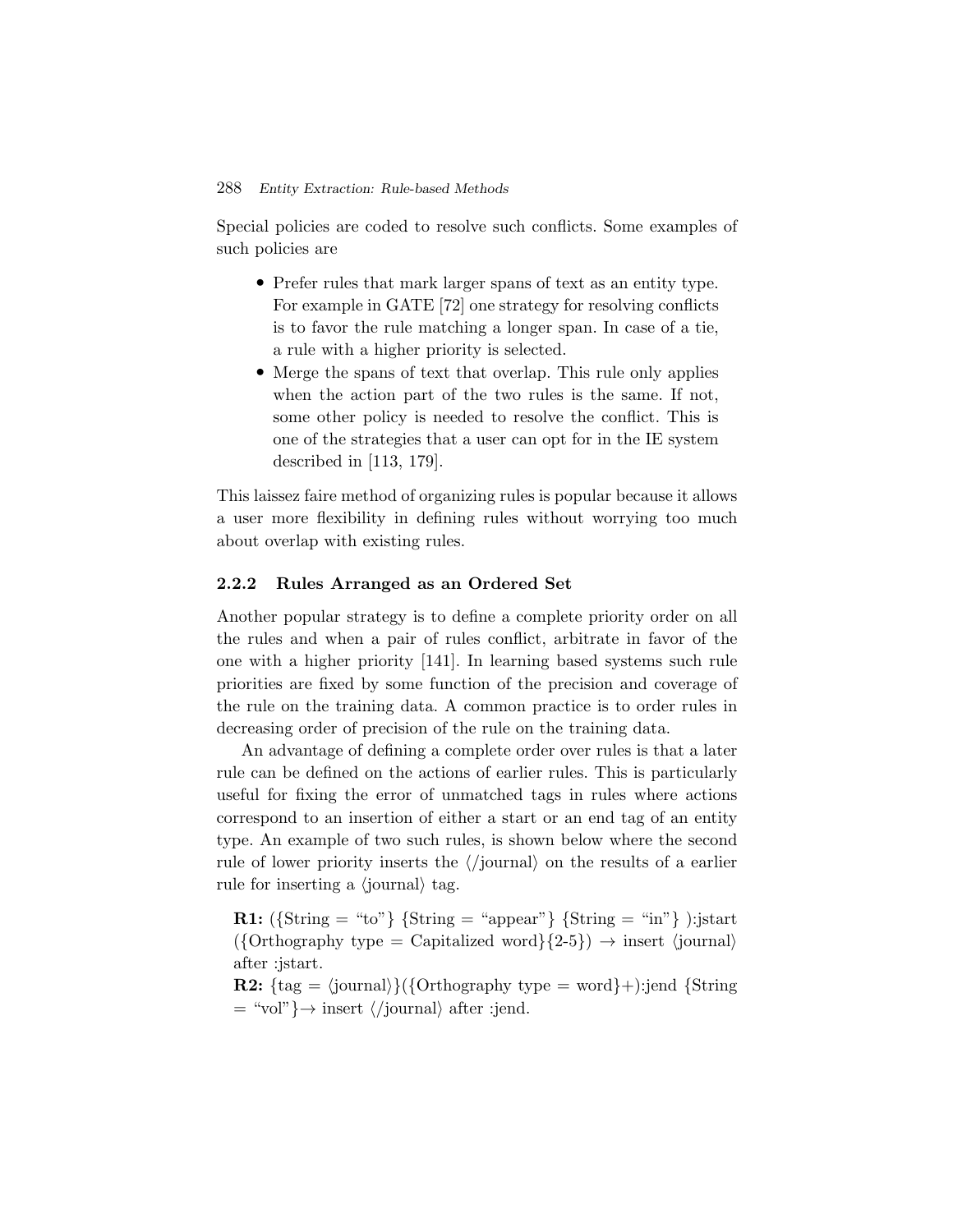Special policies are coded to resolve such conflicts. Some examples of such policies are

- Prefer rules that mark larger spans of text as an entity type. For example in GATE [72] one strategy for resolving conflicts is to favor the rule matching a longer span. In case of a tie, a rule with a higher priority is selected.
- Merge the spans of text that overlap. This rule only applies when the action part of the two rules is the same. If not, some other policy is needed to resolve the conflict. This is one of the strategies that a user can opt for in the IE system described in [113, 179].

This laissez faire method of organizing rules is popular because it allows a user more flexibility in defining rules without worrying too much about overlap with existing rules.

#### **2.2.2 Rules Arranged as an Ordered Set**

Another popular strategy is to define a complete priority order on all the rules and when a pair of rules conflict, arbitrate in favor of the one with a higher priority [141]. In learning based systems such rule priorities are fixed by some function of the precision and coverage of the rule on the training data. A common practice is to order rules in decreasing order of precision of the rule on the training data.

An advantage of defining a complete order over rules is that a later rule can be defined on the actions of earlier rules. This is particularly useful for fixing the error of unmatched tags in rules where actions correspond to an insertion of either a start or an end tag of an entity type. An example of two such rules, is shown below where the second rule of lower priority inserts the  $\langle$  journal $\rangle$  on the results of a earlier rule for inserting a  $\langle$  journal $\rangle$  tag.

**R1:** ( $\{String = "to"\}$ }  $\{String = "appear"\}$   $\{String = "in"\}$ ): $jstart$  $({\text{Orthography type = Capitalized word}}\{2-5\}) \rightarrow \text{insert (journal)}$ after :jstart.

**R2:**  $\{tag = \{journal}\}(\{Orthography type = word\})$ :jend  $\{String$  $=$  "vol" } $\rightarrow$  insert  $\langle$  /journal $\rangle$  after :jend.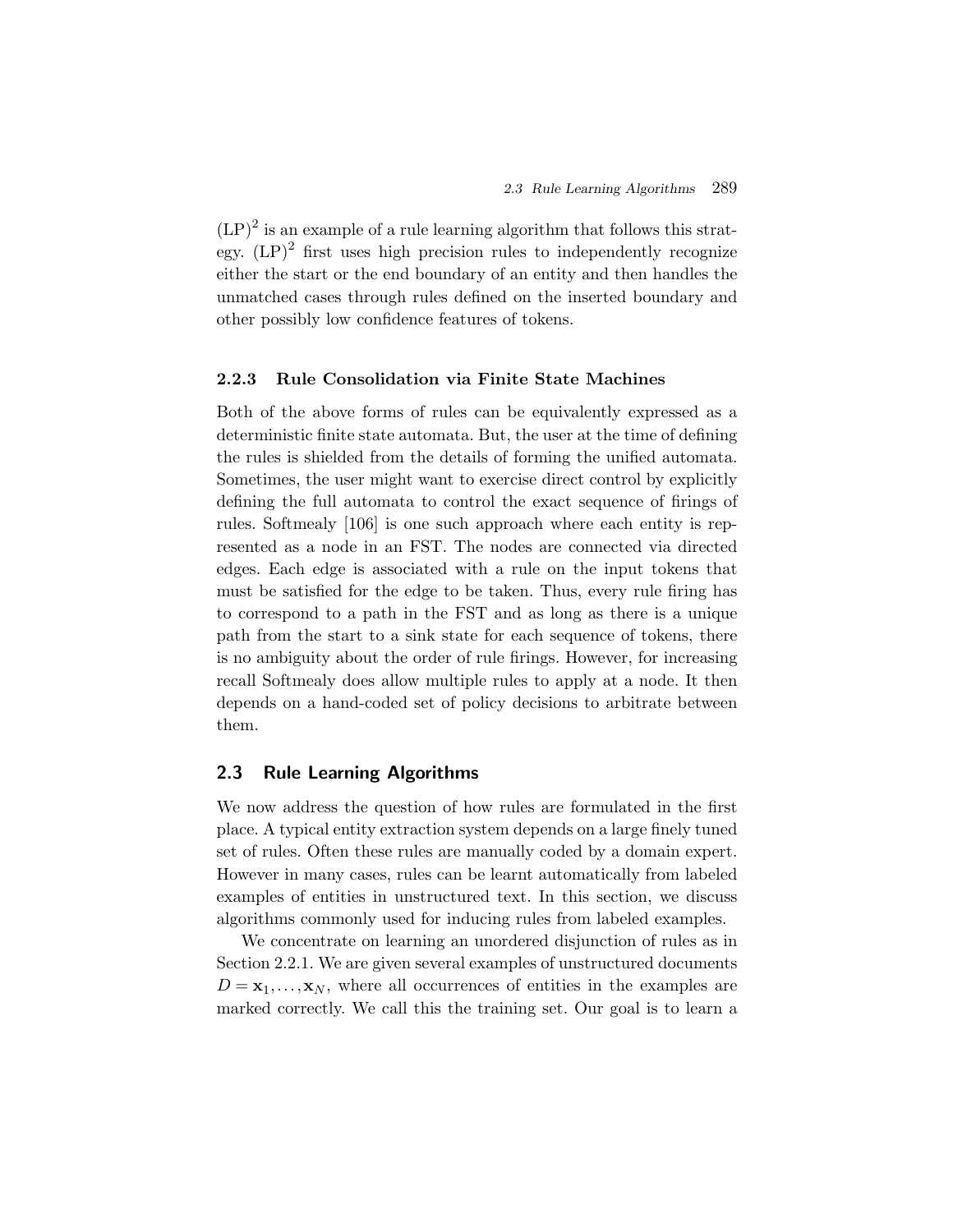$(LP)^2$  is an example of a rule learning algorithm that follows this strategy.  $(LP)^2$  first uses high precision rules to independently recognize either the start or the end boundary of an entity and then handles the unmatched cases through rules defined on the inserted boundary and other possibly low confidence features of tokens.

#### **2.2.3 Rule Consolidation via Finite State Machines**

Both of the above forms of rules can be equivalently expressed as a deterministic finite state automata. But, the user at the time of defining the rules is shielded from the details of forming the unified automata. Sometimes, the user might want to exercise direct control by explicitly defining the full automata to control the exact sequence of firings of rules. Softmealy [106] is one such approach where each entity is represented as a node in an FST. The nodes are connected via directed edges. Each edge is associated with a rule on the input tokens that must be satisfied for the edge to be taken. Thus, every rule firing has to correspond to a path in the FST and as long as there is a unique path from the start to a sink state for each sequence of tokens, there is no ambiguity about the order of rule firings. However, for increasing recall Softmealy does allow multiple rules to apply at a node. It then depends on a hand-coded set of policy decisions to arbitrate between them.

#### **2.3 Rule Learning Algorithms**

We now address the question of how rules are formulated in the first place. A typical entity extraction system depends on a large finely tuned set of rules. Often these rules are manually coded by a domain expert. However in many cases, rules can be learnt automatically from labeled examples of entities in unstructured text. In this section, we discuss algorithms commonly used for inducing rules from labeled examples.

We concentrate on learning an unordered disjunction of rules as in Section 2.2.1. We are given several examples of unstructured documents  $D = \mathbf{x}_1, \dots, \mathbf{x}_N$ , where all occurrences of entities in the examples are marked correctly. We call this the training set. Our goal is to learn a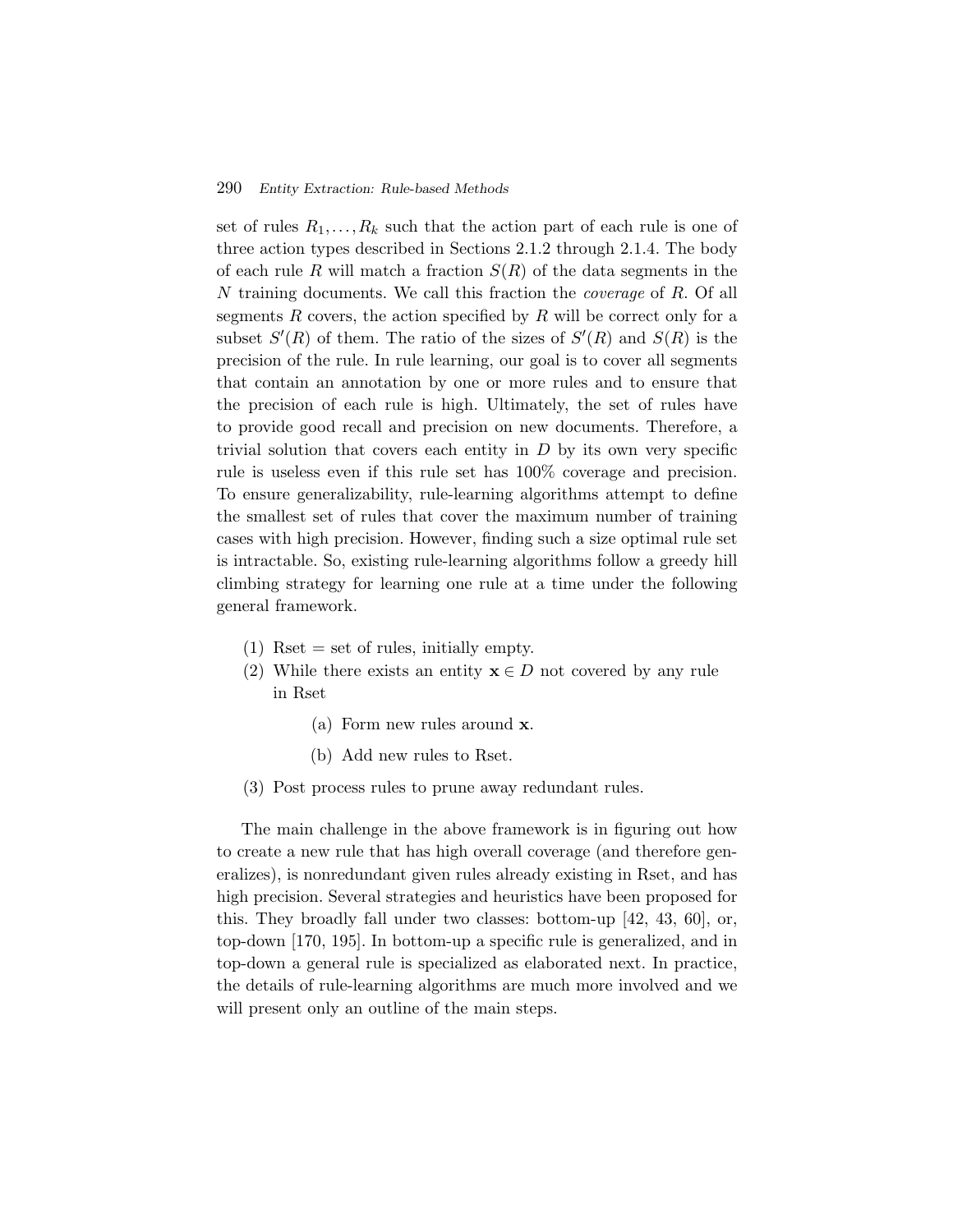#### 290 *Entity Extraction: Rule-based Methods*

set of rules  $R_1, \ldots, R_k$  such that the action part of each rule is one of three action types described in Sections 2.1.2 through 2.1.4. The body of each rule R will match a fraction  $S(R)$  of the data segments in the N training documents. We call this fraction the *coverage* of R. Of all segments  $R$  covers, the action specified by  $R$  will be correct only for a subset  $S'(R)$  of them. The ratio of the sizes of  $S'(R)$  and  $S(R)$  is the precision of the rule. In rule learning, our goal is to cover all segments that contain an annotation by one or more rules and to ensure that the precision of each rule is high. Ultimately, the set of rules have to provide good recall and precision on new documents. Therefore, a trivial solution that covers each entity in  $D$  by its own very specific rule is useless even if this rule set has 100% coverage and precision. To ensure generalizability, rule-learning algorithms attempt to define the smallest set of rules that cover the maximum number of training cases with high precision. However, finding such a size optimal rule set is intractable. So, existing rule-learning algorithms follow a greedy hill climbing strategy for learning one rule at a time under the following general framework.

- (1) Rset  $=$  set of rules, initially empty.
- (2) While there exists an entity  $\mathbf{x} \in D$  not covered by any rule in Rset
	- (a) Form new rules around **x**.
	- (b) Add new rules to Rset.
- (3) Post process rules to prune away redundant rules.

The main challenge in the above framework is in figuring out how to create a new rule that has high overall coverage (and therefore generalizes), is nonredundant given rules already existing in Rset, and has high precision. Several strategies and heuristics have been proposed for this. They broadly fall under two classes: bottom-up [42, 43, 60], or, top-down [170, 195]. In bottom-up a specific rule is generalized, and in top-down a general rule is specialized as elaborated next. In practice, the details of rule-learning algorithms are much more involved and we will present only an outline of the main steps.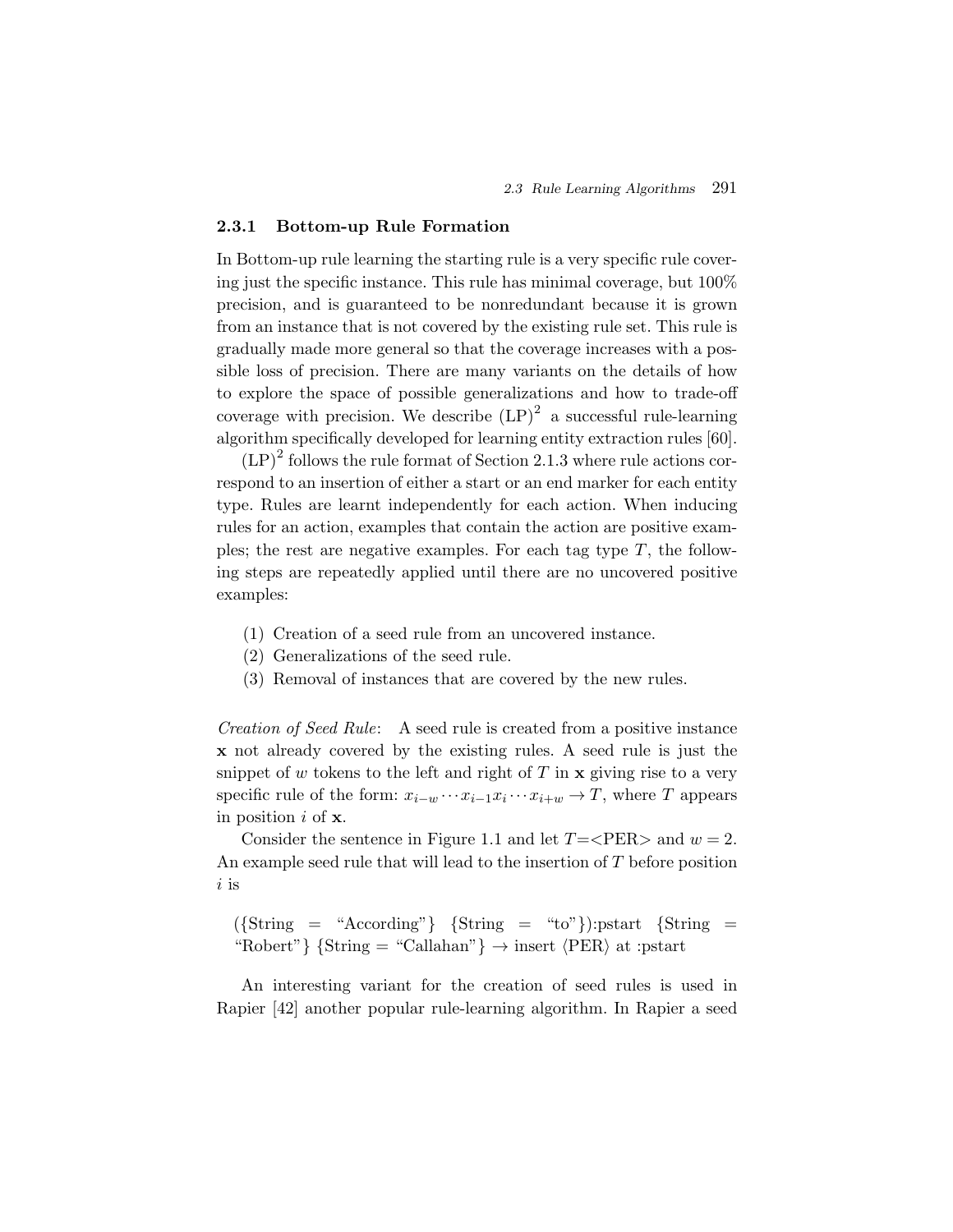#### **2.3.1 Bottom-up Rule Formation**

In Bottom-up rule learning the starting rule is a very specific rule covering just the specific instance. This rule has minimal coverage, but 100% precision, and is guaranteed to be nonredundant because it is grown from an instance that is not covered by the existing rule set. This rule is gradually made more general so that the coverage increases with a possible loss of precision. There are many variants on the details of how to explore the space of possible generalizations and how to trade-off coverage with precision. We describe  $(LP)^2$  a successful rule-learning algorithm specifically developed for learning entity extraction rules [60].

 $(LP)^2$  follows the rule format of Section 2.1.3 where rule actions correspond to an insertion of either a start or an end marker for each entity type. Rules are learnt independently for each action. When inducing rules for an action, examples that contain the action are positive examples; the rest are negative examples. For each tag type  $T$ , the following steps are repeatedly applied until there are no uncovered positive examples:

- (1) Creation of a seed rule from an uncovered instance.
- (2) Generalizations of the seed rule.
- (3) Removal of instances that are covered by the new rules.

*Creation of Seed Rule*: A seed rule is created from a positive instance **x** not already covered by the existing rules. A seed rule is just the snippet of w tokens to the left and right of  $T$  in  $\bf{x}$  giving rise to a very specific rule of the form:  $x_{i-w} \cdots x_{i-1}x_i \cdots x_{i+w} \rightarrow T$ , where T appears in position i of **x**.

Consider the sentence in Figure 1.1 and let  $T=<$ PER $>$  and  $w=2$ . An example seed rule that will lead to the insertion of T before position i is

 $({\{String = "According"}\} {\{String = "to"\}}):pstart {\{String = "to"\}}$ "Robert" {String = "Callahan" }  $\rightarrow$  insert  $\langle$ PER } at :pstart

An interesting variant for the creation of seed rules is used in Rapier [42] another popular rule-learning algorithm. In Rapier a seed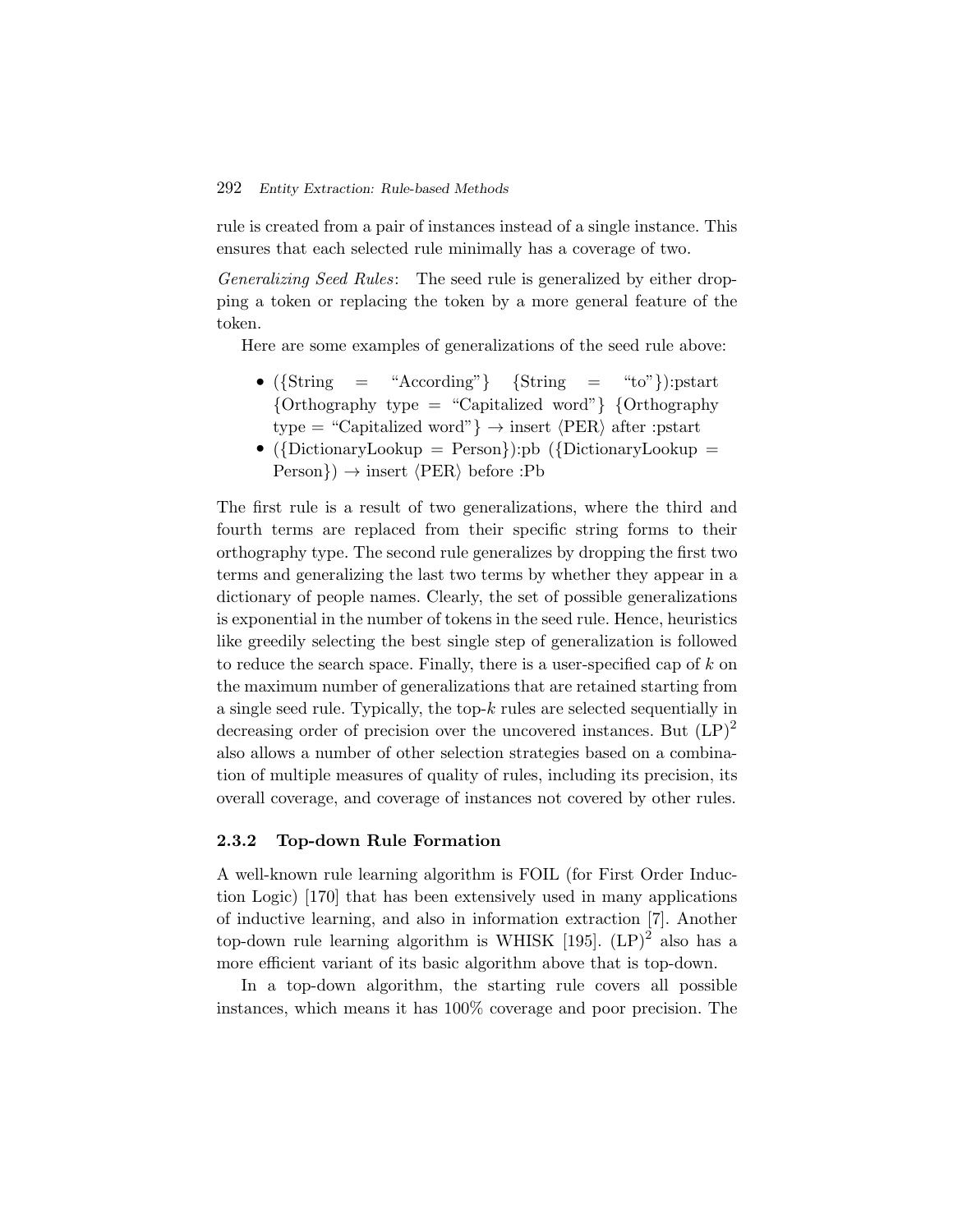#### 292 *Entity Extraction: Rule-based Methods*

rule is created from a pair of instances instead of a single instance. This ensures that each selected rule minimally has a coverage of two.

*Generalizing Seed Rules*: The seed rule is generalized by either dropping a token or replacing the token by a more general feature of the token.

Here are some examples of generalizations of the seed rule above:

- $({\text{String}} = "According") \{String = "to"\}.{\text{pstart}}$  ${\rm \{Orthography\ type\ } = \ {\rm ``Capitalized\ word''}\}$   ${\rm \{Orthography\ }}$  $type = "Capitalized word" \} \rightarrow insert \langle PER \rangle after :pstart$
- ({DictionaryLookup = Person}):pb ({DictionaryLookup =  $Person\}$   $\rightarrow$  insert  $\langle PER \rangle$  before :Pb

The first rule is a result of two generalizations, where the third and fourth terms are replaced from their specific string forms to their orthography type. The second rule generalizes by dropping the first two terms and generalizing the last two terms by whether they appear in a dictionary of people names. Clearly, the set of possible generalizations is exponential in the number of tokens in the seed rule. Hence, heuristics like greedily selecting the best single step of generalization is followed to reduce the search space. Finally, there is a user-specified cap of k on the maximum number of generalizations that are retained starting from a single seed rule. Typically, the top-k rules are selected sequentially in decreasing order of precision over the uncovered instances. But  $(LP)^2$ also allows a number of other selection strategies based on a combination of multiple measures of quality of rules, including its precision, its overall coverage, and coverage of instances not covered by other rules.

#### **2.3.2 Top-down Rule Formation**

A well-known rule learning algorithm is FOIL (for First Order Induction Logic) [170] that has been extensively used in many applications of inductive learning, and also in information extraction [7]. Another top-down rule learning algorithm is WHISK  $[195]$ .  $(LP)^2$  also has a more efficient variant of its basic algorithm above that is top-down.

In a top-down algorithm, the starting rule covers all possible instances, which means it has 100% coverage and poor precision. The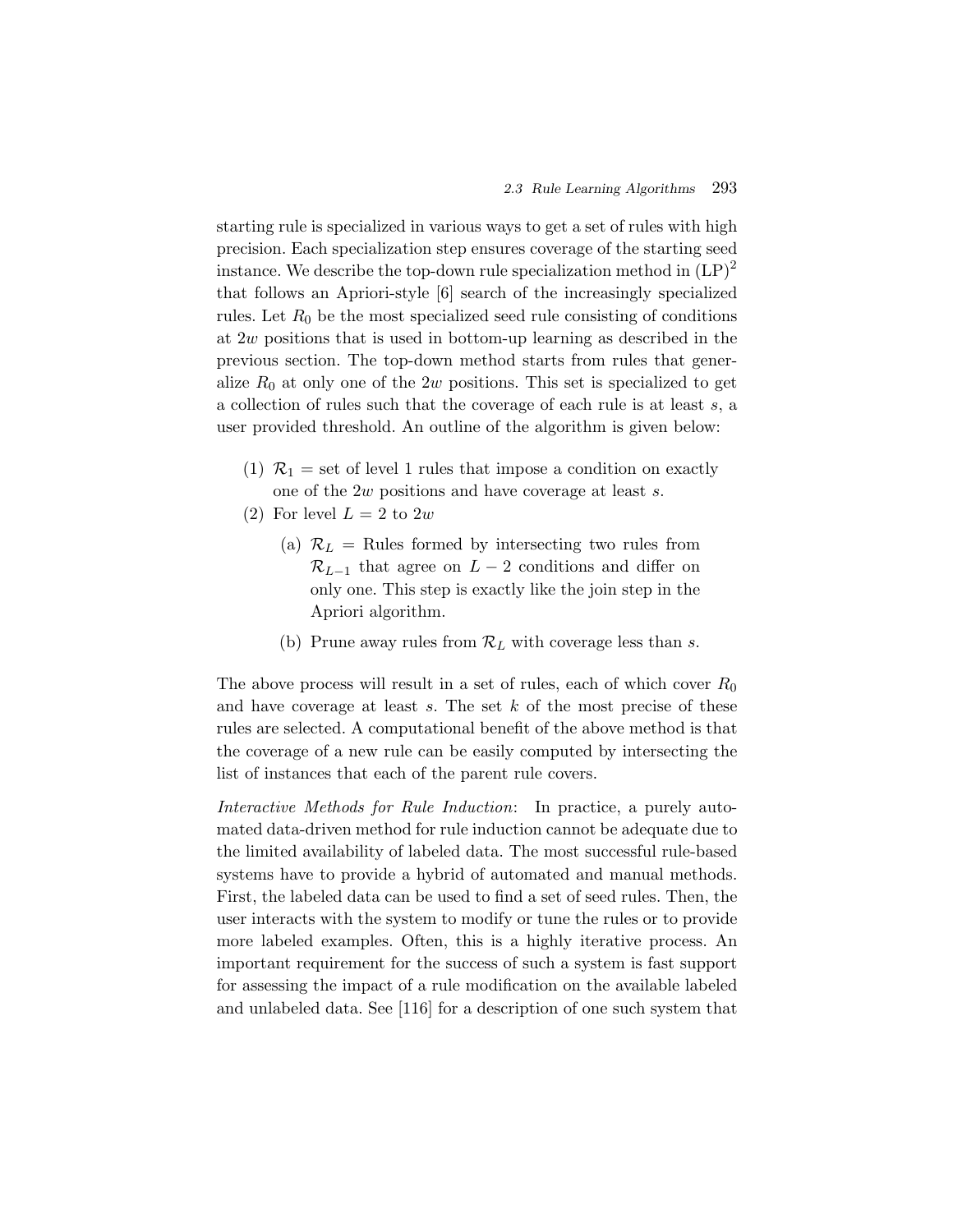starting rule is specialized in various ways to get a set of rules with high precision. Each specialization step ensures coverage of the starting seed instance. We describe the top-down rule specialization method in  $(LP)^2$ that follows an Apriori-style [6] search of the increasingly specialized rules. Let  $R_0$  be the most specialized seed rule consisting of conditions at 2w positions that is used in bottom-up learning as described in the previous section. The top-down method starts from rules that generalize  $R_0$  at only one of the 2w positions. This set is specialized to get a collection of rules such that the coverage of each rule is at least s, a user provided threshold. An outline of the algorithm is given below:

- (1)  $\mathcal{R}_1$  = set of level 1 rules that impose a condition on exactly one of the 2w positions and have coverage at least s.
- (2) For level  $L = 2$  to  $2w$ 
	- (a)  $\mathcal{R}_L$  = Rules formed by intersecting two rules from  $\mathcal{R}_{L-1}$  that agree on  $L-2$  conditions and differ on only one. This step is exactly like the join step in the Apriori algorithm.
	- (b) Prune away rules from  $\mathcal{R}_L$  with coverage less than s.

The above process will result in a set of rules, each of which cover  $R_0$ and have coverage at least  $s$ . The set  $k$  of the most precise of these rules are selected. A computational benefit of the above method is that the coverage of a new rule can be easily computed by intersecting the list of instances that each of the parent rule covers.

*Interactive Methods for Rule Induction*: In practice, a purely automated data-driven method for rule induction cannot be adequate due to the limited availability of labeled data. The most successful rule-based systems have to provide a hybrid of automated and manual methods. First, the labeled data can be used to find a set of seed rules. Then, the user interacts with the system to modify or tune the rules or to provide more labeled examples. Often, this is a highly iterative process. An important requirement for the success of such a system is fast support for assessing the impact of a rule modification on the available labeled and unlabeled data. See [116] for a description of one such system that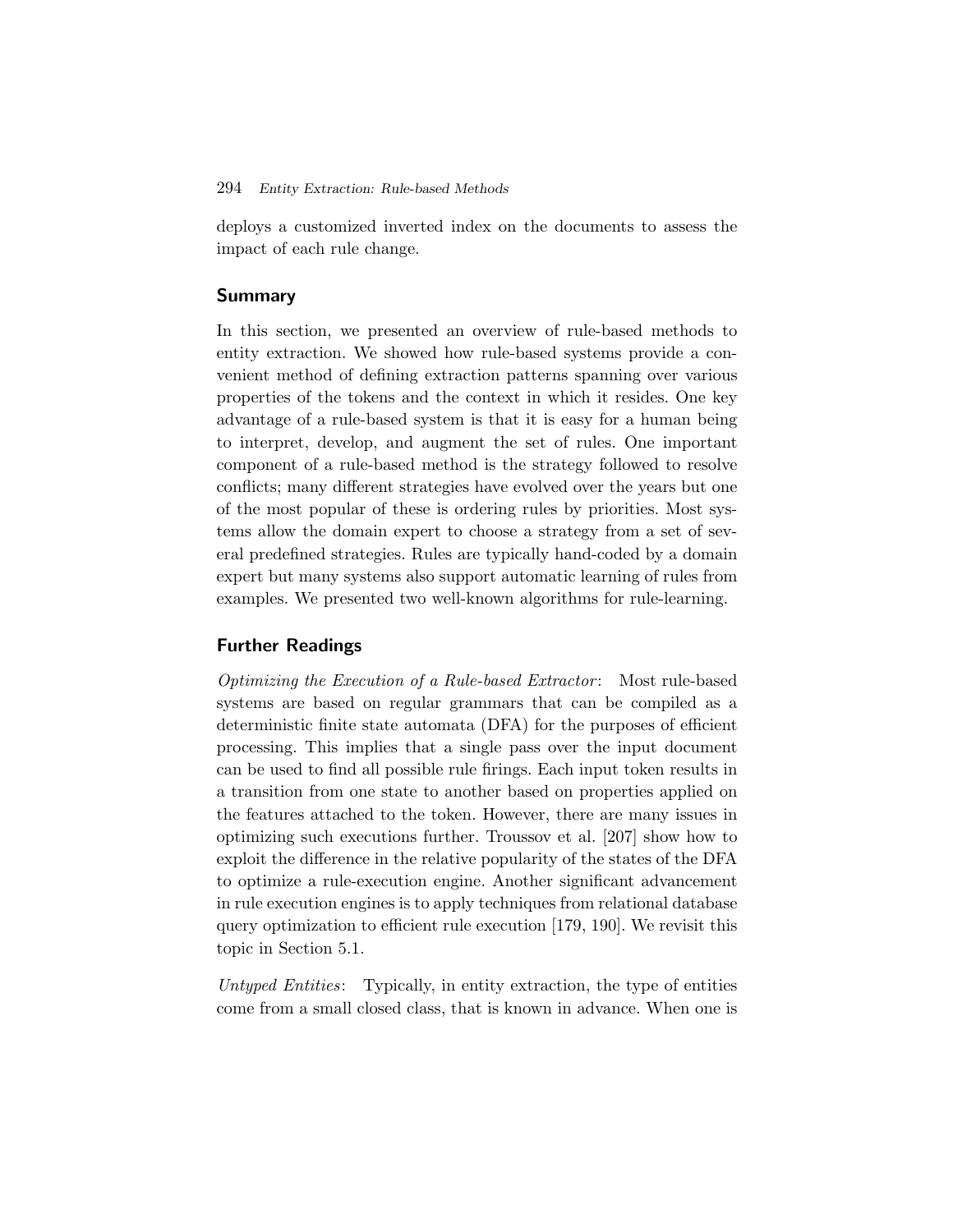#### 294 *Entity Extraction: Rule-based Methods*

deploys a customized inverted index on the documents to assess the impact of each rule change.

#### **Summary**

In this section, we presented an overview of rule-based methods to entity extraction. We showed how rule-based systems provide a convenient method of defining extraction patterns spanning over various properties of the tokens and the context in which it resides. One key advantage of a rule-based system is that it is easy for a human being to interpret, develop, and augment the set of rules. One important component of a rule-based method is the strategy followed to resolve conflicts; many different strategies have evolved over the years but one of the most popular of these is ordering rules by priorities. Most systems allow the domain expert to choose a strategy from a set of several predefined strategies. Rules are typically hand-coded by a domain expert but many systems also support automatic learning of rules from examples. We presented two well-known algorithms for rule-learning.

#### **Further Readings**

*Optimizing the Execution of a Rule-based Extractor*: Most rule-based systems are based on regular grammars that can be compiled as a deterministic finite state automata (DFA) for the purposes of efficient processing. This implies that a single pass over the input document can be used to find all possible rule firings. Each input token results in a transition from one state to another based on properties applied on the features attached to the token. However, there are many issues in optimizing such executions further. Troussov et al. [207] show how to exploit the difference in the relative popularity of the states of the DFA to optimize a rule-execution engine. Another significant advancement in rule execution engines is to apply techniques from relational database query optimization to efficient rule execution [179, 190]. We revisit this topic in Section 5.1.

*Untyped Entities*: Typically, in entity extraction, the type of entities come from a small closed class, that is known in advance. When one is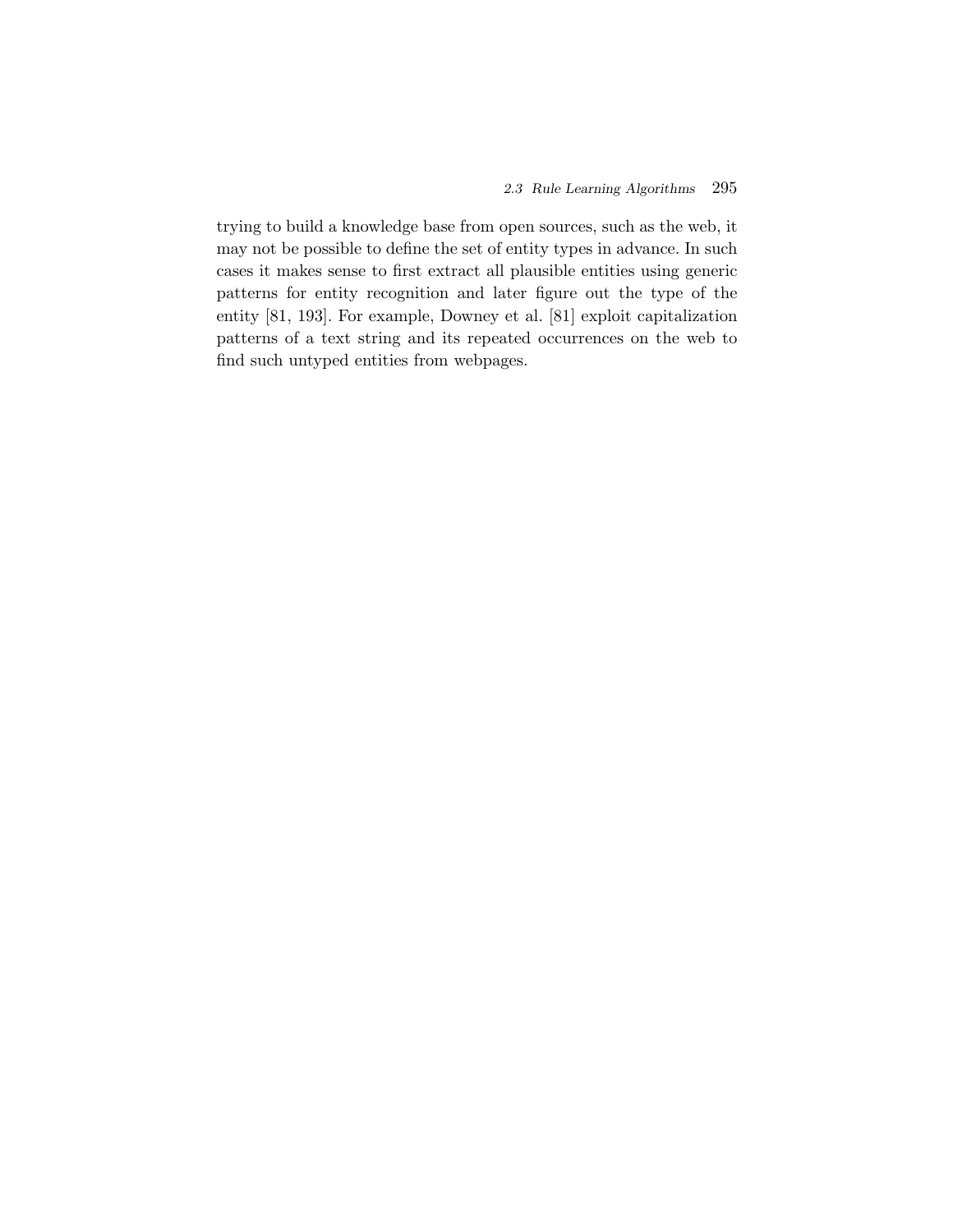trying to build a knowledge base from open sources, such as the web, it may not be possible to define the set of entity types in advance. In such cases it makes sense to first extract all plausible entities using generic patterns for entity recognition and later figure out the type of the entity [81, 193]. For example, Downey et al. [81] exploit capitalization patterns of a text string and its repeated occurrences on the web to find such untyped entities from webpages.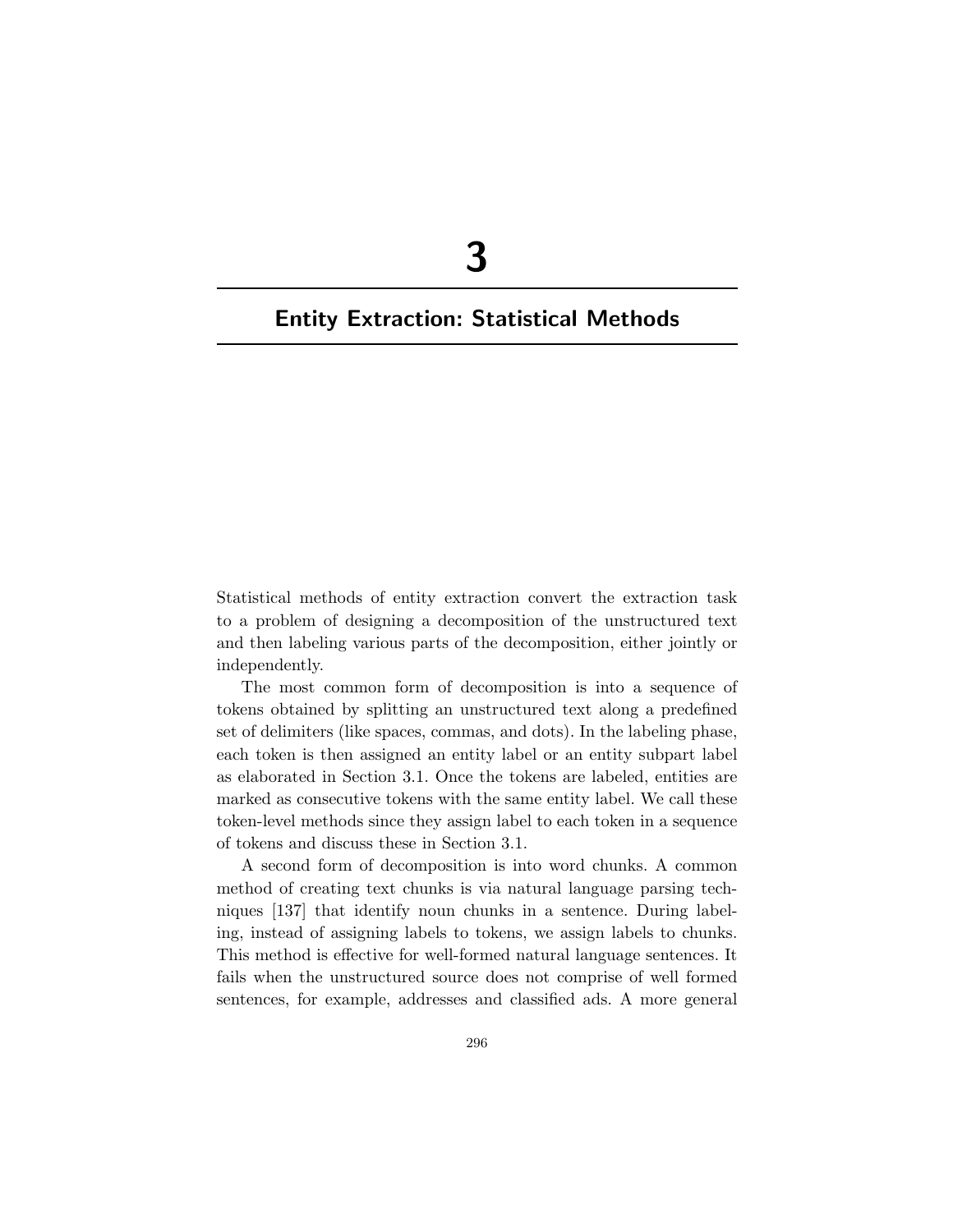## **3**

## **Entity Extraction: Statistical Methods**

Statistical methods of entity extraction convert the extraction task to a problem of designing a decomposition of the unstructured text and then labeling various parts of the decomposition, either jointly or independently.

The most common form of decomposition is into a sequence of tokens obtained by splitting an unstructured text along a predefined set of delimiters (like spaces, commas, and dots). In the labeling phase, each token is then assigned an entity label or an entity subpart label as elaborated in Section 3.1. Once the tokens are labeled, entities are marked as consecutive tokens with the same entity label. We call these token-level methods since they assign label to each token in a sequence of tokens and discuss these in Section 3.1.

A second form of decomposition is into word chunks. A common method of creating text chunks is via natural language parsing techniques [137] that identify noun chunks in a sentence. During labeling, instead of assigning labels to tokens, we assign labels to chunks. This method is effective for well-formed natural language sentences. It fails when the unstructured source does not comprise of well formed sentences, for example, addresses and classified ads. A more general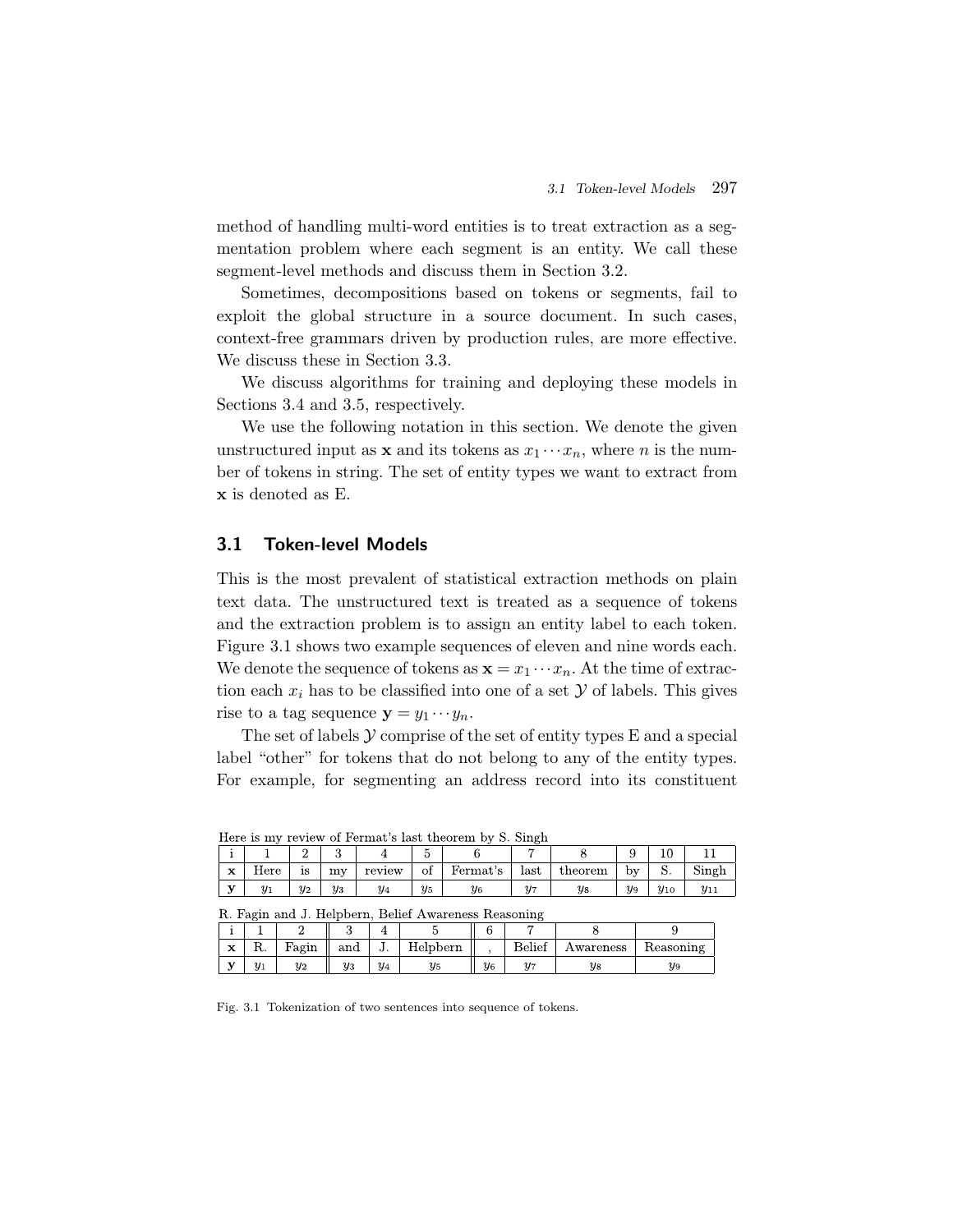method of handling multi-word entities is to treat extraction as a segmentation problem where each segment is an entity. We call these segment-level methods and discuss them in Section 3.2.

Sometimes, decompositions based on tokens or segments, fail to exploit the global structure in a source document. In such cases, context-free grammars driven by production rules, are more effective. We discuss these in Section 3.3.

We discuss algorithms for training and deploying these models in Sections 3.4 and 3.5, respectively.

We use the following notation in this section. We denote the given unstructured input as **x** and its tokens as  $x_1 \cdots x_n$ , where *n* is the number of tokens in string. The set of entity types we want to extract from **x** is denoted as E.

## **3.1 Token-level Models**

This is the most prevalent of statistical extraction methods on plain text data. The unstructured text is treated as a sequence of tokens and the extraction problem is to assign an entity label to each token. Figure 3.1 shows two example sequences of eleven and nine words each. We denote the sequence of tokens as  $\mathbf{x} = x_1 \cdots x_n$ . At the time of extraction each  $x_i$  has to be classified into one of a set  $\mathcal Y$  of labels. This gives rise to a tag sequence  $y = y_1 \cdots y_n$ .

The set of labels  $\mathcal Y$  comprise of the set of entity types  $E$  and a special label "other" for tokens that do not belong to any of the entity types. For example, for segmenting an address record into its constituent

| Here is my review of Fermat's last theorem by S. Singh |                |    |       |        |               |          |               |         |    |          |          |
|--------------------------------------------------------|----------------|----|-------|--------|---------------|----------|---------------|---------|----|----------|----------|
|                                                        |                |    | ð     |        |               |          |               |         |    |          |          |
| $\mathbf{x}$                                           | Here           | is | mv    | review | <sub>of</sub> | Fermat's | $_{\rm last}$ | theorem | bv |          | Singh    |
| $\overline{V}$                                         | $y_2$<br>$y_1$ |    | $y_3$ | У4     | $y_{5}$       | Y6       | $y_7$         | $y_8$   | Y9 | $y_{10}$ | $y_{11}$ |
| .<br><b>Contract Contract Contract Contract</b><br>.   |                |    |       |        |               |          |               |         |    |          |          |

| R. Fagin and J. Helpbern, Belief Awareness Reasoning |       |       |     |       |          |    |               |           |           |  |  |
|------------------------------------------------------|-------|-------|-----|-------|----------|----|---------------|-----------|-----------|--|--|
|                                                      |       |       |     |       |          |    |               |           |           |  |  |
| $\mathbf x$                                          | π.    | Fagin | and |       | Helpbern |    | <b>Belief</b> | Awareness | Reasoning |  |  |
|                                                      | $y_1$ | Y2    | Ψз  | $y_4$ | ¥5       | У6 | у7            | Y8        | Y9        |  |  |

Fig. 3.1 Tokenization of two sentences into sequence of tokens.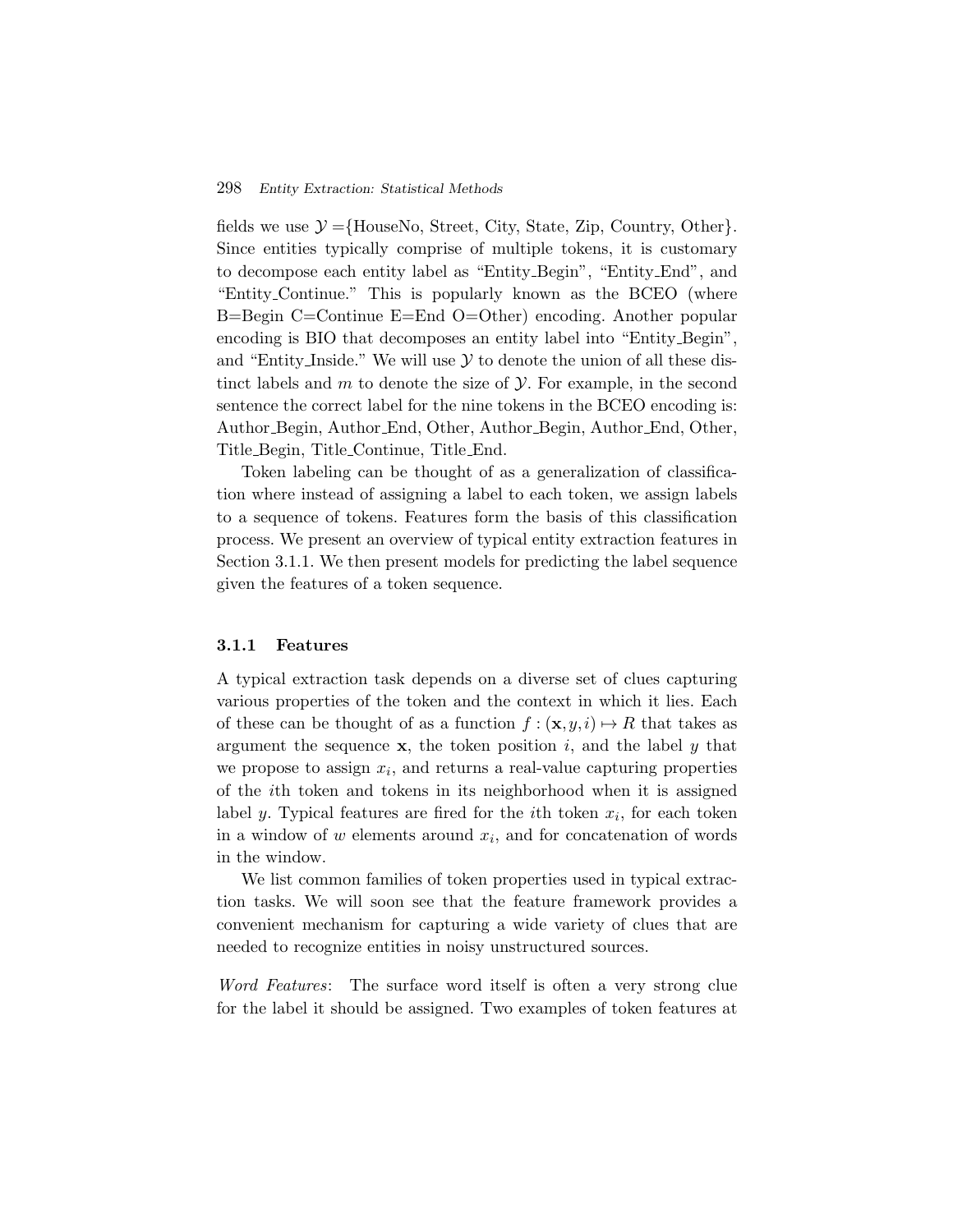fields we use  $\mathcal{Y} = \{HouseNo, Street, City, State, Zip, Country, Other\}.$ Since entities typically comprise of multiple tokens, it is customary to decompose each entity label as "Entity Begin", "Entity End", and "Entity Continue." This is popularly known as the BCEO (where B=Begin C=Continue E=End O=Other) encoding. Another popular encoding is BIO that decomposes an entity label into "Entity Begin", and "Entity Inside." We will use  $\mathcal Y$  to denote the union of all these distinct labels and  $m$  to denote the size of  $\mathcal Y$ . For example, in the second sentence the correct label for the nine tokens in the BCEO encoding is: Author Begin, Author End, Other, Author Begin, Author End, Other, Title Begin, Title Continue, Title End.

Token labeling can be thought of as a generalization of classification where instead of assigning a label to each token, we assign labels to a sequence of tokens. Features form the basis of this classification process. We present an overview of typical entity extraction features in Section 3.1.1. We then present models for predicting the label sequence given the features of a token sequence.

#### **3.1.1 Features**

A typical extraction task depends on a diverse set of clues capturing various properties of the token and the context in which it lies. Each of these can be thought of as a function  $f : (\mathbf{x}, y, i) \mapsto R$  that takes as argument the sequence  $x$ , the token position i, and the label y that we propose to assign  $x_i$ , and returns a real-value capturing properties of the ith token and tokens in its neighborhood when it is assigned label y. Typical features are fired for the *i*th token  $x_i$ , for each token in a window of  $w$  elements around  $x_i$ , and for concatenation of words in the window.

We list common families of token properties used in typical extraction tasks. We will soon see that the feature framework provides a convenient mechanism for capturing a wide variety of clues that are needed to recognize entities in noisy unstructured sources.

*Word Features*: The surface word itself is often a very strong clue for the label it should be assigned. Two examples of token features at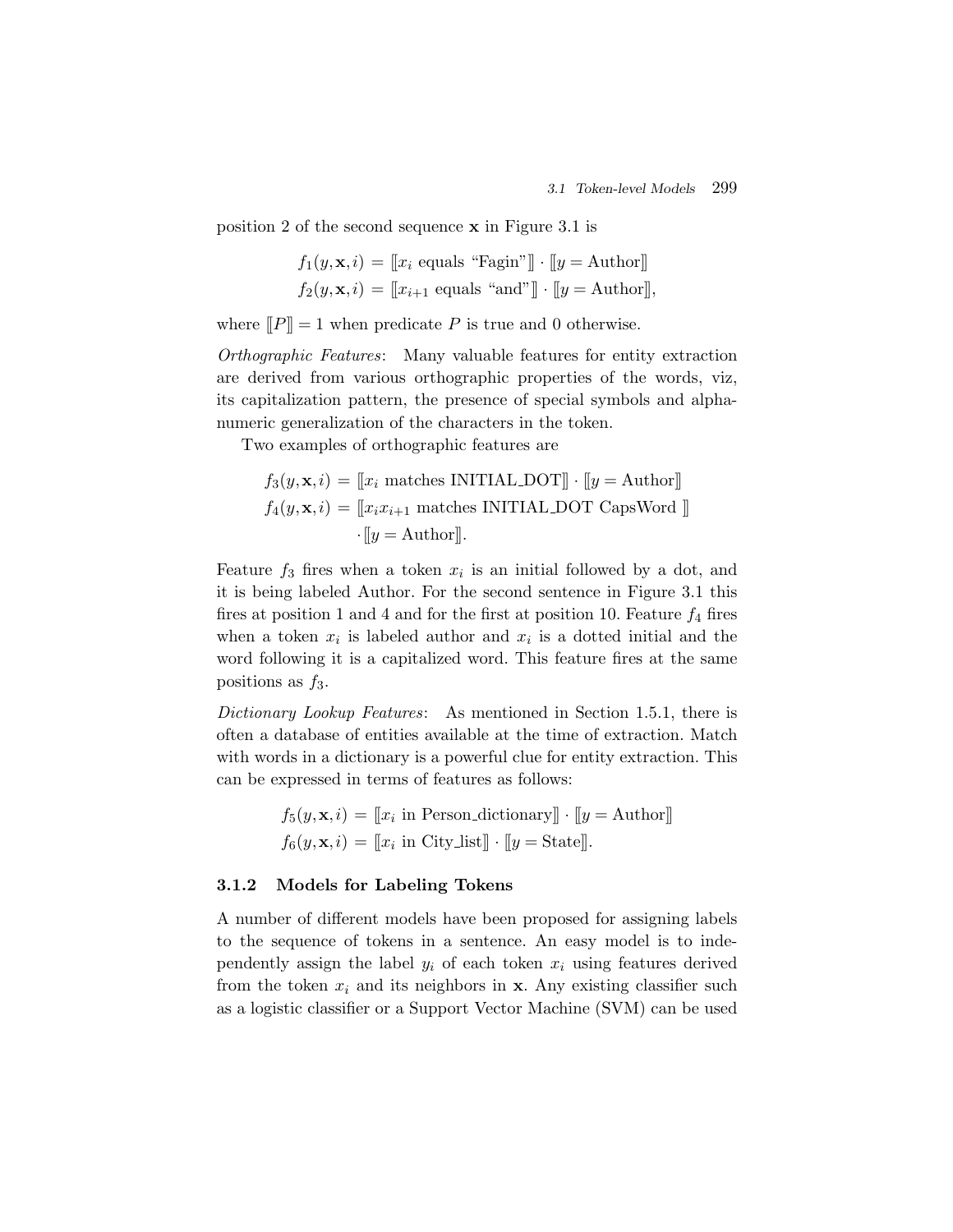position 2 of the second sequence **x** in Figure 3.1 is

$$
f_1(y, \mathbf{x}, i) = [[x_i \text{ equals "Fagin"]} \cdot [[y = \text{Author}]]
$$

$$
f_2(y, \mathbf{x}, i) = [[x_{i+1} \text{ equals "and"]} \cdot [[y = \text{Author}]],
$$

where  $||P|| = 1$  when predicate P is true and 0 otherwise.

*Orthographic Features*: Many valuable features for entity extraction are derived from various orthographic properties of the words, viz, its capitalization pattern, the presence of special symbols and alphanumeric generalization of the characters in the token.

Two examples of orthographic features are

$$
f_3(y, \mathbf{x}, i) = \llbracket x_i \text{ matches INITIAL-DOT} \rrbracket \cdot \llbracket y = \text{Author} \rrbracket
$$

$$
f_4(y, \mathbf{x}, i) = \llbracket x_i x_{i+1} \text{ matches INITIAL-DOT CapsWord } \rrbracket
$$

$$
\cdot \llbracket y = \text{Author} \rrbracket.
$$

Feature  $f_3$  fires when a token  $x_i$  is an initial followed by a dot, and it is being labeled Author. For the second sentence in Figure 3.1 this fires at position 1 and 4 and for the first at position 10. Feature  $f_4$  fires when a token  $x_i$  is labeled author and  $x_i$  is a dotted initial and the word following it is a capitalized word. This feature fires at the same positions as  $f_3$ .

*Dictionary Lookup Features*: As mentioned in Section 1.5.1, there is often a database of entities available at the time of extraction. Match with words in a dictionary is a powerful clue for entity extraction. This can be expressed in terms of features as follows:

$$
f_5(y, \mathbf{x}, i) = [x_i \text{ in Person\_dictionary}] \cdot [y = \text{Author}]
$$

$$
f_6(y, \mathbf{x}, i) = [x_i \text{ in City\_list}] \cdot [y = \text{State}].
$$

## **3.1.2 Models for Labeling Tokens**

A number of different models have been proposed for assigning labels to the sequence of tokens in a sentence. An easy model is to independently assign the label  $y_i$  of each token  $x_i$  using features derived from the token  $x_i$  and its neighbors in  $x$ . Any existing classifier such as a logistic classifier or a Support Vector Machine (SVM) can be used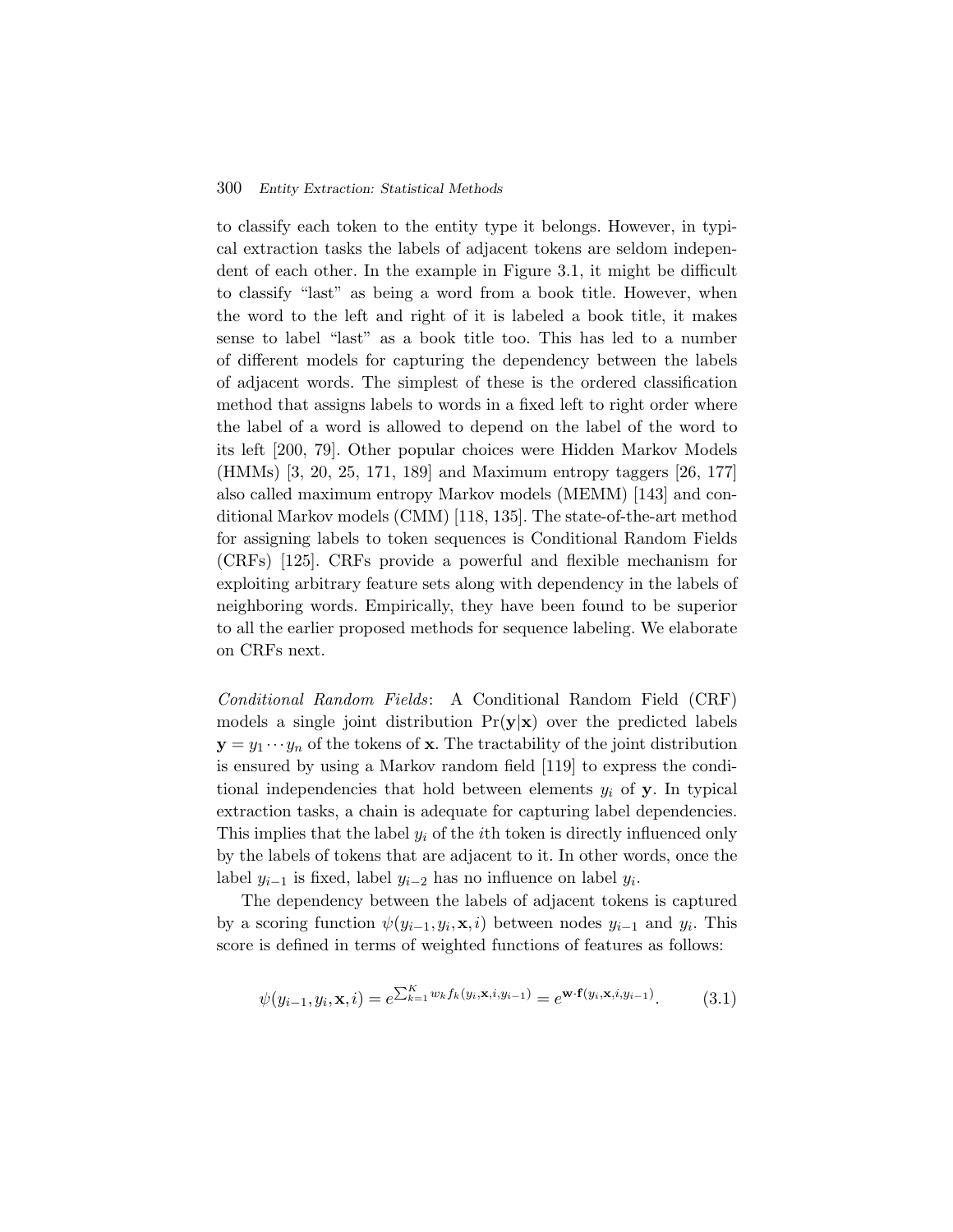to classify each token to the entity type it belongs. However, in typical extraction tasks the labels of adjacent tokens are seldom independent of each other. In the example in Figure 3.1, it might be difficult to classify "last" as being a word from a book title. However, when the word to the left and right of it is labeled a book title, it makes sense to label "last" as a book title too. This has led to a number of different models for capturing the dependency between the labels of adjacent words. The simplest of these is the ordered classification method that assigns labels to words in a fixed left to right order where the label of a word is allowed to depend on the label of the word to its left [200, 79]. Other popular choices were Hidden Markov Models (HMMs) [3, 20, 25, 171, 189] and Maximum entropy taggers [26, 177] also called maximum entropy Markov models (MEMM) [143] and conditional Markov models (CMM) [118, 135]. The state-of-the-art method for assigning labels to token sequences is Conditional Random Fields (CRFs) [125]. CRFs provide a powerful and flexible mechanism for exploiting arbitrary feature sets along with dependency in the labels of neighboring words. Empirically, they have been found to be superior to all the earlier proposed methods for sequence labeling. We elaborate on CRFs next.

*Conditional Random Fields*: A Conditional Random Field (CRF) models a single joint distribution  $Pr(y|x)$  over the predicted labels  $y = y_1 \cdots y_n$  of the tokens of **x**. The tractability of the joint distribution is ensured by using a Markov random field [119] to express the conditional independencies that hold between elements  $y_i$  of **y**. In typical extraction tasks, a chain is adequate for capturing label dependencies. This implies that the label  $y_i$  of the *i*th token is directly influenced only by the labels of tokens that are adjacent to it. In other words, once the label  $y_{i-1}$  is fixed, label  $y_{i-2}$  has no influence on label  $y_i$ .

The dependency between the labels of adjacent tokens is captured by a scoring function  $\psi(y_{i-1}, y_i, \mathbf{x}, i)$  between nodes  $y_{i-1}$  and  $y_i$ . This score is defined in terms of weighted functions of features as follows:

$$
\psi(y_{i-1}, y_i, \mathbf{x}, i) = e^{\sum_{k=1}^{K} w_k f_k(y_i, \mathbf{x}, i, y_{i-1})} = e^{\mathbf{w} \cdot \mathbf{f}(y_i, \mathbf{x}, i, y_{i-1})}.
$$
(3.1)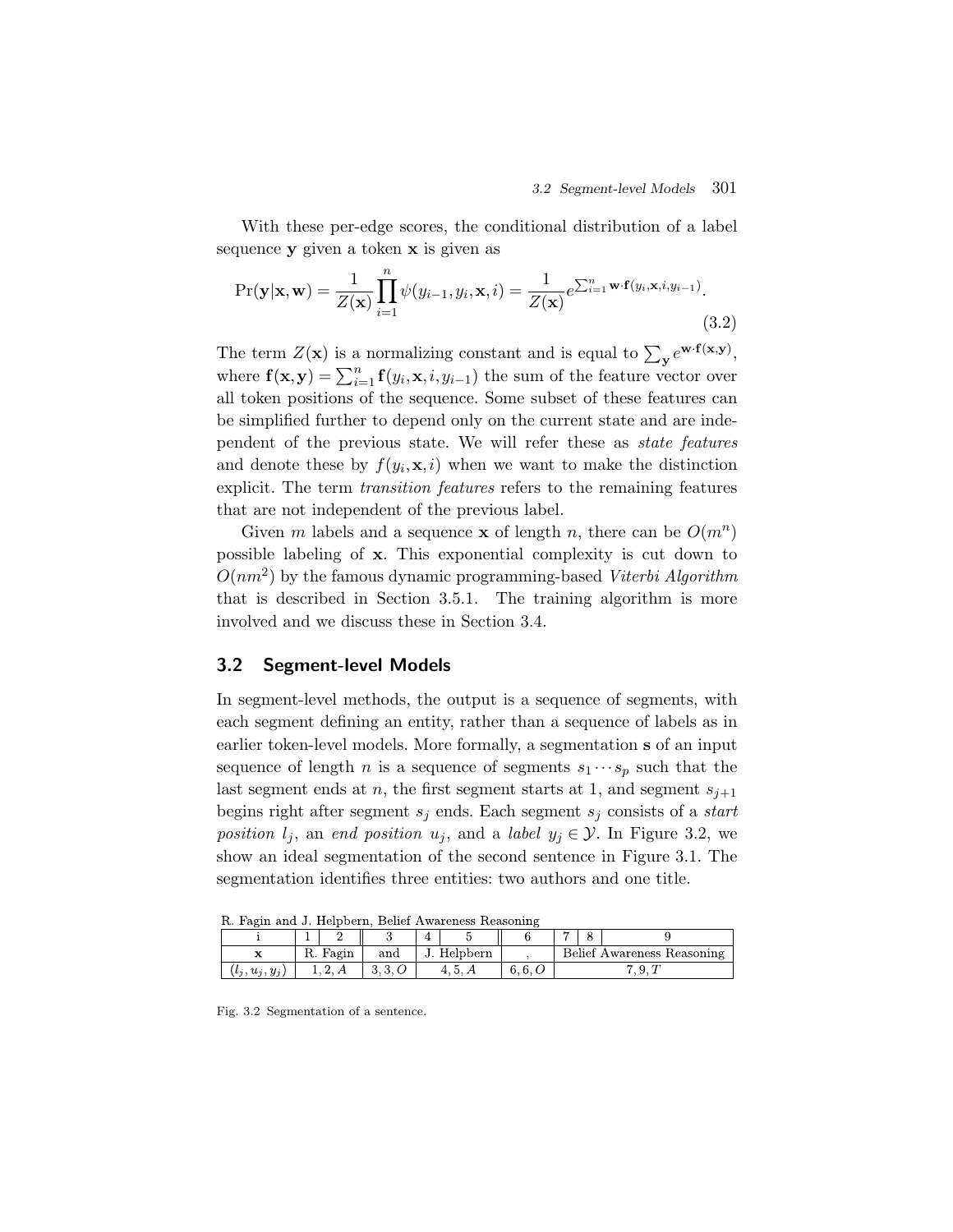With these per-edge scores, the conditional distribution of a label sequence **y** given a token **x** is given as

$$
\Pr(\mathbf{y}|\mathbf{x}, \mathbf{w}) = \frac{1}{Z(\mathbf{x})} \prod_{i=1}^{n} \psi(y_{i-1}, y_i, \mathbf{x}, i) = \frac{1}{Z(\mathbf{x})} e^{\sum_{i=1}^{n} \mathbf{w} \cdot \mathbf{f}(y_i, \mathbf{x}, i, y_{i-1})}.
$$
\n(3.2)

The term  $Z(\mathbf{x})$  is a normalizing constant and is equal to  $\sum_{\mathbf{y}} e^{\mathbf{w} \cdot \mathbf{f}(\mathbf{x}, \mathbf{y})}$ , where  $\mathbf{f}(\mathbf{x}, \mathbf{y}) = \sum_{i=1}^{n} \mathbf{f}(y_i, \mathbf{x}, i, y_{i-1})$  the sum of the feature vector over all token positions of the sequence. Some subset of these features can be simplified further to depend only on the current state and are independent of the previous state. We will refer these as *state features* and denote these by  $f(y_i, \mathbf{x}, i)$  when we want to make the distinction explicit. The term *transition features* refers to the remaining features that are not independent of the previous label.

Given m labels and a sequence **x** of length n, there can be  $O(m^n)$ possible labeling of **x**. This exponential complexity is cut down to O(nm2) by the famous dynamic programming-based *Viterbi Algorithm* that is described in Section 3.5.1. The training algorithm is more involved and we discuss these in Section 3.4.

## **3.2 Segment-level Models**

In segment-level methods, the output is a sequence of segments, with each segment defining an entity, rather than a sequence of labels as in earlier token-level models. More formally, a segmentation **s** of an input sequence of length n is a sequence of segments  $s_1 \cdots s_p$  such that the last segment ends at n, the first segment starts at 1, and segment  $s_{i+1}$ begins right after segment s<sup>j</sup> ends. Each segment s<sup>j</sup> consists of a *start position*  $l_j$ , an *end position*  $u_j$ , and a *label*  $y_j \in \mathcal{Y}$ . In Figure 3.2, we show an ideal segmentation of the second sentence in Figure 3.1. The segmentation identifies three entities: two authors and one title.

R. Fagin and J. Helpbern, Belief Awareness Reasoning

|                          |          |                 |     | 4               |       |   | -                          |  |  |
|--------------------------|----------|-----------------|-----|-----------------|-------|---|----------------------------|--|--|
| $\overline{\phantom{a}}$ | R. Fagin |                 | and | Helpbern<br>υ.  |       |   | Belief Awareness Reasoning |  |  |
| $y_j$<br>$l_1, u_2$      |          | $\Omega$<br>いいい |     | $4, 0, \Lambda$ | 6.6.C | . |                            |  |  |

Fig. 3.2 Segmentation of a sentence.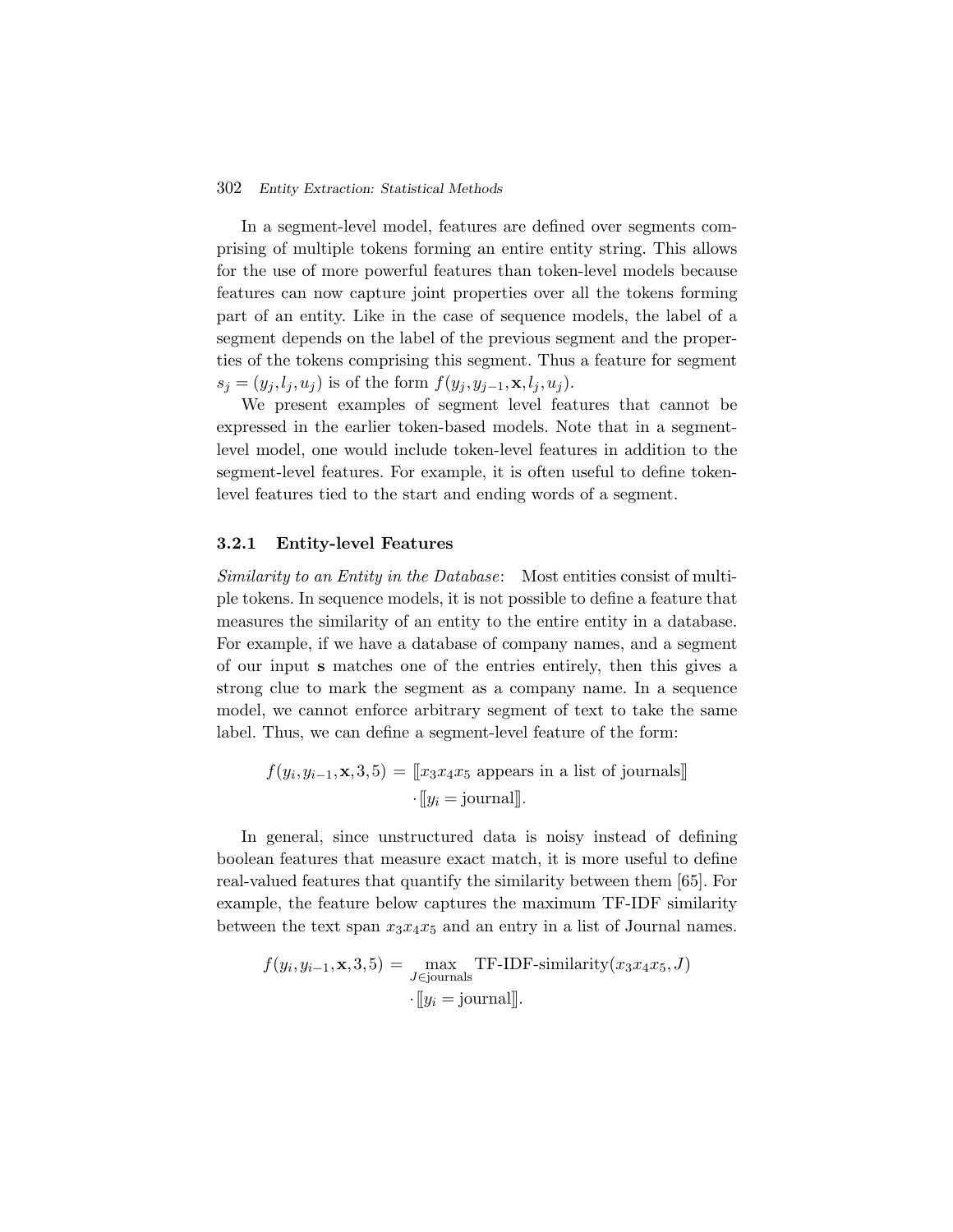In a segment-level model, features are defined over segments comprising of multiple tokens forming an entire entity string. This allows for the use of more powerful features than token-level models because features can now capture joint properties over all the tokens forming part of an entity. Like in the case of sequence models, the label of a segment depends on the label of the previous segment and the properties of the tokens comprising this segment. Thus a feature for segment  $s_j = (y_j, l_j, u_j)$  is of the form  $f(y_j, y_{j-1}, \mathbf{x}, l_j, u_j)$ .

We present examples of segment level features that cannot be expressed in the earlier token-based models. Note that in a segmentlevel model, one would include token-level features in addition to the segment-level features. For example, it is often useful to define tokenlevel features tied to the start and ending words of a segment.

## **3.2.1 Entity-level Features**

*Similarity to an Entity in the Database*: Most entities consist of multiple tokens. In sequence models, it is not possible to define a feature that measures the similarity of an entity to the entire entity in a database. For example, if we have a database of company names, and a segment of our input **s** matches one of the entries entirely, then this gives a strong clue to mark the segment as a company name. In a sequence model, we cannot enforce arbitrary segment of text to take the same label. Thus, we can define a segment-level feature of the form:

 $f(y_i,y_{i-1},\mathbf{x},3,5) = ||x_3x_4x_5$  appears in a list of journals  $\cdot$   $\llbracket y_i = \text{journal} \rrbracket$ .

In general, since unstructured data is noisy instead of defining boolean features that measure exact match, it is more useful to define real-valued features that quantify the similarity between them [65]. For example, the feature below captures the maximum TF-IDF similarity between the text span  $x_3x_4x_5$  and an entry in a list of Journal names.

$$
f(y_i, y_{i-1}, \mathbf{x}, 3, 5) = \max_{J \in \text{journals}} \text{TF-IDF-similarity}(x_3 x_4 x_5, J)
$$

$$
\cdot [y_i = \text{journal}].
$$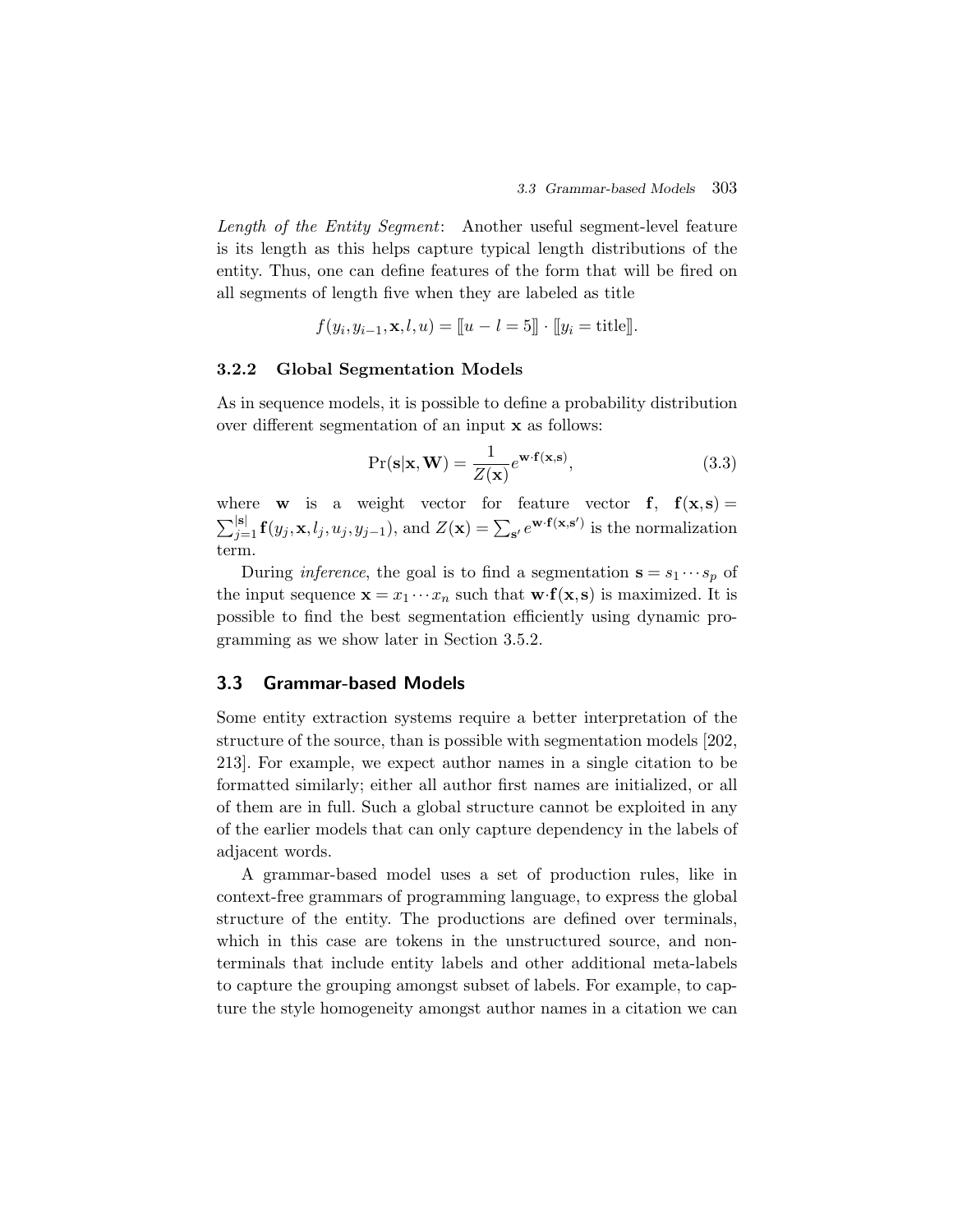*Length of the Entity Segment*: Another useful segment-level feature is its length as this helps capture typical length distributions of the entity. Thus, one can define features of the form that will be fired on all segments of length five when they are labeled as title

$$
f(y_i, y_{i-1}, \mathbf{x}, l, u) = [ [u - l = 5] ] \cdot [ [y_i = title] ].
$$

## **3.2.2 Global Segmentation Models**

As in sequence models, it is possible to define a probability distribution over different segmentation of an input **x** as follows:

$$
Pr(s|\mathbf{x}, \mathbf{W}) = \frac{1}{Z(\mathbf{x})} e^{\mathbf{w} \cdot \mathbf{f}(\mathbf{x}, \mathbf{s})},
$$
(3.3)

where **w** is a weight vector for feature vector **f**,  $f(x,s) =$  $\sum_{j=1}^{|\mathbf{s}|} \mathbf{f}(y_j, \mathbf{x}, l_j, u_j, y_{j-1}),$  and  $Z(\mathbf{x}) = \sum_{\mathbf{s}'} e^{\mathbf{w} \cdot \mathbf{f}(\mathbf{x}, \mathbf{s}')}$  is the normalization term.

During *inference*, the goal is to find a segmentation  $\mathbf{s} = s_1 \cdots s_p$  of the input sequence  $\mathbf{x} = x_1 \cdots x_n$  such that  $\mathbf{w} \cdot \mathbf{f}(\mathbf{x}, \mathbf{s})$  is maximized. It is possible to find the best segmentation efficiently using dynamic programming as we show later in Section 3.5.2.

## **3.3 Grammar-based Models**

Some entity extraction systems require a better interpretation of the structure of the source, than is possible with segmentation models [202, 213]. For example, we expect author names in a single citation to be formatted similarly; either all author first names are initialized, or all of them are in full. Such a global structure cannot be exploited in any of the earlier models that can only capture dependency in the labels of adjacent words.

A grammar-based model uses a set of production rules, like in context-free grammars of programming language, to express the global structure of the entity. The productions are defined over terminals, which in this case are tokens in the unstructured source, and nonterminals that include entity labels and other additional meta-labels to capture the grouping amongst subset of labels. For example, to capture the style homogeneity amongst author names in a citation we can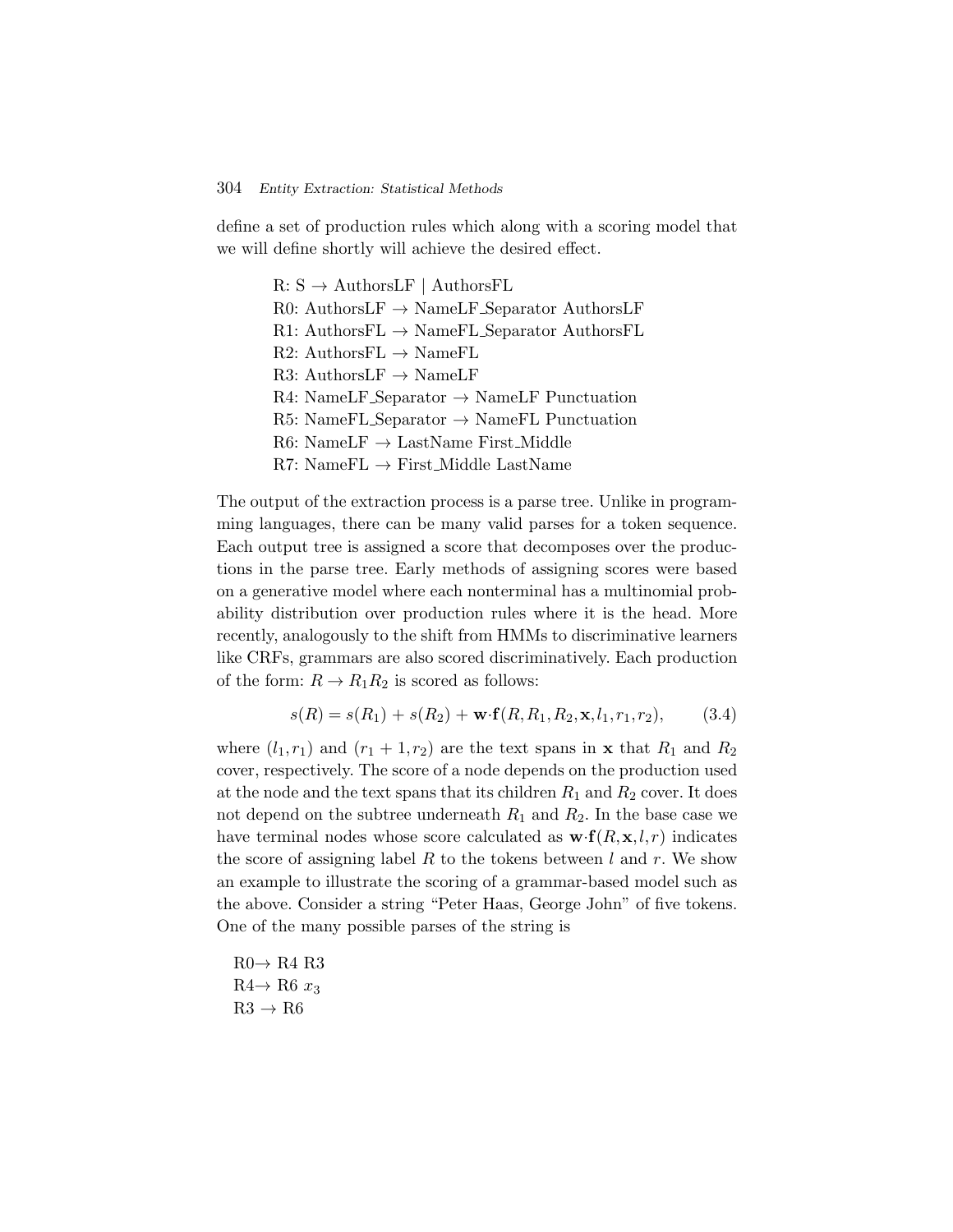define a set of production rules which along with a scoring model that we will define shortly will achieve the desired effect.

> $R: S \rightarrow \text{AuthorsLF}$  | AuthorsFL  $R0:$  AuthorsLF  $\rightarrow$  NameLF\_Separator AuthorsLF  $R1:$  Authors $FL \rightarrow NameFL$  Separator Authors FL  $R2:$  Authors  $FL \rightarrow NameFL$ R3: AuthorsLF  $\rightarrow$  NameLF  $R4: \text{NameLF\_Separator} \rightarrow \text{NameLF}$  Punctuation R5: NameFL Separator → NameFL Punctuation  $R6: \text{NameLF} \rightarrow \text{LastName First}$ . Middle R7: NameFL  $\rightarrow$  First\_Middle LastName

The output of the extraction process is a parse tree. Unlike in programming languages, there can be many valid parses for a token sequence. Each output tree is assigned a score that decomposes over the productions in the parse tree. Early methods of assigning scores were based on a generative model where each nonterminal has a multinomial probability distribution over production rules where it is the head. More recently, analogously to the shift from HMMs to discriminative learners like CRFs, grammars are also scored discriminatively. Each production of the form:  $R \to R_1R_2$  is scored as follows:

$$
s(R) = s(R_1) + s(R_2) + \mathbf{w} \cdot \mathbf{f}(R, R_1, R_2, \mathbf{x}, l_1, r_1, r_2), \quad (3.4)
$$

where  $(l_1,r_1)$  and  $(r_1+1,r_2)$  are the text spans in **x** that  $R_1$  and  $R_2$ cover, respectively. The score of a node depends on the production used at the node and the text spans that its children  $R_1$  and  $R_2$  cover. It does not depend on the subtree underneath  $R_1$  and  $R_2$ . In the base case we have terminal nodes whose score calculated as  $\mathbf{w} \cdot \mathbf{f}(R, \mathbf{x}, l, r)$  indicates the score of assigning label R to the tokens between  $l$  and  $r$ . We show an example to illustrate the scoring of a grammar-based model such as the above. Consider a string "Peter Haas, George John" of five tokens. One of the many possible parses of the string is

 $R0 \rightarrow R4 R3$  $R4 \rightarrow R6 x_3$  $R3 \rightarrow R6$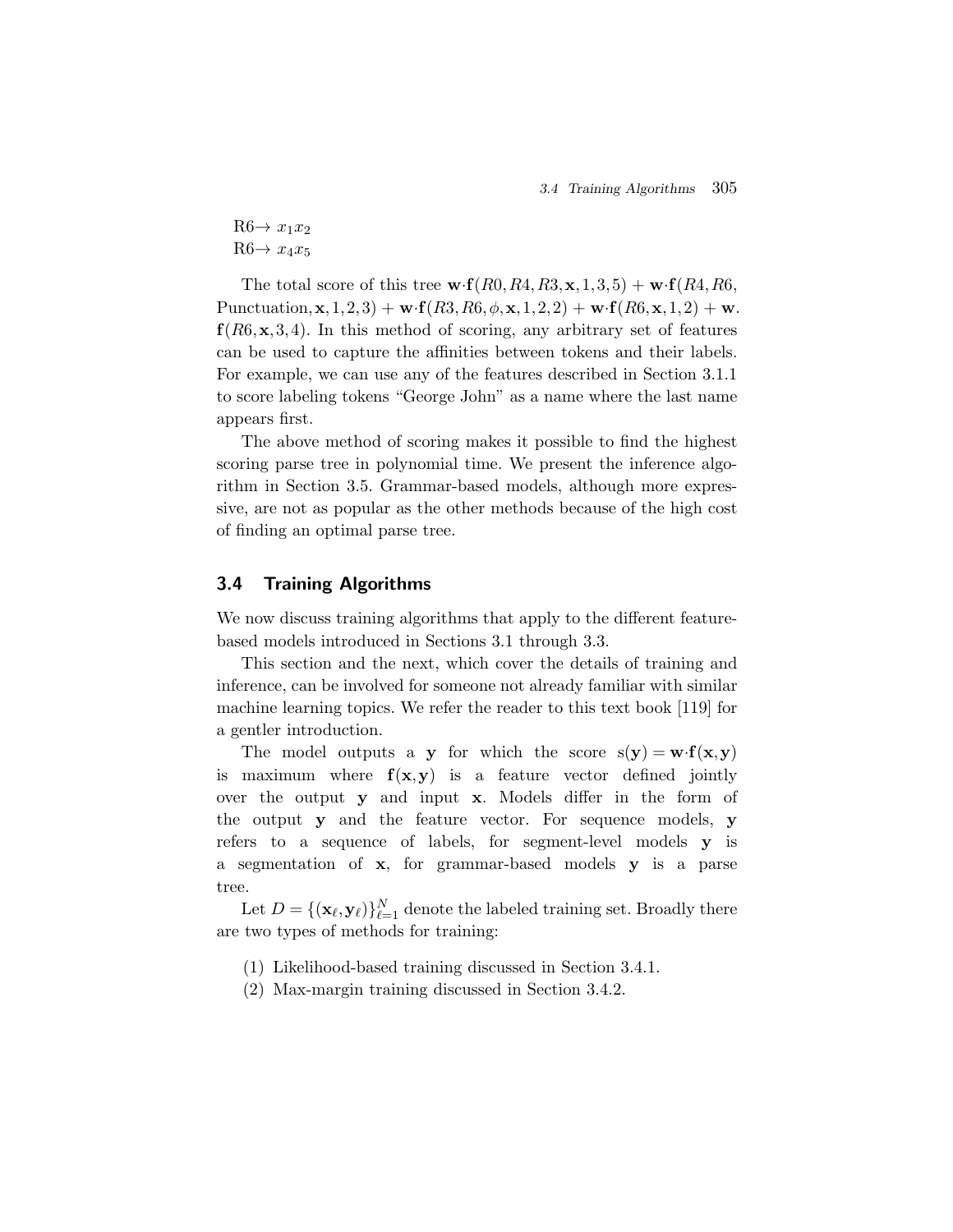$R6 \rightarrow x_1x_2$  $R6 \rightarrow x_4x_5$ 

The total score of this tree  $\mathbf{w} \cdot \mathbf{f}(R0,R4,R3,\mathbf{x},1,3,5) + \mathbf{w} \cdot \mathbf{f}(R4,R6,$  $P$ unctuation, **x**, 1, 2, 3) + **w**·**f**(R3, R6,  $\phi$ , **x**, 1, 2, 2) + **w**·**f**(R6, **x**, 1, 2) + **w**.  $f(R6, x, 3, 4)$ . In this method of scoring, any arbitrary set of features can be used to capture the affinities between tokens and their labels. For example, we can use any of the features described in Section 3.1.1 to score labeling tokens "George John" as a name where the last name appears first.

The above method of scoring makes it possible to find the highest scoring parse tree in polynomial time. We present the inference algorithm in Section 3.5. Grammar-based models, although more expressive, are not as popular as the other methods because of the high cost of finding an optimal parse tree.

## **3.4 Training Algorithms**

We now discuss training algorithms that apply to the different featurebased models introduced in Sections 3.1 through 3.3.

This section and the next, which cover the details of training and inference, can be involved for someone not already familiar with similar machine learning topics. We refer the reader to this text book [119] for a gentler introduction.

The model outputs a **y** for which the score  $s(y) = \mathbf{w} \cdot f(\mathbf{x}, y)$ is maximum where  $f(x,y)$  is a feature vector defined jointly over the output **y** and input **x**. Models differ in the form of the output **y** and the feature vector. For sequence models, **y** refers to a sequence of labels, for segment-level models **y** is a segmentation of **x**, for grammar-based models **y** is a parse tree.

Let  $D = \{(\mathbf{x}_{\ell}, \mathbf{y}_{\ell})\}_{\ell=1}^{N}$  denote the labeled training set. Broadly there are two types of methods for training:

- (1) Likelihood-based training discussed in Section 3.4.1.
- (2) Max-margin training discussed in Section 3.4.2.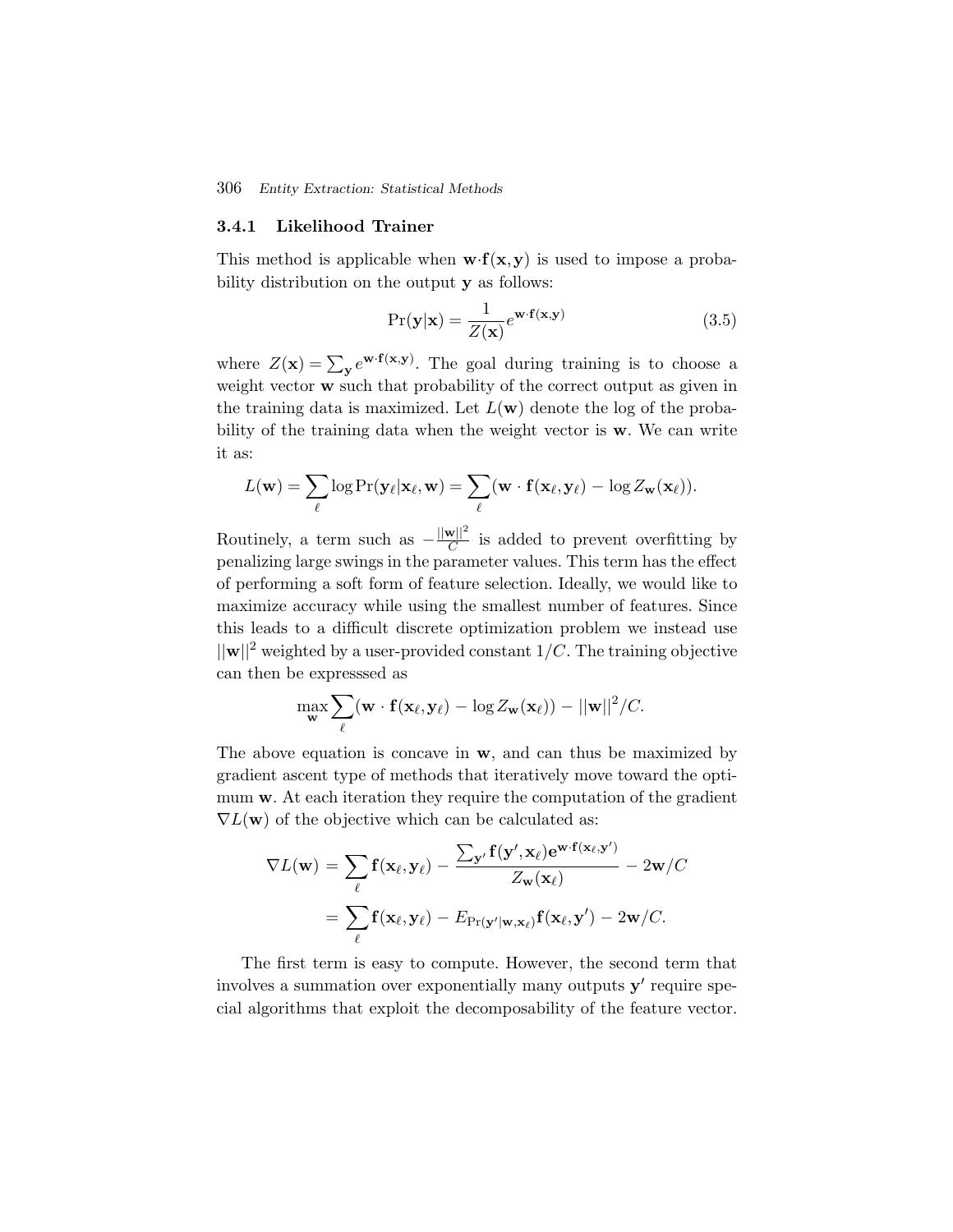## **3.4.1 Likelihood Trainer**

This method is applicable when  $\mathbf{w} \cdot \mathbf{f}(\mathbf{x}, \mathbf{y})$  is used to impose a probability distribution on the output **y** as follows:

$$
Pr(\mathbf{y}|\mathbf{x}) = \frac{1}{Z(\mathbf{x})}e^{\mathbf{w} \cdot \mathbf{f}(\mathbf{x}, \mathbf{y})}
$$
(3.5)

where  $Z(\mathbf{x}) = \sum_{\mathbf{y}} e^{\mathbf{w} \cdot \mathbf{f}(\mathbf{x}, \mathbf{y})}$ . The goal during training is to choose a weight vector **w** such that probability of the correct output as given in the training data is maximized. Let  $L(\mathbf{w})$  denote the log of the probability of the training data when the weight vector is **w**. We can write it as:

$$
L(\mathbf{w}) = \sum_{\ell} \log \Pr(\mathbf{y}_{\ell} | \mathbf{x}_{\ell}, \mathbf{w}) = \sum_{\ell} (\mathbf{w} \cdot \mathbf{f}(\mathbf{x}_{\ell}, \mathbf{y}_{\ell}) - \log Z_{\mathbf{w}}(\mathbf{x}_{\ell})).
$$

Routinely, a term such as  $-\frac{\|\mathbf{w}\|^2}{C}$  is added to prevent overfitting by penalizing large swings in the parameter values. This term has the effect of performing a soft form of feature selection. Ideally, we would like to maximize accuracy while using the smallest number of features. Since this leads to a difficult discrete optimization problem we instead use  $||\mathbf{w}||^2$  weighted by a user-provided constant  $1/C$ . The training objective can then be expresssed as

$$
\max_{\mathbf{w}} \sum_{\ell} (\mathbf{w} \cdot \mathbf{f}(\mathbf{x}_{\ell}, \mathbf{y}_{\ell}) - \log Z_{\mathbf{w}}(\mathbf{x}_{\ell})) - ||\mathbf{w}||^2 / C.
$$

The above equation is concave in **w**, and can thus be maximized by gradient ascent type of methods that iteratively move toward the optimum **w**. At each iteration they require the computation of the gradient  $\nabla L(\mathbf{w})$  of the objective which can be calculated as:

$$
\nabla L(\mathbf{w}) = \sum_{\ell} \mathbf{f}(\mathbf{x}_{\ell}, \mathbf{y}_{\ell}) - \frac{\sum_{\mathbf{y}'} \mathbf{f}(\mathbf{y}', \mathbf{x}_{\ell}) e^{\mathbf{w} \cdot \mathbf{f}(\mathbf{x}_{\ell}, \mathbf{y}')} }{Z_{\mathbf{w}}(\mathbf{x}_{\ell})} - 2\mathbf{w}/C
$$

$$
= \sum_{\ell} \mathbf{f}(\mathbf{x}_{\ell}, \mathbf{y}_{\ell}) - E_{\Pr(\mathbf{y}'|\mathbf{w}, \mathbf{x}_{\ell})} \mathbf{f}(\mathbf{x}_{\ell}, \mathbf{y}') - 2\mathbf{w}/C.
$$

The first term is easy to compute. However, the second term that involves a summation over exponentially many outputs **y'** require special algorithms that exploit the decomposability of the feature vector.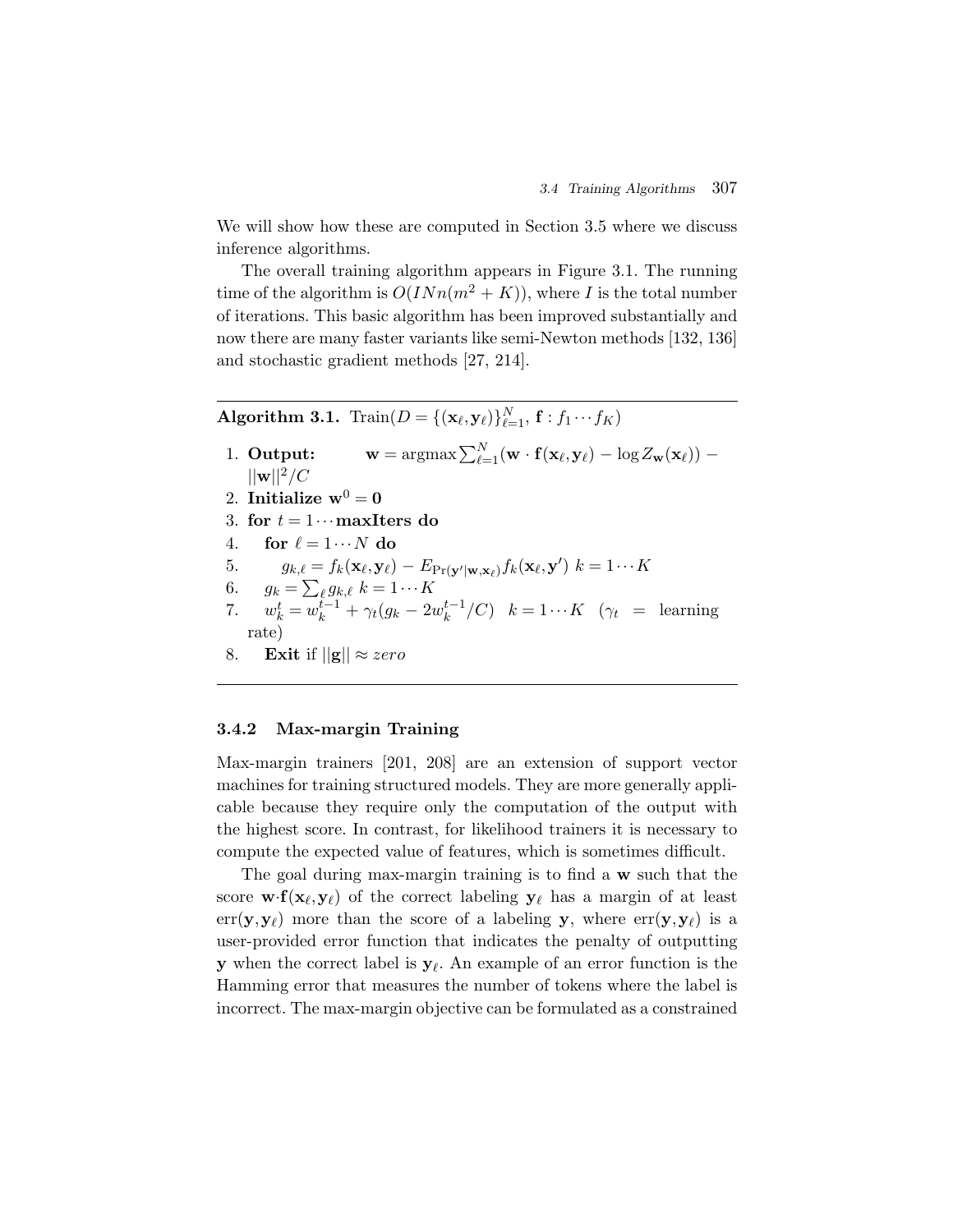We will show how these are computed in Section 3.5 where we discuss inference algorithms.

The overall training algorithm appears in Figure 3.1. The running time of the algorithm is  $O(INn(m^2 + K))$ , where I is the total number of iterations. This basic algorithm has been improved substantially and now there are many faster variants like semi-Newton methods [132, 136] and stochastic gradient methods [27, 214].

**Algorithm 3.1.** Train $(D = \{(\mathbf{x}_{\ell}, \mathbf{y}_{\ell})\}_{\ell=1}^N$ ,  $\mathbf{f} : f_1 \cdots f_K)$ 

- 1. **Output:**  $\mathbf{w} = \arg \max \sum_{\ell=1}^{N} (\mathbf{w} \cdot \mathbf{f}(\mathbf{x}_{\ell}, \mathbf{y}_{\ell}) \log Z_{\mathbf{w}}(\mathbf{x}_{\ell})) ||\mathbf{w}||^2/C$ 2. **Initialize**  $w^0 = 0$ 3. for  $t = 1 \cdots$  max<sup>Iters</sup> do 4. **for**  $\ell = 1 \cdots N$  **do** 5.  $g_{k,\ell} = f_k(\mathbf{x}_{\ell}, \mathbf{y}_{\ell}) - E_{\Pr(\mathbf{y}'|\mathbf{w}, \mathbf{x}_{\ell})} f_k(\mathbf{x}_{\ell}, \mathbf{y}') k = 1 \cdots K$ 6.  $g_k = \sum_{\ell} g_{k,\ell} \; k = 1 \cdots K$
- 7.  $w_k^t = w_k^{t-1} + \gamma_t (g_k 2w_k^{t-1}/C)$   $k = 1 \cdots K$  ( $\gamma_t$  = learning rate)

8. **Exit** if 
$$
||\mathbf{g}|| \approx zero
$$

## **3.4.2 Max-margin Training**

Max-margin trainers [201, 208] are an extension of support vector machines for training structured models. They are more generally applicable because they require only the computation of the output with the highest score. In contrast, for likelihood trainers it is necessary to compute the expected value of features, which is sometimes difficult.

The goal during max-margin training is to find a **w** such that the score  $\mathbf{w} \cdot \mathbf{f}(\mathbf{x}_\ell, \mathbf{y}_\ell)$  of the correct labeling  $\mathbf{y}_\ell$  has a margin of at least  $err(\mathbf{y}, \mathbf{y})$  more than the score of a labeling **y**, where  $err(\mathbf{y}, \mathbf{y})$  is a user-provided error function that indicates the penalty of outputting **y** when the correct label is  $y_{\ell}$ . An example of an error function is the Hamming error that measures the number of tokens where the label is incorrect. The max-margin objective can be formulated as a constrained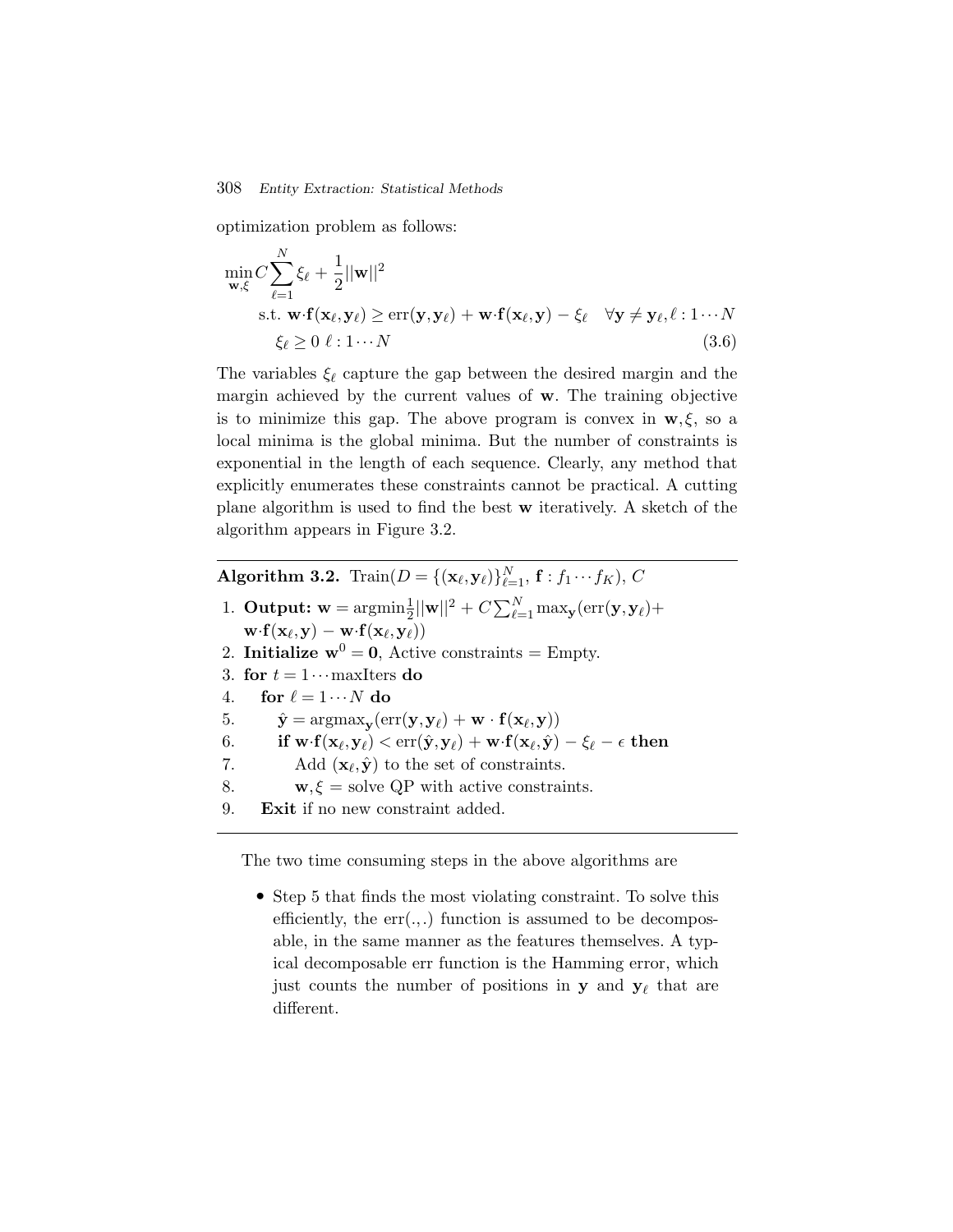optimization problem as follows:

$$
\min_{\mathbf{w}, \xi} C \sum_{\ell=1}^{N} \xi_{\ell} + \frac{1}{2} ||\mathbf{w}||^{2}
$$
\n
$$
\text{s.t. } \mathbf{w} \cdot \mathbf{f}(\mathbf{x}_{\ell}, \mathbf{y}_{\ell}) \ge \text{err}(\mathbf{y}, \mathbf{y}_{\ell}) + \mathbf{w} \cdot \mathbf{f}(\mathbf{x}_{\ell}, \mathbf{y}) - \xi_{\ell} \quad \forall \mathbf{y} \ne \mathbf{y}_{\ell}, \ell : 1 \cdots N
$$
\n
$$
\xi_{\ell} \ge 0 \quad \ell : 1 \cdots N \tag{3.6}
$$

The variables  $\xi_{\ell}$  capture the gap between the desired margin and the margin achieved by the current values of **w**. The training objective is to minimize this gap. The above program is convex in  $w, \xi$ , so a local minima is the global minima. But the number of constraints is exponential in the length of each sequence. Clearly, any method that explicitly enumerates these constraints cannot be practical. A cutting plane algorithm is used to find the best **w** iteratively. A sketch of the algorithm appears in Figure 3.2.

**Algorithm 3.2.** Train $(D = \{(\mathbf{x}_{\ell}, \mathbf{y}_{\ell})\}_{\ell=1}^N$ , **f** :  $f_1 \cdots f_K$ , *C* 1. **Output:**  $\mathbf{w} = \operatorname{argmin}_{\frac{1}{2}} ||\mathbf{w}||^2 + C \sum_{\ell=1}^{N} \max_{\mathbf{y}} (\operatorname{err}(\mathbf{y}, \mathbf{y}_{\ell}) +$  $\mathbf{w} \cdot \mathbf{f}(\mathbf{x}_{\ell}, \mathbf{y}) - \mathbf{w} \cdot \mathbf{f}(\mathbf{x}_{\ell}, \mathbf{y}_{\ell}))$ 2. **Initialize**  $w^0 = 0$ , Active constraints = Empty. 3. **for**  $t = 1 \cdots$  maxIters **do** 4. **for**  $\ell = 1 \cdots N$  do 5.  $\hat{\mathbf{y}} = \arg\max_{\mathbf{y}} (\text{err}(\mathbf{y}, \mathbf{y}_{\ell}) + \mathbf{w} \cdot \mathbf{f}(\mathbf{x}_{\ell}, \mathbf{y}))$ 6. **if**  $\mathbf{w} \cdot \mathbf{f}(\mathbf{x}_{\ell}, \mathbf{y}_{\ell}) < \text{err}(\hat{\mathbf{y}}, \mathbf{y}_{\ell}) + \mathbf{w} \cdot \mathbf{f}(\mathbf{x}_{\ell}, \hat{\mathbf{y}}) - \xi_{\ell} - \epsilon \text{ then}$ 7. Add  $(\mathbf{x}_{\ell}, \hat{\mathbf{y}})$  to the set of constraints. 8.  $\mathbf{w}, \xi = \text{solve QP with active constraints.}$ 

9. **Exit** if no new constraint added.

The two time consuming steps in the above algorithms are

• Step 5 that finds the most violating constraint. To solve this efficiently, the  $err(.,.)$  function is assumed to be decomposable, in the same manner as the features themselves. A typical decomposable err function is the Hamming error, which just counts the number of positions in **y** and  $y_\ell$  that are different.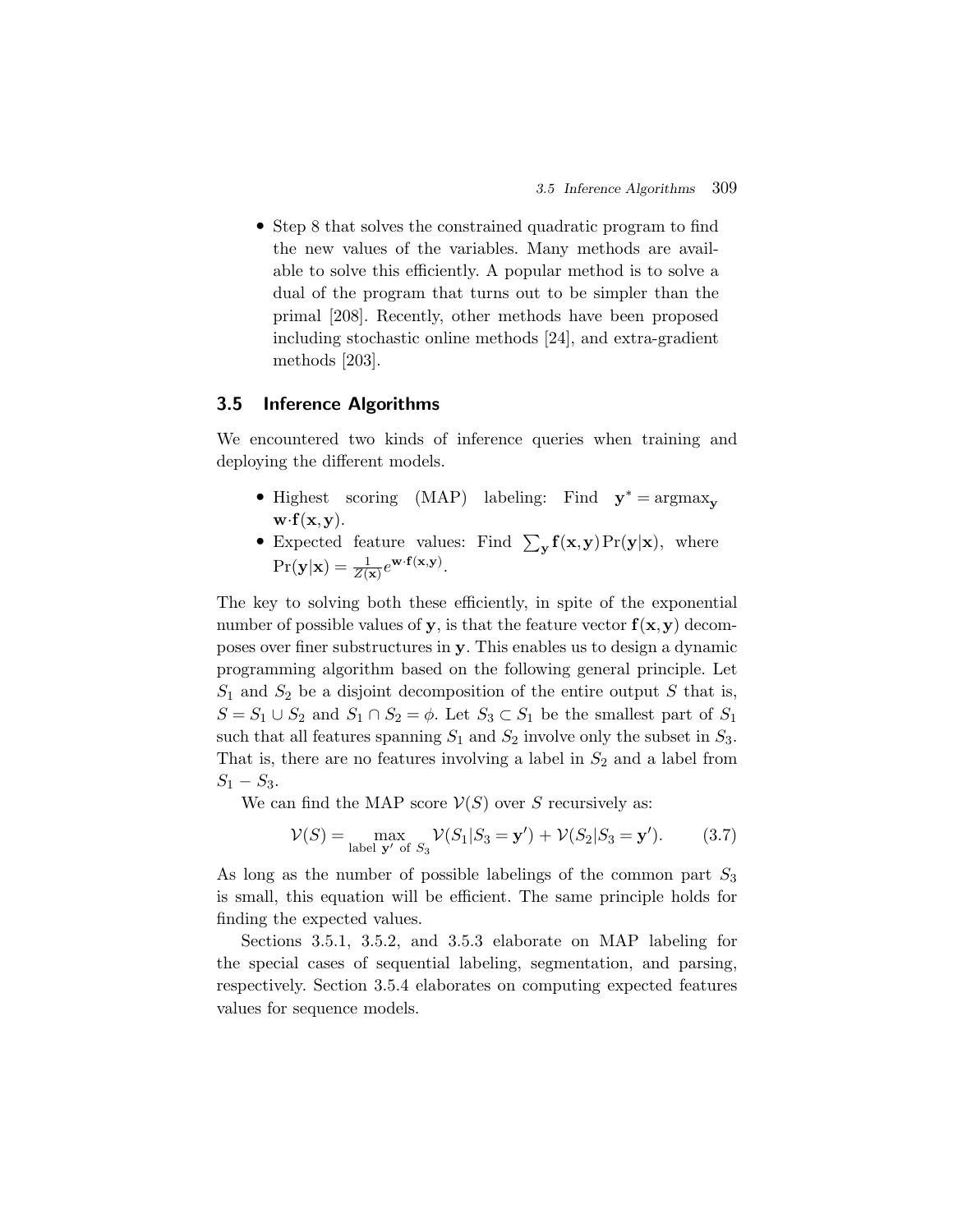• Step 8 that solves the constrained quadratic program to find the new values of the variables. Many methods are available to solve this efficiently. A popular method is to solve a dual of the program that turns out to be simpler than the primal [208]. Recently, other methods have been proposed including stochastic online methods [24], and extra-gradient methods [203].

## **3.5 Inference Algorithms**

We encountered two kinds of inference queries when training and deploying the different models.

- Highest scoring (MAP) labeling: Find **y**<sup>∗</sup> = argmax**<sup>y</sup>**  $\mathbf{w} \cdot \mathbf{f}(\mathbf{x}, \mathbf{y}).$
- Expected feature values: Find  $\sum_{\mathbf{y}} \mathbf{f}(\mathbf{x}, \mathbf{y}) \Pr(\mathbf{y}|\mathbf{x})$ , where  $\Pr(\mathbf{y}|\mathbf{x}) = \frac{1}{Z(\mathbf{x})}e^{\mathbf{w}\cdot\mathbf{f}(\mathbf{x},\mathbf{y})}.$

The key to solving both these efficiently, in spite of the exponential number of possible values of **y**, is that the feature vector  $f(x, y)$  decomposes over finer substructures in **y**. This enables us to design a dynamic programming algorithm based on the following general principle. Let  $S_1$  and  $S_2$  be a disjoint decomposition of the entire output S that is,  $S = S_1 \cup S_2$  and  $S_1 \cap S_2 = \phi$ . Let  $S_3 \subset S_1$  be the smallest part of  $S_1$ such that all features spanning  $S_1$  and  $S_2$  involve only the subset in  $S_3$ . That is, there are no features involving a label in  $S_2$  and a label from  $S_1 - S_3$ .

We can find the MAP score  $V(S)$  over S recursively as:

$$
\mathcal{V}(S) = \max_{\text{label } \mathbf{y'} \text{ of } S_3} \mathcal{V}(S_1 | S_3 = \mathbf{y'}) + \mathcal{V}(S_2 | S_3 = \mathbf{y'}). \tag{3.7}
$$

As long as the number of possible labelings of the common part  $S_3$ is small, this equation will be efficient. The same principle holds for finding the expected values.

Sections 3.5.1, 3.5.2, and 3.5.3 elaborate on MAP labeling for the special cases of sequential labeling, segmentation, and parsing, respectively. Section 3.5.4 elaborates on computing expected features values for sequence models.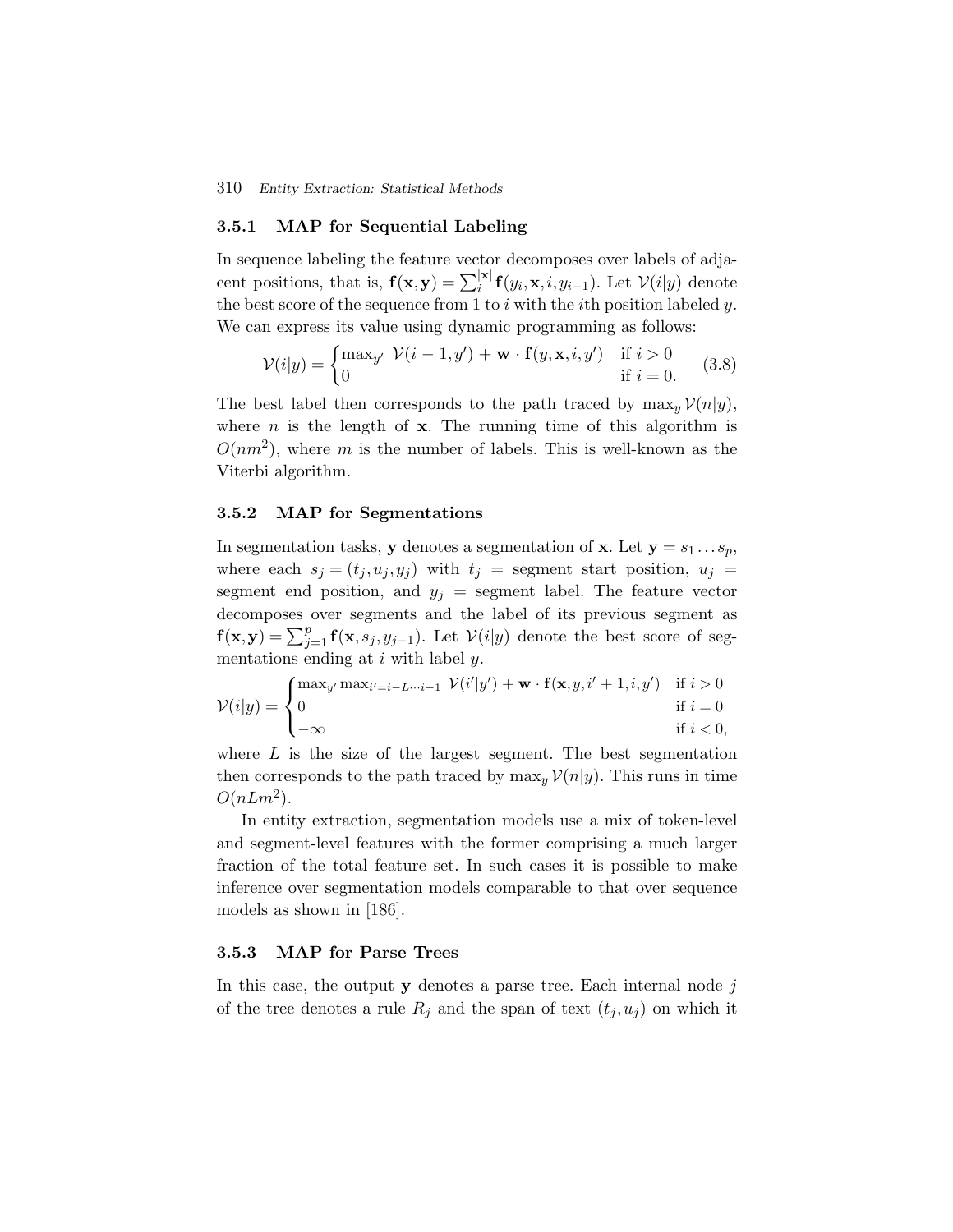## **3.5.1 MAP for Sequential Labeling**

In sequence labeling the feature vector decomposes over labels of adjacent positions, that is,  $f(x,y) = \sum_{i}^{|x|} f(y_i, x, i, y_{i-1})$ . Let  $V(i|y)$  denote the best score of the sequence from 1 to  $i$  with the *i*th position labeled  $y$ . We can express its value using dynamic programming as follows:

$$
\mathcal{V}(i|y) = \begin{cases} \max_{y'} \mathcal{V}(i-1,y') + \mathbf{w} \cdot \mathbf{f}(y,\mathbf{x},i,y') & \text{if } i > 0\\ 0 & \text{if } i = 0. \end{cases}
$$
 (3.8)

The best label then corresponds to the path traced by  $\max_{y} \mathcal{V}(n|y)$ , where  $n$  is the length of  $x$ . The running time of this algorithm is  $O(nm^2)$ , where m is the number of labels. This is well-known as the Viterbi algorithm.

## **3.5.2 MAP for Segmentations**

In segmentation tasks, **y** denotes a segmentation of **x**. Let  $\mathbf{y} = s_1 \dots s_p$ , where each  $s_j = (t_j, u_j, y_j)$  with  $t_j$  = segment start position,  $u_j$  = segment end position, and  $y_i$  = segment label. The feature vector decomposes over segments and the label of its previous segment as  $f(x,y) = \sum_{j=1}^{p} f(x,s_j,y_{j-1})$ . Let  $V(i|y)$  denote the best score of segmentations ending at  $i$  with label  $y$ .

$$
\mathcal{V}(i|y) = \begin{cases} \max_{y'} \max_{i'=i-L\cdots i-1} \ \mathcal{V}(i'|y') + \mathbf{w} \cdot \mathbf{f}(\mathbf{x}, y, i'+1, i, y') & \text{if } i > 0 \\ 0 & \text{if } i = 0 \\ -\infty & \text{if } i < 0, \end{cases}
$$

where  $L$  is the size of the largest segment. The best segmentation then corresponds to the path traced by  $\max_y \mathcal{V}(n|y)$ . This runs in time  $O(nLm^2)$ .

In entity extraction, segmentation models use a mix of token-level and segment-level features with the former comprising a much larger fraction of the total feature set. In such cases it is possible to make inference over segmentation models comparable to that over sequence models as shown in [186].

#### **3.5.3 MAP for Parse Trees**

In this case, the output **y** denotes a parse tree. Each internal node j of the tree denotes a rule  $R_j$  and the span of text  $(t_j, u_j)$  on which it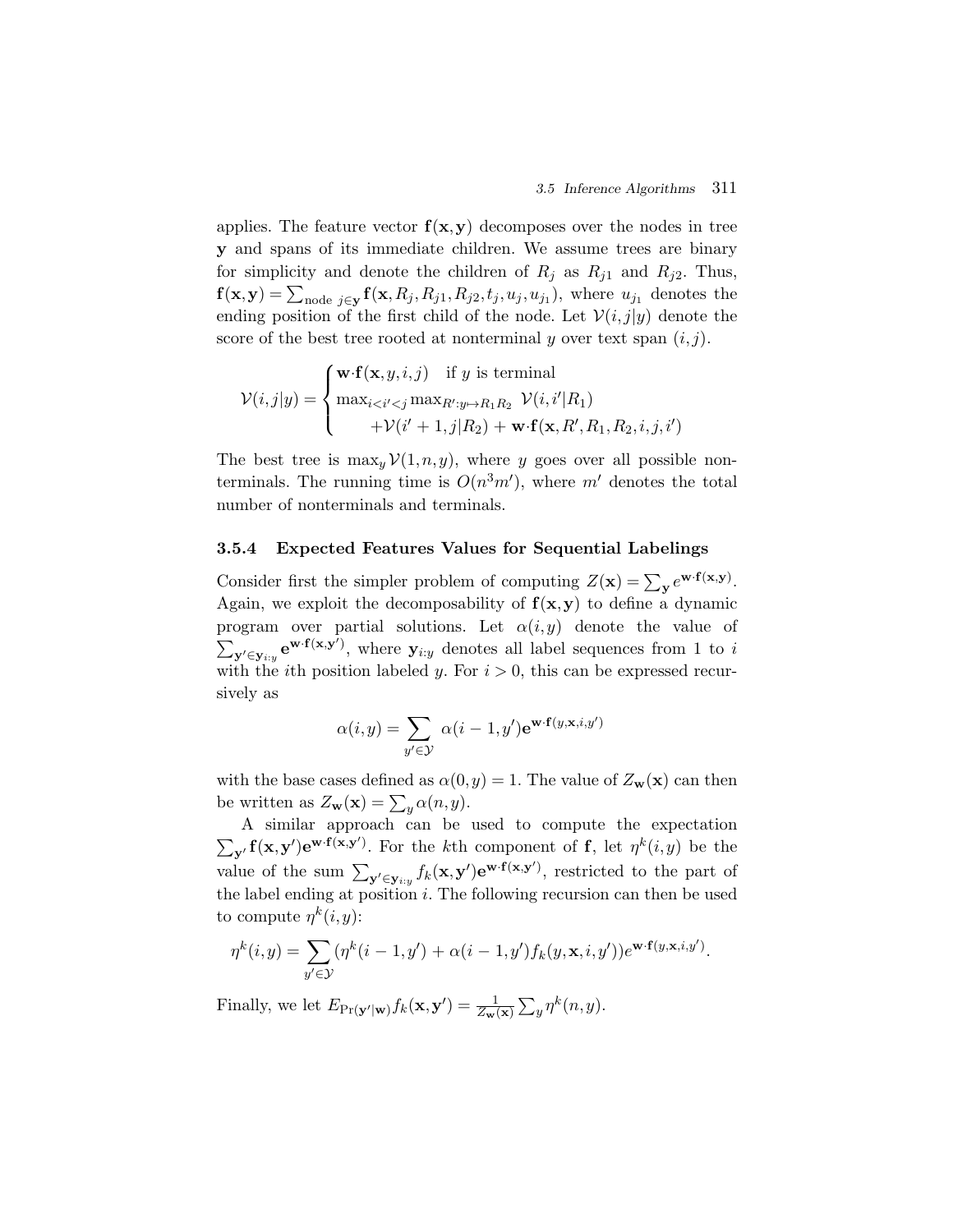applies. The feature vector  $f(x, y)$  decomposes over the nodes in tree **y** and spans of its immediate children. We assume trees are binary for simplicity and denote the children of  $R_j$  as  $R_{j1}$  and  $R_{j2}$ . Thus,  $f(\mathbf{x}, \mathbf{y}) = \sum_{\text{node } j \in \mathbf{y}} f(\mathbf{x}, R_j, R_{j1}, R_{j2}, t_j, u_j, u_{j1}),$  where  $u_{j1}$  denotes the ending position of the first child of the node. Let  $\mathcal{V}(i,j|y)$  denote the score of the best tree rooted at nonterminal y over text span  $(i, j)$ .

$$
\mathcal{V}(i,j|y) = \begin{cases} \mathbf{w} \cdot \mathbf{f}(\mathbf{x}, y, i, j) & \text{if } y \text{ is terminal} \\ \max_{i < i' < j} \max_{R': y \mapsto R_1 R_2} \mathcal{V}(i, i'|R_1) \\ \quad + \mathcal{V}(i' + 1, j|R_2) + \mathbf{w} \cdot \mathbf{f}(\mathbf{x}, R', R_1, R_2, i, j, i') \end{cases}
$$

The best tree is  $\max_y \mathcal{V}(1,n,y)$ , where y goes over all possible nonterminals. The running time is  $O(n^3m')$ , where m' denotes the total number of nonterminals and terminals.

#### **3.5.4 Expected Features Values for Sequential Labelings**

Consider first the simpler problem of computing  $Z(\mathbf{x}) = \sum_{\mathbf{y}} e^{\mathbf{w} \cdot \mathbf{f}(\mathbf{x}, \mathbf{y})}$ . Again, we exploit the decomposability of  $f(x, y)$  to define a dynamic program over partial solutions. Let  $\alpha(i, y)$  denote the value of  $\sum_{\mathbf{y}' \in \mathbf{y}_{i:y}} \mathbf{e}^{\mathbf{w} \cdot \mathbf{f}(\mathbf{x}, \mathbf{y}')},$  where  $\mathbf{y}_{i:y}$  denotes all label sequences from 1 to i with the *i*th position labeled y. For  $i > 0$ , this can be expressed recursively as

$$
\alpha(i, y) = \sum_{y' \in \mathcal{Y}} \alpha(i - 1, y') e^{\mathbf{w} \cdot \mathbf{f}(y, \mathbf{x}, i, y')}
$$

with the base cases defined as  $\alpha(0, y) = 1$ . The value of  $Z_w(\mathbf{x})$  can then be written as  $Z_{\mathbf{w}}(\mathbf{x}) = \sum_{y} \alpha(n, y)$ .

A similar approach can be used to compute the expectation  $\sum_{\mathbf{y}'} \mathbf{f}(\mathbf{x}, \mathbf{y}') e^{\mathbf{w} \cdot \mathbf{f}(\mathbf{x}, \mathbf{y}')}$ . For the kth component of **f**, let  $\eta^k(i, y)$  be the value of the sum  $\sum_{\mathbf{y}' \in \mathbf{y}_{i:y}} f_k(\mathbf{x}, \mathbf{y}') e^{\mathbf{w} \cdot \mathbf{f}(\mathbf{x}, \mathbf{y}')}$ , restricted to the part of the label ending at position  $i$ . The following recursion can then be used to compute  $\eta^k(i, y)$ :

$$
\eta^k(i,y) = \sum_{y' \in \mathcal{Y}} (\eta^k(i-1,y') + \alpha(i-1,y')f_k(y,\mathbf{x},i,y'))e^{\mathbf{w}\cdot\mathbf{f}(y,\mathbf{x},i,y')}.
$$

Finally, we let  $E_{\Pr(\mathbf{y}'|\mathbf{w})} f_k(\mathbf{x}, \mathbf{y}') = \frac{1}{Z_{\mathbf{w}}(\mathbf{x})} \sum_y \eta^k(n, y)$ .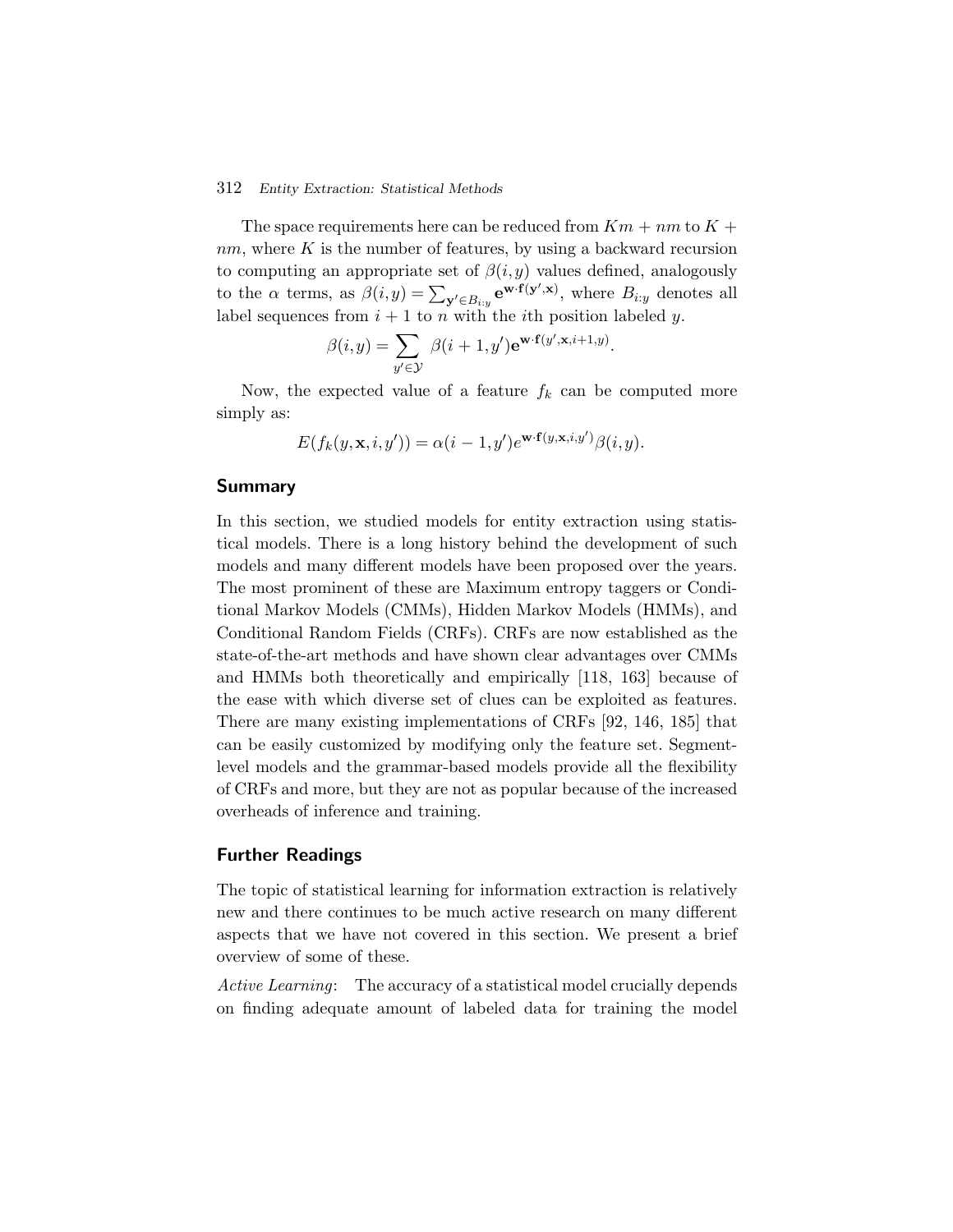The space requirements here can be reduced from  $Km + nm$  to  $K +$  $nm$ , where K is the number of features, by using a backward recursion to computing an appropriate set of  $\beta(i, y)$  values defined, analogously to the  $\alpha$  terms, as  $\beta(i, y) = \sum_{\mathbf{y}' \in B_{i:y}} \mathbf{e}^{\mathbf{w} \cdot \mathbf{f}(\mathbf{y}', \mathbf{x})}$ , where  $B_{i:y}$  denotes all label sequences from  $i + 1$  to n with the *i*th position labeled y.

$$
\beta(i,y) = \sum_{y' \in \mathcal{Y}} \beta(i+1,y') e^{\mathbf{w} \cdot \mathbf{f}(y',\mathbf{x},i+1,y)}.
$$

Now, the expected value of a feature  $f_k$  can be computed more simply as:

$$
E(f_k(y, \mathbf{x}, i, y')) = \alpha(i - 1, y')e^{\mathbf{w} \cdot \mathbf{f}(y, \mathbf{x}, i, y')} \beta(i, y).
$$

## **Summary**

In this section, we studied models for entity extraction using statistical models. There is a long history behind the development of such models and many different models have been proposed over the years. The most prominent of these are Maximum entropy taggers or Conditional Markov Models (CMMs), Hidden Markov Models (HMMs), and Conditional Random Fields (CRFs). CRFs are now established as the state-of-the-art methods and have shown clear advantages over CMMs and HMMs both theoretically and empirically [118, 163] because of the ease with which diverse set of clues can be exploited as features. There are many existing implementations of CRFs [92, 146, 185] that can be easily customized by modifying only the feature set. Segmentlevel models and the grammar-based models provide all the flexibility of CRFs and more, but they are not as popular because of the increased overheads of inference and training.

## **Further Readings**

The topic of statistical learning for information extraction is relatively new and there continues to be much active research on many different aspects that we have not covered in this section. We present a brief overview of some of these.

*Active Learning*: The accuracy of a statistical model crucially depends on finding adequate amount of labeled data for training the model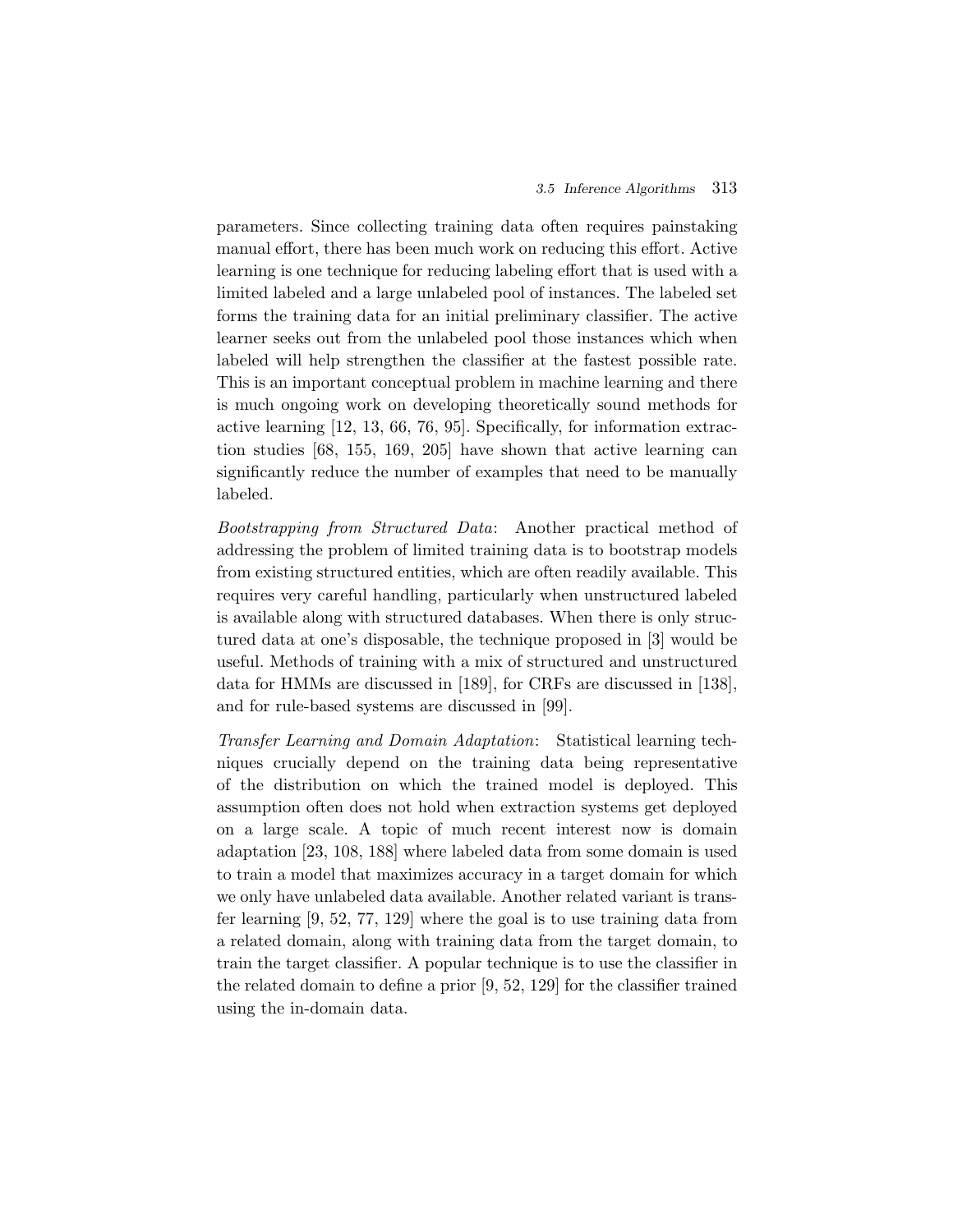parameters. Since collecting training data often requires painstaking manual effort, there has been much work on reducing this effort. Active learning is one technique for reducing labeling effort that is used with a limited labeled and a large unlabeled pool of instances. The labeled set forms the training data for an initial preliminary classifier. The active learner seeks out from the unlabeled pool those instances which when labeled will help strengthen the classifier at the fastest possible rate. This is an important conceptual problem in machine learning and there is much ongoing work on developing theoretically sound methods for active learning [12, 13, 66, 76, 95]. Specifically, for information extraction studies [68, 155, 169, 205] have shown that active learning can significantly reduce the number of examples that need to be manually labeled.

*Bootstrapping from Structured Data*: Another practical method of addressing the problem of limited training data is to bootstrap models from existing structured entities, which are often readily available. This requires very careful handling, particularly when unstructured labeled is available along with structured databases. When there is only structured data at one's disposable, the technique proposed in [3] would be useful. Methods of training with a mix of structured and unstructured data for HMMs are discussed in [189], for CRFs are discussed in [138], and for rule-based systems are discussed in [99].

*Transfer Learning and Domain Adaptation*: Statistical learning techniques crucially depend on the training data being representative of the distribution on which the trained model is deployed. This assumption often does not hold when extraction systems get deployed on a large scale. A topic of much recent interest now is domain adaptation [23, 108, 188] where labeled data from some domain is used to train a model that maximizes accuracy in a target domain for which we only have unlabeled data available. Another related variant is transfer learning [9, 52, 77, 129] where the goal is to use training data from a related domain, along with training data from the target domain, to train the target classifier. A popular technique is to use the classifier in the related domain to define a prior [9, 52, 129] for the classifier trained using the in-domain data.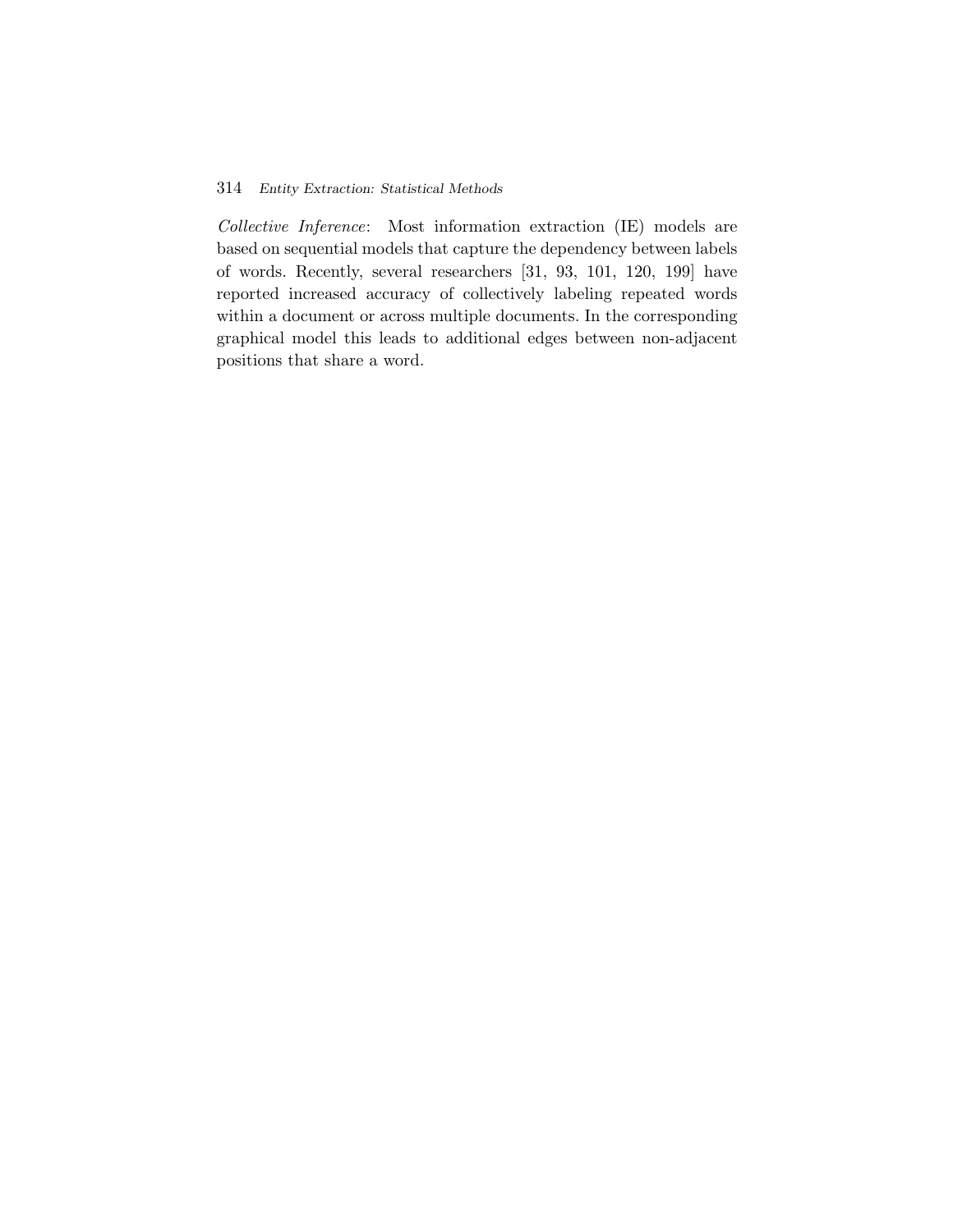*Collective Inference*: Most information extraction (IE) models are based on sequential models that capture the dependency between labels of words. Recently, several researchers [31, 93, 101, 120, 199] have reported increased accuracy of collectively labeling repeated words within a document or across multiple documents. In the corresponding graphical model this leads to additional edges between non-adjacent positions that share a word.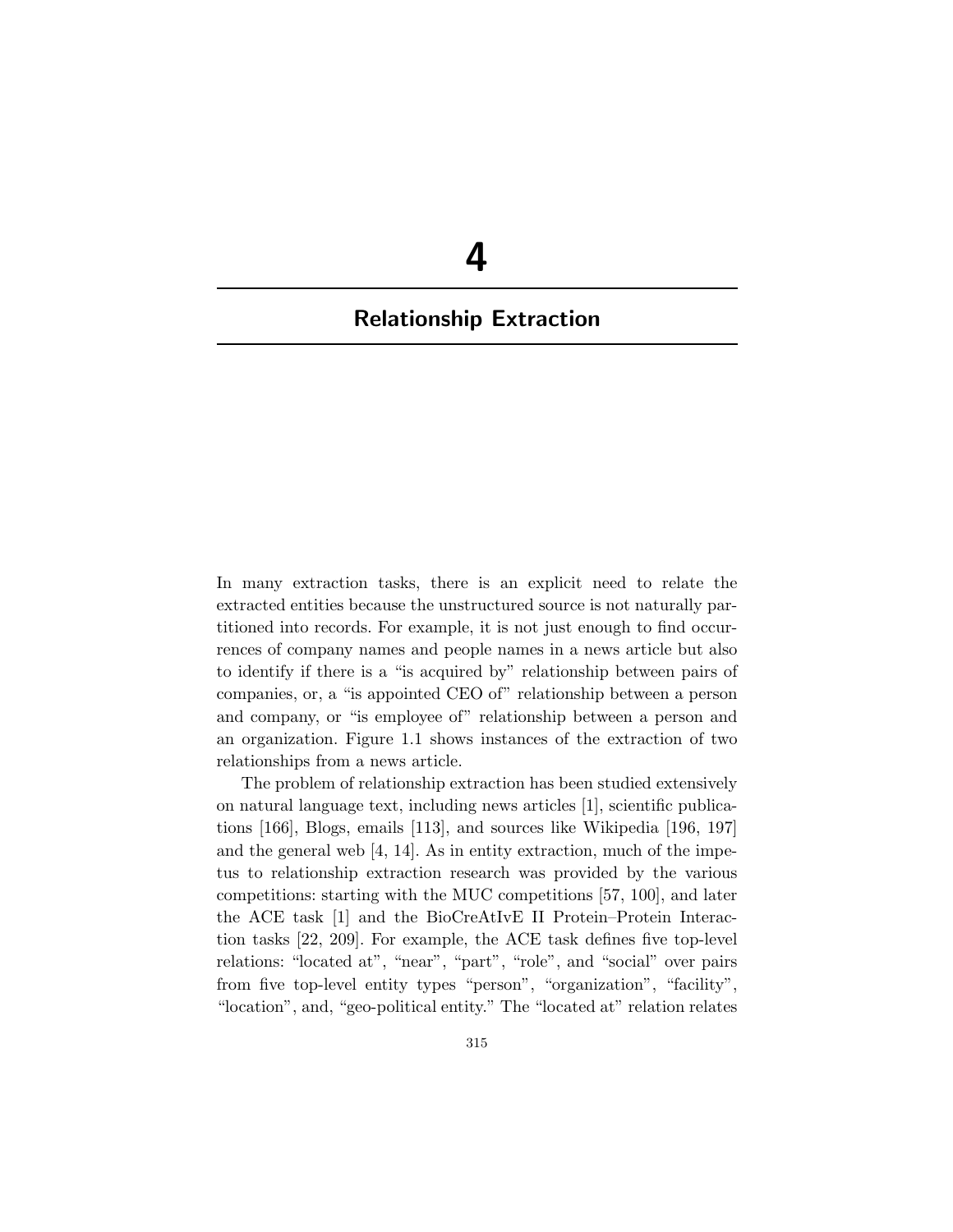# **4**

## **Relationship Extraction**

In many extraction tasks, there is an explicit need to relate the extracted entities because the unstructured source is not naturally partitioned into records. For example, it is not just enough to find occurrences of company names and people names in a news article but also to identify if there is a "is acquired by" relationship between pairs of companies, or, a "is appointed CEO of" relationship between a person and company, or "is employee of" relationship between a person and an organization. Figure 1.1 shows instances of the extraction of two relationships from a news article.

The problem of relationship extraction has been studied extensively on natural language text, including news articles [1], scientific publications [166], Blogs, emails [113], and sources like Wikipedia [196, 197] and the general web [4, 14]. As in entity extraction, much of the impetus to relationship extraction research was provided by the various competitions: starting with the MUC competitions [57, 100], and later the ACE task [1] and the BioCreAtIvE II Protein–Protein Interaction tasks [22, 209]. For example, the ACE task defines five top-level relations: "located at", "near", "part", "role", and "social" over pairs from five top-level entity types "person", "organization", "facility", "location", and, "geo-political entity." The "located at" relation relates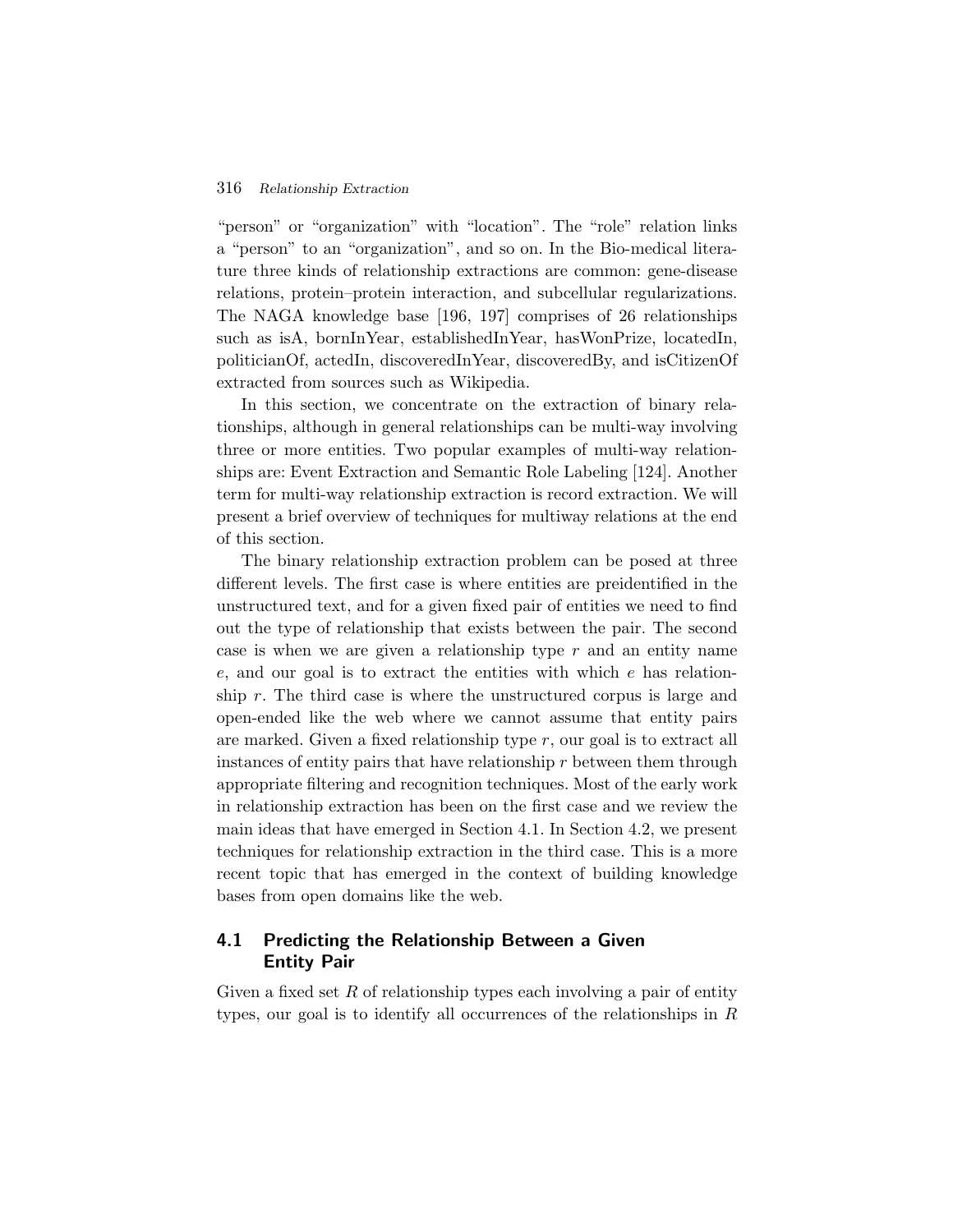"person" or "organization" with "location". The "role" relation links a "person" to an "organization", and so on. In the Bio-medical literature three kinds of relationship extractions are common: gene-disease relations, protein–protein interaction, and subcellular regularizations. The NAGA knowledge base [196, 197] comprises of 26 relationships such as isA, bornInYear, establishedInYear, hasWonPrize, locatedIn, politicianOf, actedIn, discoveredInYear, discoveredBy, and isCitizenOf extracted from sources such as Wikipedia.

In this section, we concentrate on the extraction of binary relationships, although in general relationships can be multi-way involving three or more entities. Two popular examples of multi-way relationships are: Event Extraction and Semantic Role Labeling [124]. Another term for multi-way relationship extraction is record extraction. We will present a brief overview of techniques for multiway relations at the end of this section.

The binary relationship extraction problem can be posed at three different levels. The first case is where entities are preidentified in the unstructured text, and for a given fixed pair of entities we need to find out the type of relationship that exists between the pair. The second case is when we are given a relationship type  $r$  and an entity name e, and our goal is to extract the entities with which e has relationship r. The third case is where the unstructured corpus is large and open-ended like the web where we cannot assume that entity pairs are marked. Given a fixed relationship type r, our goal is to extract all instances of entity pairs that have relationship  $r$  between them through appropriate filtering and recognition techniques. Most of the early work in relationship extraction has been on the first case and we review the main ideas that have emerged in Section 4.1. In Section 4.2, we present techniques for relationship extraction in the third case. This is a more recent topic that has emerged in the context of building knowledge bases from open domains like the web.

## **4.1 Predicting the Relationship Between a Given Entity Pair**

Given a fixed set  $R$  of relationship types each involving a pair of entity types, our goal is to identify all occurrences of the relationships in  $R$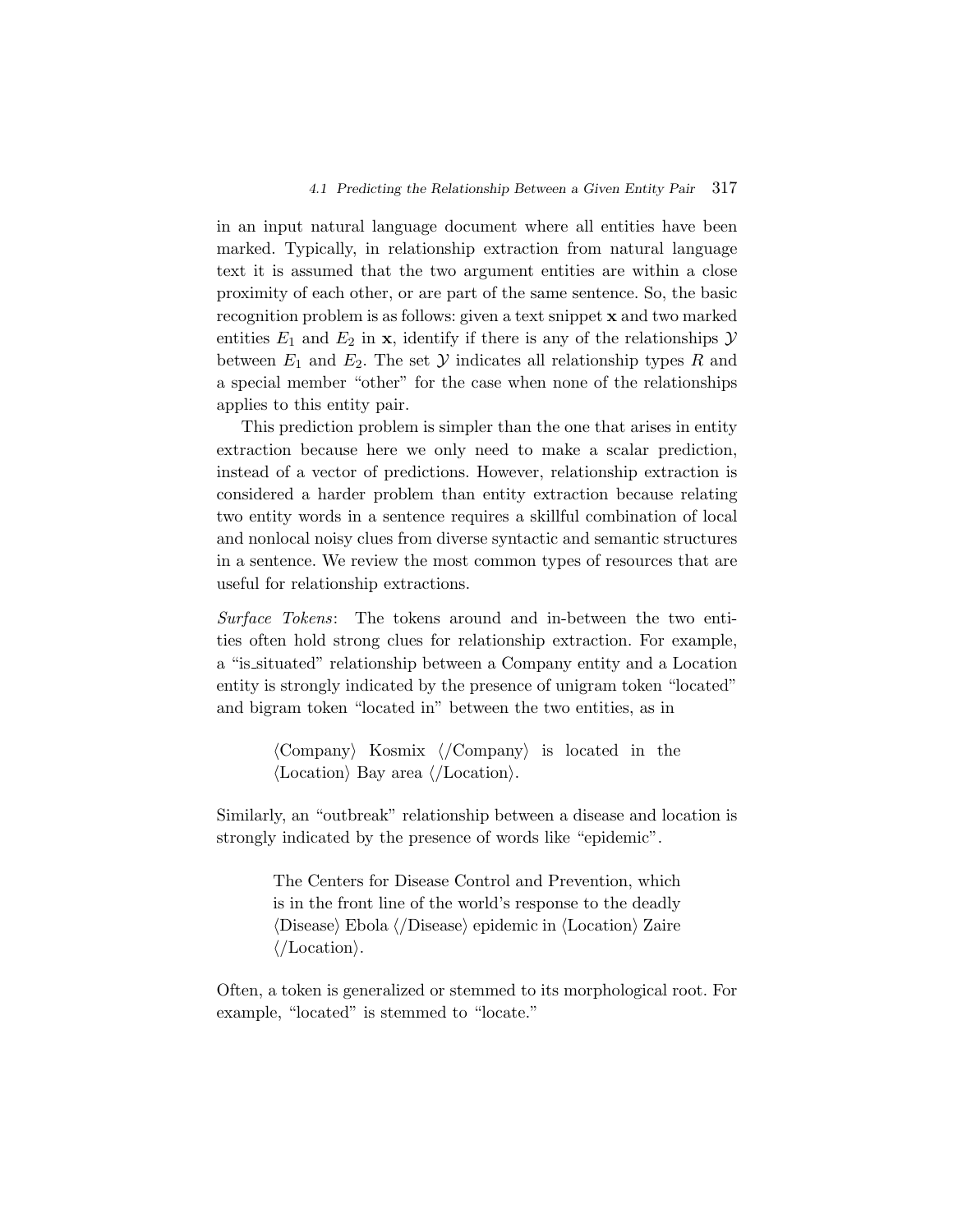in an input natural language document where all entities have been marked. Typically, in relationship extraction from natural language text it is assumed that the two argument entities are within a close proximity of each other, or are part of the same sentence. So, the basic recognition problem is as follows: given a text snippet **x** and two marked entities  $E_1$  and  $E_2$  in **x**, identify if there is any of the relationships  $\mathcal{Y}$ between  $E_1$  and  $E_2$ . The set  $\mathcal Y$  indicates all relationship types R and a special member "other" for the case when none of the relationships applies to this entity pair.

This prediction problem is simpler than the one that arises in entity extraction because here we only need to make a scalar prediction, instead of a vector of predictions. However, relationship extraction is considered a harder problem than entity extraction because relating two entity words in a sentence requires a skillful combination of local and nonlocal noisy clues from diverse syntactic and semantic structures in a sentence. We review the most common types of resources that are useful for relationship extractions.

*Surface Tokens*: The tokens around and in-between the two entities often hold strong clues for relationship extraction. For example, a "is situated" relationship between a Company entity and a Location entity is strongly indicated by the presence of unigram token "located" and bigram token "located in" between the two entities, as in

> $\langle \text{Compary} \rangle$  Kosmix  $\langle \text{Compary} \rangle$  is located in the  $\langle$ Location $\rangle$  Bay area  $\langle$ /Location $\rangle$ .

Similarly, an "outbreak" relationship between a disease and location is strongly indicated by the presence of words like "epidemic".

> The Centers for Disease Control and Prevention, which is in the front line of the world's response to the deadly  $\langle$ Disease $\rangle$  Ebola  $\langle$ /Disease $\rangle$  epidemic in  $\langle$ Location $\rangle$  Zaire  $\langle$ /Location $\rangle$ .

Often, a token is generalized or stemmed to its morphological root. For example, "located" is stemmed to "locate."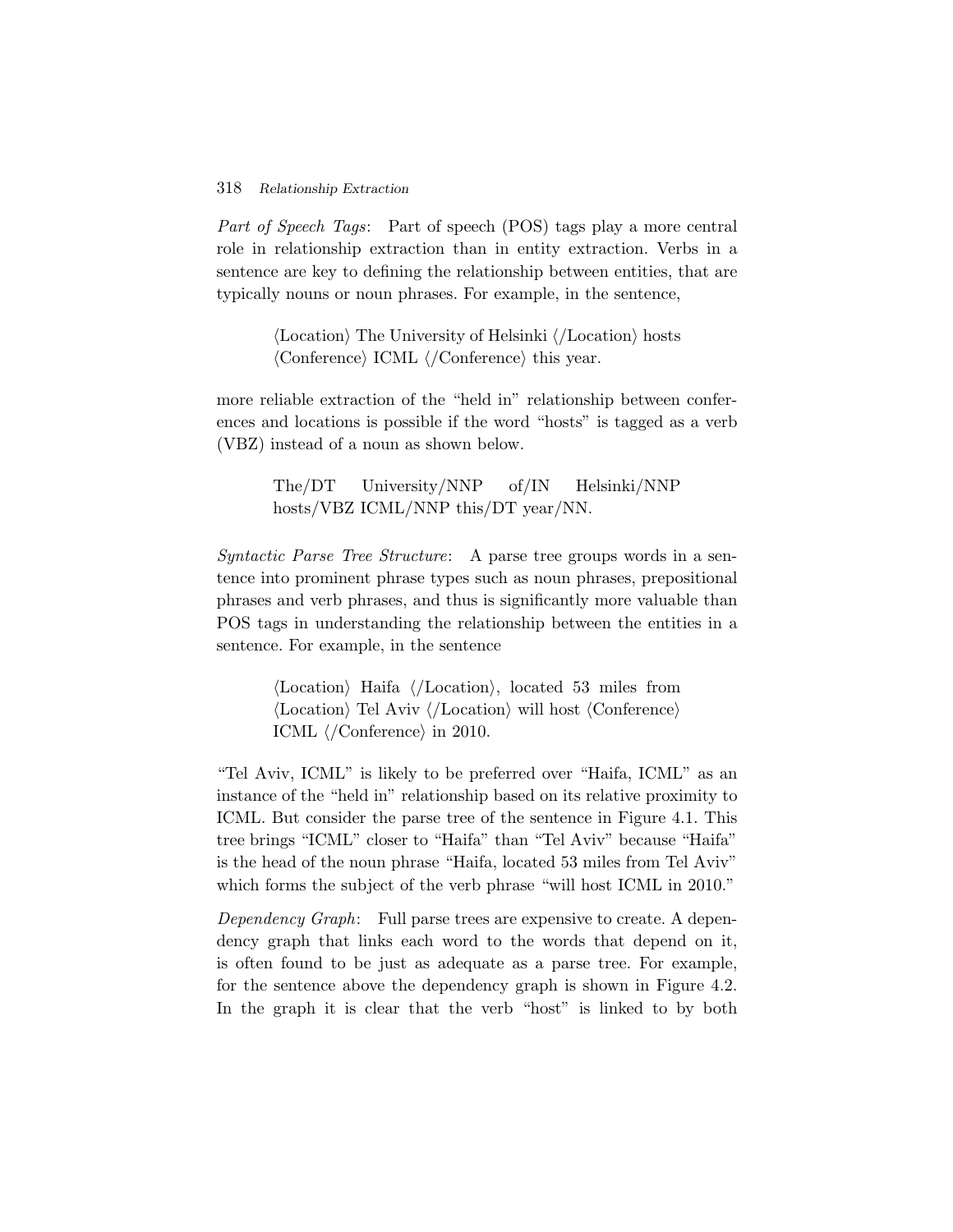*Part of Speech Tags*: Part of speech (POS) tags play a more central role in relationship extraction than in entity extraction. Verbs in a sentence are key to defining the relationship between entities, that are typically nouns or noun phrases. For example, in the sentence,

> $\langle$ Location $\rangle$  The University of Helsinki  $\langle$ /Location $\rangle$  hosts  $\langle$ Conference $\rangle$  ICML  $\langle$ /Conference $\rangle$  this year.

more reliable extraction of the "held in" relationship between conferences and locations is possible if the word "hosts" is tagged as a verb (VBZ) instead of a noun as shown below.

> The/DT University/NNP of/IN Helsinki/NNP hosts/VBZ ICML/NNP this/DT year/NN.

*Syntactic Parse Tree Structure*: A parse tree groups words in a sentence into prominent phrase types such as noun phrases, prepositional phrases and verb phrases, and thus is significantly more valuable than POS tags in understanding the relationship between the entities in a sentence. For example, in the sentence

> $\langle$ Location $\rangle$  Haifa  $\langle$ /Location $\rangle$ , located 53 miles from  $\langle$ Location $\rangle$  Tel Aviv  $\langle$ /Location $\rangle$  will host  $\langle$ Conference $\rangle$ ICML  $\langle$ /Conference $\rangle$  in 2010.

"Tel Aviv, ICML" is likely to be preferred over "Haifa, ICML" as an instance of the "held in" relationship based on its relative proximity to ICML. But consider the parse tree of the sentence in Figure 4.1. This tree brings "ICML" closer to "Haifa" than "Tel Aviv" because "Haifa" is the head of the noun phrase "Haifa, located 53 miles from Tel Aviv" which forms the subject of the verb phrase "will host ICML in 2010."

*Dependency Graph*: Full parse trees are expensive to create. A dependency graph that links each word to the words that depend on it, is often found to be just as adequate as a parse tree. For example, for the sentence above the dependency graph is shown in Figure 4.2. In the graph it is clear that the verb "host" is linked to by both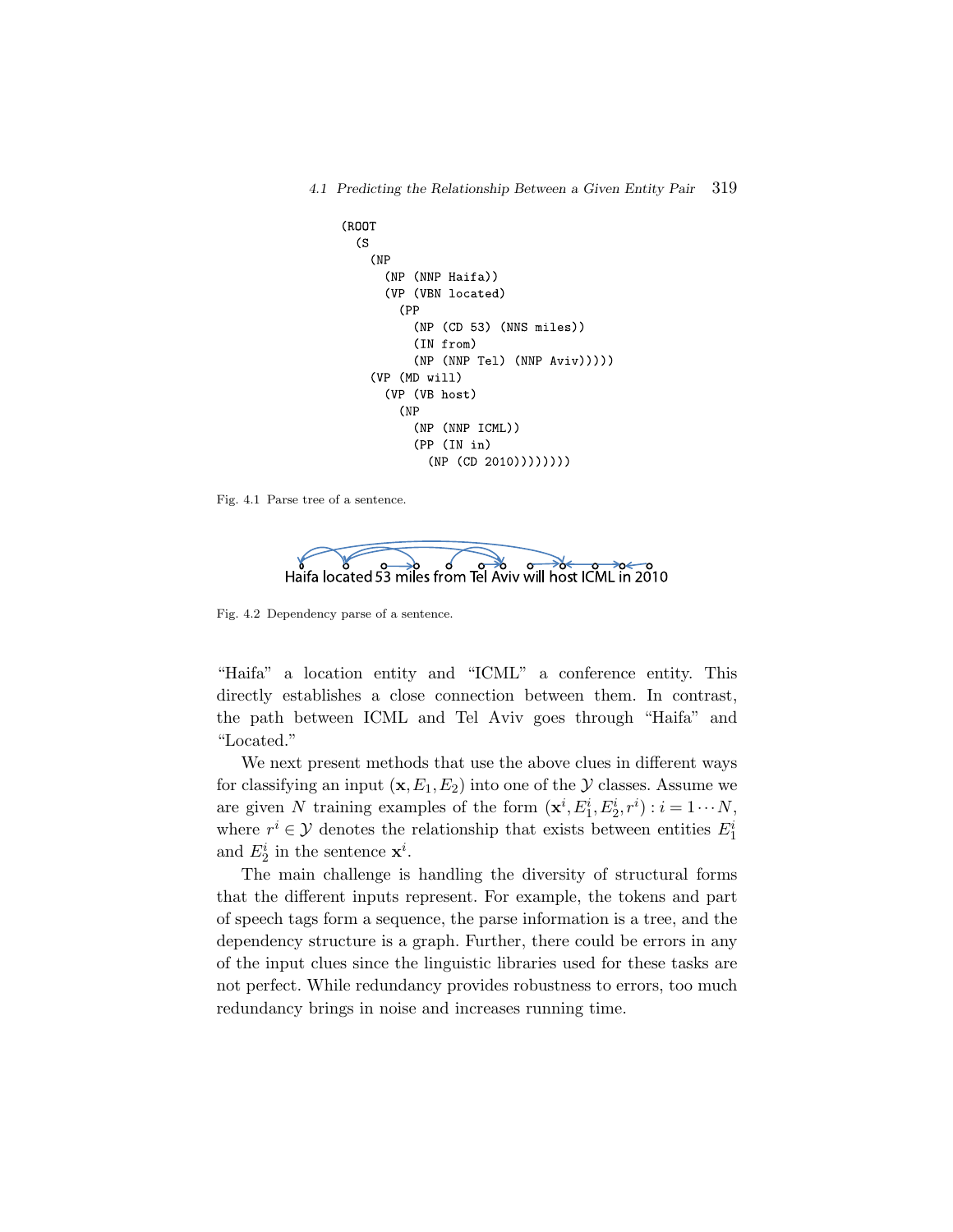*4.1 Predicting the Relationship Between a Given Entity Pair* 319

```
(R00T
(S)(NP)(NP (NNP Haifa))
    (VP (VBN located)
      (PP)(NP (CD 53) (NNS miles))(IN from)
        (NP (NNP Tel) (NNP Aviv)))))(VP (MD will)
    (VP (VB host)
      (NP)(NP (NNP ICML))(PP (IN in)(NP (CD 2010))))) ))
```
Fig. 4.1 Parse tree of a sentence.



Fig. 4.2 Dependency parse of a sentence.

"Haifa" a location entity and "ICML" a conference entity. This directly establishes a close connection between them. In contrast, the path between ICML and Tel Aviv goes through "Haifa" and "Located."

We next present methods that use the above clues in different ways for classifying an input  $(\mathbf{x},E_1,E_2)$  into one of the  $\mathcal Y$  classes. Assume we are given N training examples of the form  $(\mathbf{x}^i, E_1^i, E_2^i, r^i) : i = 1 \cdots N$ , where  $r^i \in \mathcal{Y}$  denotes the relationship that exists between entities  $E_1^i$ and  $E_2^i$  in the sentence  $\mathbf{x}^i$ .

The main challenge is handling the diversity of structural forms that the different inputs represent. For example, the tokens and part of speech tags form a sequence, the parse information is a tree, and the dependency structure is a graph. Further, there could be errors in any of the input clues since the linguistic libraries used for these tasks are not perfect. While redundancy provides robustness to errors, too much redundancy brings in noise and increases running time.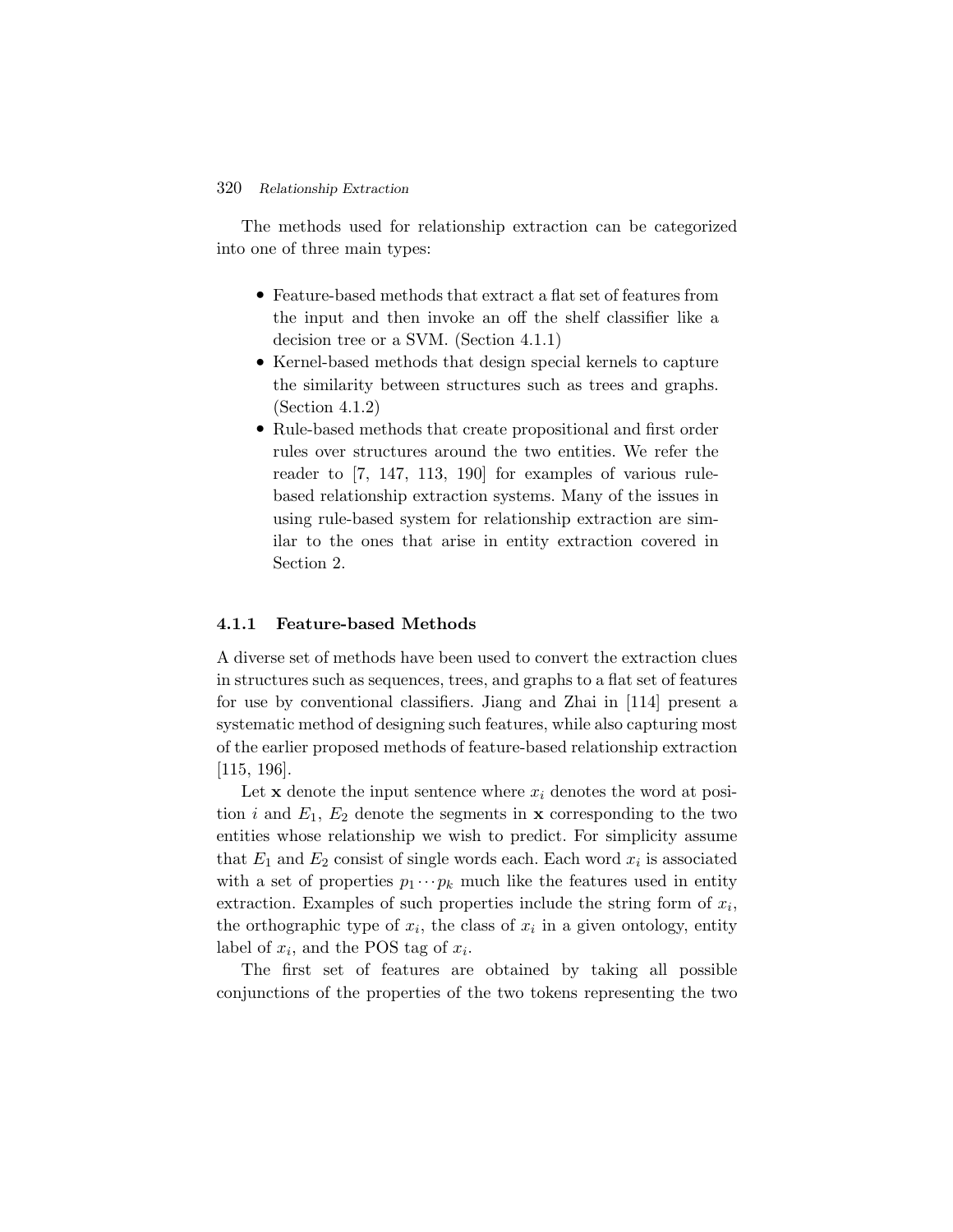The methods used for relationship extraction can be categorized into one of three main types:

- Feature-based methods that extract a flat set of features from the input and then invoke an off the shelf classifier like a decision tree or a SVM. (Section 4.1.1)
- Kernel-based methods that design special kernels to capture the similarity between structures such as trees and graphs. (Section 4.1.2)
- Rule-based methods that create propositional and first order rules over structures around the two entities. We refer the reader to [7, 147, 113, 190] for examples of various rulebased relationship extraction systems. Many of the issues in using rule-based system for relationship extraction are similar to the ones that arise in entity extraction covered in Section 2.

## **4.1.1 Feature-based Methods**

A diverse set of methods have been used to convert the extraction clues in structures such as sequences, trees, and graphs to a flat set of features for use by conventional classifiers. Jiang and Zhai in [114] present a systematic method of designing such features, while also capturing most of the earlier proposed methods of feature-based relationship extraction [115, 196].

Let **x** denote the input sentence where  $x_i$  denotes the word at position i and  $E_1, E_2$  denote the segments in **x** corresponding to the two entities whose relationship we wish to predict. For simplicity assume that  $E_1$  and  $E_2$  consist of single words each. Each word  $x_i$  is associated with a set of properties  $p_1 \cdots p_k$  much like the features used in entity extraction. Examples of such properties include the string form of  $x_i$ , the orthographic type of  $x_i$ , the class of  $x_i$  in a given ontology, entity label of  $x_i$ , and the POS tag of  $x_i$ .

The first set of features are obtained by taking all possible conjunctions of the properties of the two tokens representing the two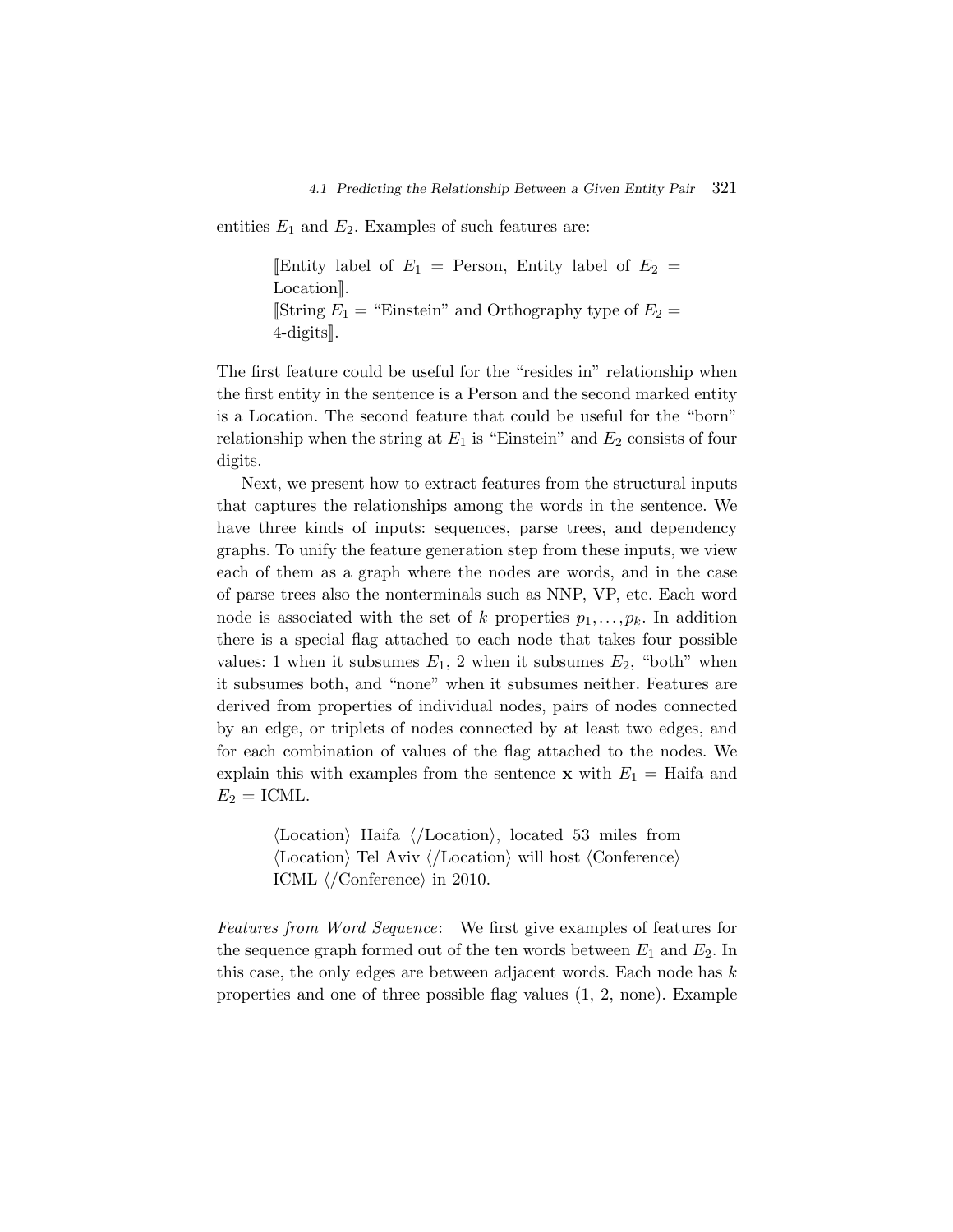entities  $E_1$  and  $E_2$ . Examples of such features are:

[Entity label of  $E_1$  = Person, Entity label of  $E_2$  = Location]]. [String  $E_1$  = "Einstein" and Orthography type of  $E_2$  = 4-digits]].

The first feature could be useful for the "resides in" relationship when the first entity in the sentence is a Person and the second marked entity is a Location. The second feature that could be useful for the "born" relationship when the string at  $E_1$  is "Einstein" and  $E_2$  consists of four digits.

Next, we present how to extract features from the structural inputs that captures the relationships among the words in the sentence. We have three kinds of inputs: sequences, parse trees, and dependency graphs. To unify the feature generation step from these inputs, we view each of them as a graph where the nodes are words, and in the case of parse trees also the nonterminals such as NNP, VP, etc. Each word node is associated with the set of k properties  $p_1, \ldots, p_k$ . In addition there is a special flag attached to each node that takes four possible values: 1 when it subsumes  $E_1$ , 2 when it subsumes  $E_2$ , "both" when it subsumes both, and "none" when it subsumes neither. Features are derived from properties of individual nodes, pairs of nodes connected by an edge, or triplets of nodes connected by at least two edges, and for each combination of values of the flag attached to the nodes. We explain this with examples from the sentence **x** with  $E_1 = \text{Haifa}$  and  $E_2 = \text{ICML}.$ 

> $\langle$ Location $\rangle$  Haifa  $\langle$ /Location $\rangle$ , located 53 miles from  $\langle$  Location $\rangle$  Tel Aviv  $\langle$  /Location $\rangle$  will host  $\langle$  Conference $\rangle$ ICML  $\langle$ /Conference $\rangle$  in 2010.

*Features from Word Sequence*: We first give examples of features for the sequence graph formed out of the ten words between  $E_1$  and  $E_2$ . In this case, the only edges are between adjacent words. Each node has  $k$ properties and one of three possible flag values (1, 2, none). Example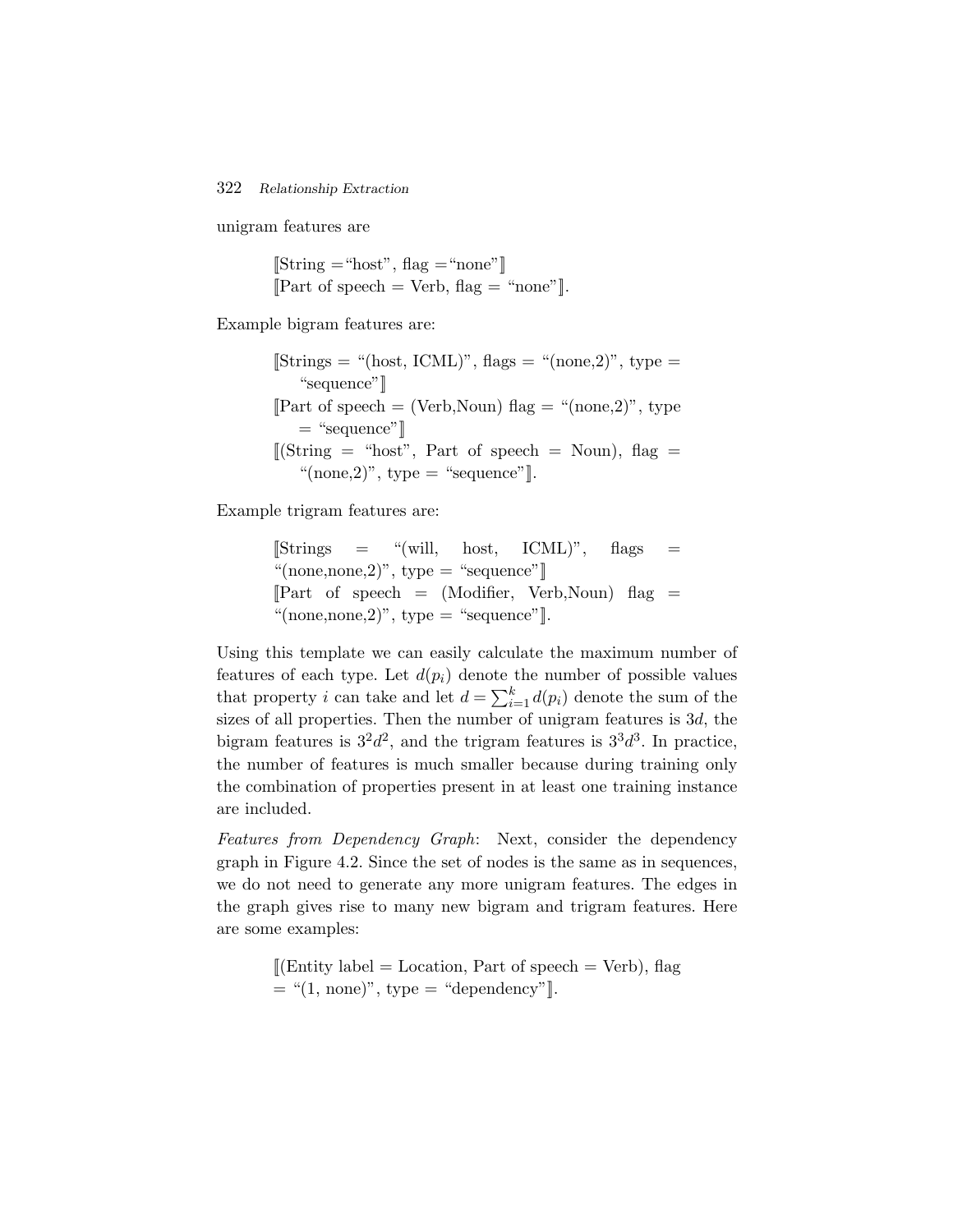unigram features are

 $[\text{String} = \text{``host''}, \text{flag} = \text{``none''}]$ [Part of speech = Verb,  $flag = "none"$ ].

Example bigram features are:

 $[Strings = "(host, ICML)", flags = "(none,2)", type =$ "sequence"]] [Part of speech = (Verb, Noun) flag = "(none, 2)", type  $=$  "sequence"  $[(String = "host", Part of speech = Noun), flag =$ "(none,2)", type  $=$  "sequence"].

Example trigram features are:

[[Strings = "(will, host, ICML)", flags = "(none,none,2)", type = "sequence"]] [[Part of speech = (Modifier, Verb,Noun) flag = "(none,none,2)", type = "sequence"]].

Using this template we can easily calculate the maximum number of features of each type. Let  $d(p_i)$  denote the number of possible values that property *i* can take and let  $d = \sum_{i=1}^{k} d(p_i)$  denote the sum of the sizes of all properties. Then the number of unigram features is  $3d$ , the bigram features is  $3^2d^2$ , and the trigram features is  $3^3d^3$ . In practice, the number of features is much smaller because during training only the combination of properties present in at least one training instance are included.

*Features from Dependency Graph*: Next, consider the dependency graph in Figure 4.2. Since the set of nodes is the same as in sequences, we do not need to generate any more unigram features. The edges in the graph gives rise to many new bigram and trigram features. Here are some examples:

> $[$ (Entity label = Location, Part of speech = Verb), flag  $=$  " $(1, none)$ ", type  $=$  "dependency"].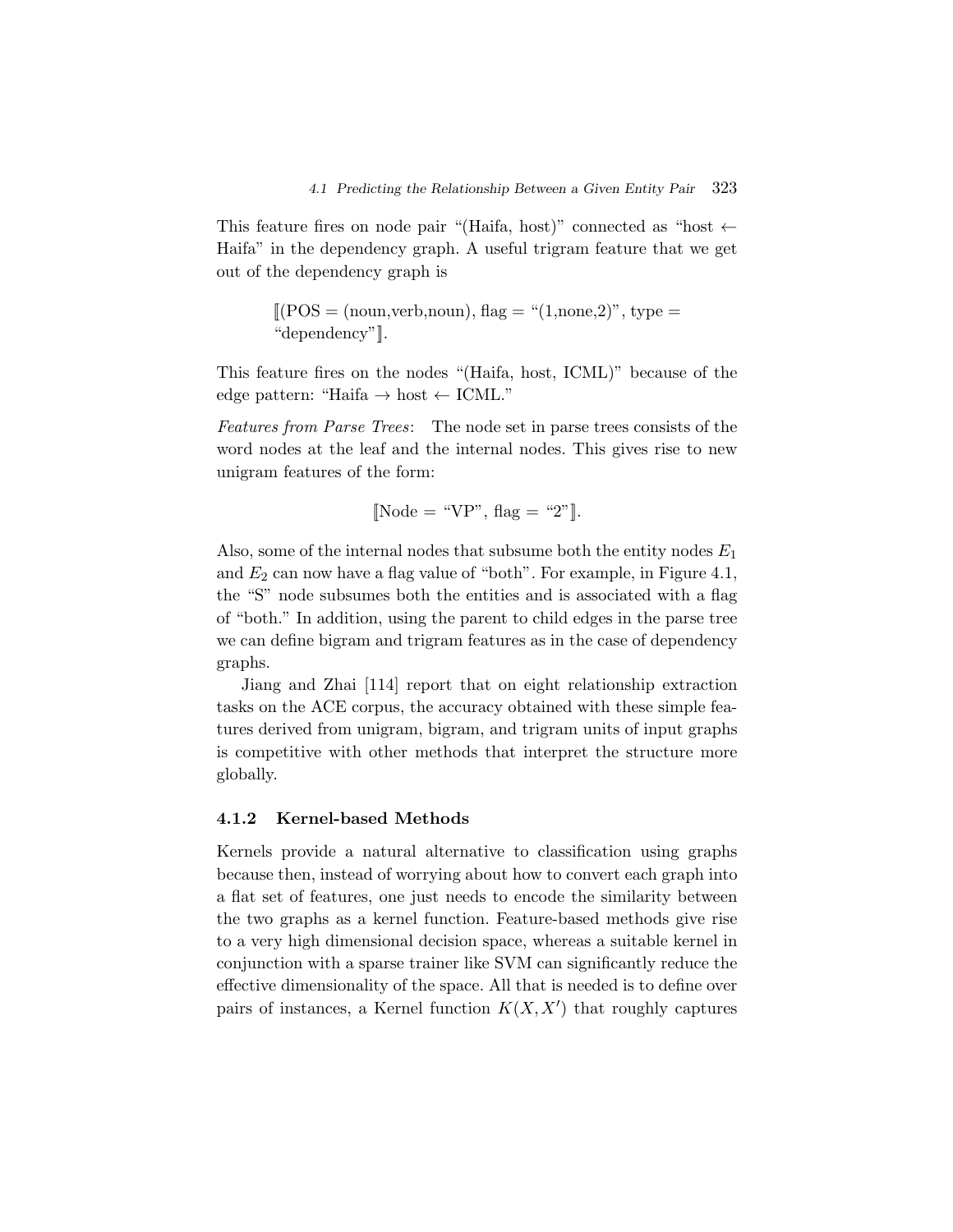This feature fires on node pair "(Haifa, host)" connected as "host  $\leftarrow$ Haifa" in the dependency graph. A useful trigram feature that we get out of the dependency graph is

> $[(POS = (noun, verb, noun), flag = ((1,none,2))$ <sup>n</sup>, type = "dependency"]].

This feature fires on the nodes "(Haifa, host, ICML)" because of the edge pattern: "Haifa  $\rightarrow$  host  $\leftarrow$  ICML."

*Features from Parse Trees*: The node set in parse trees consists of the word nodes at the leaf and the internal nodes. This gives rise to new unigram features of the form:

$$
[\text{Node} = \text{``VP"}\text{, flag} = \text{``2"}].
$$

Also, some of the internal nodes that subsume both the entity nodes  $E_1$ and  $E_2$  can now have a flag value of "both". For example, in Figure 4.1, the "S" node subsumes both the entities and is associated with a flag of "both." In addition, using the parent to child edges in the parse tree we can define bigram and trigram features as in the case of dependency graphs.

Jiang and Zhai [114] report that on eight relationship extraction tasks on the ACE corpus, the accuracy obtained with these simple features derived from unigram, bigram, and trigram units of input graphs is competitive with other methods that interpret the structure more globally.

## **4.1.2 Kernel-based Methods**

Kernels provide a natural alternative to classification using graphs because then, instead of worrying about how to convert each graph into a flat set of features, one just needs to encode the similarity between the two graphs as a kernel function. Feature-based methods give rise to a very high dimensional decision space, whereas a suitable kernel in conjunction with a sparse trainer like SVM can significantly reduce the effective dimensionality of the space. All that is needed is to define over pairs of instances, a Kernel function  $K(X, X')$  that roughly captures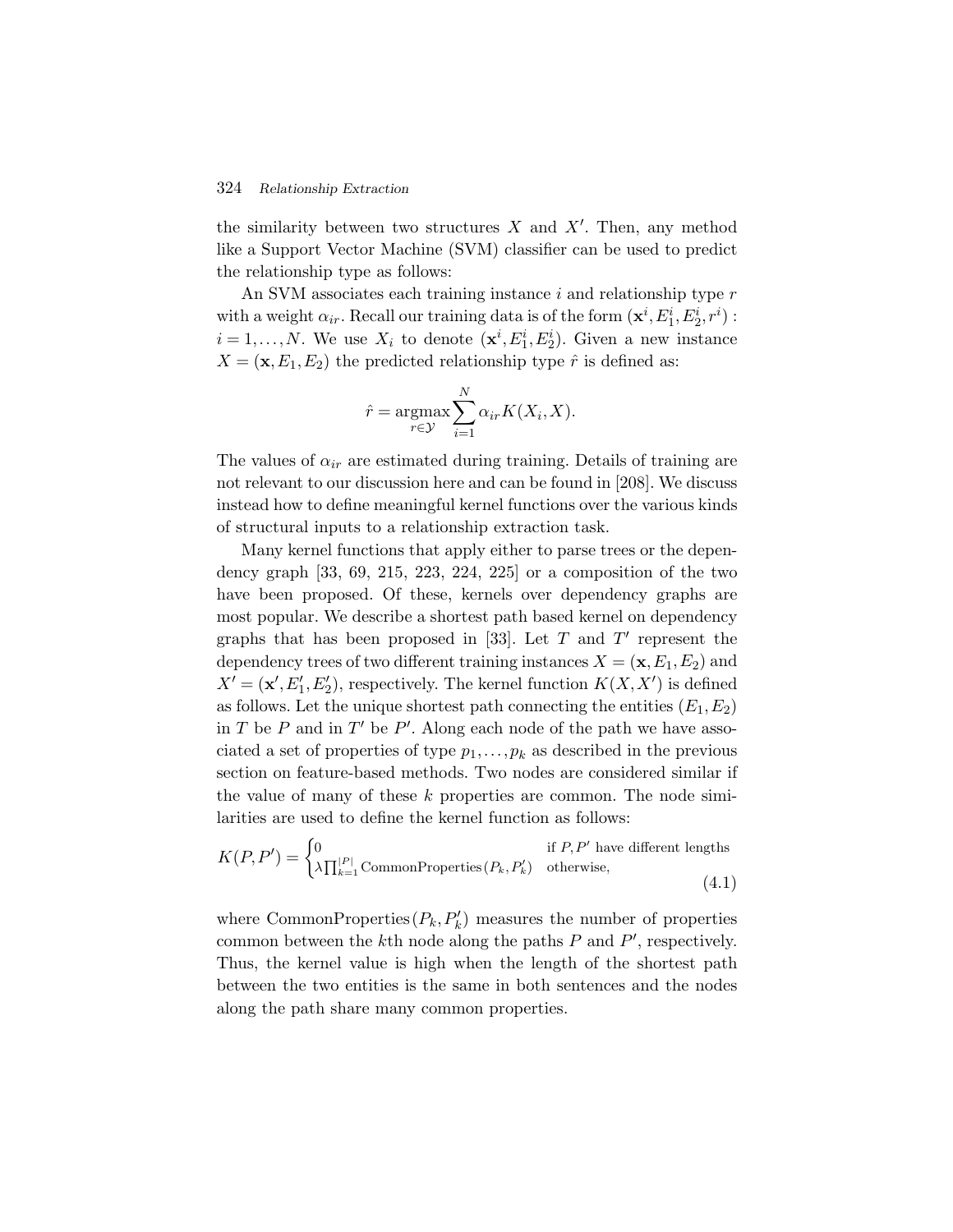the similarity between two structures  $X$  and  $X'$ . Then, any method like a Support Vector Machine (SVM) classifier can be used to predict the relationship type as follows:

An SVM associates each training instance i and relationship type r with a weight  $\alpha_{ir}$ . Recall our training data is of the form  $(\mathbf{x}^i, E_1^i, E_2^i, r^i)$ :  $i = 1, \ldots, N$ . We use  $X_i$  to denote  $(\mathbf{x}^i, E_1^i, E_2^i)$ . Given a new instance  $X = (\mathbf{x}, E_1, E_2)$  the predicted relationship type  $\hat{r}$  is defined as:

$$
\hat{r} = \underset{r \in \mathcal{Y}}{\operatorname{argmax}} \sum_{i=1}^{N} \alpha_{ir} K(X_i, X).
$$

The values of  $\alpha_{ir}$  are estimated during training. Details of training are not relevant to our discussion here and can be found in [208]. We discuss instead how to define meaningful kernel functions over the various kinds of structural inputs to a relationship extraction task.

Many kernel functions that apply either to parse trees or the dependency graph [33, 69, 215, 223, 224, 225] or a composition of the two have been proposed. Of these, kernels over dependency graphs are most popular. We describe a shortest path based kernel on dependency graphs that has been proposed in [33]. Let T and  $T'$  represent the dependency trees of two different training instances  $X = (\mathbf{x}, E_1, E_2)$  and  $X' = (\mathbf{x}', E'_1, E'_2)$ , respectively. The kernel function  $K(X, X')$  is defined as follows. Let the unique shortest path connecting the entities  $(E_1, E_2)$ in T be P and in T' be P'. Along each node of the path we have associated a set of properties of type  $p_1, \ldots, p_k$  as described in the previous section on feature-based methods. Two nodes are considered similar if the value of many of these  $k$  properties are common. The node similarities are used to define the kernel function as follows:

$$
K(P, P') = \begin{cases} 0 & \text{if } P, P' \text{ have different lengths} \\ \lambda \prod_{k=1}^{|P|} \text{CommonProperties}(P_k, P'_k) & \text{otherwise,} \end{cases}
$$
(4.1)

where CommonProperties  $(P_k, P'_k)$  measures the number of properties common between the  $k$ <sup>th</sup> node along the paths  $P$  and  $P'$ , respectively. Thus, the kernel value is high when the length of the shortest path between the two entities is the same in both sentences and the nodes along the path share many common properties.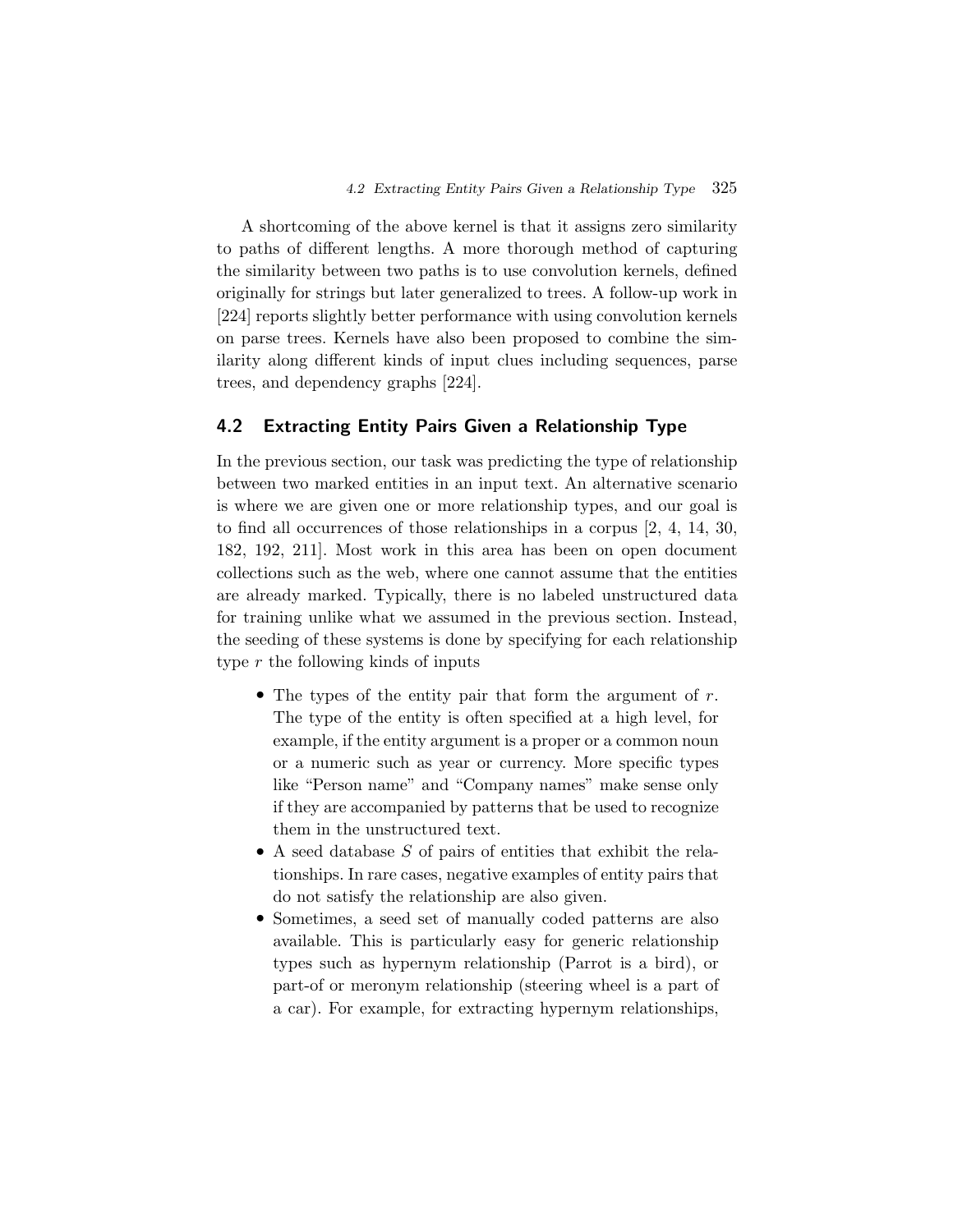A shortcoming of the above kernel is that it assigns zero similarity to paths of different lengths. A more thorough method of capturing the similarity between two paths is to use convolution kernels, defined originally for strings but later generalized to trees. A follow-up work in [224] reports slightly better performance with using convolution kernels on parse trees. Kernels have also been proposed to combine the similarity along different kinds of input clues including sequences, parse trees, and dependency graphs [224].

## **4.2 Extracting Entity Pairs Given a Relationship Type**

In the previous section, our task was predicting the type of relationship between two marked entities in an input text. An alternative scenario is where we are given one or more relationship types, and our goal is to find all occurrences of those relationships in a corpus [2, 4, 14, 30, 182, 192, 211]. Most work in this area has been on open document collections such as the web, where one cannot assume that the entities are already marked. Typically, there is no labeled unstructured data for training unlike what we assumed in the previous section. Instead, the seeding of these systems is done by specifying for each relationship type  $r$  the following kinds of inputs

- The types of the entity pair that form the argument of  $r$ . The type of the entity is often specified at a high level, for example, if the entity argument is a proper or a common noun or a numeric such as year or currency. More specific types like "Person name" and "Company names" make sense only if they are accompanied by patterns that be used to recognize them in the unstructured text.
- A seed database S of pairs of entities that exhibit the relationships. In rare cases, negative examples of entity pairs that do not satisfy the relationship are also given.
- Sometimes, a seed set of manually coded patterns are also available. This is particularly easy for generic relationship types such as hypernym relationship (Parrot is a bird), or part-of or meronym relationship (steering wheel is a part of a car). For example, for extracting hypernym relationships,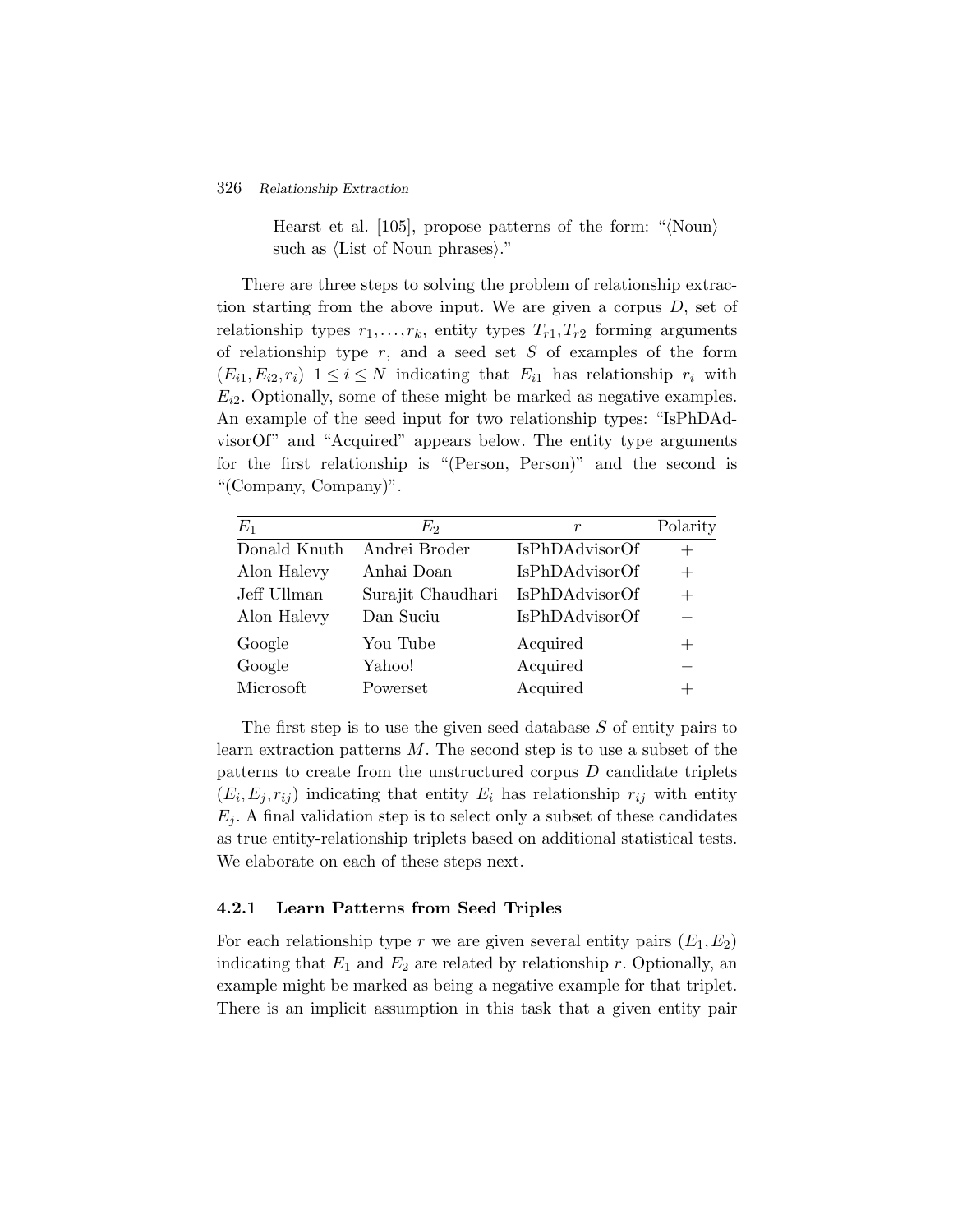Hearst et al. [105], propose patterns of the form: " $\langle \text{Noun} \rangle$ such as  $\langle$ List of Noun phrases $\rangle$ ."

There are three steps to solving the problem of relationship extraction starting from the above input. We are given a corpus  $D$ , set of relationship types  $r_1, \ldots, r_k$ , entity types  $T_{r1}, T_{r2}$  forming arguments of relationship type  $r$ , and a seed set  $S$  of examples of the form  $(E_{i1},E_{i2},r_i)$   $1 \leq i \leq N$  indicating that  $E_{i1}$  has relationship  $r_i$  with  $E_{i2}$ . Optionally, some of these might be marked as negative examples. An example of the seed input for two relationship types: "IsPhDAdvisorOf" and "Acquired" appears below. The entity type arguments for the first relationship is "(Person, Person)" and the second is "(Company, Company)".

| $E_1$        | $E_2$             | r                     | Polarity |
|--------------|-------------------|-----------------------|----------|
| Donald Knuth | Andrei Broder     | <b>IsPhDAdvisorOf</b> | $^{+}$   |
| Alon Halevy  | Anhai Doan        | <b>IsPhDAdvisorOf</b> | $^{+}$   |
| Jeff Ullman  | Surajit Chaudhari | <b>IsPhDAdvisorOf</b> | $^{+}$   |
| Alon Halevy  | Dan Suciu         | <b>IsPhDAdvisorOf</b> |          |
| Google       | You Tube          | Acquired              | $\, +$   |
| Google       | Yahoo!            | Acquired              |          |
| Microsoft    | Powerset          | Acquired              |          |

The first step is to use the given seed database  $S$  of entity pairs to learn extraction patterns M. The second step is to use a subset of the patterns to create from the unstructured corpus D candidate triplets  $(E_i, E_j, r_{ij})$  indicating that entity  $E_i$  has relationship  $r_{ij}$  with entity  $E_i$ . A final validation step is to select only a subset of these candidates as true entity-relationship triplets based on additional statistical tests. We elaborate on each of these steps next.

## **4.2.1 Learn Patterns from Seed Triples**

For each relationship type r we are given several entity pairs  $(E_1, E_2)$ indicating that  $E_1$  and  $E_2$  are related by relationship r. Optionally, an example might be marked as being a negative example for that triplet. There is an implicit assumption in this task that a given entity pair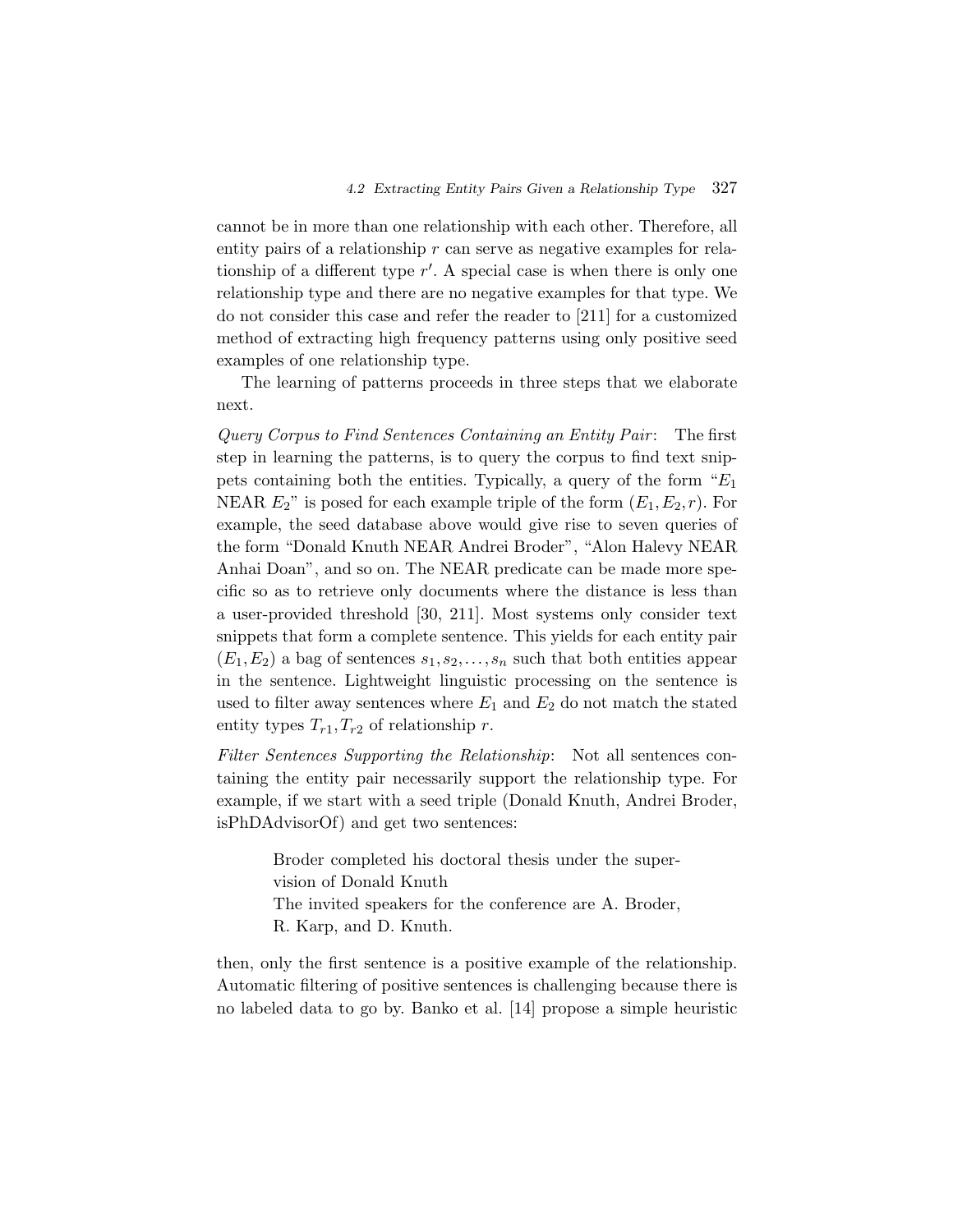cannot be in more than one relationship with each other. Therefore, all entity pairs of a relationship  $r$  can serve as negative examples for relationship of a different type  $r'$ . A special case is when there is only one relationship type and there are no negative examples for that type. We do not consider this case and refer the reader to [211] for a customized method of extracting high frequency patterns using only positive seed examples of one relationship type.

The learning of patterns proceeds in three steps that we elaborate next.

*Query Corpus to Find Sentences Containing an Entity Pair* : The first step in learning the patterns, is to query the corpus to find text snippets containing both the entities. Typically, a query of the form  $E_1$ NEAR  $E_2$ " is posed for each example triple of the form  $(E_1, E_2, r)$ . For example, the seed database above would give rise to seven queries of the form "Donald Knuth NEAR Andrei Broder", "Alon Halevy NEAR Anhai Doan", and so on. The NEAR predicate can be made more specific so as to retrieve only documents where the distance is less than a user-provided threshold [30, 211]. Most systems only consider text snippets that form a complete sentence. This yields for each entity pair  $(E_1,E_2)$  a bag of sentences  $s_1,s_2,\ldots,s_n$  such that both entities appear in the sentence. Lightweight linguistic processing on the sentence is used to filter away sentences where  $E_1$  and  $E_2$  do not match the stated entity types  $T_{r1}, T_{r2}$  of relationship r.

*Filter Sentences Supporting the Relationship*: Not all sentences containing the entity pair necessarily support the relationship type. For example, if we start with a seed triple (Donald Knuth, Andrei Broder, isPhDAdvisorOf) and get two sentences:

> Broder completed his doctoral thesis under the supervision of Donald Knuth The invited speakers for the conference are A. Broder, R. Karp, and D. Knuth.

then, only the first sentence is a positive example of the relationship. Automatic filtering of positive sentences is challenging because there is no labeled data to go by. Banko et al. [14] propose a simple heuristic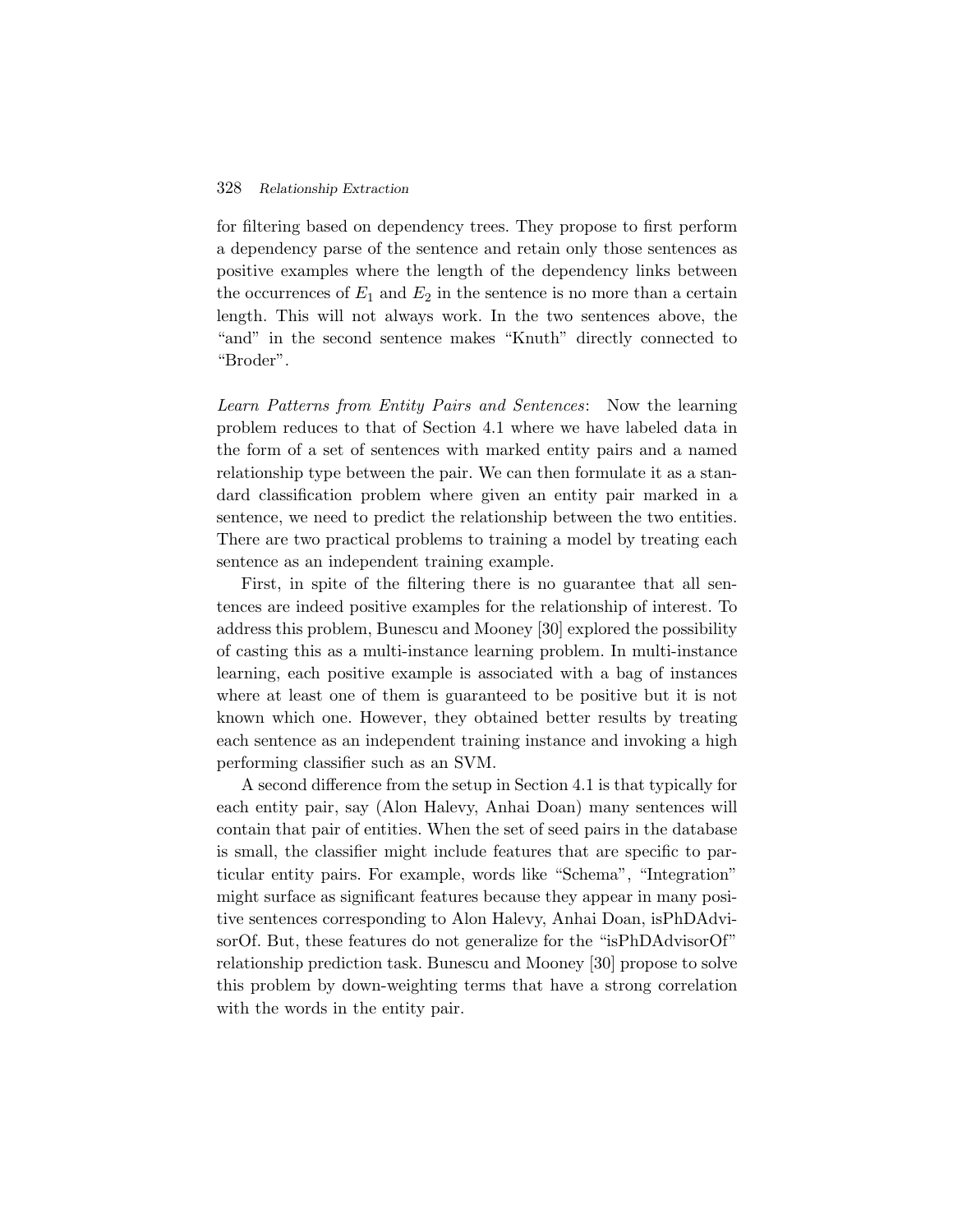for filtering based on dependency trees. They propose to first perform a dependency parse of the sentence and retain only those sentences as positive examples where the length of the dependency links between the occurrences of  $E_1$  and  $E_2$  in the sentence is no more than a certain length. This will not always work. In the two sentences above, the "and" in the second sentence makes "Knuth" directly connected to "Broder".

*Learn Patterns from Entity Pairs and Sentences*: Now the learning problem reduces to that of Section 4.1 where we have labeled data in the form of a set of sentences with marked entity pairs and a named relationship type between the pair. We can then formulate it as a standard classification problem where given an entity pair marked in a sentence, we need to predict the relationship between the two entities. There are two practical problems to training a model by treating each sentence as an independent training example.

First, in spite of the filtering there is no guarantee that all sentences are indeed positive examples for the relationship of interest. To address this problem, Bunescu and Mooney [30] explored the possibility of casting this as a multi-instance learning problem. In multi-instance learning, each positive example is associated with a bag of instances where at least one of them is guaranteed to be positive but it is not known which one. However, they obtained better results by treating each sentence as an independent training instance and invoking a high performing classifier such as an SVM.

A second difference from the setup in Section 4.1 is that typically for each entity pair, say (Alon Halevy, Anhai Doan) many sentences will contain that pair of entities. When the set of seed pairs in the database is small, the classifier might include features that are specific to particular entity pairs. For example, words like "Schema", "Integration" might surface as significant features because they appear in many positive sentences corresponding to Alon Halevy, Anhai Doan, isPhDAdvisorOf. But, these features do not generalize for the "isPhDAdvisorOf" relationship prediction task. Bunescu and Mooney [30] propose to solve this problem by down-weighting terms that have a strong correlation with the words in the entity pair.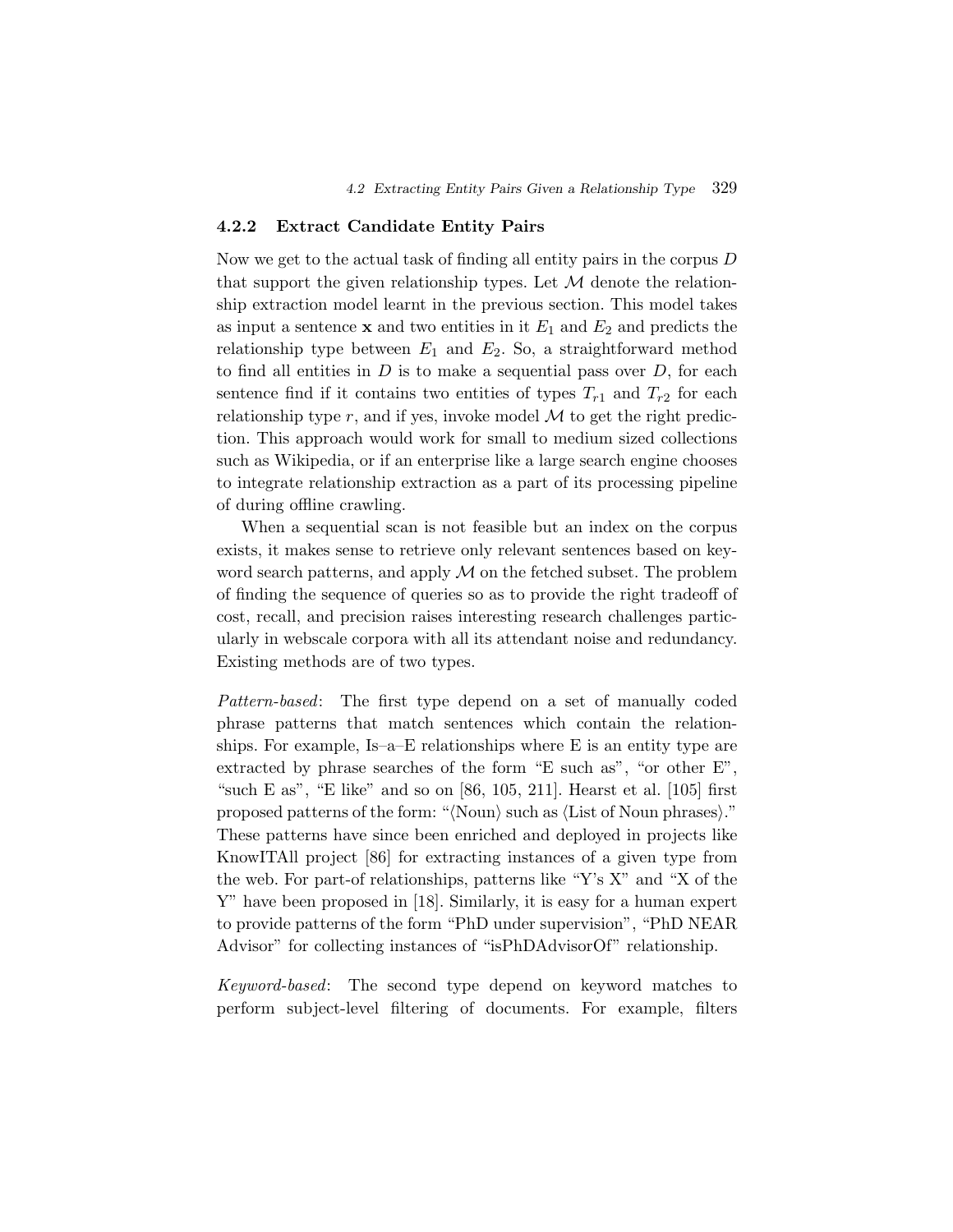## **4.2.2 Extract Candidate Entity Pairs**

Now we get to the actual task of finding all entity pairs in the corpus D that support the given relationship types. Let  $M$  denote the relationship extraction model learnt in the previous section. This model takes as input a sentence **x** and two entities in it  $E_1$  and  $E_2$  and predicts the relationship type between  $E_1$  and  $E_2$ . So, a straightforward method to find all entities in  $D$  is to make a sequential pass over  $D$ , for each sentence find if it contains two entities of types  $T_{r1}$  and  $T_{r2}$  for each relationship type r, and if yes, invoke model  $\mathcal M$  to get the right prediction. This approach would work for small to medium sized collections such as Wikipedia, or if an enterprise like a large search engine chooses to integrate relationship extraction as a part of its processing pipeline of during offline crawling.

When a sequential scan is not feasible but an index on the corpus exists, it makes sense to retrieve only relevant sentences based on keyword search patterns, and apply  $\mathcal M$  on the fetched subset. The problem of finding the sequence of queries so as to provide the right tradeoff of cost, recall, and precision raises interesting research challenges particularly in webscale corpora with all its attendant noise and redundancy. Existing methods are of two types.

*Pattern-based*: The first type depend on a set of manually coded phrase patterns that match sentences which contain the relationships. For example, Is–a–E relationships where E is an entity type are extracted by phrase searches of the form "E such as", "or other E", "such E as", "E like" and so on  $[86, 105, 211]$ . Hearst et al.  $[105]$  first proposed patterns of the form: " $\langle Noun \rangle$  such as  $\langle List$  of Noun phrases)." These patterns have since been enriched and deployed in projects like KnowITAll project [86] for extracting instances of a given type from the web. For part-of relationships, patterns like "Y's X" and "X of the Y" have been proposed in [18]. Similarly, it is easy for a human expert to provide patterns of the form "PhD under supervision", "PhD NEAR Advisor" for collecting instances of "isPhDAdvisorOf" relationship.

*Keyword-based*: The second type depend on keyword matches to perform subject-level filtering of documents. For example, filters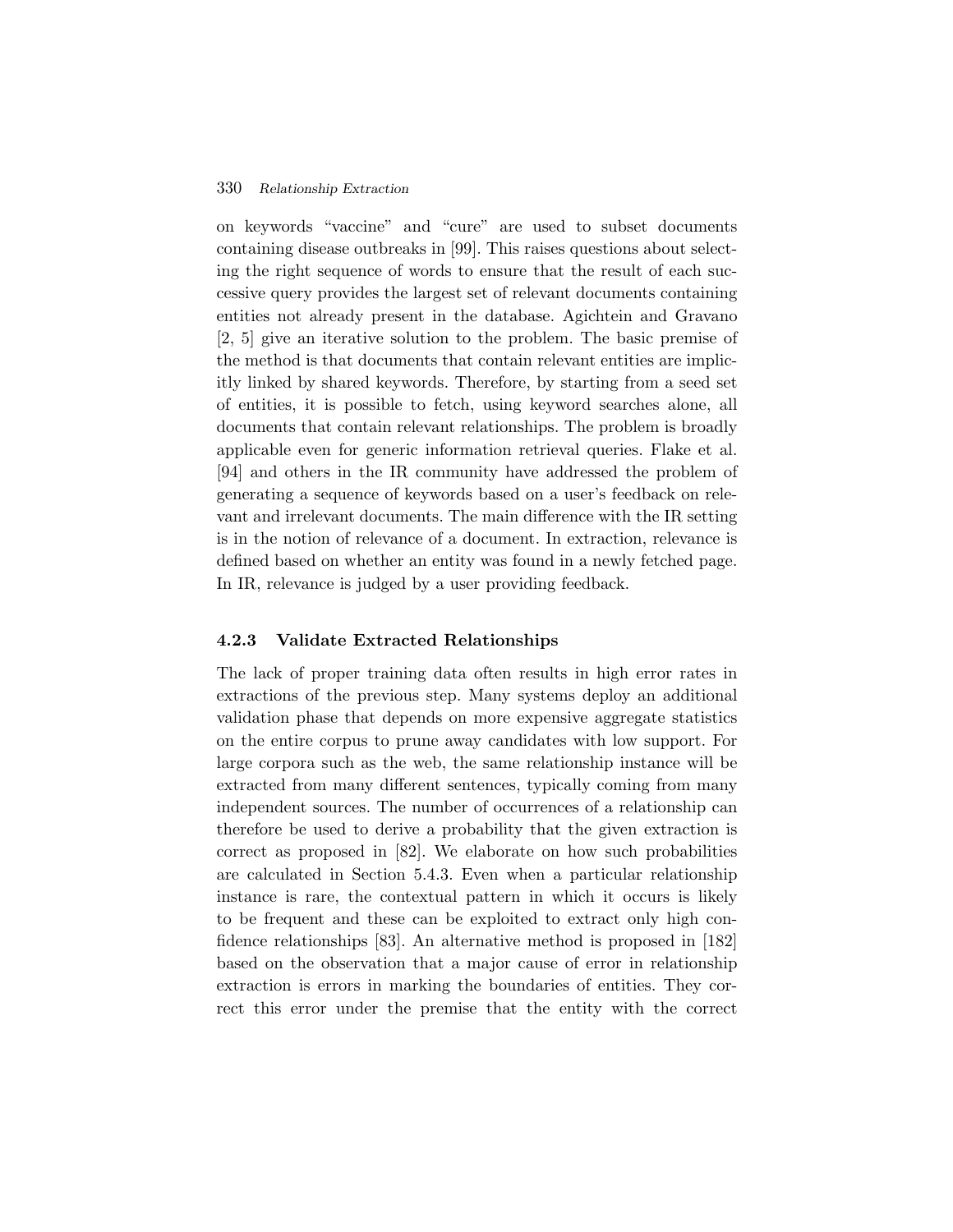on keywords "vaccine" and "cure" are used to subset documents containing disease outbreaks in [99]. This raises questions about selecting the right sequence of words to ensure that the result of each successive query provides the largest set of relevant documents containing entities not already present in the database. Agichtein and Gravano [2, 5] give an iterative solution to the problem. The basic premise of the method is that documents that contain relevant entities are implicitly linked by shared keywords. Therefore, by starting from a seed set of entities, it is possible to fetch, using keyword searches alone, all documents that contain relevant relationships. The problem is broadly applicable even for generic information retrieval queries. Flake et al. [94] and others in the IR community have addressed the problem of generating a sequence of keywords based on a user's feedback on relevant and irrelevant documents. The main difference with the IR setting is in the notion of relevance of a document. In extraction, relevance is defined based on whether an entity was found in a newly fetched page. In IR, relevance is judged by a user providing feedback.

#### **4.2.3 Validate Extracted Relationships**

The lack of proper training data often results in high error rates in extractions of the previous step. Many systems deploy an additional validation phase that depends on more expensive aggregate statistics on the entire corpus to prune away candidates with low support. For large corpora such as the web, the same relationship instance will be extracted from many different sentences, typically coming from many independent sources. The number of occurrences of a relationship can therefore be used to derive a probability that the given extraction is correct as proposed in [82]. We elaborate on how such probabilities are calculated in Section 5.4.3. Even when a particular relationship instance is rare, the contextual pattern in which it occurs is likely to be frequent and these can be exploited to extract only high confidence relationships [83]. An alternative method is proposed in [182] based on the observation that a major cause of error in relationship extraction is errors in marking the boundaries of entities. They correct this error under the premise that the entity with the correct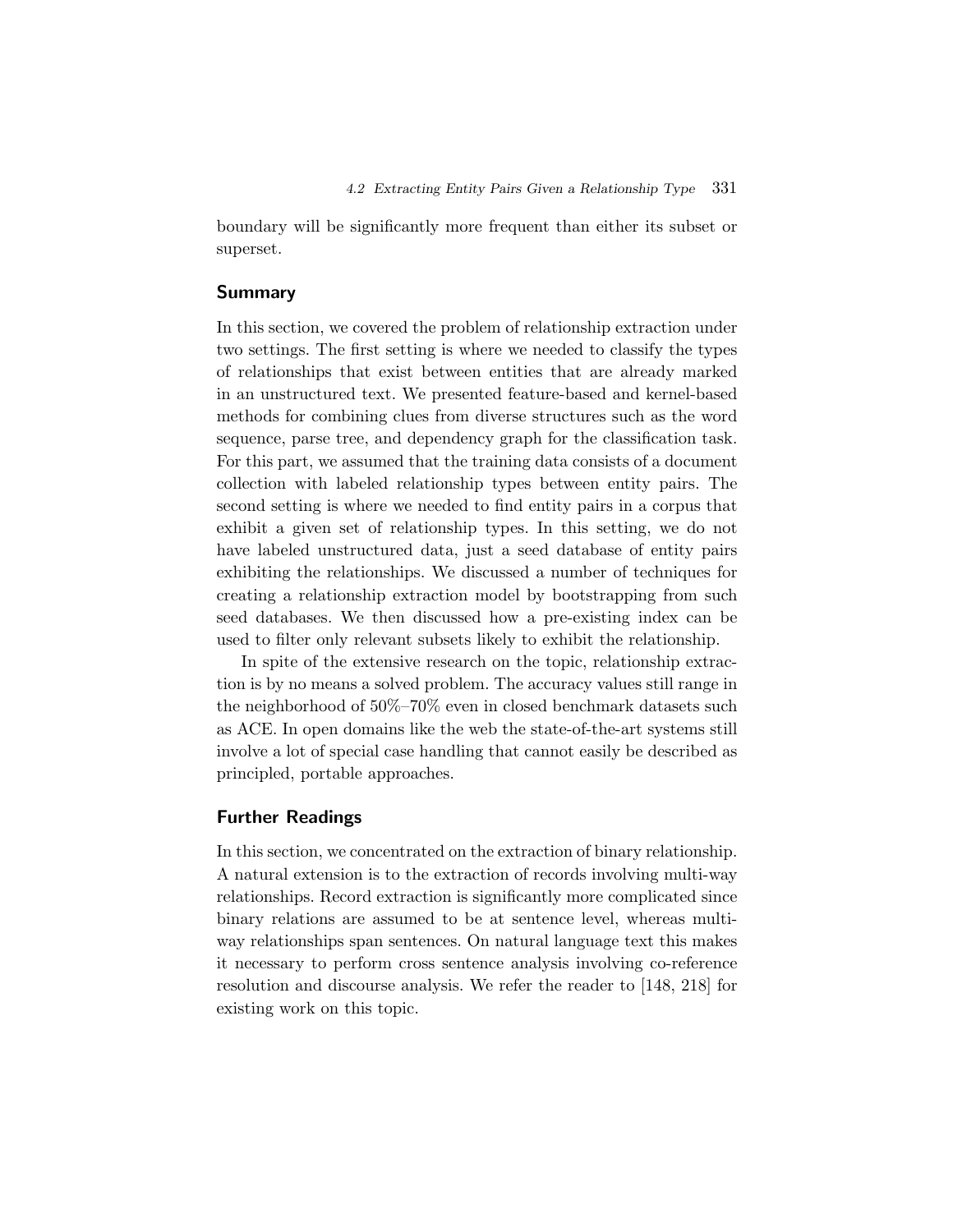boundary will be significantly more frequent than either its subset or superset.

## **Summary**

In this section, we covered the problem of relationship extraction under two settings. The first setting is where we needed to classify the types of relationships that exist between entities that are already marked in an unstructured text. We presented feature-based and kernel-based methods for combining clues from diverse structures such as the word sequence, parse tree, and dependency graph for the classification task. For this part, we assumed that the training data consists of a document collection with labeled relationship types between entity pairs. The second setting is where we needed to find entity pairs in a corpus that exhibit a given set of relationship types. In this setting, we do not have labeled unstructured data, just a seed database of entity pairs exhibiting the relationships. We discussed a number of techniques for creating a relationship extraction model by bootstrapping from such seed databases. We then discussed how a pre-existing index can be used to filter only relevant subsets likely to exhibit the relationship.

In spite of the extensive research on the topic, relationship extraction is by no means a solved problem. The accuracy values still range in the neighborhood of 50%–70% even in closed benchmark datasets such as ACE. In open domains like the web the state-of-the-art systems still involve a lot of special case handling that cannot easily be described as principled, portable approaches.

## **Further Readings**

In this section, we concentrated on the extraction of binary relationship. A natural extension is to the extraction of records involving multi-way relationships. Record extraction is significantly more complicated since binary relations are assumed to be at sentence level, whereas multiway relationships span sentences. On natural language text this makes it necessary to perform cross sentence analysis involving co-reference resolution and discourse analysis. We refer the reader to [148, 218] for existing work on this topic.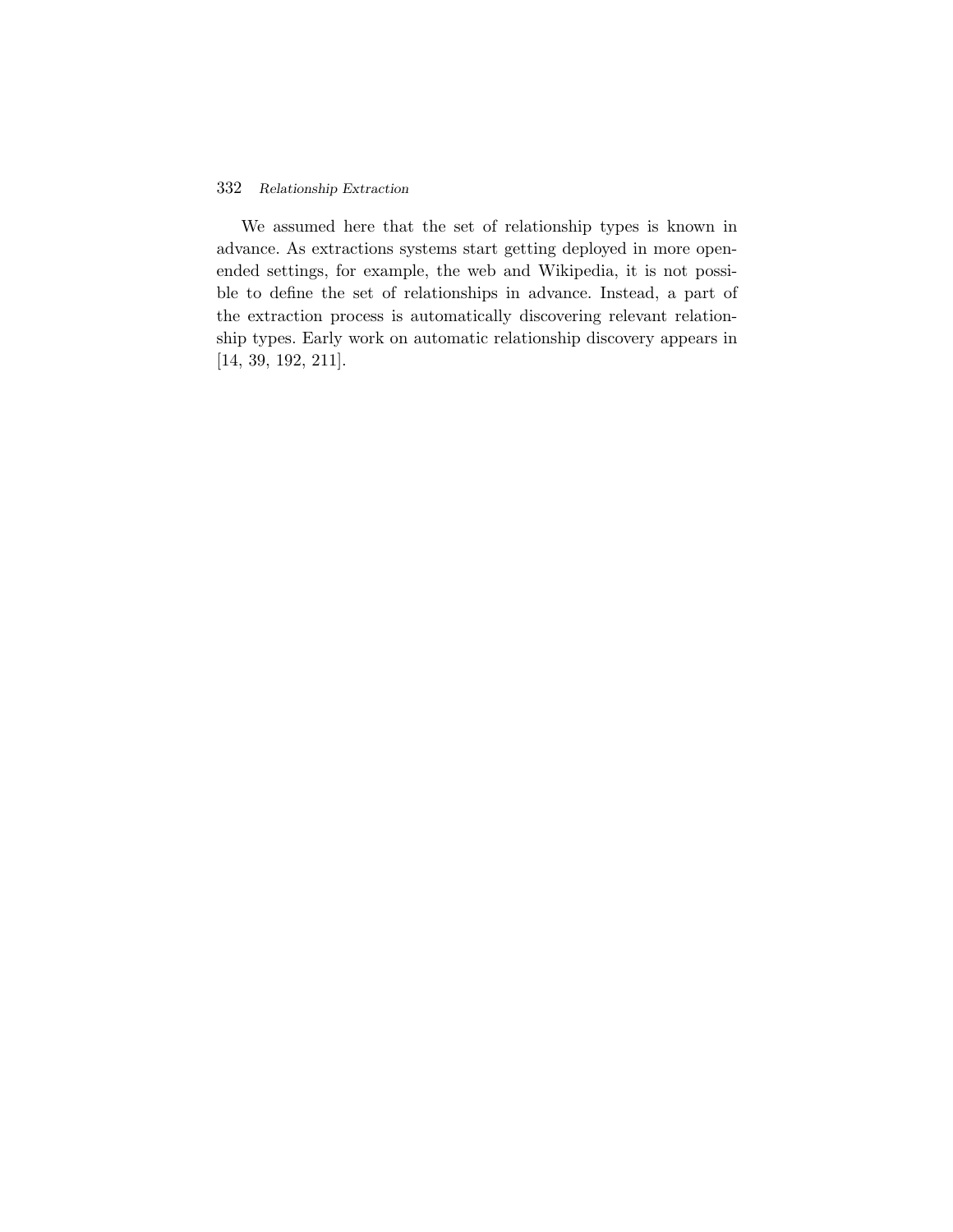We assumed here that the set of relationship types is known in advance. As extractions systems start getting deployed in more openended settings, for example, the web and Wikipedia, it is not possible to define the set of relationships in advance. Instead, a part of the extraction process is automatically discovering relevant relationship types. Early work on automatic relationship discovery appears in [14, 39, 192, 211].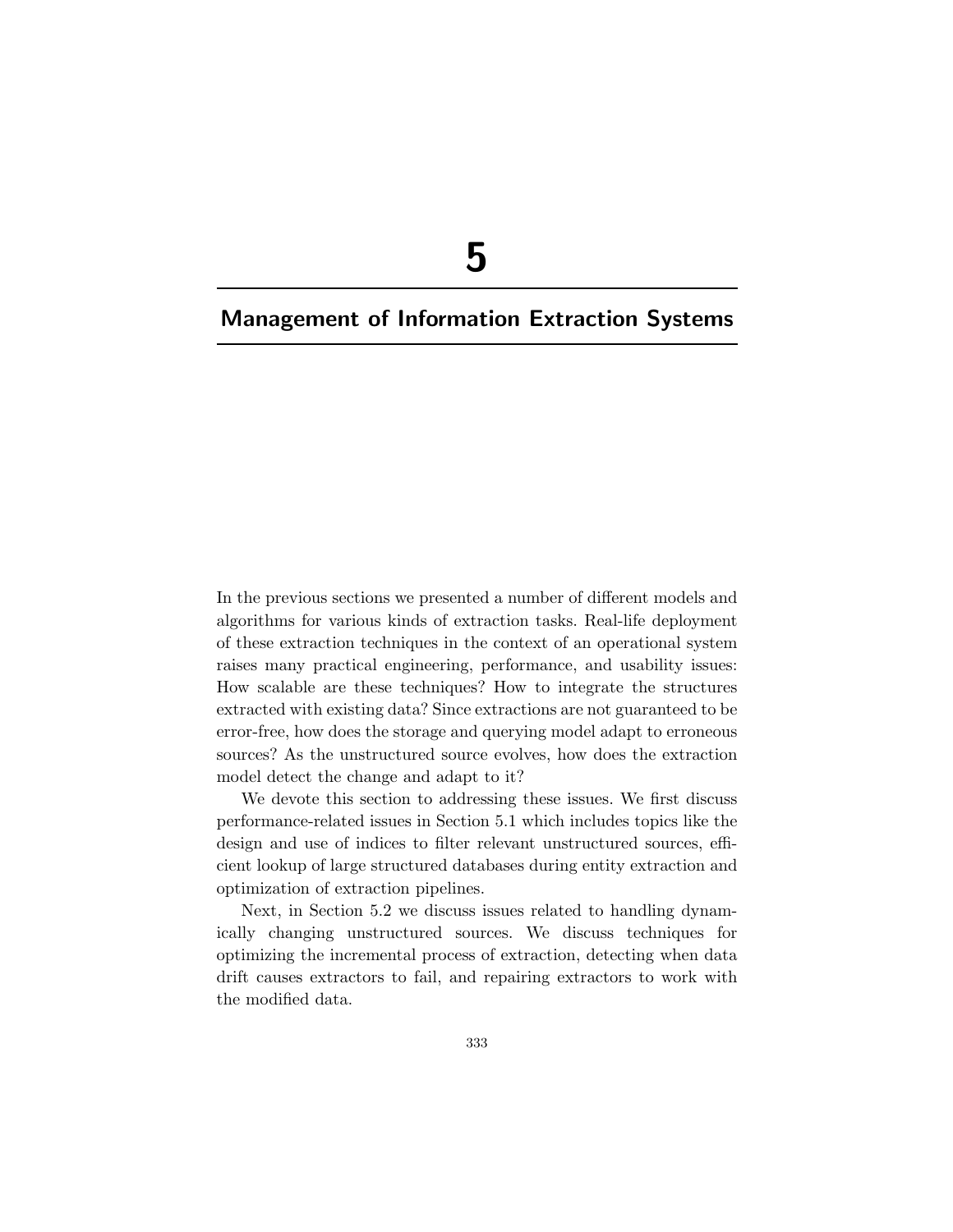# **5**

# **Management of Information Extraction Systems**

In the previous sections we presented a number of different models and algorithms for various kinds of extraction tasks. Real-life deployment of these extraction techniques in the context of an operational system raises many practical engineering, performance, and usability issues: How scalable are these techniques? How to integrate the structures extracted with existing data? Since extractions are not guaranteed to be error-free, how does the storage and querying model adapt to erroneous sources? As the unstructured source evolves, how does the extraction model detect the change and adapt to it?

We devote this section to addressing these issues. We first discuss performance-related issues in Section 5.1 which includes topics like the design and use of indices to filter relevant unstructured sources, efficient lookup of large structured databases during entity extraction and optimization of extraction pipelines.

Next, in Section 5.2 we discuss issues related to handling dynamically changing unstructured sources. We discuss techniques for optimizing the incremental process of extraction, detecting when data drift causes extractors to fail, and repairing extractors to work with the modified data.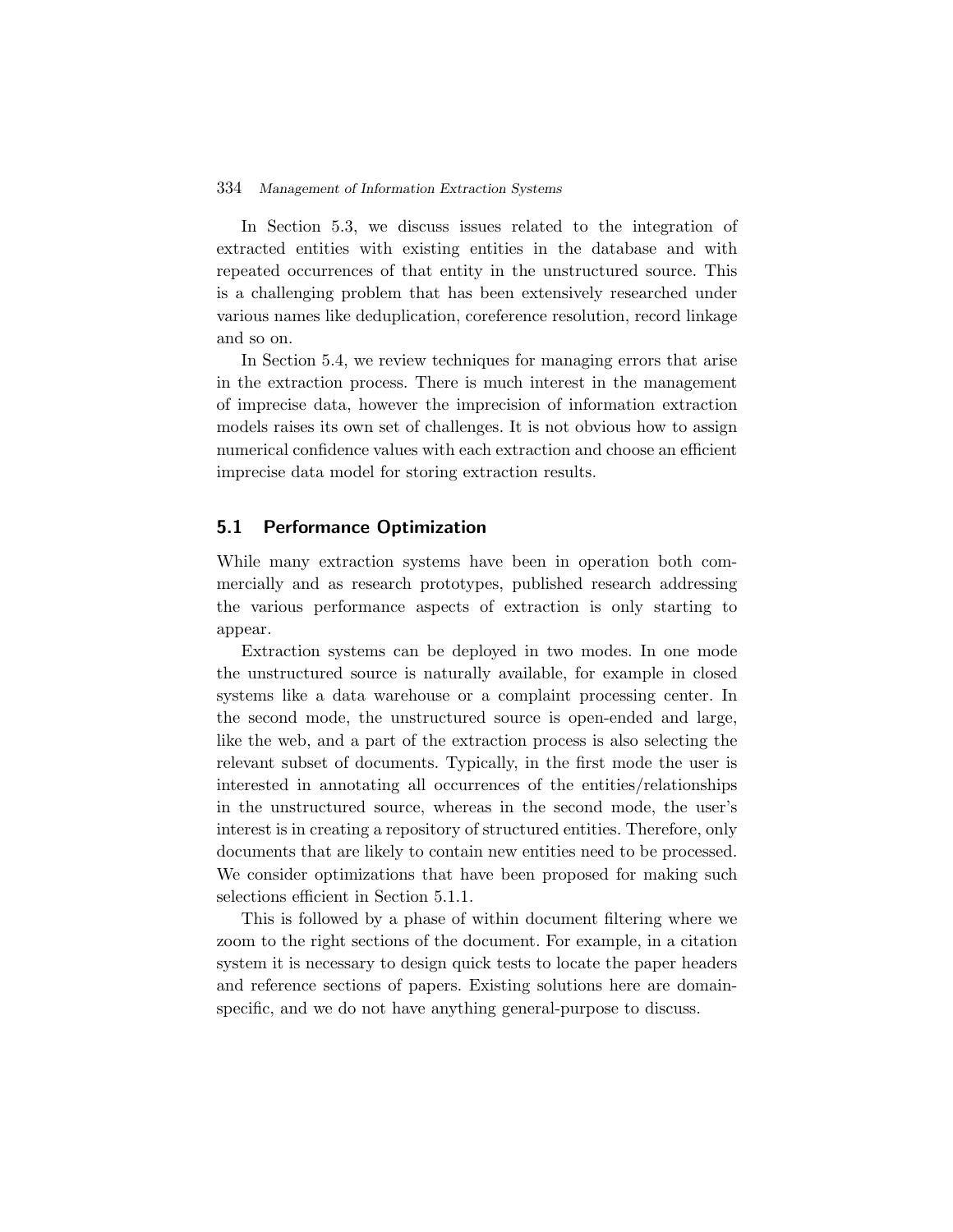In Section 5.3, we discuss issues related to the integration of extracted entities with existing entities in the database and with repeated occurrences of that entity in the unstructured source. This is a challenging problem that has been extensively researched under various names like deduplication, coreference resolution, record linkage and so on.

In Section 5.4, we review techniques for managing errors that arise in the extraction process. There is much interest in the management of imprecise data, however the imprecision of information extraction models raises its own set of challenges. It is not obvious how to assign numerical confidence values with each extraction and choose an efficient imprecise data model for storing extraction results.

# **5.1 Performance Optimization**

While many extraction systems have been in operation both commercially and as research prototypes, published research addressing the various performance aspects of extraction is only starting to appear.

Extraction systems can be deployed in two modes. In one mode the unstructured source is naturally available, for example in closed systems like a data warehouse or a complaint processing center. In the second mode, the unstructured source is open-ended and large, like the web, and a part of the extraction process is also selecting the relevant subset of documents. Typically, in the first mode the user is interested in annotating all occurrences of the entities/relationships in the unstructured source, whereas in the second mode, the user's interest is in creating a repository of structured entities. Therefore, only documents that are likely to contain new entities need to be processed. We consider optimizations that have been proposed for making such selections efficient in Section 5.1.1.

This is followed by a phase of within document filtering where we zoom to the right sections of the document. For example, in a citation system it is necessary to design quick tests to locate the paper headers and reference sections of papers. Existing solutions here are domainspecific, and we do not have anything general-purpose to discuss.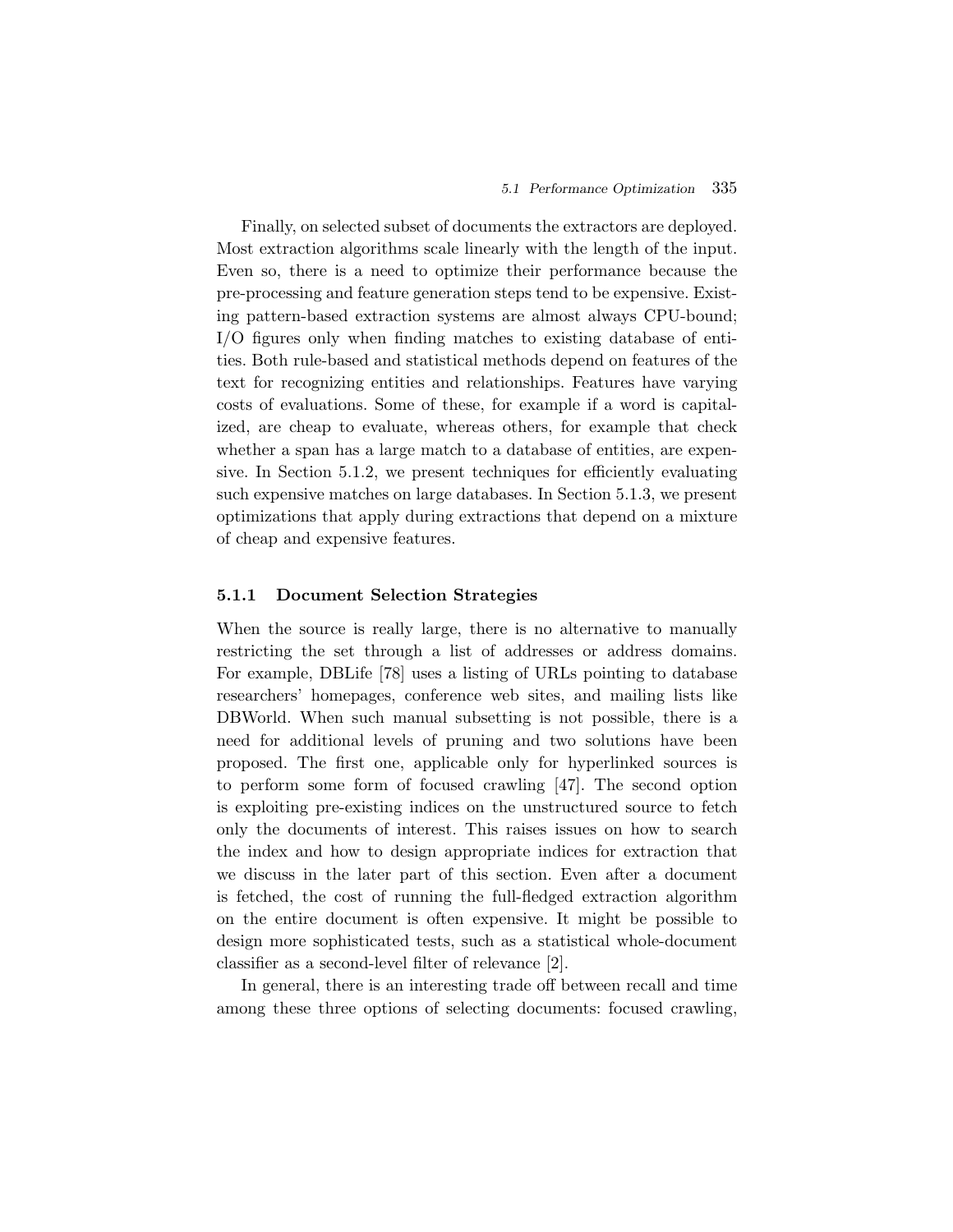# *5.1 Performance Optimization* 335

Finally, on selected subset of documents the extractors are deployed. Most extraction algorithms scale linearly with the length of the input. Even so, there is a need to optimize their performance because the pre-processing and feature generation steps tend to be expensive. Existing pattern-based extraction systems are almost always CPU-bound; I/O figures only when finding matches to existing database of entities. Both rule-based and statistical methods depend on features of the text for recognizing entities and relationships. Features have varying costs of evaluations. Some of these, for example if a word is capitalized, are cheap to evaluate, whereas others, for example that check whether a span has a large match to a database of entities, are expensive. In Section 5.1.2, we present techniques for efficiently evaluating such expensive matches on large databases. In Section 5.1.3, we present optimizations that apply during extractions that depend on a mixture of cheap and expensive features.

# **5.1.1 Document Selection Strategies**

When the source is really large, there is no alternative to manually restricting the set through a list of addresses or address domains. For example, DBLife [78] uses a listing of URLs pointing to database researchers' homepages, conference web sites, and mailing lists like DBWorld. When such manual subsetting is not possible, there is a need for additional levels of pruning and two solutions have been proposed. The first one, applicable only for hyperlinked sources is to perform some form of focused crawling [47]. The second option is exploiting pre-existing indices on the unstructured source to fetch only the documents of interest. This raises issues on how to search the index and how to design appropriate indices for extraction that we discuss in the later part of this section. Even after a document is fetched, the cost of running the full-fledged extraction algorithm on the entire document is often expensive. It might be possible to design more sophisticated tests, such as a statistical whole-document classifier as a second-level filter of relevance [2].

In general, there is an interesting trade off between recall and time among these three options of selecting documents: focused crawling,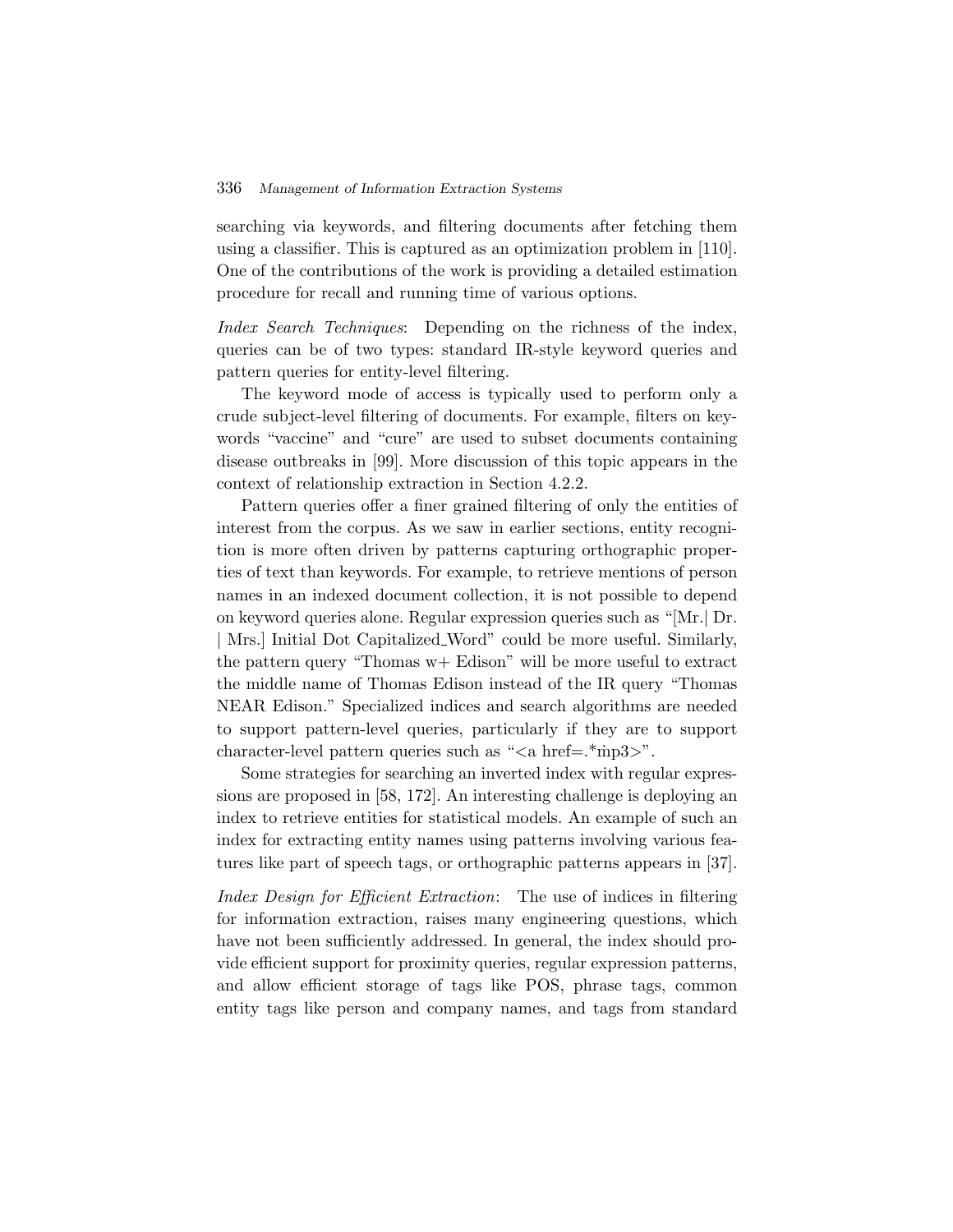searching via keywords, and filtering documents after fetching them using a classifier. This is captured as an optimization problem in [110]. One of the contributions of the work is providing a detailed estimation procedure for recall and running time of various options.

*Index Search Techniques*: Depending on the richness of the index, queries can be of two types: standard IR-style keyword queries and pattern queries for entity-level filtering.

The keyword mode of access is typically used to perform only a crude subject-level filtering of documents. For example, filters on keywords "vaccine" and "cure" are used to subset documents containing disease outbreaks in [99]. More discussion of this topic appears in the context of relationship extraction in Section 4.2.2.

Pattern queries offer a finer grained filtering of only the entities of interest from the corpus. As we saw in earlier sections, entity recognition is more often driven by patterns capturing orthographic properties of text than keywords. For example, to retrieve mentions of person names in an indexed document collection, it is not possible to depend on keyword queries alone. Regular expression queries such as "[Mr.| Dr. | Mrs.] Initial Dot Capitalized Word" could be more useful. Similarly, the pattern query "Thomas w+ Edison" will be more useful to extract the middle name of Thomas Edison instead of the IR query "Thomas NEAR Edison." Specialized indices and search algorithms are needed to support pattern-level queries, particularly if they are to support character-level pattern queries such as "<a href=.\* ˙mp3>".

Some strategies for searching an inverted index with regular expressions are proposed in [58, 172]. An interesting challenge is deploying an index to retrieve entities for statistical models. An example of such an index for extracting entity names using patterns involving various features like part of speech tags, or orthographic patterns appears in [37].

*Index Design for Efficient Extraction*: The use of indices in filtering for information extraction, raises many engineering questions, which have not been sufficiently addressed. In general, the index should provide efficient support for proximity queries, regular expression patterns, and allow efficient storage of tags like POS, phrase tags, common entity tags like person and company names, and tags from standard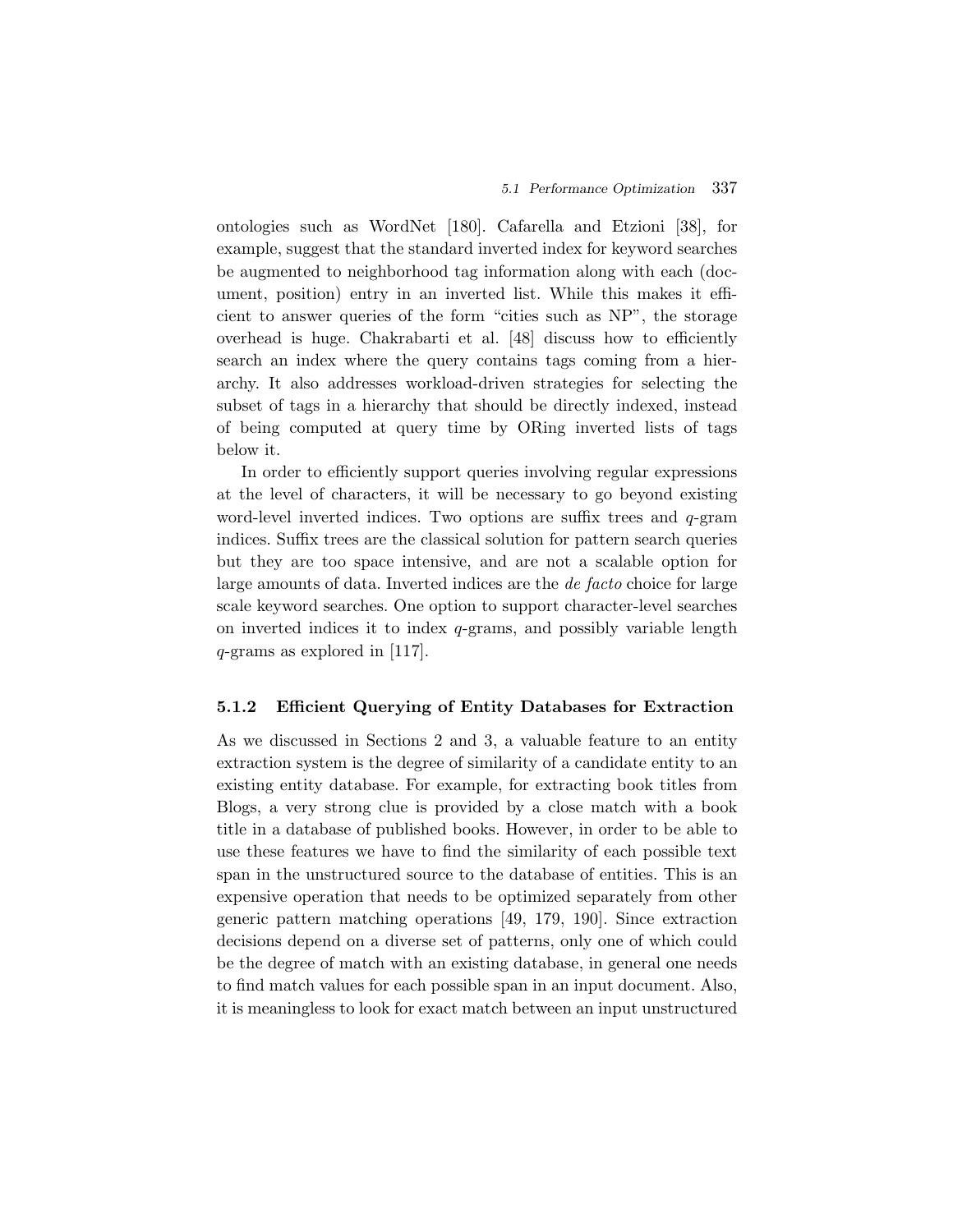ontologies such as WordNet [180]. Cafarella and Etzioni [38], for example, suggest that the standard inverted index for keyword searches be augmented to neighborhood tag information along with each (document, position) entry in an inverted list. While this makes it efficient to answer queries of the form "cities such as NP", the storage overhead is huge. Chakrabarti et al. [48] discuss how to efficiently search an index where the query contains tags coming from a hierarchy. It also addresses workload-driven strategies for selecting the subset of tags in a hierarchy that should be directly indexed, instead of being computed at query time by ORing inverted lists of tags below it.

In order to efficiently support queries involving regular expressions at the level of characters, it will be necessary to go beyond existing word-level inverted indices. Two options are suffix trees and  $q$ -gram indices. Suffix trees are the classical solution for pattern search queries but they are too space intensive, and are not a scalable option for large amounts of data. Inverted indices are the *de facto* choice for large scale keyword searches. One option to support character-level searches on inverted indices it to index  $q$ -grams, and possibly variable length q-grams as explored in [117].

# **5.1.2 Efficient Querying of Entity Databases for Extraction**

As we discussed in Sections 2 and 3, a valuable feature to an entity extraction system is the degree of similarity of a candidate entity to an existing entity database. For example, for extracting book titles from Blogs, a very strong clue is provided by a close match with a book title in a database of published books. However, in order to be able to use these features we have to find the similarity of each possible text span in the unstructured source to the database of entities. This is an expensive operation that needs to be optimized separately from other generic pattern matching operations [49, 179, 190]. Since extraction decisions depend on a diverse set of patterns, only one of which could be the degree of match with an existing database, in general one needs to find match values for each possible span in an input document. Also, it is meaningless to look for exact match between an input unstructured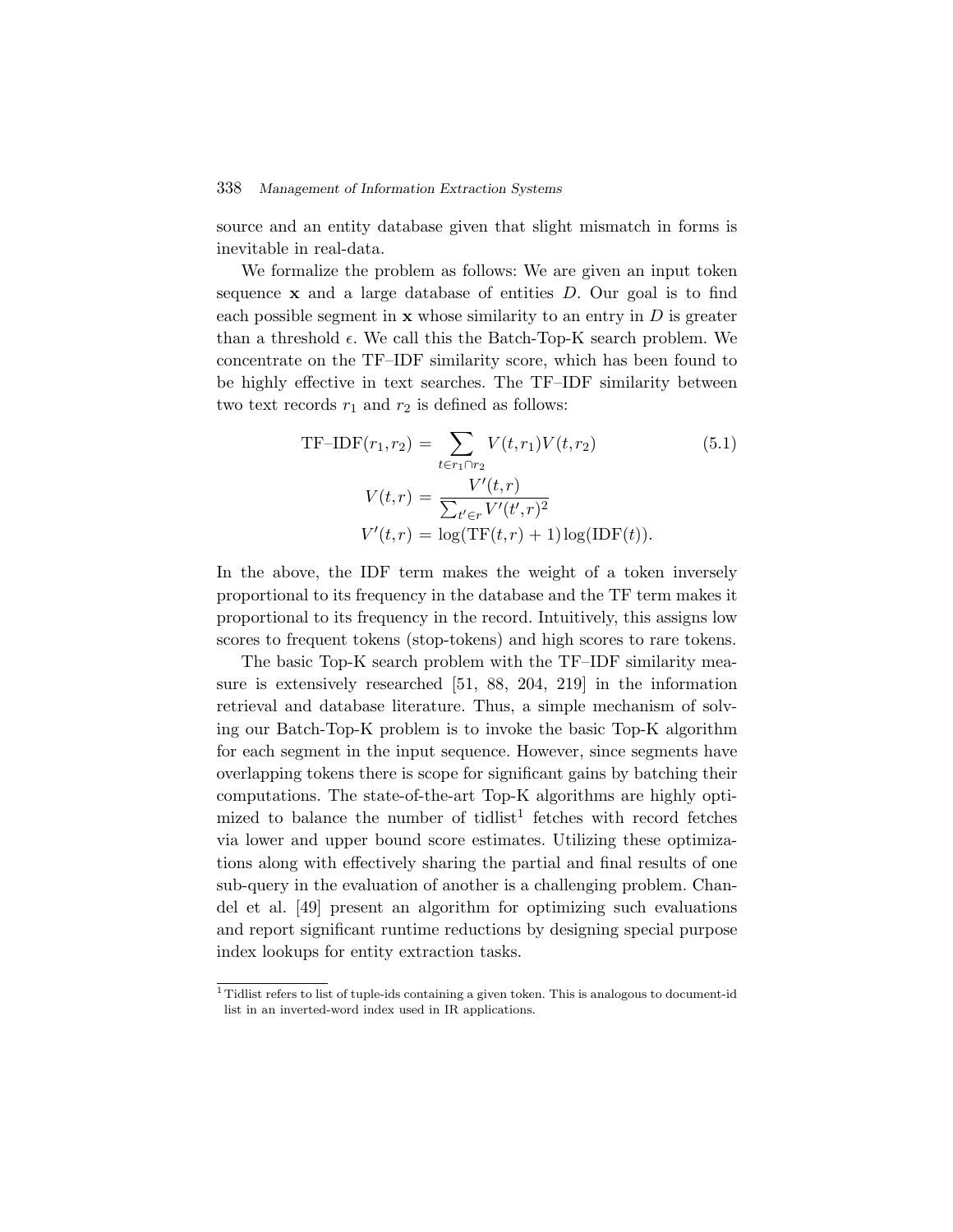source and an entity database given that slight mismatch in forms is inevitable in real-data.

We formalize the problem as follows: We are given an input token sequence **x** and a large database of entities D. Our goal is to find each possible segment in  $\bf{x}$  whose similarity to an entry in  $\bf{D}$  is greater than a threshold  $\epsilon$ . We call this the Batch-Top-K search problem. We concentrate on the TF–IDF similarity score, which has been found to be highly effective in text searches. The TF–IDF similarity between two text records  $r_1$  and  $r_2$  is defined as follows:

TF-IDF(r<sub>1</sub>,r<sub>2</sub>) = 
$$
\sum_{t \in r_1 \cap r_2} V(t, r_1) V(t, r_2)
$$
(5.1)  

$$
V(t,r) = \frac{V'(t,r)}{\sum_{t' \in r} V'(t',r)^2}
$$
  

$$
V'(t,r) = \log(\text{TF}(t,r) + 1) \log(\text{IDF}(t)).
$$

In the above, the IDF term makes the weight of a token inversely proportional to its frequency in the database and the TF term makes it proportional to its frequency in the record. Intuitively, this assigns low scores to frequent tokens (stop-tokens) and high scores to rare tokens.

The basic Top-K search problem with the TF–IDF similarity measure is extensively researched [51, 88, 204, 219] in the information retrieval and database literature. Thus, a simple mechanism of solving our Batch-Top-K problem is to invoke the basic Top-K algorithm for each segment in the input sequence. However, since segments have overlapping tokens there is scope for significant gains by batching their computations. The state-of-the-art Top-K algorithms are highly optimized to balance the number of tidlist<sup>1</sup> fetches with record fetches via lower and upper bound score estimates. Utilizing these optimizations along with effectively sharing the partial and final results of one sub-query in the evaluation of another is a challenging problem. Chandel et al. [49] present an algorithm for optimizing such evaluations and report significant runtime reductions by designing special purpose index lookups for entity extraction tasks.

<sup>1</sup> Tidlist refers to list of tuple-ids containing a given token. This is analogous to document-id list in an inverted-word index used in IR applications.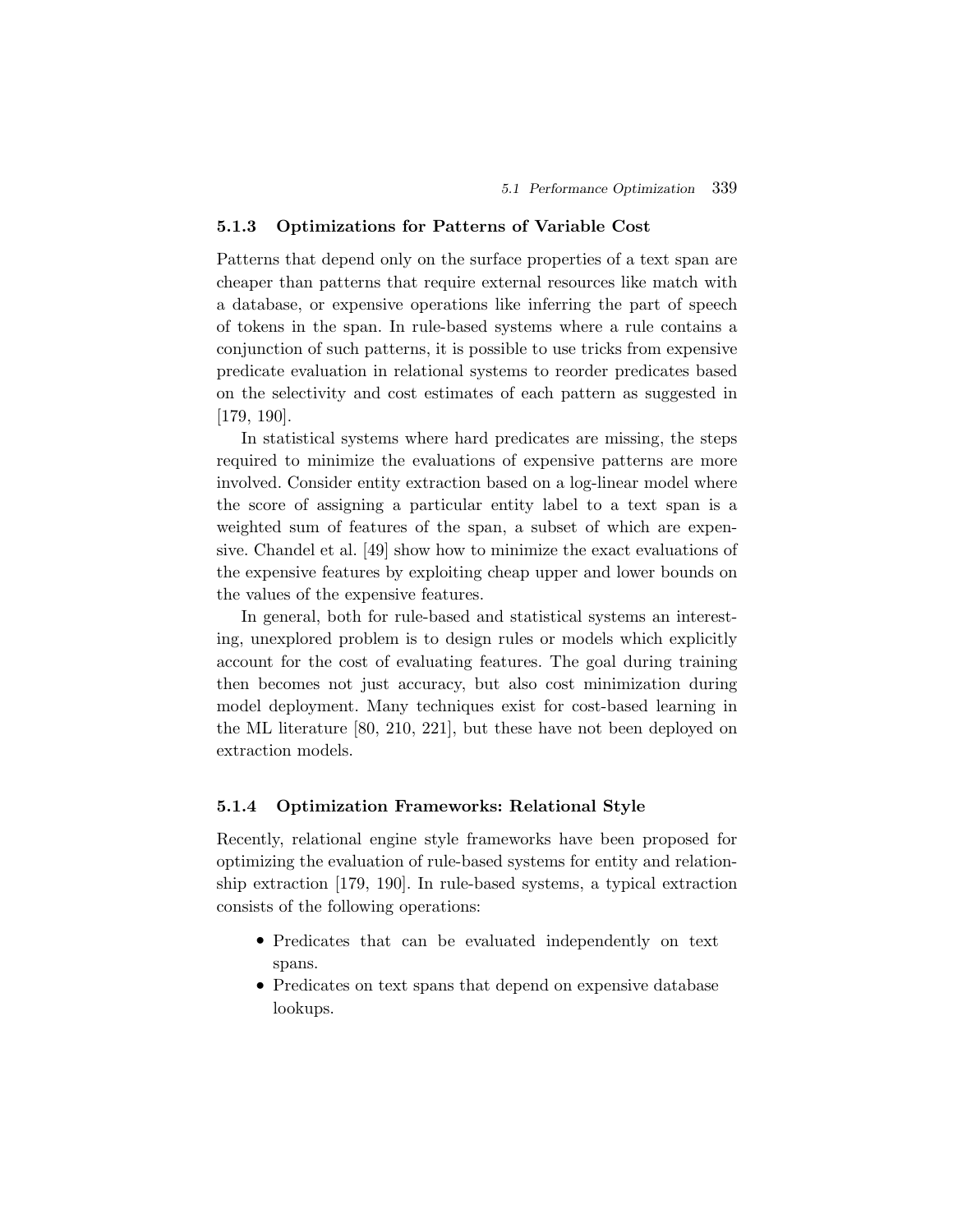# **5.1.3 Optimizations for Patterns of Variable Cost**

Patterns that depend only on the surface properties of a text span are cheaper than patterns that require external resources like match with a database, or expensive operations like inferring the part of speech of tokens in the span. In rule-based systems where a rule contains a conjunction of such patterns, it is possible to use tricks from expensive predicate evaluation in relational systems to reorder predicates based on the selectivity and cost estimates of each pattern as suggested in [179, 190].

In statistical systems where hard predicates are missing, the steps required to minimize the evaluations of expensive patterns are more involved. Consider entity extraction based on a log-linear model where the score of assigning a particular entity label to a text span is a weighted sum of features of the span, a subset of which are expensive. Chandel et al. [49] show how to minimize the exact evaluations of the expensive features by exploiting cheap upper and lower bounds on the values of the expensive features.

In general, both for rule-based and statistical systems an interesting, unexplored problem is to design rules or models which explicitly account for the cost of evaluating features. The goal during training then becomes not just accuracy, but also cost minimization during model deployment. Many techniques exist for cost-based learning in the ML literature [80, 210, 221], but these have not been deployed on extraction models.

# **5.1.4 Optimization Frameworks: Relational Style**

Recently, relational engine style frameworks have been proposed for optimizing the evaluation of rule-based systems for entity and relationship extraction [179, 190]. In rule-based systems, a typical extraction consists of the following operations:

- Predicates that can be evaluated independently on text spans.
- Predicates on text spans that depend on expensive database lookups.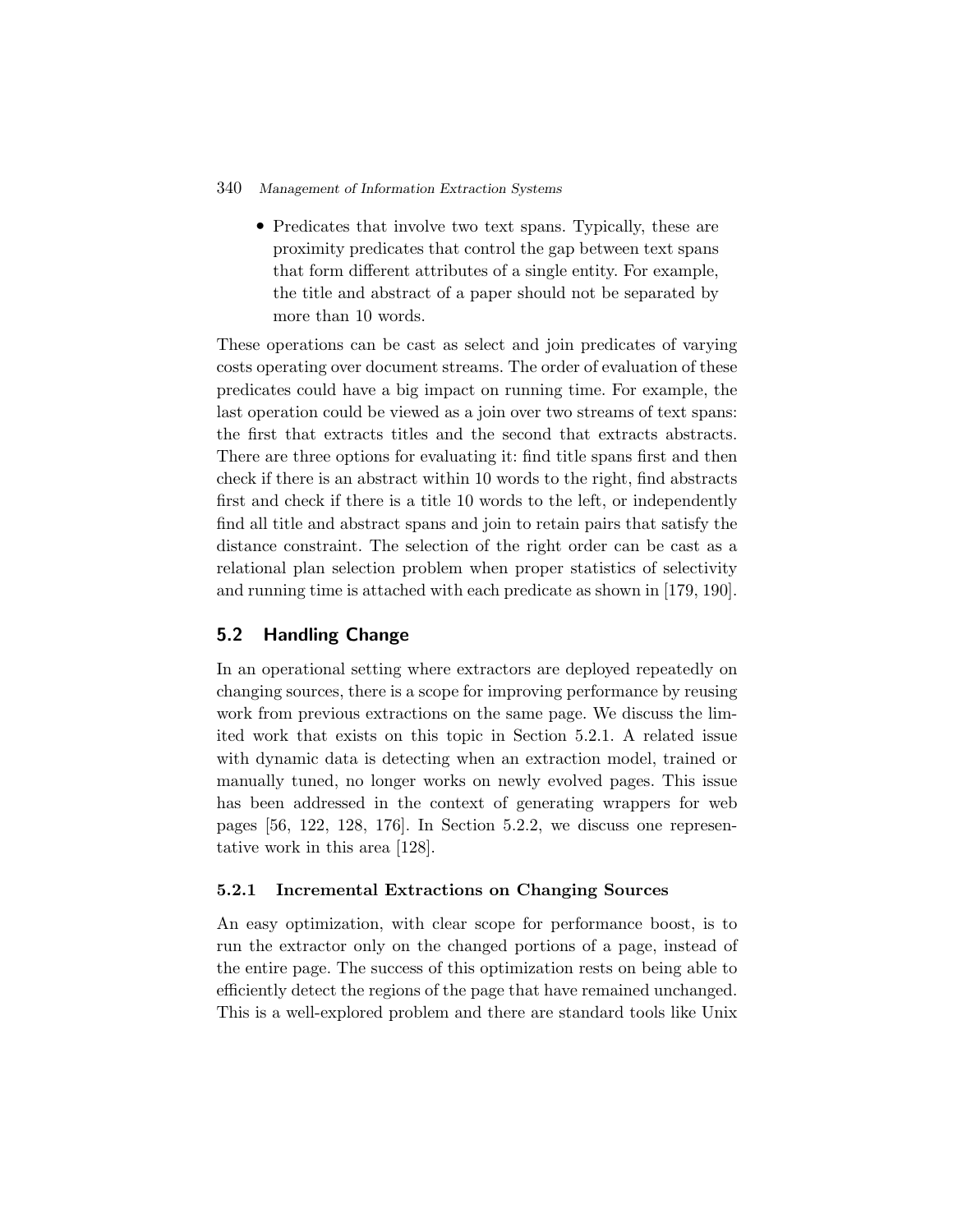• Predicates that involve two text spans. Typically, these are proximity predicates that control the gap between text spans that form different attributes of a single entity. For example, the title and abstract of a paper should not be separated by more than 10 words.

These operations can be cast as select and join predicates of varying costs operating over document streams. The order of evaluation of these predicates could have a big impact on running time. For example, the last operation could be viewed as a join over two streams of text spans: the first that extracts titles and the second that extracts abstracts. There are three options for evaluating it: find title spans first and then check if there is an abstract within 10 words to the right, find abstracts first and check if there is a title 10 words to the left, or independently find all title and abstract spans and join to retain pairs that satisfy the distance constraint. The selection of the right order can be cast as a relational plan selection problem when proper statistics of selectivity and running time is attached with each predicate as shown in [179, 190].

# **5.2 Handling Change**

In an operational setting where extractors are deployed repeatedly on changing sources, there is a scope for improving performance by reusing work from previous extractions on the same page. We discuss the limited work that exists on this topic in Section 5.2.1. A related issue with dynamic data is detecting when an extraction model, trained or manually tuned, no longer works on newly evolved pages. This issue has been addressed in the context of generating wrappers for web pages [56, 122, 128, 176]. In Section 5.2.2, we discuss one representative work in this area [128].

# **5.2.1 Incremental Extractions on Changing Sources**

An easy optimization, with clear scope for performance boost, is to run the extractor only on the changed portions of a page, instead of the entire page. The success of this optimization rests on being able to efficiently detect the regions of the page that have remained unchanged. This is a well-explored problem and there are standard tools like Unix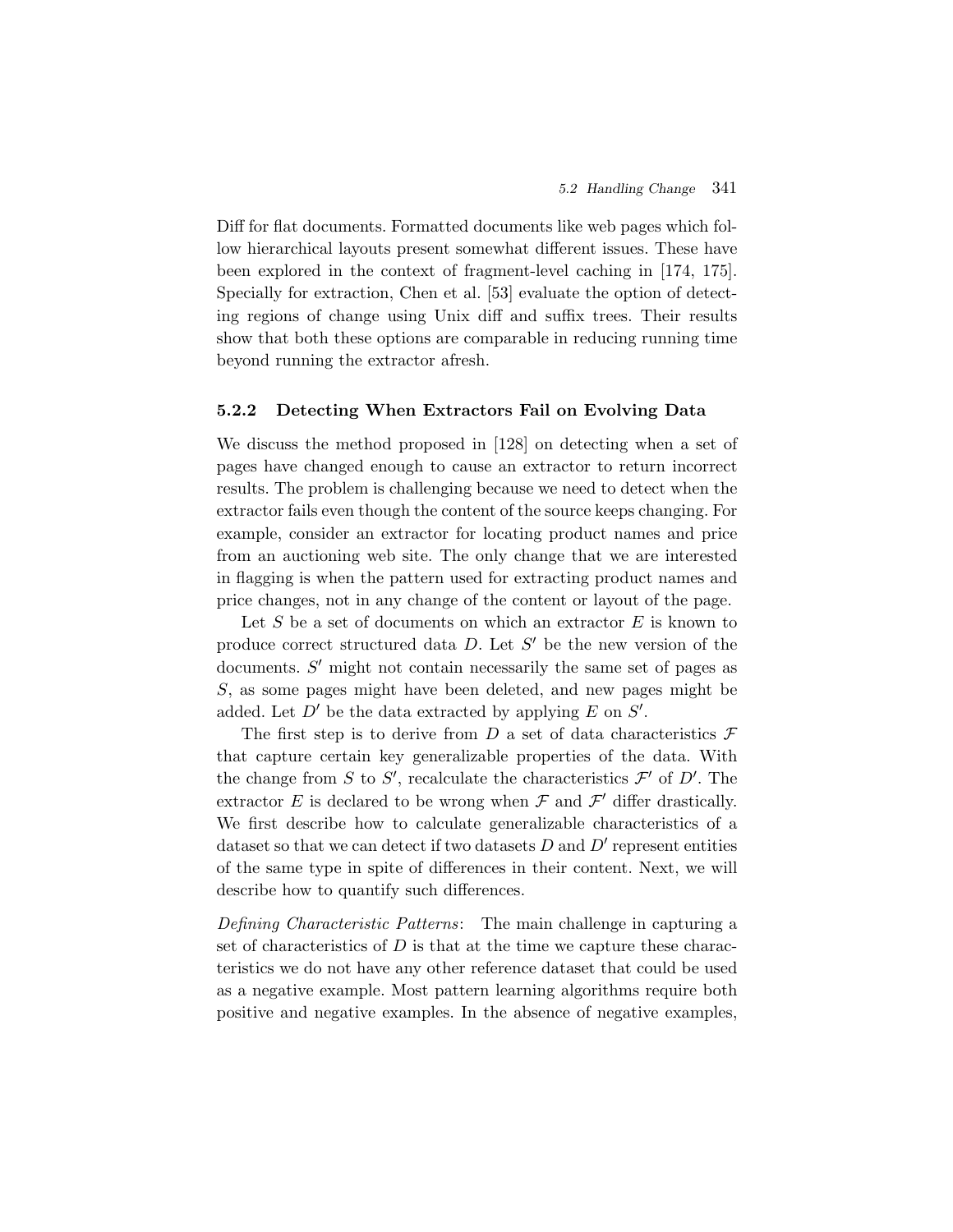Diff for flat documents. Formatted documents like web pages which follow hierarchical layouts present somewhat different issues. These have been explored in the context of fragment-level caching in [174, 175]. Specially for extraction, Chen et al. [53] evaluate the option of detecting regions of change using Unix diff and suffix trees. Their results show that both these options are comparable in reducing running time beyond running the extractor afresh.

### **5.2.2 Detecting When Extractors Fail on Evolving Data**

We discuss the method proposed in [128] on detecting when a set of pages have changed enough to cause an extractor to return incorrect results. The problem is challenging because we need to detect when the extractor fails even though the content of the source keeps changing. For example, consider an extractor for locating product names and price from an auctioning web site. The only change that we are interested in flagging is when the pattern used for extracting product names and price changes, not in any change of the content or layout of the page.

Let  $S$  be a set of documents on which an extractor  $E$  is known to produce correct structured data  $D$ . Let  $S'$  be the new version of the documents.  $S'$  might not contain necessarily the same set of pages as S, as some pages might have been deleted, and new pages might be added. Let  $D'$  be the data extracted by applying E on  $S'$ .

The first step is to derive from  $D$  a set of data characteristics  $\mathcal F$ that capture certain key generalizable properties of the data. With the change from S to S', recalculate the characteristics  $\mathcal{F}'$  of D'. The extractor E is declared to be wrong when  $\mathcal F$  and  $\mathcal F'$  differ drastically. We first describe how to calculate generalizable characteristics of a dataset so that we can detect if two datasets  $D$  and  $D'$  represent entities of the same type in spite of differences in their content. Next, we will describe how to quantify such differences.

*Defining Characteristic Patterns*: The main challenge in capturing a set of characteristics of  $D$  is that at the time we capture these characteristics we do not have any other reference dataset that could be used as a negative example. Most pattern learning algorithms require both positive and negative examples. In the absence of negative examples,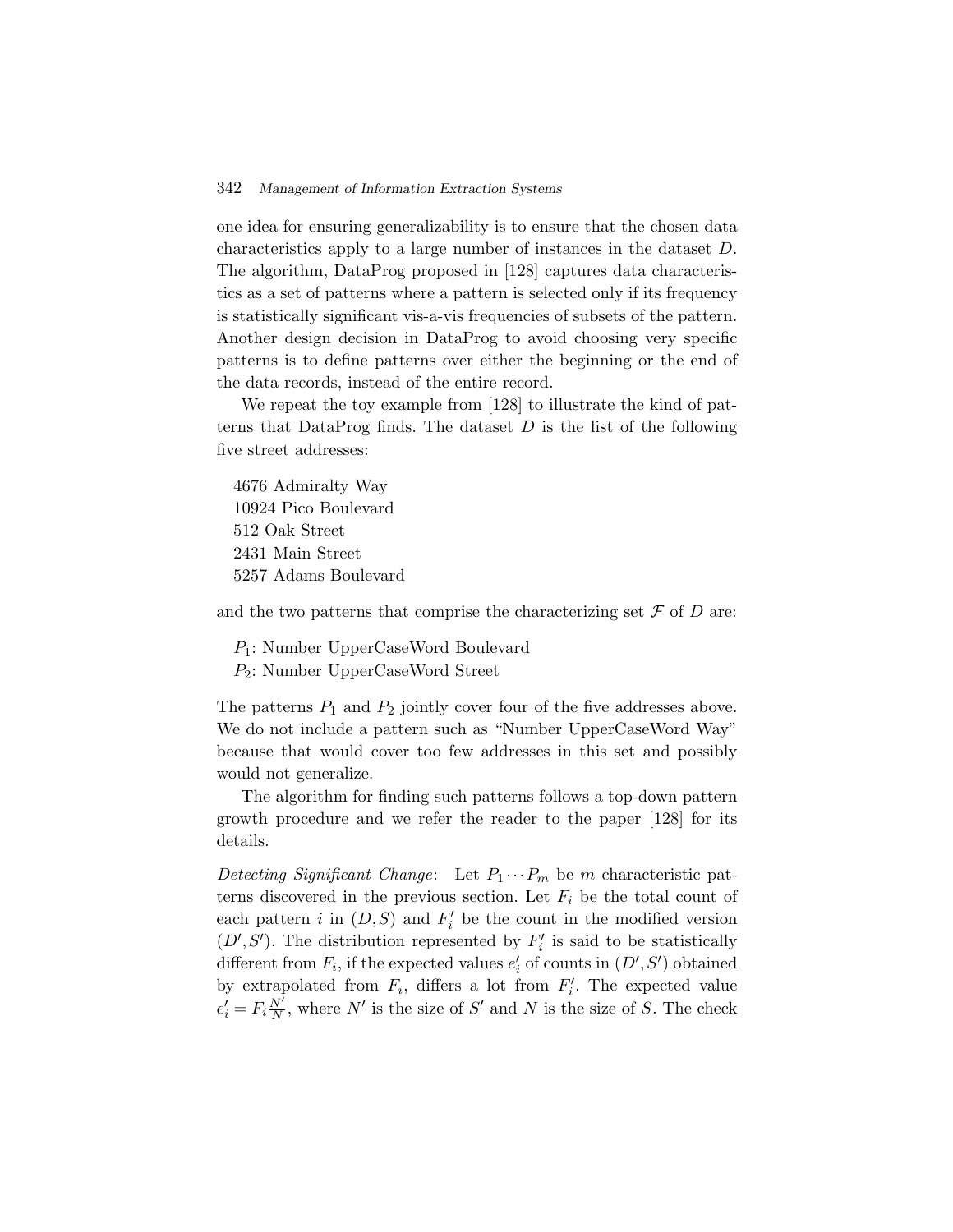one idea for ensuring generalizability is to ensure that the chosen data characteristics apply to a large number of instances in the dataset D. The algorithm, DataProg proposed in [128] captures data characteristics as a set of patterns where a pattern is selected only if its frequency is statistically significant vis-a-vis frequencies of subsets of the pattern. Another design decision in DataProg to avoid choosing very specific patterns is to define patterns over either the beginning or the end of the data records, instead of the entire record.

We repeat the toy example from [128] to illustrate the kind of patterns that DataProg finds. The dataset  $D$  is the list of the following five street addresses:

4676 Admiralty Way 10924 Pico Boulevard 512 Oak Street 2431 Main Street 5257 Adams Boulevard

and the two patterns that comprise the characterizing set  $\mathcal F$  of  $D$  are:

P1: Number UpperCaseWord Boulevard

P2: Number UpperCaseWord Street

The patterns  $P_1$  and  $P_2$  jointly cover four of the five addresses above. We do not include a pattern such as "Number UpperCaseWord Way" because that would cover too few addresses in this set and possibly would not generalize.

The algorithm for finding such patterns follows a top-down pattern growth procedure and we refer the reader to the paper [128] for its details.

*Detecting Significant Change*: Let  $P_1 \cdots P_m$  be m characteristic patterns discovered in the previous section. Let  $F_i$  be the total count of each pattern *i* in  $(D, S)$  and  $F'_i$  be the count in the modified version  $(D', S')$ . The distribution represented by  $F'_i$  is said to be statistically different from  $F_i$ , if the expected values  $e'_i$  of counts in  $(D', S')$  obtained by extrapolated from  $F_i$ , differs a lot from  $F'_i$ . The expected value  $e'_i = F_i \frac{N'}{N}$ , where N' is the size of S' and N is the size of S. The check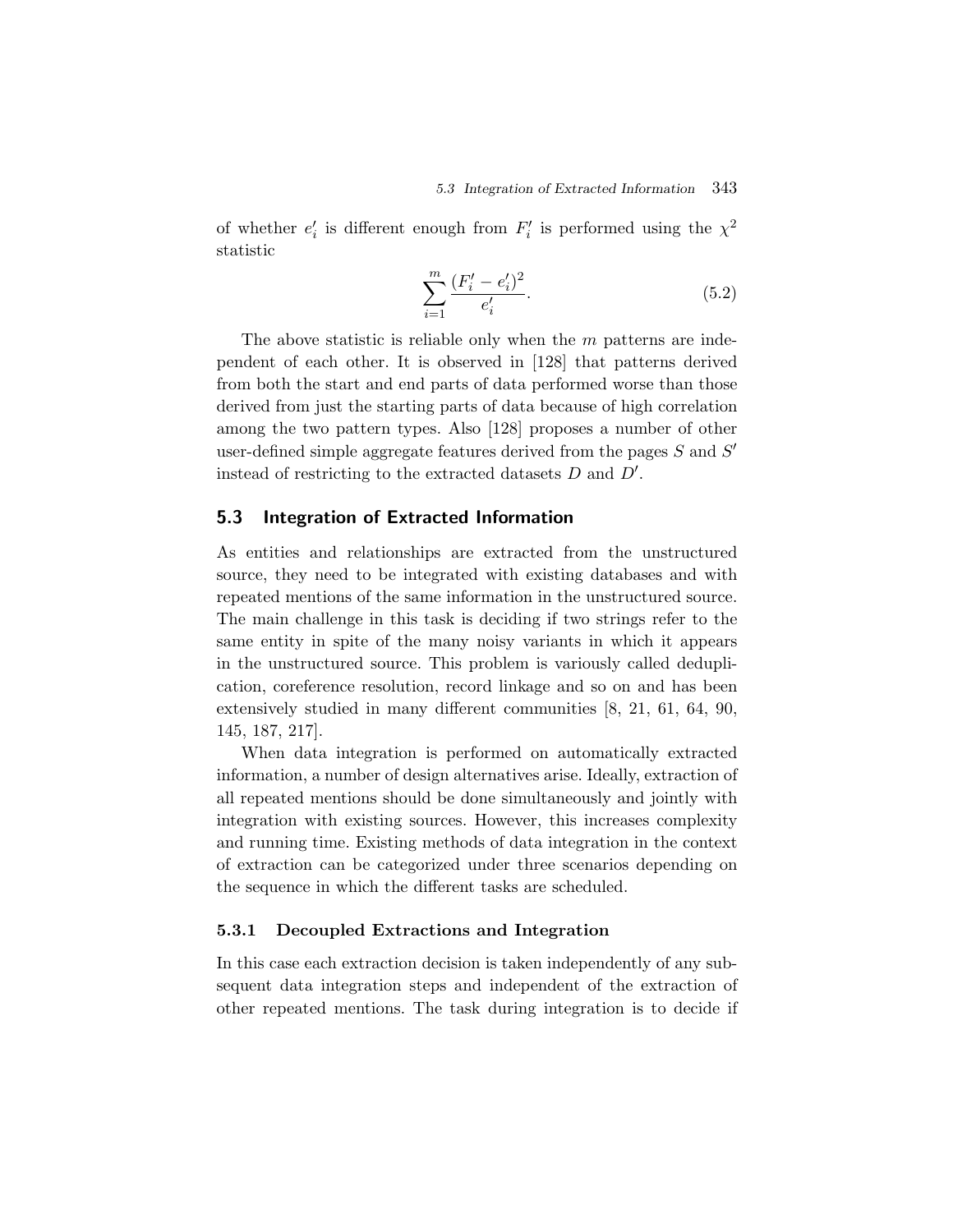of whether  $e'_i$  is different enough from  $F'_i$  is performed using the  $\chi^2$ statistic

$$
\sum_{i=1}^{m} \frac{(F_i' - e_i')^2}{e_i'}.
$$
\n(5.2)

The above statistic is reliable only when the m patterns are independent of each other. It is observed in [128] that patterns derived from both the start and end parts of data performed worse than those derived from just the starting parts of data because of high correlation among the two pattern types. Also [128] proposes a number of other user-defined simple aggregate features derived from the pages  $S$  and  $S'$ instead of restricting to the extracted datasets  $D$  and  $D'$ .

# **5.3 Integration of Extracted Information**

As entities and relationships are extracted from the unstructured source, they need to be integrated with existing databases and with repeated mentions of the same information in the unstructured source. The main challenge in this task is deciding if two strings refer to the same entity in spite of the many noisy variants in which it appears in the unstructured source. This problem is variously called deduplication, coreference resolution, record linkage and so on and has been extensively studied in many different communities [8, 21, 61, 64, 90, 145, 187, 217].

When data integration is performed on automatically extracted information, a number of design alternatives arise. Ideally, extraction of all repeated mentions should be done simultaneously and jointly with integration with existing sources. However, this increases complexity and running time. Existing methods of data integration in the context of extraction can be categorized under three scenarios depending on the sequence in which the different tasks are scheduled.

### **5.3.1 Decoupled Extractions and Integration**

In this case each extraction decision is taken independently of any subsequent data integration steps and independent of the extraction of other repeated mentions. The task during integration is to decide if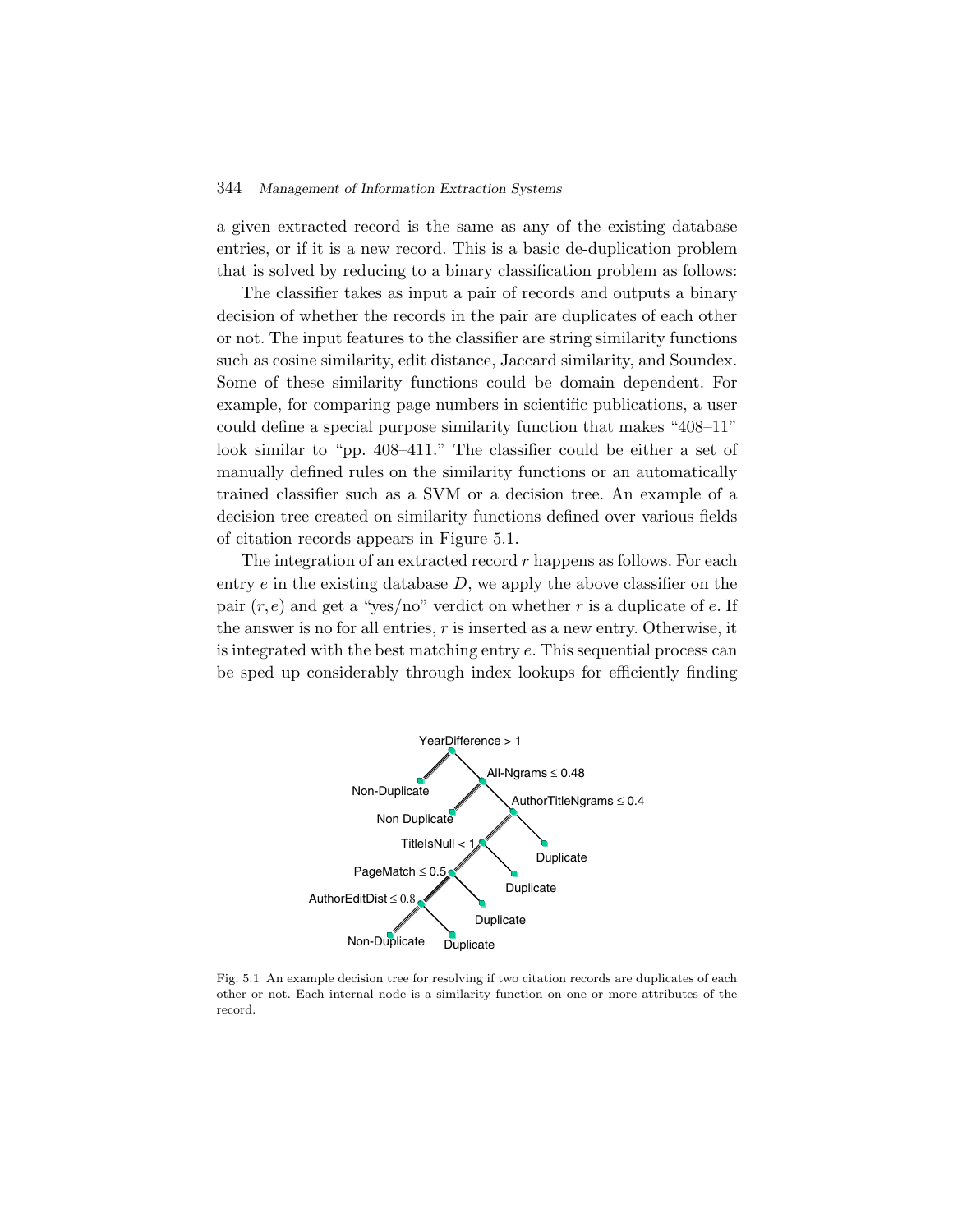a given extracted record is the same as any of the existing database entries, or if it is a new record. This is a basic de-duplication problem that is solved by reducing to a binary classification problem as follows:

The classifier takes as input a pair of records and outputs a binary decision of whether the records in the pair are duplicates of each other or not. The input features to the classifier are string similarity functions such as cosine similarity, edit distance, Jaccard similarity, and Soundex. Some of these similarity functions could be domain dependent. For example, for comparing page numbers in scientific publications, a user could define a special purpose similarity function that makes "408–11" look similar to "pp. 408–411." The classifier could be either a set of manually defined rules on the similarity functions or an automatically trained classifier such as a SVM or a decision tree. An example of a decision tree created on similarity functions defined over various fields of citation records appears in Figure 5.1.

The integration of an extracted record  $r$  happens as follows. For each entry  $e$  in the existing database  $D$ , we apply the above classifier on the pair  $(r, e)$  and get a "yes/no" verdict on whether r is a duplicate of e. If the answer is no for all entries, r is inserted as a new entry. Otherwise, it is integrated with the best matching entry e. This sequential process can be sped up considerably through index lookups for efficiently finding



Fig. 5.1 An example decision tree for resolving if two citation records are duplicates of each other or not. Each internal node is a similarity function on one or more attributes of the record.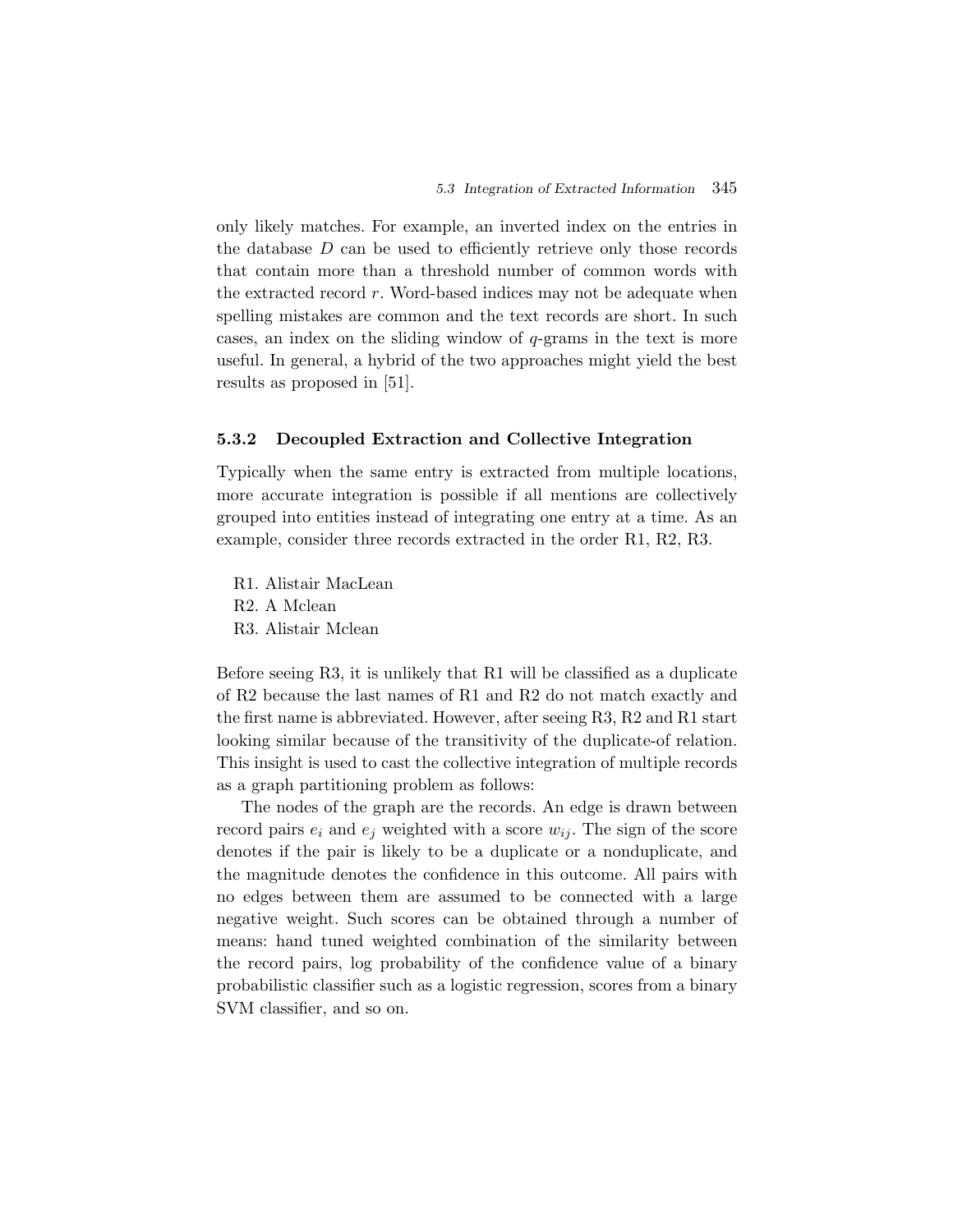only likely matches. For example, an inverted index on the entries in the database  $D$  can be used to efficiently retrieve only those records that contain more than a threshold number of common words with the extracted record  $r$ . Word-based indices may not be adequate when spelling mistakes are common and the text records are short. In such cases, an index on the sliding window of q-grams in the text is more useful. In general, a hybrid of the two approaches might yield the best results as proposed in [51].

### **5.3.2 Decoupled Extraction and Collective Integration**

Typically when the same entry is extracted from multiple locations, more accurate integration is possible if all mentions are collectively grouped into entities instead of integrating one entry at a time. As an example, consider three records extracted in the order R1, R2, R3.

- R1. Alistair MacLean R2. A Mclean
- R3. Alistair Mclean

Before seeing R3, it is unlikely that R1 will be classified as a duplicate of R2 because the last names of R1 and R2 do not match exactly and the first name is abbreviated. However, after seeing R3, R2 and R1 start looking similar because of the transitivity of the duplicate-of relation. This insight is used to cast the collective integration of multiple records as a graph partitioning problem as follows:

The nodes of the graph are the records. An edge is drawn between record pairs  $e_i$  and  $e_j$  weighted with a score  $w_{ij}$ . The sign of the score denotes if the pair is likely to be a duplicate or a nonduplicate, and the magnitude denotes the confidence in this outcome. All pairs with no edges between them are assumed to be connected with a large negative weight. Such scores can be obtained through a number of means: hand tuned weighted combination of the similarity between the record pairs, log probability of the confidence value of a binary probabilistic classifier such as a logistic regression, scores from a binary SVM classifier, and so on.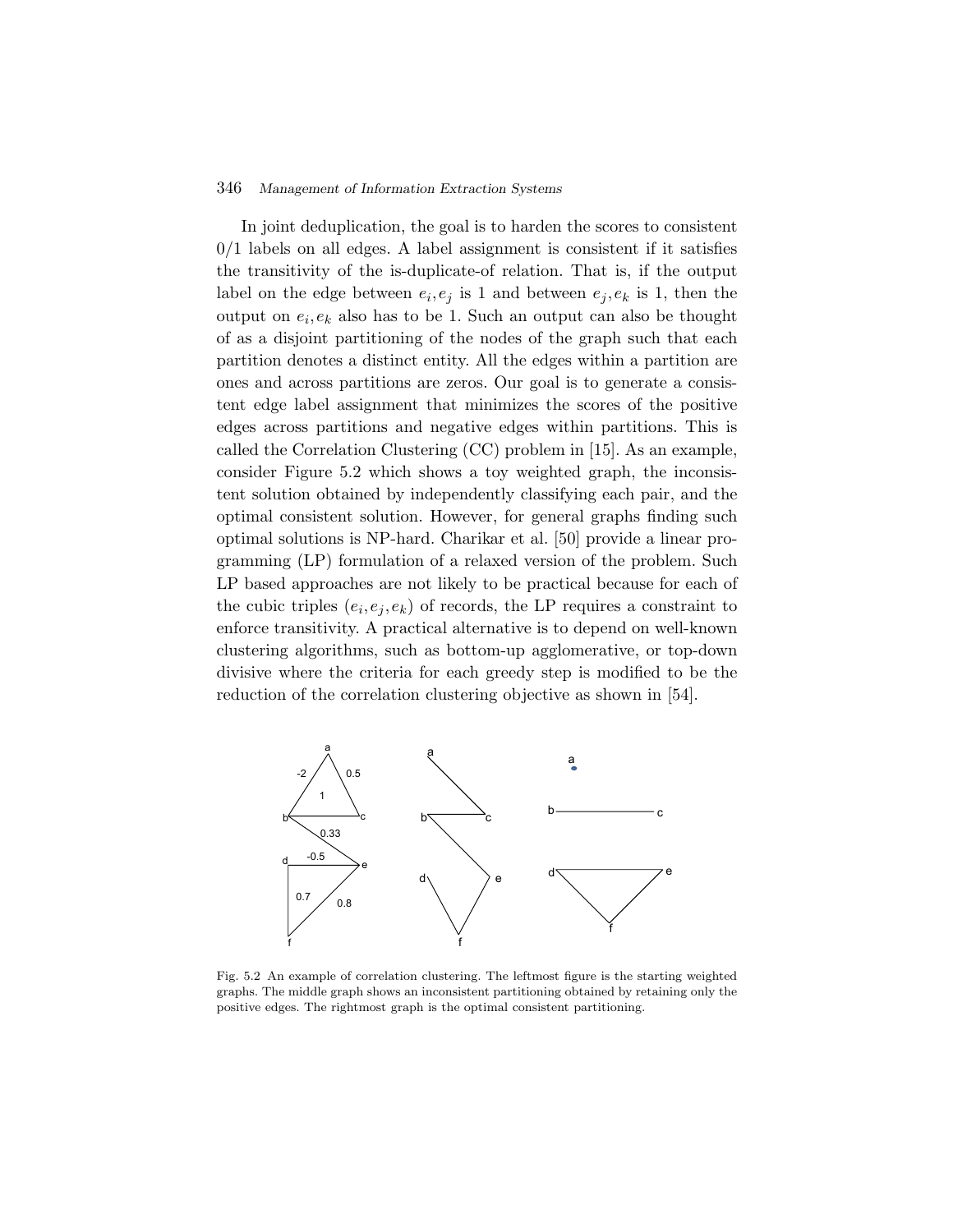In joint deduplication, the goal is to harden the scores to consistent  $0/1$  labels on all edges. A label assignment is consistent if it satisfies the transitivity of the is-duplicate-of relation. That is, if the output label on the edge between  $e_i, e_j$  is 1 and between  $e_j, e_k$  is 1, then the output on  $e_i, e_k$  also has to be 1. Such an output can also be thought of as a disjoint partitioning of the nodes of the graph such that each partition denotes a distinct entity. All the edges within a partition are ones and across partitions are zeros. Our goal is to generate a consistent edge label assignment that minimizes the scores of the positive edges across partitions and negative edges within partitions. This is called the Correlation Clustering (CC) problem in [15]. As an example, consider Figure 5.2 which shows a toy weighted graph, the inconsistent solution obtained by independently classifying each pair, and the optimal consistent solution. However, for general graphs finding such optimal solutions is NP-hard. Charikar et al. [50] provide a linear programming (LP) formulation of a relaxed version of the problem. Such LP based approaches are not likely to be practical because for each of the cubic triples  $(e_i, e_j, e_k)$  of records, the LP requires a constraint to enforce transitivity. A practical alternative is to depend on well-known clustering algorithms, such as bottom-up agglomerative, or top-down divisive where the criteria for each greedy step is modified to be the reduction of the correlation clustering objective as shown in [54].



Fig. 5.2 An example of correlation clustering. The leftmost figure is the starting weighted graphs. The middle graph shows an inconsistent partitioning obtained by retaining only the positive edges. The rightmost graph is the optimal consistent partitioning.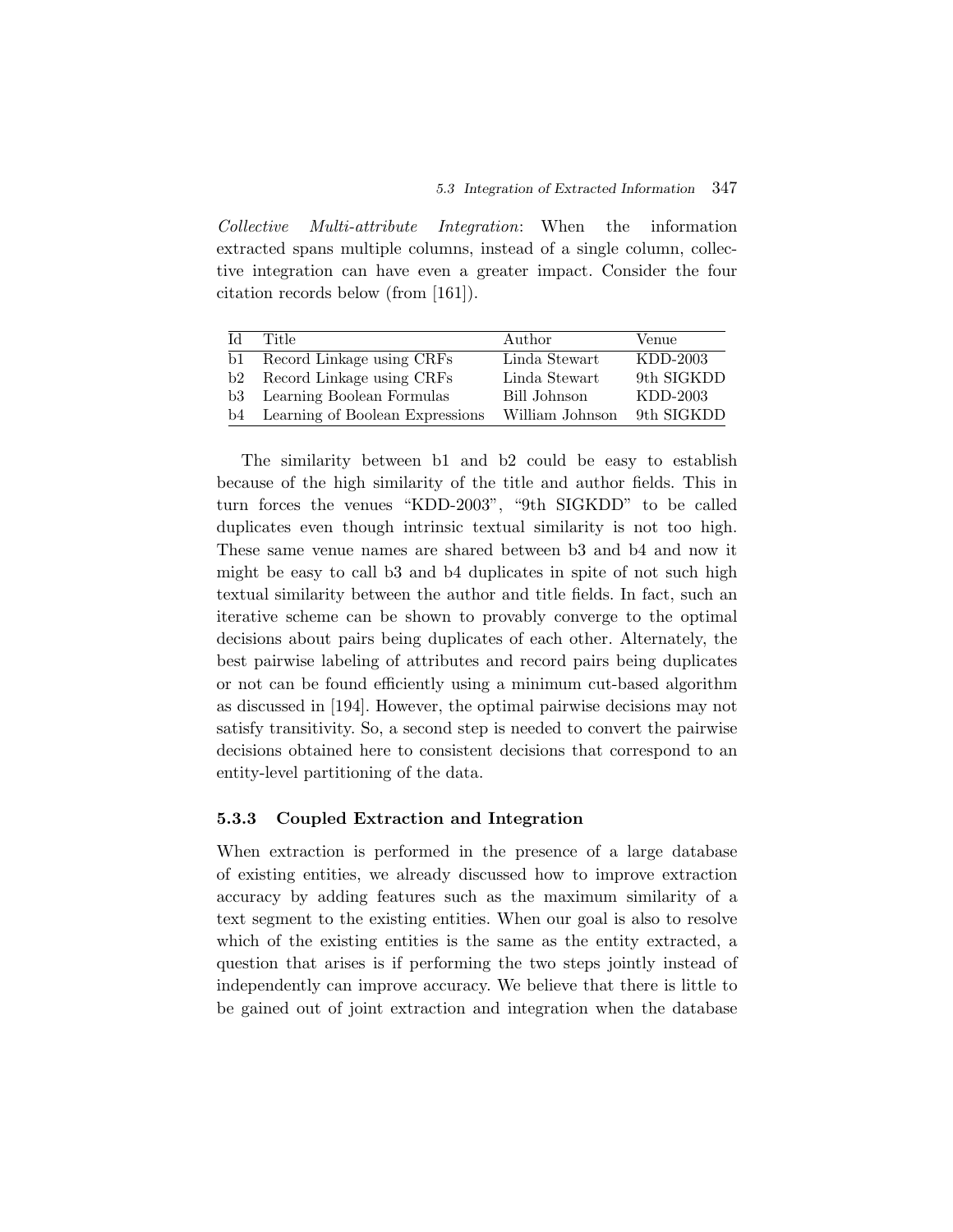*Collective Multi-attribute Integration*: When the information extracted spans multiple columns, instead of a single column, collective integration can have even a greater impact. Consider the four citation records below (from [161]).

| ЪI | Title                           | Author          | Venue      |
|----|---------------------------------|-----------------|------------|
| b1 | Record Linkage using CRFs       | Linda Stewart   | KDD-2003   |
| b2 | Record Linkage using CRFs       | Linda Stewart   | 9th SIGKDD |
| b3 | Learning Boolean Formulas       | Bill Johnson    | KDD-2003   |
| b4 | Learning of Boolean Expressions | William Johnson | 9th SIGKDD |

The similarity between b1 and b2 could be easy to establish because of the high similarity of the title and author fields. This in turn forces the venues "KDD-2003", "9th SIGKDD" to be called duplicates even though intrinsic textual similarity is not too high. These same venue names are shared between b3 and b4 and now it might be easy to call b3 and b4 duplicates in spite of not such high textual similarity between the author and title fields. In fact, such an iterative scheme can be shown to provably converge to the optimal decisions about pairs being duplicates of each other. Alternately, the best pairwise labeling of attributes and record pairs being duplicates or not can be found efficiently using a minimum cut-based algorithm as discussed in [194]. However, the optimal pairwise decisions may not satisfy transitivity. So, a second step is needed to convert the pairwise decisions obtained here to consistent decisions that correspond to an entity-level partitioning of the data.

# **5.3.3 Coupled Extraction and Integration**

When extraction is performed in the presence of a large database of existing entities, we already discussed how to improve extraction accuracy by adding features such as the maximum similarity of a text segment to the existing entities. When our goal is also to resolve which of the existing entities is the same as the entity extracted, a question that arises is if performing the two steps jointly instead of independently can improve accuracy. We believe that there is little to be gained out of joint extraction and integration when the database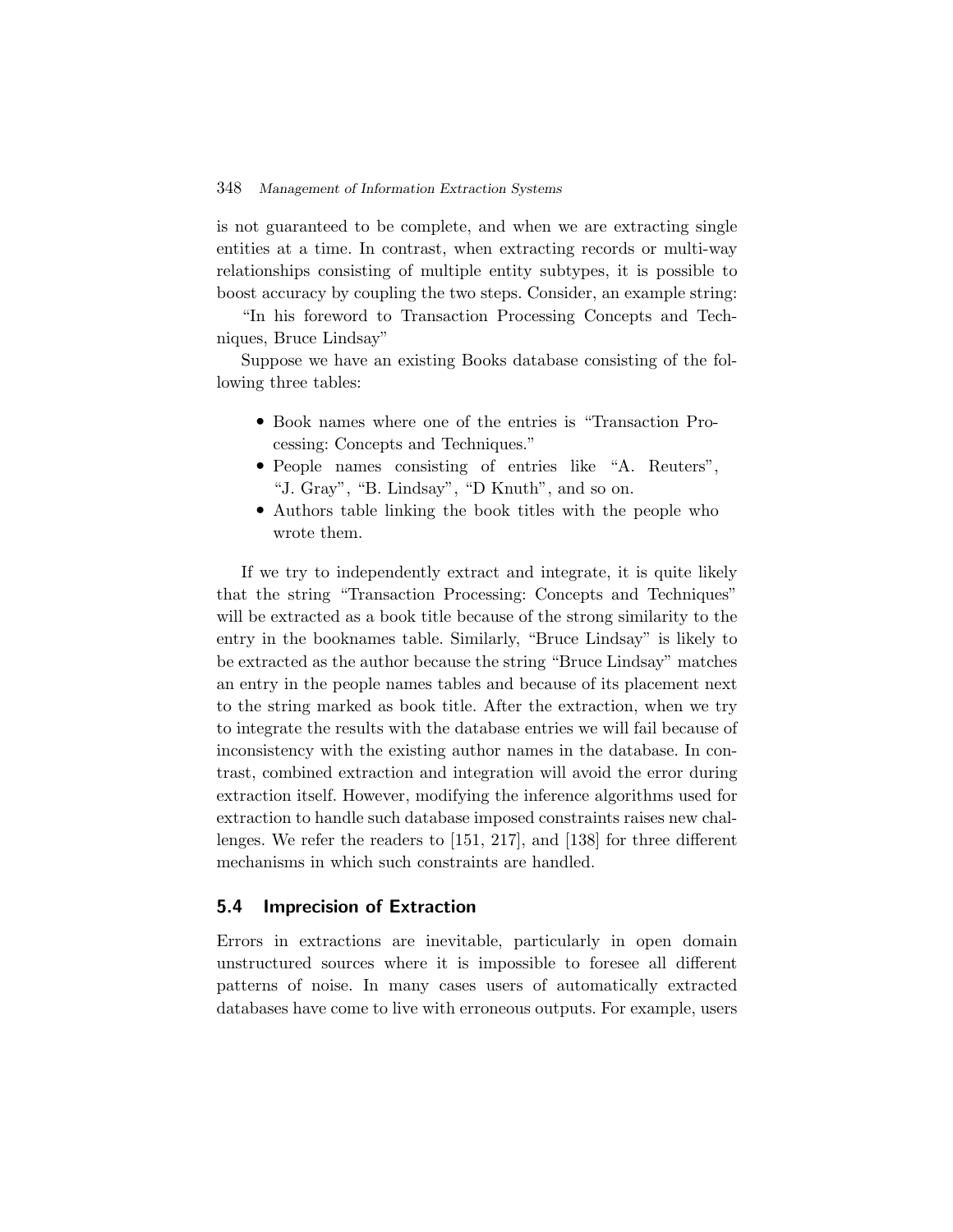is not guaranteed to be complete, and when we are extracting single entities at a time. In contrast, when extracting records or multi-way relationships consisting of multiple entity subtypes, it is possible to boost accuracy by coupling the two steps. Consider, an example string:

"In his foreword to Transaction Processing Concepts and Techniques, Bruce Lindsay"

Suppose we have an existing Books database consisting of the following three tables:

- Book names where one of the entries is "Transaction Processing: Concepts and Techniques."
- People names consisting of entries like "A. Reuters", "J. Gray", "B. Lindsay", "D Knuth", and so on.
- Authors table linking the book titles with the people who wrote them.

If we try to independently extract and integrate, it is quite likely that the string "Transaction Processing: Concepts and Techniques" will be extracted as a book title because of the strong similarity to the entry in the booknames table. Similarly, "Bruce Lindsay" is likely to be extracted as the author because the string "Bruce Lindsay" matches an entry in the people names tables and because of its placement next to the string marked as book title. After the extraction, when we try to integrate the results with the database entries we will fail because of inconsistency with the existing author names in the database. In contrast, combined extraction and integration will avoid the error during extraction itself. However, modifying the inference algorithms used for extraction to handle such database imposed constraints raises new challenges. We refer the readers to [151, 217], and [138] for three different mechanisms in which such constraints are handled.

# **5.4 Imprecision of Extraction**

Errors in extractions are inevitable, particularly in open domain unstructured sources where it is impossible to foresee all different patterns of noise. In many cases users of automatically extracted databases have come to live with erroneous outputs. For example, users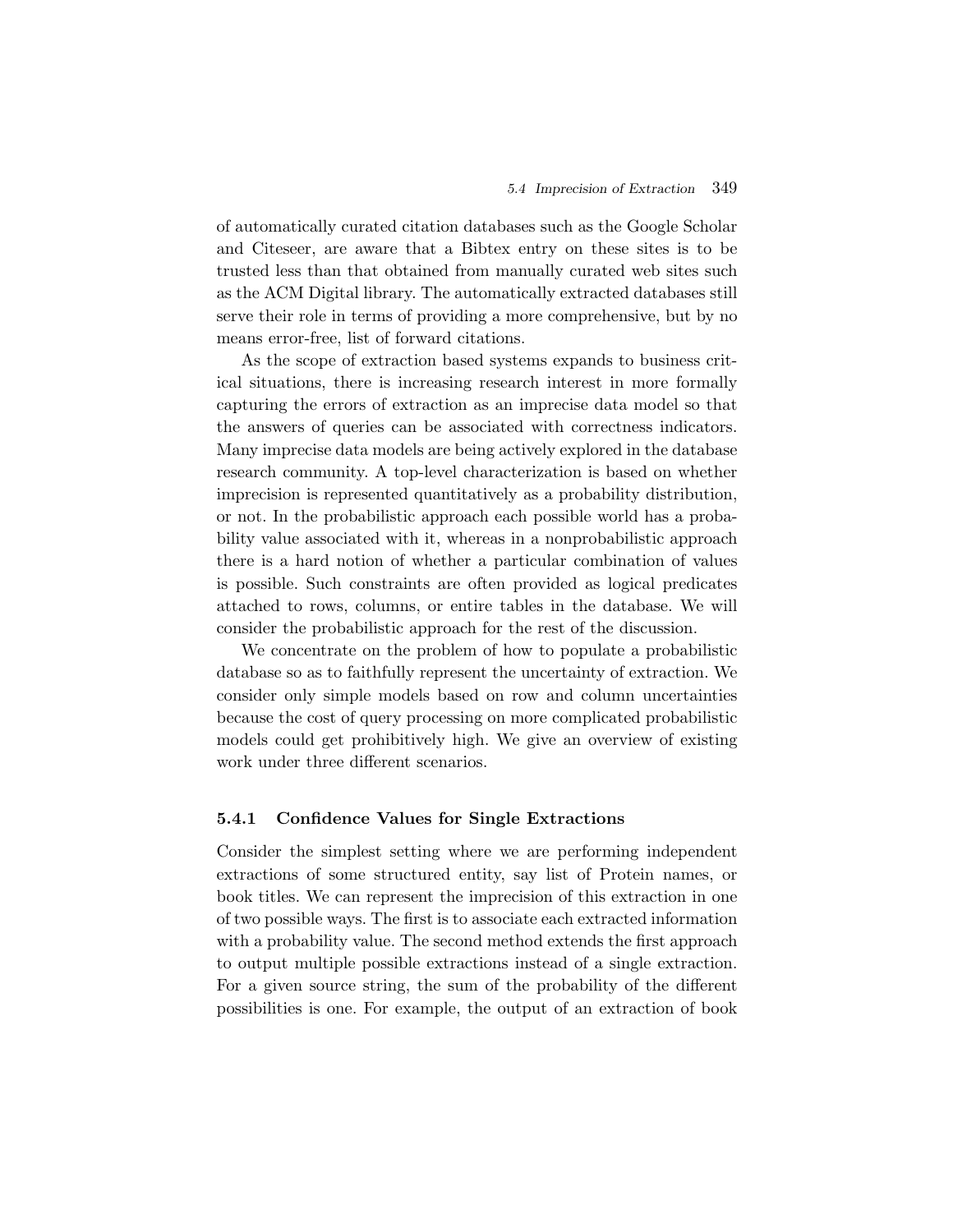of automatically curated citation databases such as the Google Scholar and Citeseer, are aware that a Bibtex entry on these sites is to be trusted less than that obtained from manually curated web sites such as the ACM Digital library. The automatically extracted databases still serve their role in terms of providing a more comprehensive, but by no means error-free, list of forward citations.

As the scope of extraction based systems expands to business critical situations, there is increasing research interest in more formally capturing the errors of extraction as an imprecise data model so that the answers of queries can be associated with correctness indicators. Many imprecise data models are being actively explored in the database research community. A top-level characterization is based on whether imprecision is represented quantitatively as a probability distribution, or not. In the probabilistic approach each possible world has a probability value associated with it, whereas in a nonprobabilistic approach there is a hard notion of whether a particular combination of values is possible. Such constraints are often provided as logical predicates attached to rows, columns, or entire tables in the database. We will consider the probabilistic approach for the rest of the discussion.

We concentrate on the problem of how to populate a probabilistic database so as to faithfully represent the uncertainty of extraction. We consider only simple models based on row and column uncertainties because the cost of query processing on more complicated probabilistic models could get prohibitively high. We give an overview of existing work under three different scenarios.

# **5.4.1 Confidence Values for Single Extractions**

Consider the simplest setting where we are performing independent extractions of some structured entity, say list of Protein names, or book titles. We can represent the imprecision of this extraction in one of two possible ways. The first is to associate each extracted information with a probability value. The second method extends the first approach to output multiple possible extractions instead of a single extraction. For a given source string, the sum of the probability of the different possibilities is one. For example, the output of an extraction of book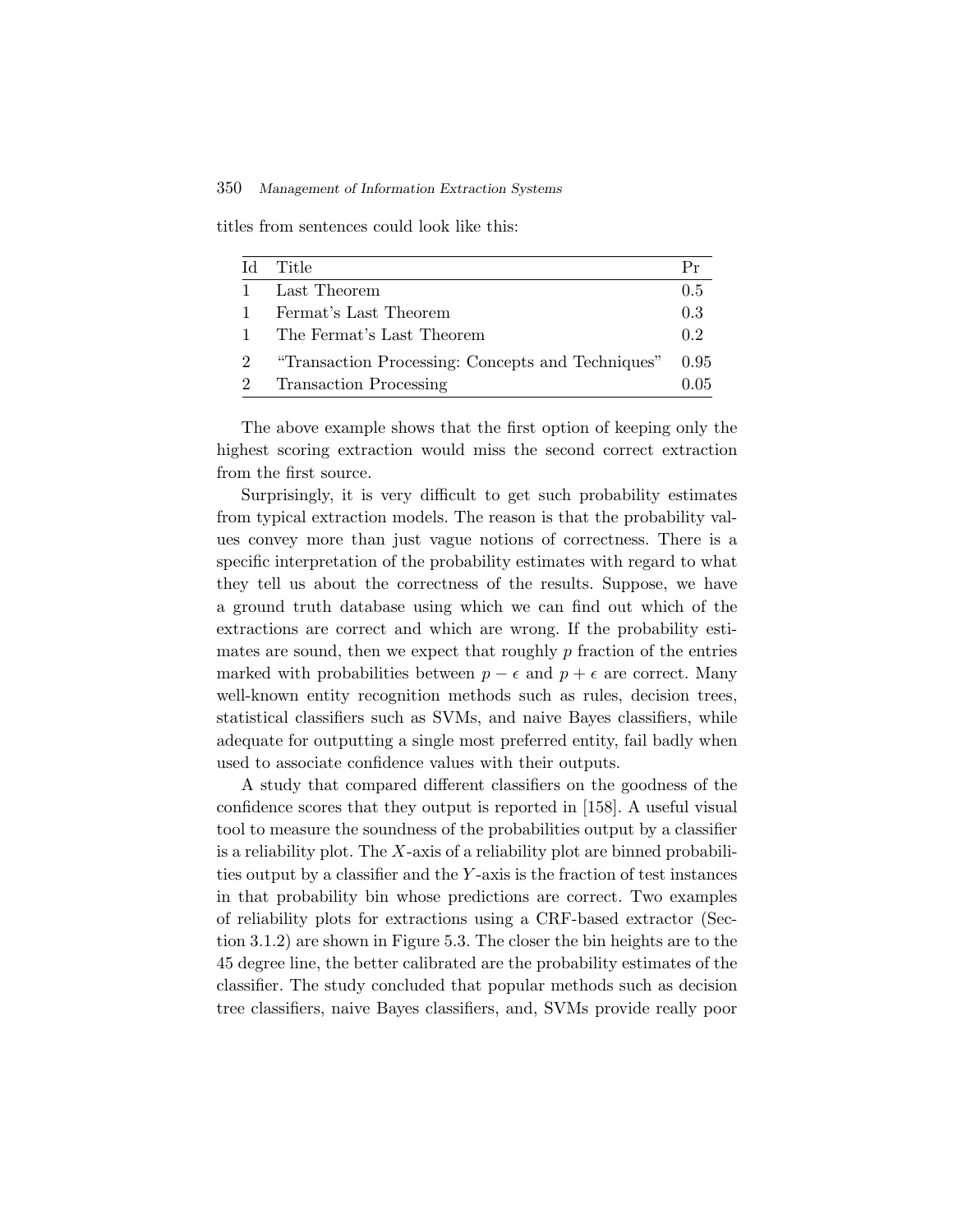titles from sentences could look like this:

| -Id | Title                                             |      |
|-----|---------------------------------------------------|------|
|     | Last Theorem                                      | 0.5  |
|     | Fermat's Last Theorem                             | 0.3  |
|     | The Fermat's Last Theorem                         | 0.2  |
|     | "Transaction Processing: Concepts and Techniques" | 0.95 |
|     | <b>Transaction Processing</b>                     | 0.05 |

The above example shows that the first option of keeping only the highest scoring extraction would miss the second correct extraction from the first source.

Surprisingly, it is very difficult to get such probability estimates from typical extraction models. The reason is that the probability values convey more than just vague notions of correctness. There is a specific interpretation of the probability estimates with regard to what they tell us about the correctness of the results. Suppose, we have a ground truth database using which we can find out which of the extractions are correct and which are wrong. If the probability estimates are sound, then we expect that roughly  $p$  fraction of the entries marked with probabilities between  $p - \epsilon$  and  $p + \epsilon$  are correct. Many well-known entity recognition methods such as rules, decision trees, statistical classifiers such as SVMs, and naive Bayes classifiers, while adequate for outputting a single most preferred entity, fail badly when used to associate confidence values with their outputs.

A study that compared different classifiers on the goodness of the confidence scores that they output is reported in [158]. A useful visual tool to measure the soundness of the probabilities output by a classifier is a reliability plot. The X-axis of a reliability plot are binned probabilities output by a classifier and the Y -axis is the fraction of test instances in that probability bin whose predictions are correct. Two examples of reliability plots for extractions using a CRF-based extractor (Section 3.1.2) are shown in Figure 5.3. The closer the bin heights are to the 45 degree line, the better calibrated are the probability estimates of the classifier. The study concluded that popular methods such as decision tree classifiers, naive Bayes classifiers, and, SVMs provide really poor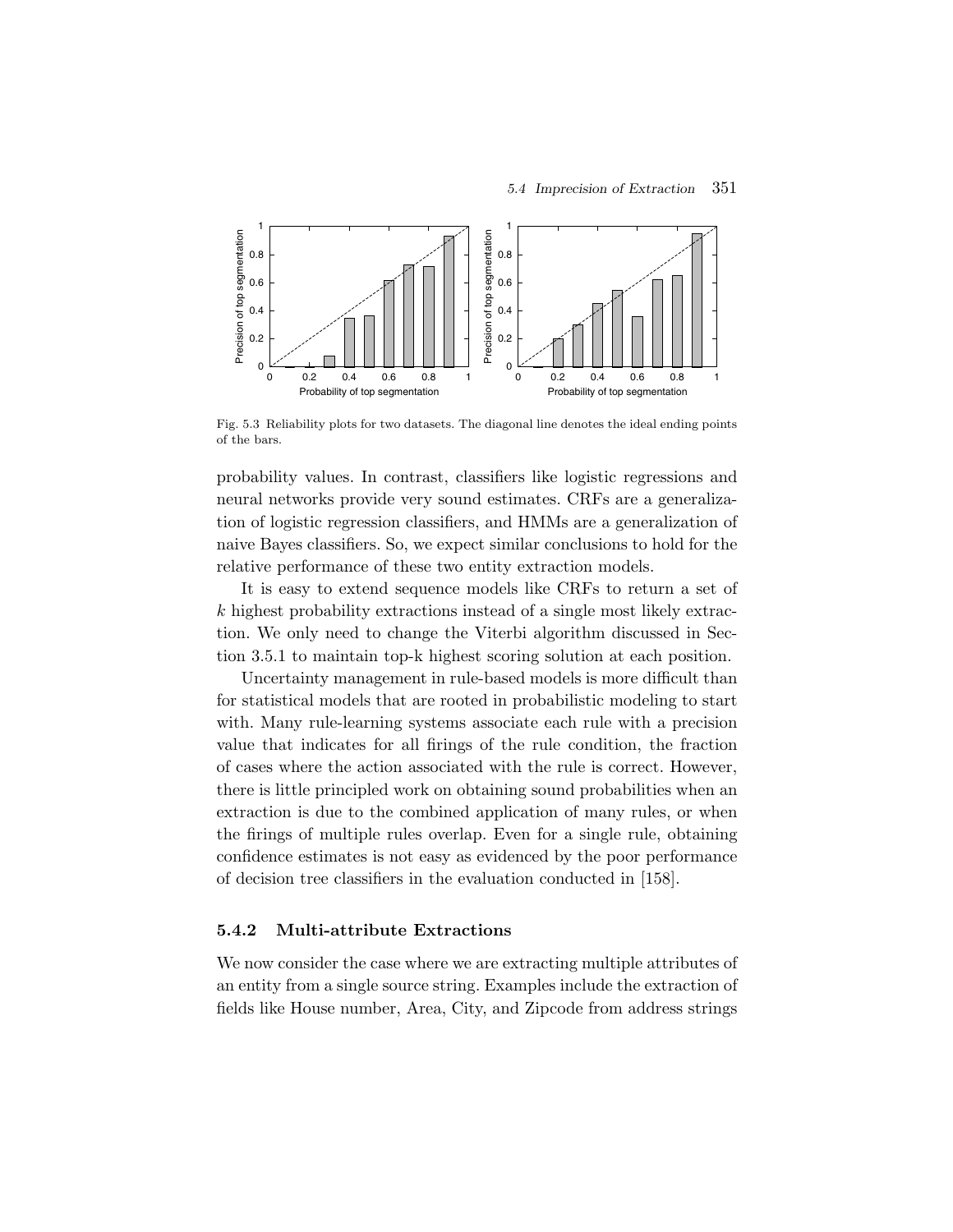

Fig. 5.3 Reliability plots for two datasets. The diagonal line denotes the ideal ending points of the bars.

probability values. In contrast, classifiers like logistic regressions and neural networks provide very sound estimates. CRFs are a generalization of logistic regression classifiers, and HMMs are a generalization of naive Bayes classifiers. So, we expect similar conclusions to hold for the relative performance of these two entity extraction models.

It is easy to extend sequence models like CRFs to return a set of k highest probability extractions instead of a single most likely extraction. We only need to change the Viterbi algorithm discussed in Section 3.5.1 to maintain top-k highest scoring solution at each position.

Uncertainty management in rule-based models is more difficult than for statistical models that are rooted in probabilistic modeling to start with. Many rule-learning systems associate each rule with a precision value that indicates for all firings of the rule condition, the fraction of cases where the action associated with the rule is correct. However, there is little principled work on obtaining sound probabilities when an extraction is due to the combined application of many rules, or when the firings of multiple rules overlap. Even for a single rule, obtaining confidence estimates is not easy as evidenced by the poor performance of decision tree classifiers in the evaluation conducted in [158].

# **5.4.2 Multi-attribute Extractions**

We now consider the case where we are extracting multiple attributes of an entity from a single source string. Examples include the extraction of fields like House number, Area, City, and Zipcode from address strings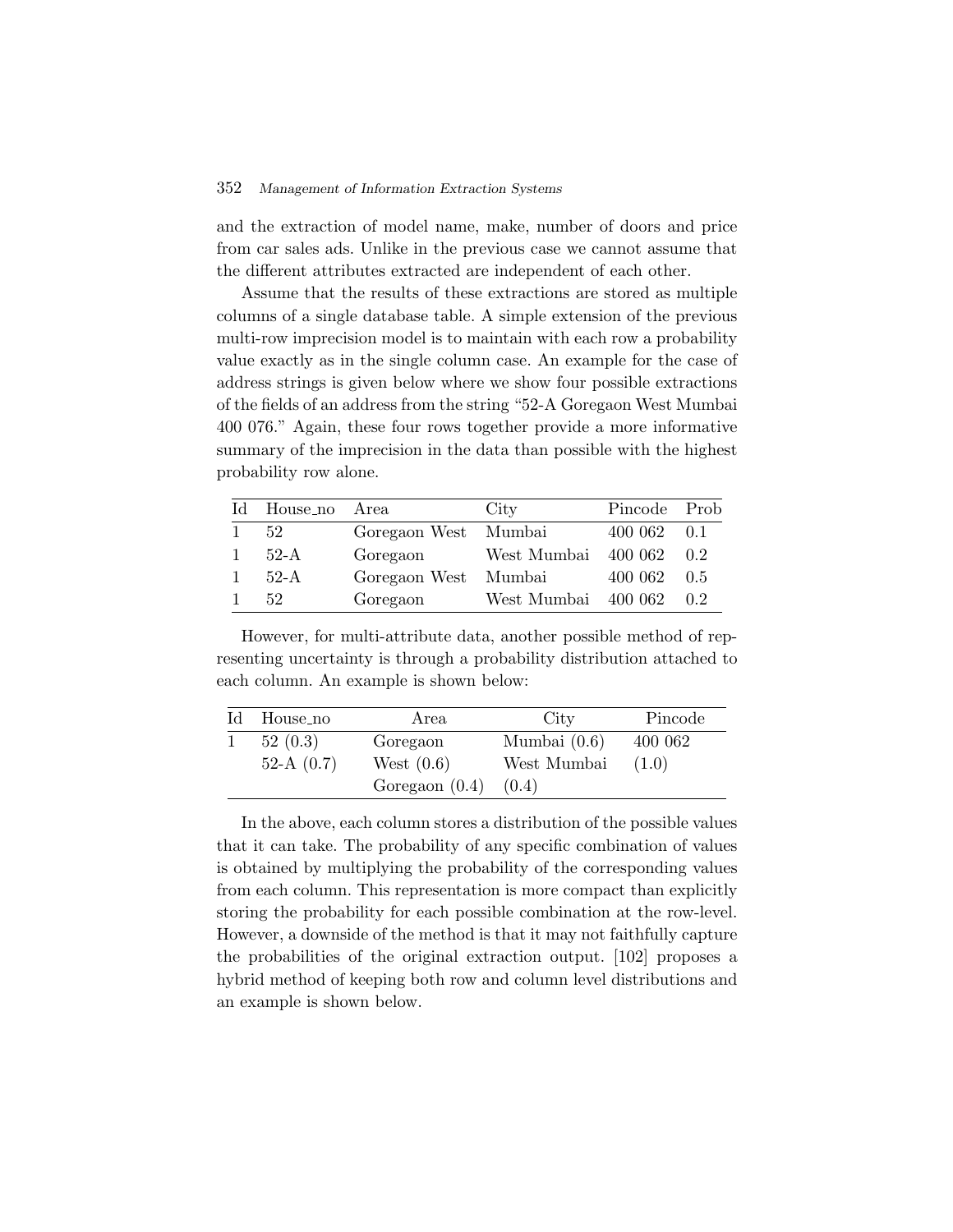and the extraction of model name, make, number of doors and price from car sales ads. Unlike in the previous case we cannot assume that the different attributes extracted are independent of each other.

Assume that the results of these extractions are stored as multiple columns of a single database table. A simple extension of the previous multi-row imprecision model is to maintain with each row a probability value exactly as in the single column case. An example for the case of address strings is given below where we show four possible extractions of the fields of an address from the string "52-A Goregaon West Mumbai 400 076." Again, these four rows together provide a more informative summary of the imprecision in the data than possible with the highest probability row alone.

| Id | House_no Area |                      | City                | Pincode Prob |     |
|----|---------------|----------------------|---------------------|--------------|-----|
|    | .52           | Goregaon West Mumbai |                     | $400062$ 0.1 |     |
|    | $52-A$        | Goregaon             | West Mumbai         | 400 062      | 0.2 |
|    | $52-A$        | Goregaon West Mumbai |                     | 400 062      | 0.5 |
|    | 52            | Goregaon             | West Mumbai 400 062 |              | 0.2 |

However, for multi-attribute data, another possible method of representing uncertainty is through a probability distribution attached to each column. An example is shown below:

| Id | House_no     | Area             | City           | Pincode |
|----|--------------|------------------|----------------|---------|
|    | 52(0.3)      | Goregaon         | Mumbai $(0.6)$ | 400 062 |
|    | 52-A $(0.7)$ | West $(0.6)$     | West Mumbai    | (1.0)   |
|    |              | Goregaon $(0.4)$ | (0.4)          |         |

In the above, each column stores a distribution of the possible values that it can take. The probability of any specific combination of values is obtained by multiplying the probability of the corresponding values from each column. This representation is more compact than explicitly storing the probability for each possible combination at the row-level. However, a downside of the method is that it may not faithfully capture the probabilities of the original extraction output. [102] proposes a hybrid method of keeping both row and column level distributions and an example is shown below.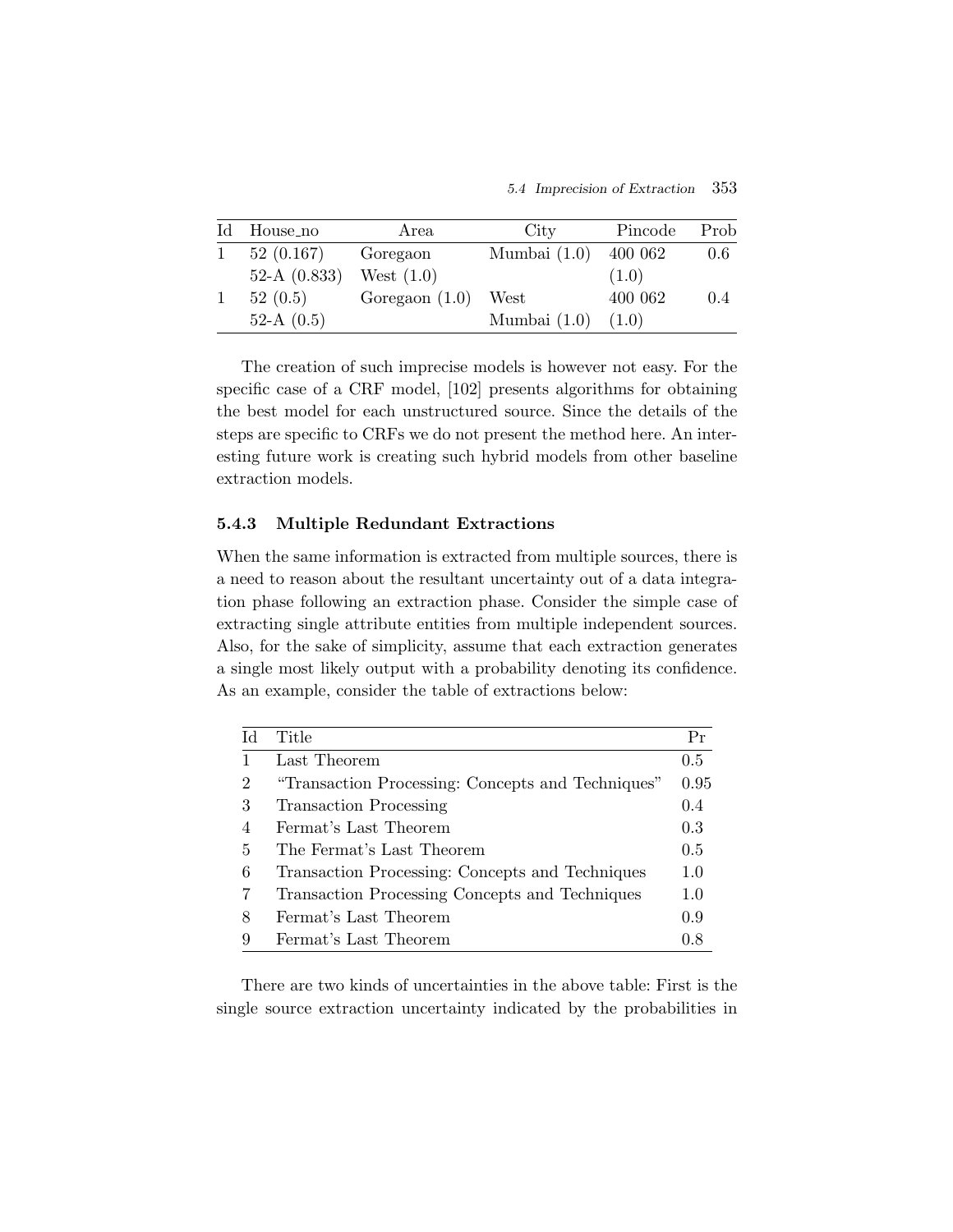| Id | House_no       | Area             | City                 | Pincode | Prob |
|----|----------------|------------------|----------------------|---------|------|
|    | 52(0.167)      | Goregaon         | Mumbai (1.0) 400 062 |         | 0.6  |
|    | 52-A $(0.833)$ | West $(1.0)$     |                      | (1.0)   |      |
|    | 52(0.5)        | Goregaon $(1.0)$ | West                 | 400 062 | 0.4  |
|    | 52-A $(0.5)$   |                  | Mumbai $(1.0)$       | (1.0)   |      |

The creation of such imprecise models is however not easy. For the specific case of a CRF model, [102] presents algorithms for obtaining the best model for each unstructured source. Since the details of the steps are specific to CRFs we do not present the method here. An interesting future work is creating such hybrid models from other baseline extraction models.

# **5.4.3 Multiple Redundant Extractions**

When the same information is extracted from multiple sources, there is a need to reason about the resultant uncertainty out of a data integration phase following an extraction phase. Consider the simple case of extracting single attribute entities from multiple independent sources. Also, for the sake of simplicity, assume that each extraction generates a single most likely output with a probability denoting its confidence. As an example, consider the table of extractions below:

| Id | Title                                             | Pr   |
|----|---------------------------------------------------|------|
| 1  | Last Theorem                                      | 0.5  |
| 2  | "Transaction Processing: Concepts and Techniques" | 0.95 |
| 3  | <b>Transaction Processing</b>                     | 0.4  |
| 4  | Fermat's Last Theorem                             | 0.3  |
| 5  | The Fermat's Last Theorem                         | 0.5  |
| 6  | Transaction Processing: Concepts and Techniques   | 1.0  |
| 7  | Transaction Processing Concepts and Techniques    | 1.0  |
| 8  | Fermat's Last Theorem                             | 0.9  |
| 9  | Fermat's Last Theorem                             | 0.8  |

There are two kinds of uncertainties in the above table: First is the single source extraction uncertainty indicated by the probabilities in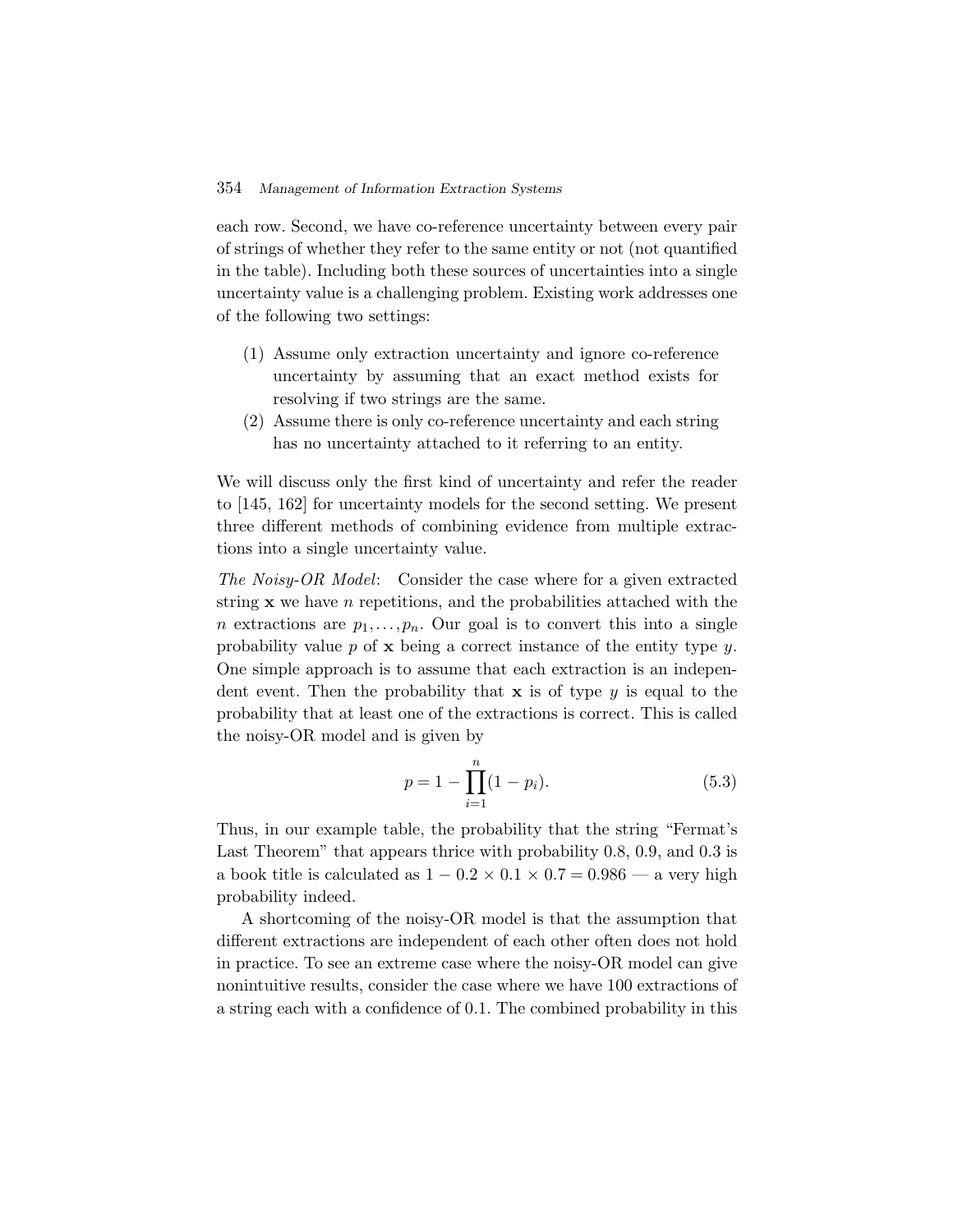each row. Second, we have co-reference uncertainty between every pair of strings of whether they refer to the same entity or not (not quantified in the table). Including both these sources of uncertainties into a single uncertainty value is a challenging problem. Existing work addresses one of the following two settings:

- (1) Assume only extraction uncertainty and ignore co-reference uncertainty by assuming that an exact method exists for resolving if two strings are the same.
- (2) Assume there is only co-reference uncertainty and each string has no uncertainty attached to it referring to an entity.

We will discuss only the first kind of uncertainty and refer the reader to [145, 162] for uncertainty models for the second setting. We present three different methods of combining evidence from multiple extractions into a single uncertainty value.

*The Noisy-OR Model*: Consider the case where for a given extracted string **x** we have n repetitions, and the probabilities attached with the n extractions are  $p_1, \ldots, p_n$ . Our goal is to convert this into a single probability value p of **x** being a correct instance of the entity type y. One simple approach is to assume that each extraction is an independent event. Then the probability that  $x$  is of type  $y$  is equal to the probability that at least one of the extractions is correct. This is called the noisy-OR model and is given by

$$
p = 1 - \prod_{i=1}^{n} (1 - p_i).
$$
 (5.3)

Thus, in our example table, the probability that the string "Fermat's Last Theorem" that appears thrice with probability 0.8, 0.9, and 0.3 is a book title is calculated as  $1 - 0.2 \times 0.1 \times 0.7 = 0.986$  — a very high probability indeed.

A shortcoming of the noisy-OR model is that the assumption that different extractions are independent of each other often does not hold in practice. To see an extreme case where the noisy-OR model can give nonintuitive results, consider the case where we have 100 extractions of a string each with a confidence of 0.1. The combined probability in this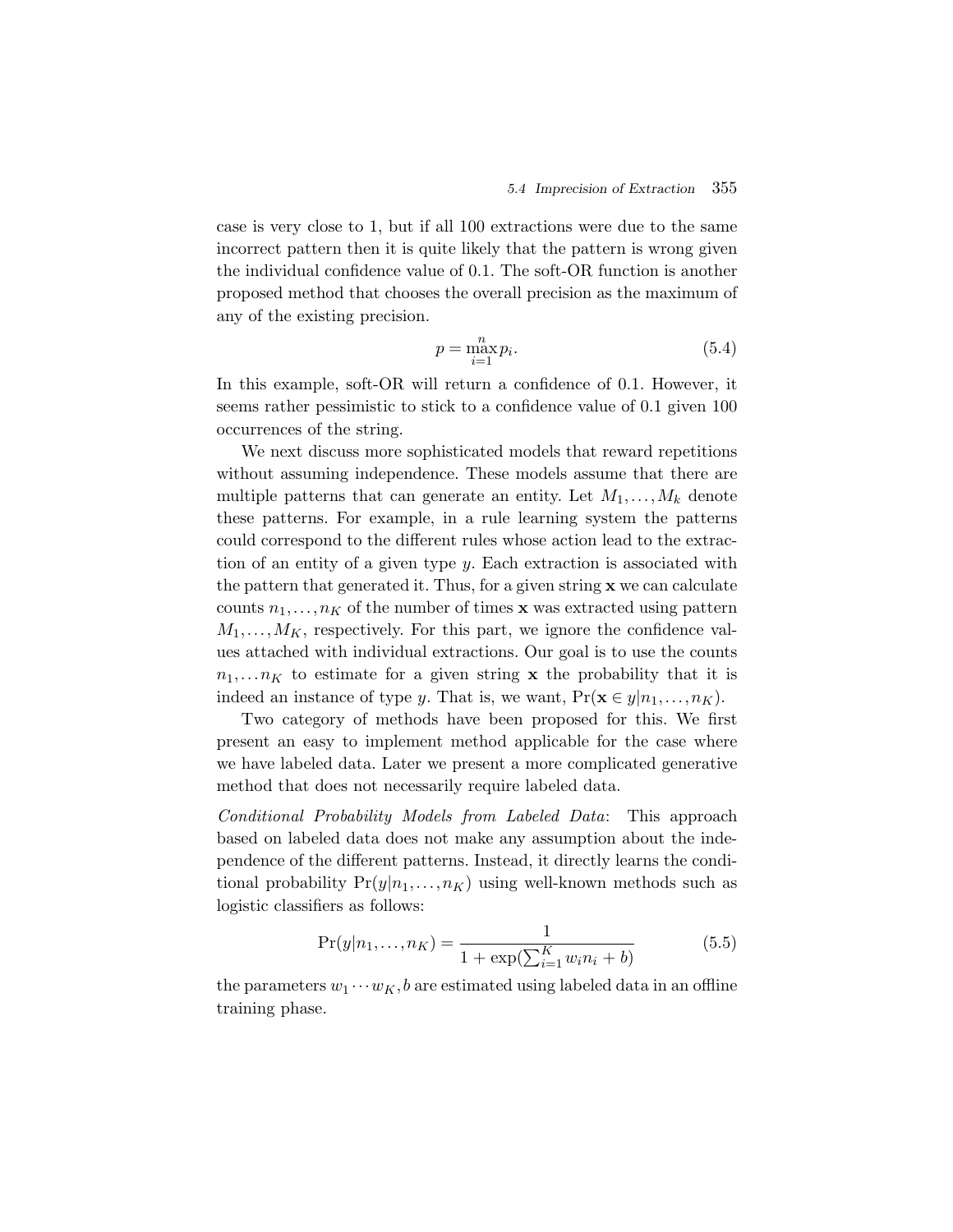case is very close to 1, but if all 100 extractions were due to the same incorrect pattern then it is quite likely that the pattern is wrong given the individual confidence value of 0.1. The soft-OR function is another proposed method that chooses the overall precision as the maximum of any of the existing precision.

$$
p = \max_{i=1}^{n} p_i.
$$
\n
$$
(5.4)
$$

In this example, soft-OR will return a confidence of 0.1. However, it seems rather pessimistic to stick to a confidence value of 0.1 given 100 occurrences of the string.

We next discuss more sophisticated models that reward repetitions without assuming independence. These models assume that there are multiple patterns that can generate an entity. Let  $M_1, \ldots, M_k$  denote these patterns. For example, in a rule learning system the patterns could correspond to the different rules whose action lead to the extraction of an entity of a given type y. Each extraction is associated with the pattern that generated it. Thus, for a given string **x** we can calculate counts  $n_1, \ldots, n_K$  of the number of times **x** was extracted using pattern  $M_1, \ldots, M_K$ , respectively. For this part, we ignore the confidence values attached with individual extractions. Our goal is to use the counts  $n_1,...n_K$  to estimate for a given string **x** the probability that it is indeed an instance of type y. That is, we want,  $Pr(\mathbf{x} \in \mathcal{Y}|n_1,\ldots,n_K)$ .

Two category of methods have been proposed for this. We first present an easy to implement method applicable for the case where we have labeled data. Later we present a more complicated generative method that does not necessarily require labeled data.

*Conditional Probability Models from Labeled Data*: This approach based on labeled data does not make any assumption about the independence of the different patterns. Instead, it directly learns the conditional probability  $Pr(y|n_1,...,n_K)$  using well-known methods such as logistic classifiers as follows:

$$
Pr(y|n_1,...,n_K) = \frac{1}{1 + \exp(\sum_{i=1}^K w_i n_i + b)}
$$
(5.5)

the parameters  $w_1 \cdots w_K$ , b are estimated using labeled data in an offline training phase.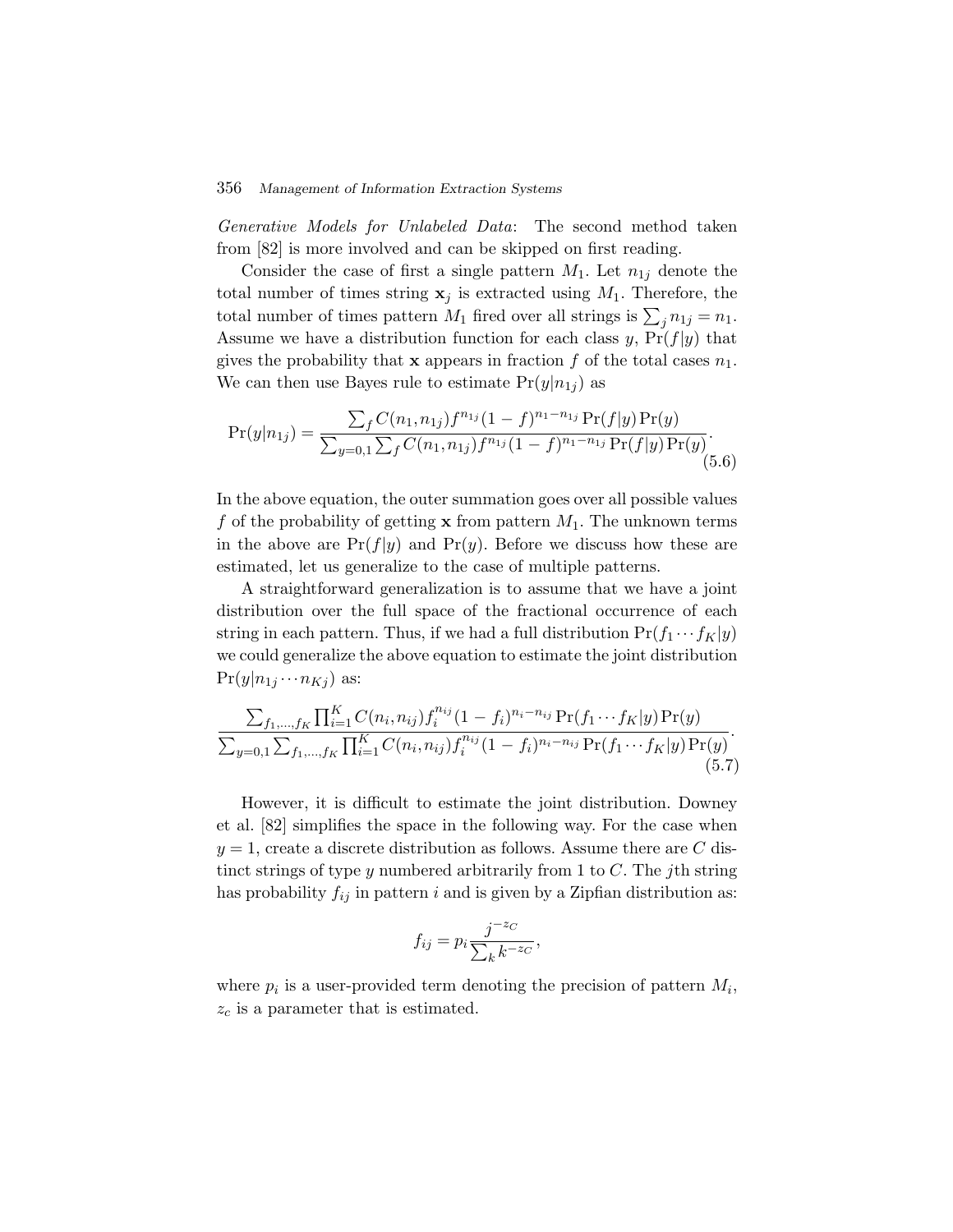*Generative Models for Unlabeled Data*: The second method taken from [82] is more involved and can be skipped on first reading.

Consider the case of first a single pattern  $M_1$ . Let  $n_{1j}$  denote the total number of times string  $x_j$  is extracted using  $M_1$ . Therefore, the total number of times pattern  $M_1$  fired over all strings is  $\sum_j n_{1j} = n_1$ . Assume we have a distribution function for each class y,  $Pr(f|y)$  that gives the probability that **x** appears in fraction f of the total cases  $n_1$ . We can then use Bayes rule to estimate  $Pr(y|n_{1j})$  as

$$
\Pr(y|n_{1j}) = \frac{\sum_{f} C(n_1, n_{1j}) f^{n_{1j}} (1 - f)^{n_1 - n_{1j}} \Pr(f|y) \Pr(y)}{\sum_{y=0,1} \sum_{f} C(n_1, n_{1j}) f^{n_{1j}} (1 - f)^{n_1 - n_{1j}} \Pr(f|y) \Pr(y)}.
$$
\n(5.6)

In the above equation, the outer summation goes over all possible values f of the probability of getting **x** from pattern  $M_1$ . The unknown terms in the above are  $Pr(f|y)$  and  $Pr(y)$ . Before we discuss how these are estimated, let us generalize to the case of multiple patterns.

A straightforward generalization is to assume that we have a joint distribution over the full space of the fractional occurrence of each string in each pattern. Thus, if we had a full distribution  $Pr(f_1 \cdots f_K|y)$ we could generalize the above equation to estimate the joint distribution  $Pr(y|n_{1j} \cdots n_{Ki})$  as:

$$
\frac{\sum_{f_1,\dots,f_K} \prod_{i=1}^K C(n_i, n_{ij}) f_i^{n_{ij}} (1 - f_i)^{n_i - n_{ij}} \Pr(f_1 \cdots f_K | y) \Pr(y)}{\sum_{y=0,1} \sum_{f_1,\dots,f_K} \prod_{i=1}^K C(n_i, n_{ij}) f_i^{n_{ij}} (1 - f_i)^{n_i - n_{ij}} \Pr(f_1 \cdots f_K | y) \Pr(y)}.
$$
\n(5.7)

However, it is difficult to estimate the joint distribution. Downey et al. [82] simplifies the space in the following way. For the case when  $y = 1$ , create a discrete distribution as follows. Assume there are C distinct strings of type  $y$  numbered arbitrarily from 1 to  $C$ . The jth string has probability  $f_{ij}$  in pattern i and is given by a Zipfian distribution as:

$$
f_{ij} = p_i \frac{j^{-z_C}}{\sum_k k^{-z_C}},
$$

where  $p_i$  is a user-provided term denoting the precision of pattern  $M_i$ ,  $z_c$  is a parameter that is estimated.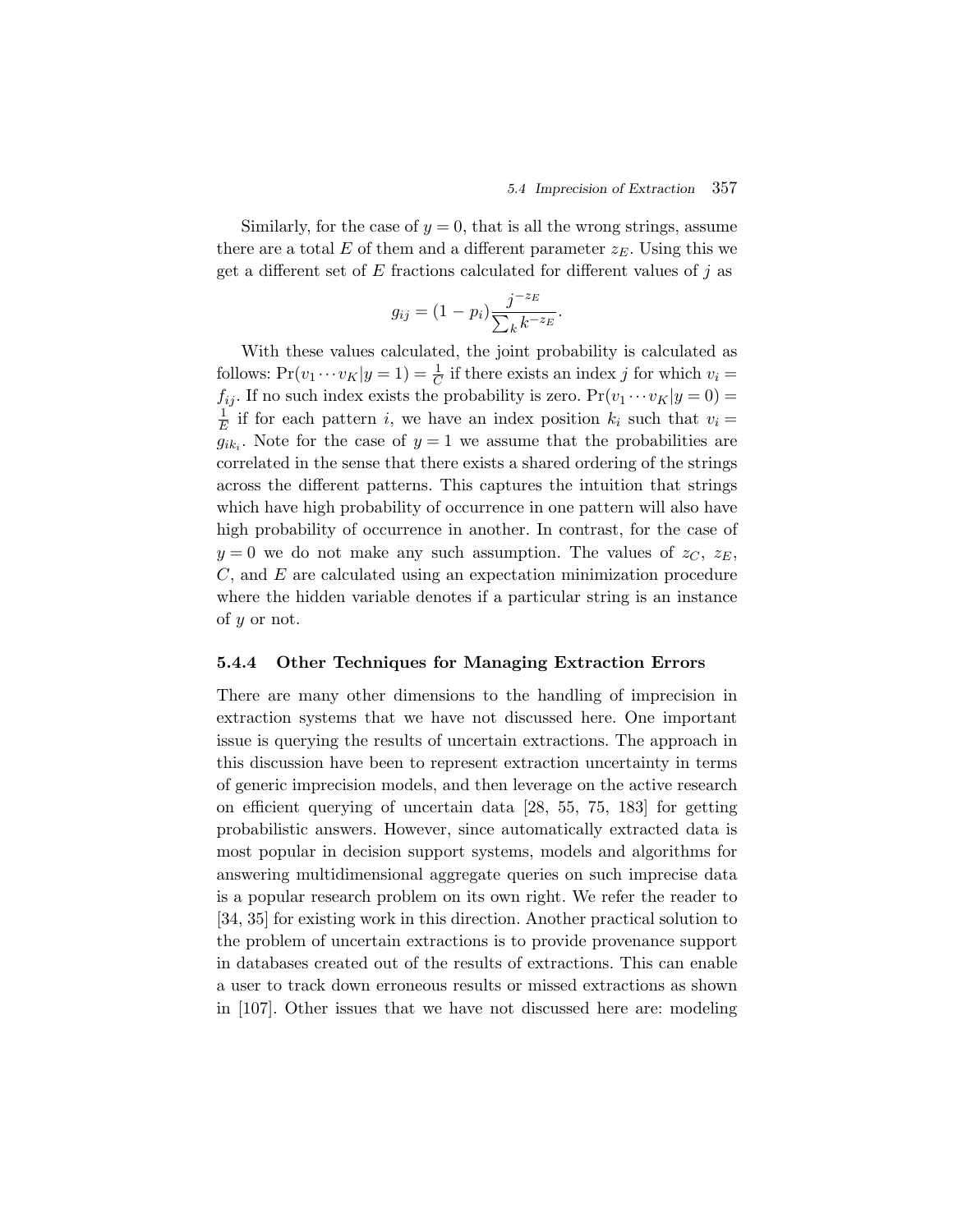Similarly, for the case of  $y = 0$ , that is all the wrong strings, assume there are a total E of them and a different parameter  $z_E$ . Using this we get a different set of  $E$  fractions calculated for different values of  $j$  as

$$
g_{ij} = (1 - p_i) \frac{j^{-z_E}}{\sum_k k^{-z_E}}.
$$

With these values calculated, the joint probability is calculated as follows:  $Pr(v_1 \cdots v_K | y = 1) = \frac{1}{C}$  if there exists an index j for which  $v_i =$  $f_{ij}$ . If no such index exists the probability is zero.  $Pr(v_1 \cdots v_K|y=0)$  =  $\frac{1}{E}$  if for each pattern *i*, we have an index position  $k_i$  such that  $v_i =$  $g_{ik_i}$ . Note for the case of  $y = 1$  we assume that the probabilities are correlated in the sense that there exists a shared ordering of the strings across the different patterns. This captures the intuition that strings which have high probability of occurrence in one pattern will also have high probability of occurrence in another. In contrast, for the case of  $y = 0$  we do not make any such assumption. The values of  $z_C$ ,  $z_E$ ,  $C$ , and  $E$  are calculated using an expectation minimization procedure where the hidden variable denotes if a particular string is an instance of y or not.

#### **5.4.4 Other Techniques for Managing Extraction Errors**

There are many other dimensions to the handling of imprecision in extraction systems that we have not discussed here. One important issue is querying the results of uncertain extractions. The approach in this discussion have been to represent extraction uncertainty in terms of generic imprecision models, and then leverage on the active research on efficient querying of uncertain data [28, 55, 75, 183] for getting probabilistic answers. However, since automatically extracted data is most popular in decision support systems, models and algorithms for answering multidimensional aggregate queries on such imprecise data is a popular research problem on its own right. We refer the reader to [34, 35] for existing work in this direction. Another practical solution to the problem of uncertain extractions is to provide provenance support in databases created out of the results of extractions. This can enable a user to track down erroneous results or missed extractions as shown in [107]. Other issues that we have not discussed here are: modeling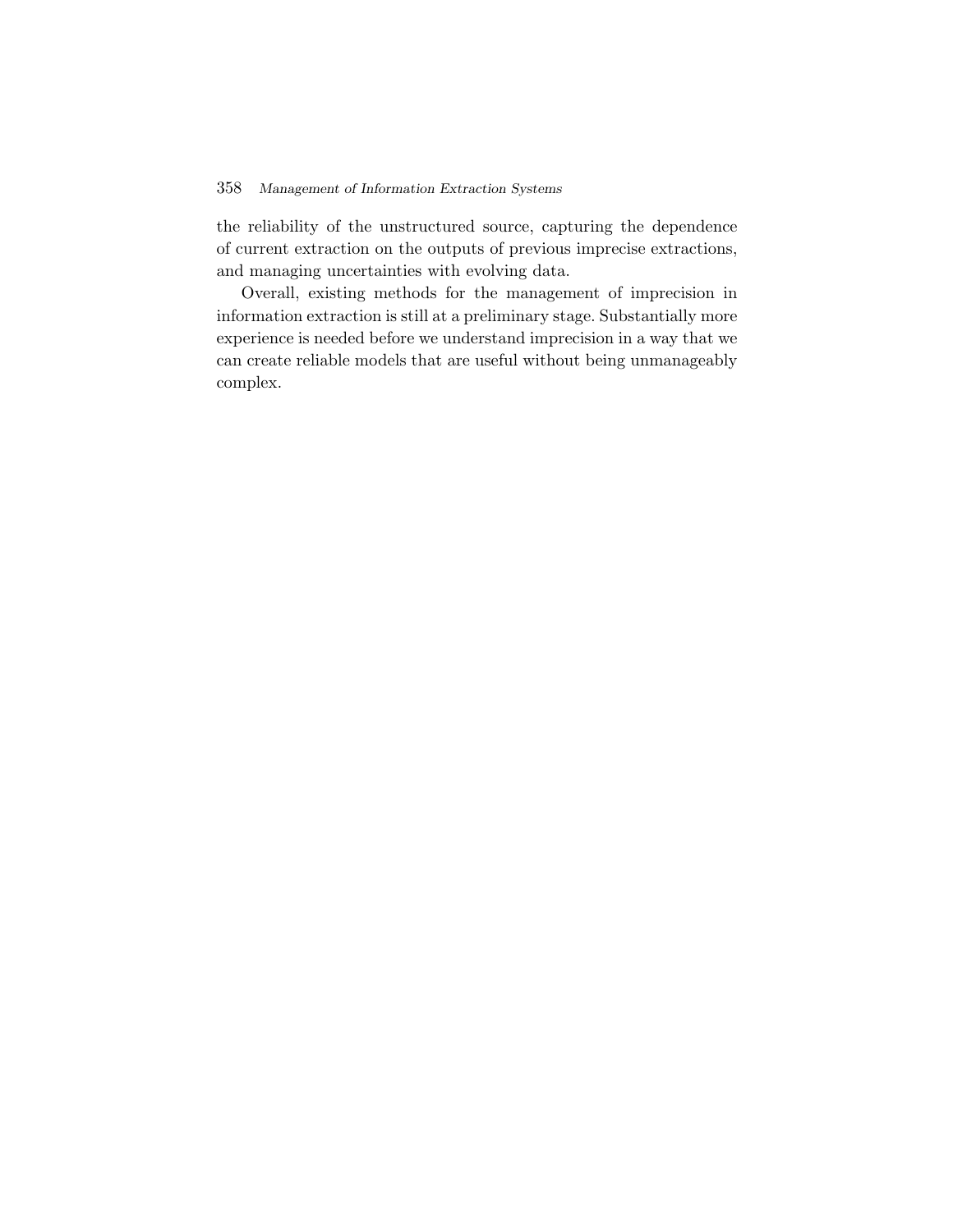the reliability of the unstructured source, capturing the dependence of current extraction on the outputs of previous imprecise extractions, and managing uncertainties with evolving data.

Overall, existing methods for the management of imprecision in information extraction is still at a preliminary stage. Substantially more experience is needed before we understand imprecision in a way that we can create reliable models that are useful without being unmanageably complex.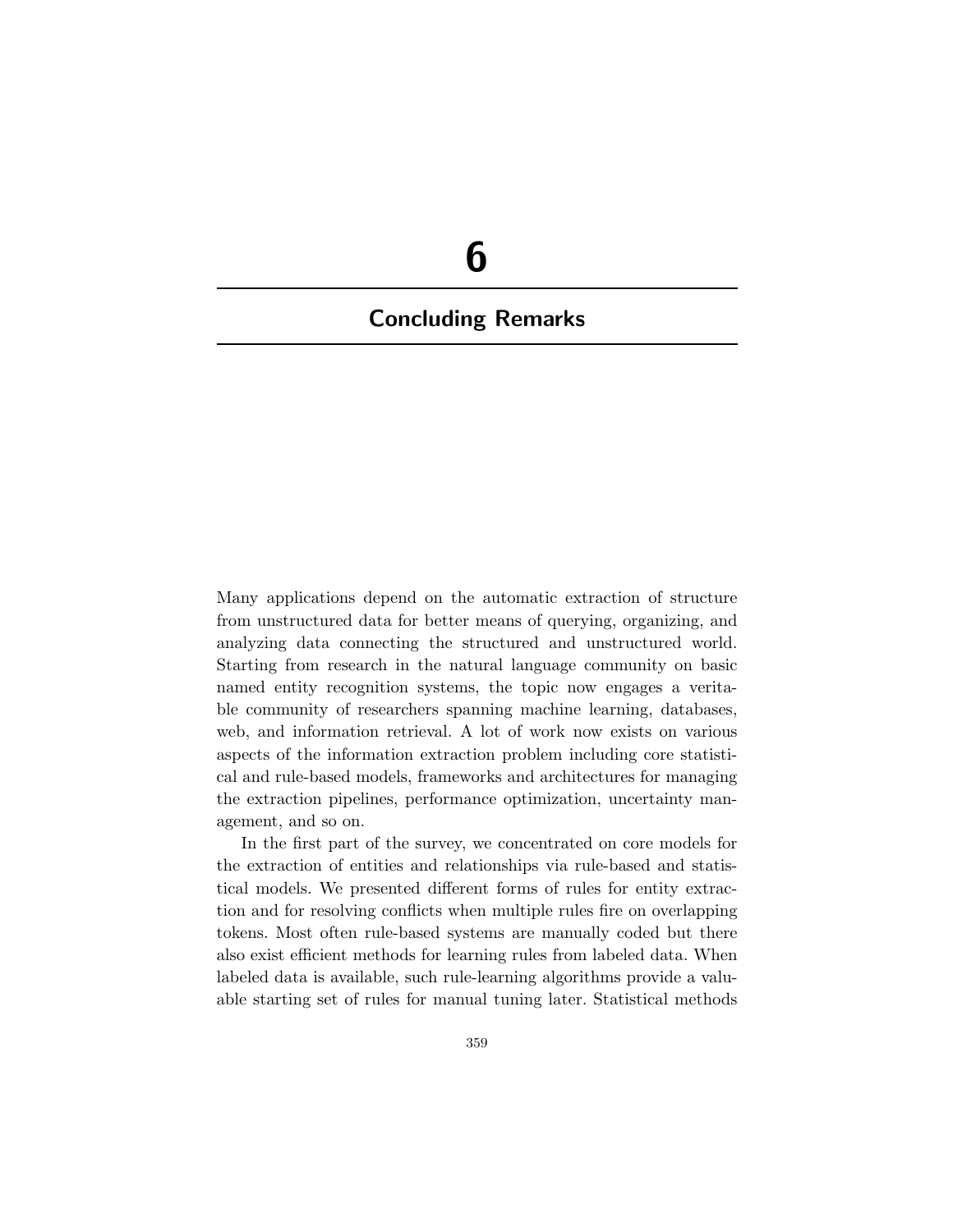# **6**

# **Concluding Remarks**

Many applications depend on the automatic extraction of structure from unstructured data for better means of querying, organizing, and analyzing data connecting the structured and unstructured world. Starting from research in the natural language community on basic named entity recognition systems, the topic now engages a veritable community of researchers spanning machine learning, databases, web, and information retrieval. A lot of work now exists on various aspects of the information extraction problem including core statistical and rule-based models, frameworks and architectures for managing the extraction pipelines, performance optimization, uncertainty management, and so on.

In the first part of the survey, we concentrated on core models for the extraction of entities and relationships via rule-based and statistical models. We presented different forms of rules for entity extraction and for resolving conflicts when multiple rules fire on overlapping tokens. Most often rule-based systems are manually coded but there also exist efficient methods for learning rules from labeled data. When labeled data is available, such rule-learning algorithms provide a valuable starting set of rules for manual tuning later. Statistical methods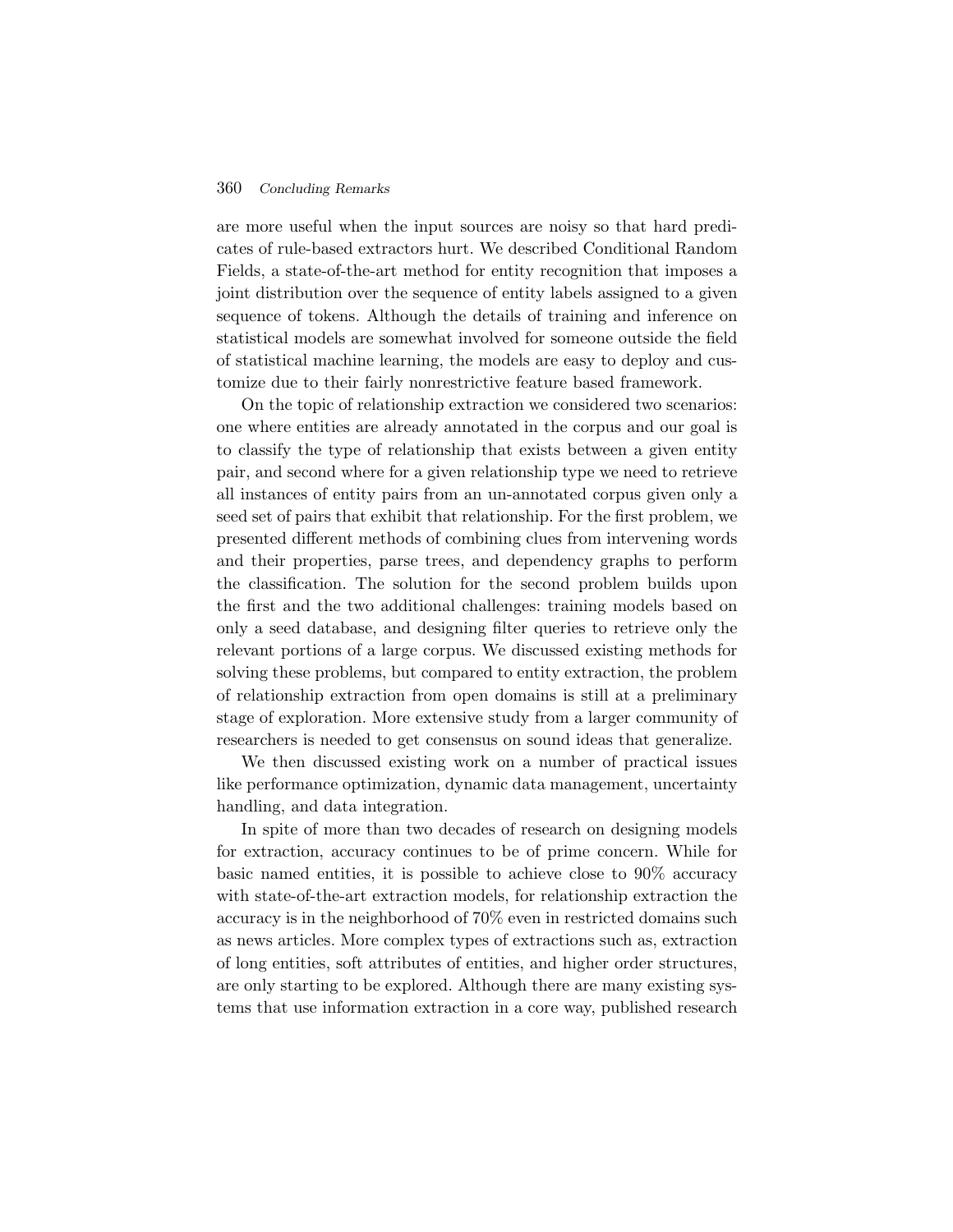# 360 *Concluding Remarks*

are more useful when the input sources are noisy so that hard predicates of rule-based extractors hurt. We described Conditional Random Fields, a state-of-the-art method for entity recognition that imposes a joint distribution over the sequence of entity labels assigned to a given sequence of tokens. Although the details of training and inference on statistical models are somewhat involved for someone outside the field of statistical machine learning, the models are easy to deploy and customize due to their fairly nonrestrictive feature based framework.

On the topic of relationship extraction we considered two scenarios: one where entities are already annotated in the corpus and our goal is to classify the type of relationship that exists between a given entity pair, and second where for a given relationship type we need to retrieve all instances of entity pairs from an un-annotated corpus given only a seed set of pairs that exhibit that relationship. For the first problem, we presented different methods of combining clues from intervening words and their properties, parse trees, and dependency graphs to perform the classification. The solution for the second problem builds upon the first and the two additional challenges: training models based on only a seed database, and designing filter queries to retrieve only the relevant portions of a large corpus. We discussed existing methods for solving these problems, but compared to entity extraction, the problem of relationship extraction from open domains is still at a preliminary stage of exploration. More extensive study from a larger community of researchers is needed to get consensus on sound ideas that generalize.

We then discussed existing work on a number of practical issues like performance optimization, dynamic data management, uncertainty handling, and data integration.

In spite of more than two decades of research on designing models for extraction, accuracy continues to be of prime concern. While for basic named entities, it is possible to achieve close to 90% accuracy with state-of-the-art extraction models, for relationship extraction the accuracy is in the neighborhood of 70% even in restricted domains such as news articles. More complex types of extractions such as, extraction of long entities, soft attributes of entities, and higher order structures, are only starting to be explored. Although there are many existing systems that use information extraction in a core way, published research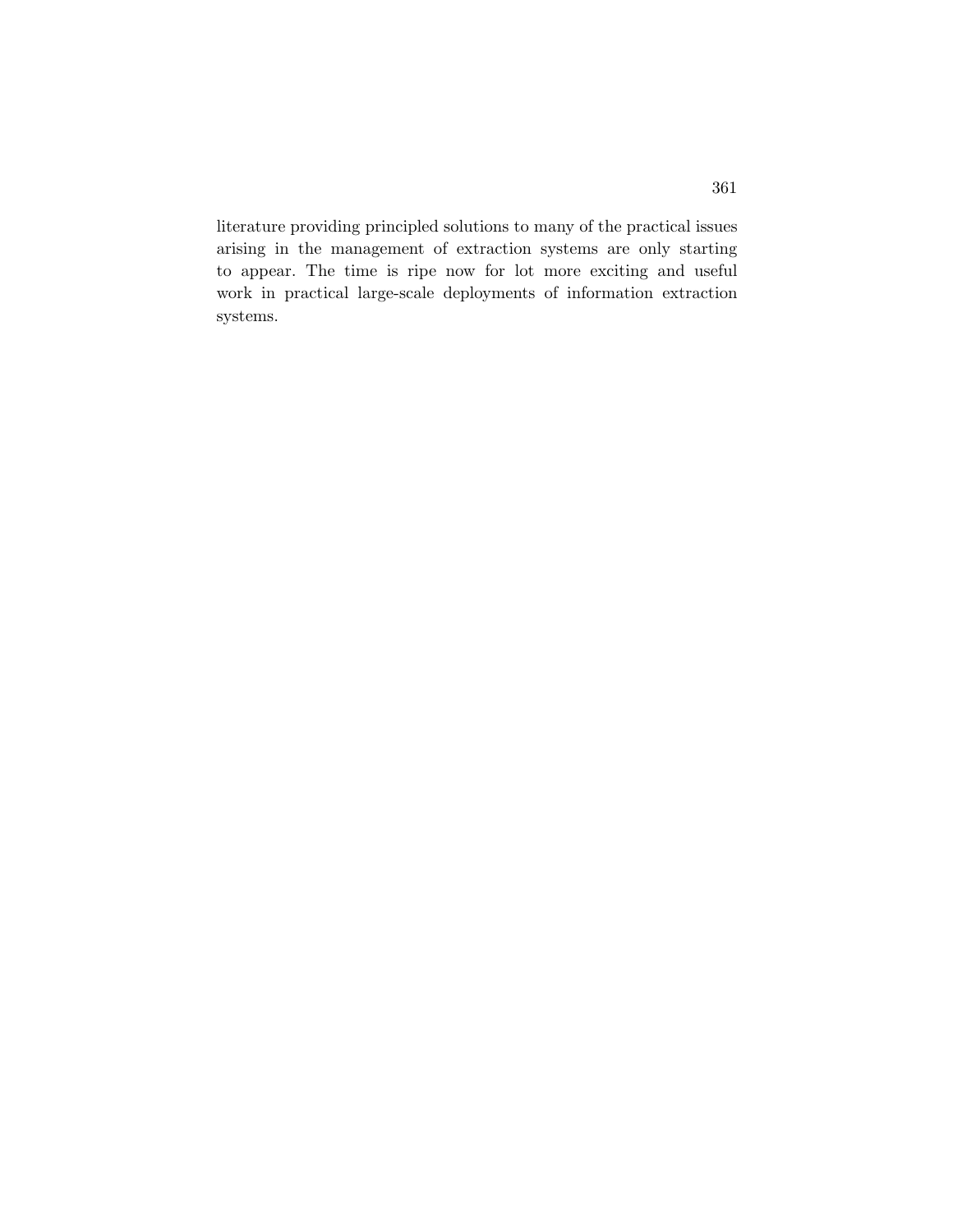literature providing principled solutions to many of the practical issues arising in the management of extraction systems are only starting to appear. The time is ripe now for lot more exciting and useful work in practical large-scale deployments of information extraction systems.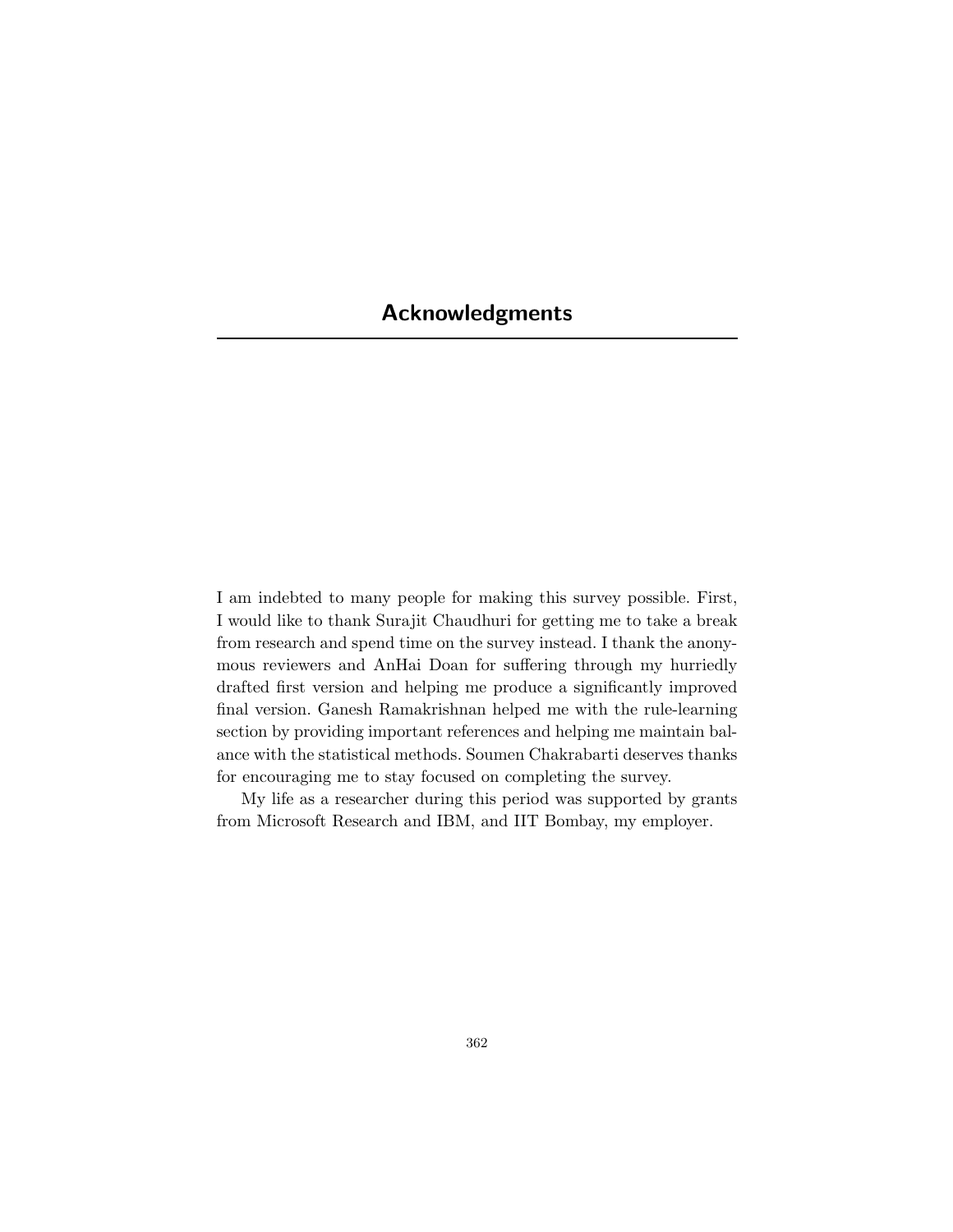# **Acknowledgments**

I am indebted to many people for making this survey possible. First, I would like to thank Surajit Chaudhuri for getting me to take a break from research and spend time on the survey instead. I thank the anonymous reviewers and AnHai Doan for suffering through my hurriedly drafted first version and helping me produce a significantly improved final version. Ganesh Ramakrishnan helped me with the rule-learning section by providing important references and helping me maintain balance with the statistical methods. Soumen Chakrabarti deserves thanks for encouraging me to stay focused on completing the survey.

My life as a researcher during this period was supported by grants from Microsoft Research and IBM, and IIT Bombay, my employer.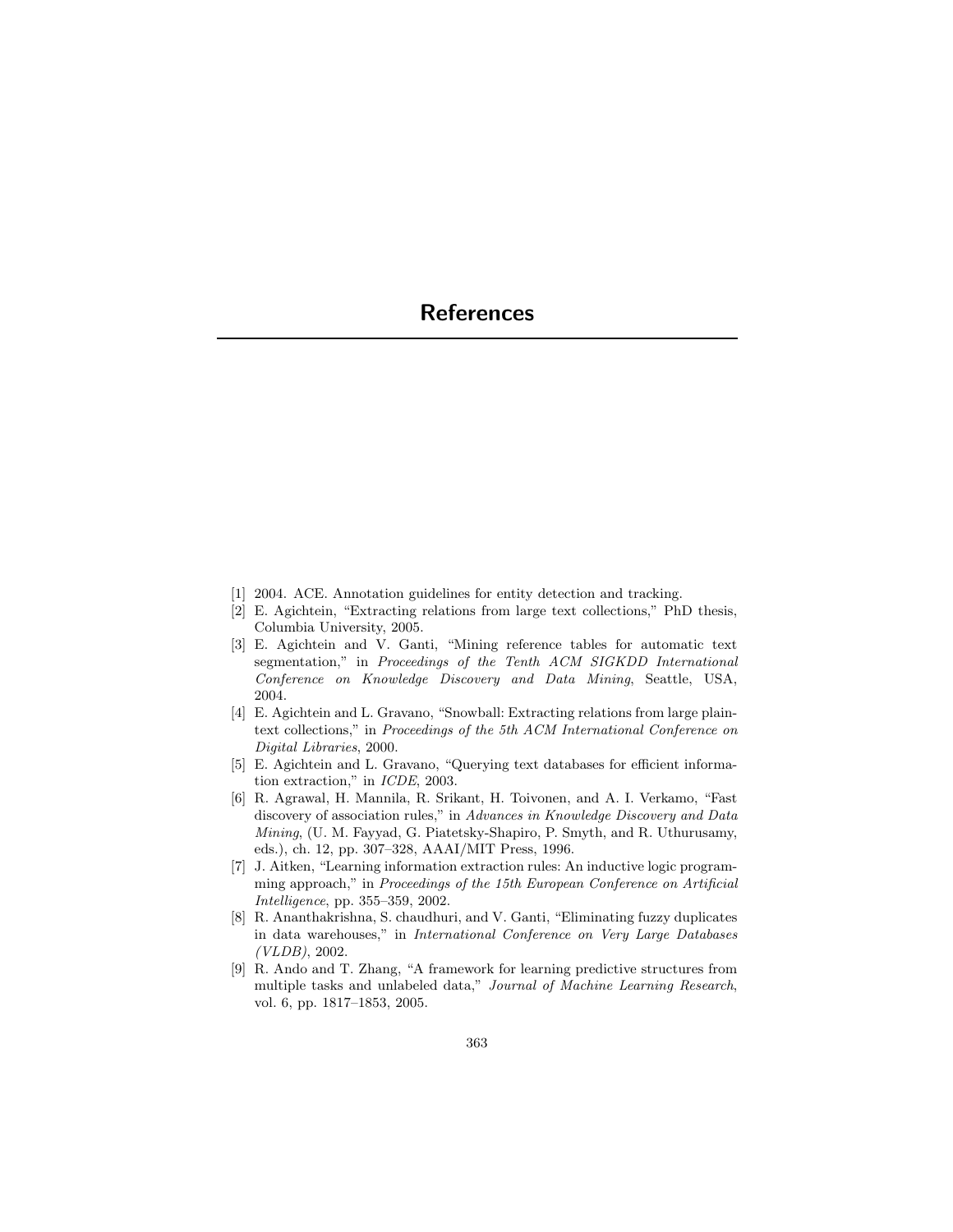- [1] 2004. ACE. Annotation guidelines for entity detection and tracking.
- [2] E. Agichtein, "Extracting relations from large text collections," PhD thesis, Columbia University, 2005.
- [3] E. Agichtein and V. Ganti, "Mining reference tables for automatic text segmentation," in Proceedings of the Tenth ACM SIGKDD International Conference on Knowledge Discovery and Data Mining, Seattle, USA, 2004.
- [4] E. Agichtein and L. Gravano, "Snowball: Extracting relations from large plaintext collections," in Proceedings of the 5th ACM International Conference on Digital Libraries, 2000.
- [5] E. Agichtein and L. Gravano, "Querying text databases for efficient information extraction," in ICDE, 2003.
- [6] R. Agrawal, H. Mannila, R. Srikant, H. Toivonen, and A. I. Verkamo, "Fast discovery of association rules," in Advances in Knowledge Discovery and Data Mining, (U. M. Fayyad, G. Piatetsky-Shapiro, P. Smyth, and R. Uthurusamy, eds.), ch. 12, pp. 307–328, AAAI/MIT Press, 1996.
- [7] J. Aitken, "Learning information extraction rules: An inductive logic programming approach," in Proceedings of the 15th European Conference on Artificial Intelligence, pp. 355–359, 2002.
- [8] R. Ananthakrishna, S. chaudhuri, and V. Ganti, "Eliminating fuzzy duplicates in data warehouses," in International Conference on Very Large Databases (VLDB), 2002.
- [9] R. Ando and T. Zhang, "A framework for learning predictive structures from multiple tasks and unlabeled data," Journal of Machine Learning Research, vol. 6, pp. 1817–1853, 2005.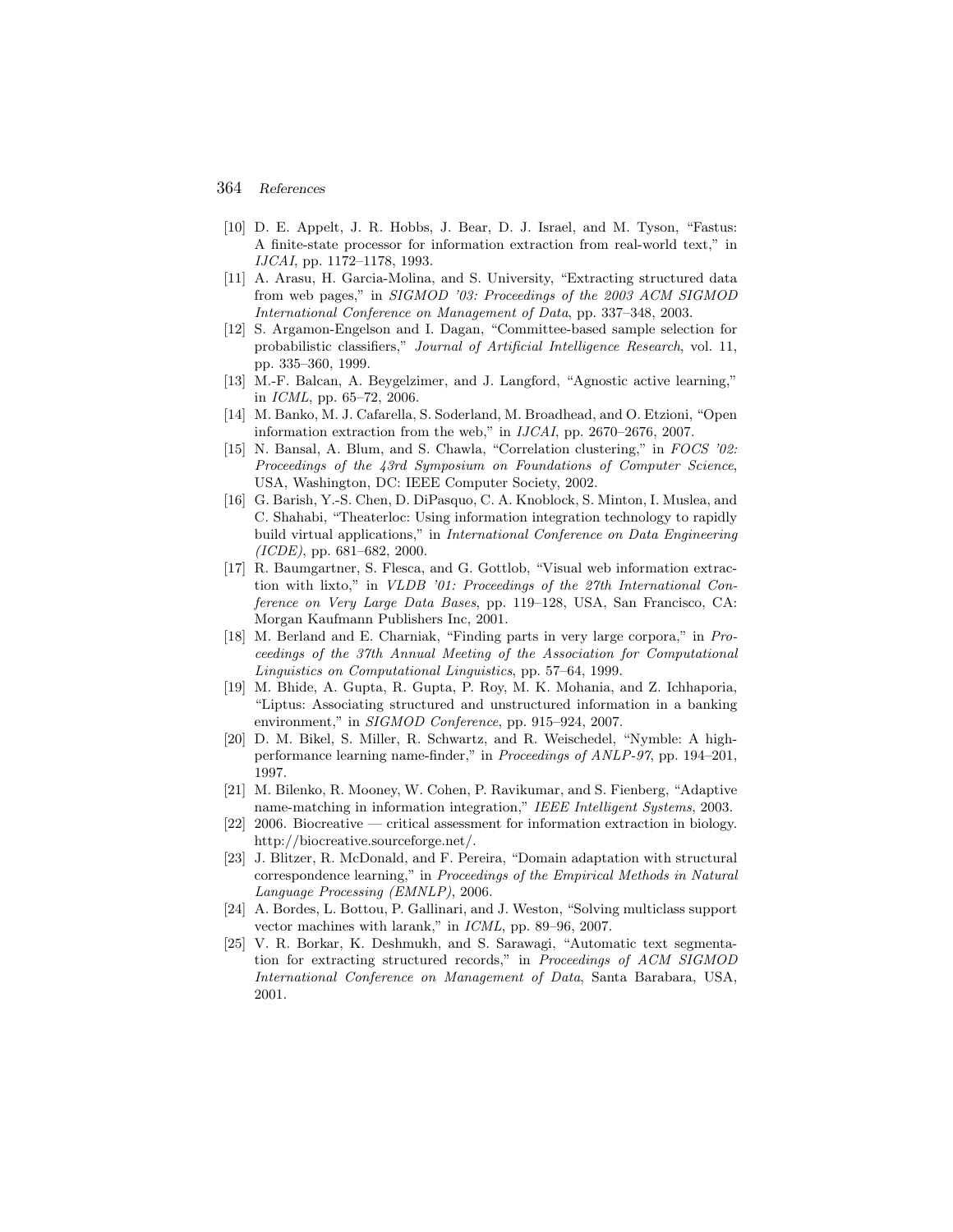- [10] D. E. Appelt, J. R. Hobbs, J. Bear, D. J. Israel, and M. Tyson, "Fastus: A finite-state processor for information extraction from real-world text," in IJCAI, pp. 1172–1178, 1993.
- [11] A. Arasu, H. Garcia-Molina, and S. University, "Extracting structured data from web pages," in SIGMOD '03: Proceedings of the 2003 ACM SIGMOD International Conference on Management of Data, pp. 337–348, 2003.
- [12] S. Argamon-Engelson and I. Dagan, "Committee-based sample selection for probabilistic classifiers," Journal of Artificial Intelligence Research, vol. 11, pp. 335–360, 1999.
- [13] M.-F. Balcan, A. Beygelzimer, and J. Langford, "Agnostic active learning," in ICML, pp. 65–72, 2006.
- [14] M. Banko, M. J. Cafarella, S. Soderland, M. Broadhead, and O. Etzioni, "Open information extraction from the web," in IJCAI, pp. 2670–2676, 2007.
- [15] N. Bansal, A. Blum, and S. Chawla, "Correlation clustering," in FOCS '02: Proceedings of the 43rd Symposium on Foundations of Computer Science, USA, Washington, DC: IEEE Computer Society, 2002.
- [16] G. Barish, Y.-S. Chen, D. DiPasquo, C. A. Knoblock, S. Minton, I. Muslea, and C. Shahabi, "Theaterloc: Using information integration technology to rapidly build virtual applications," in International Conference on Data Engineering  $(ICDE)$ , pp. 681–682, 2000.
- [17] R. Baumgartner, S. Flesca, and G. Gottlob, "Visual web information extraction with lixto," in VLDB '01: Proceedings of the 27th International Conference on Very Large Data Bases, pp. 119–128, USA, San Francisco, CA: Morgan Kaufmann Publishers Inc, 2001.
- [18] M. Berland and E. Charniak, "Finding parts in very large corpora," in Proceedings of the 37th Annual Meeting of the Association for Computational Linguistics on Computational Linguistics, pp. 57–64, 1999.
- [19] M. Bhide, A. Gupta, R. Gupta, P. Roy, M. K. Mohania, and Z. Ichhaporia, "Liptus: Associating structured and unstructured information in a banking environment," in *SIGMOD Conference*, pp. 915–924, 2007.
- [20] D. M. Bikel, S. Miller, R. Schwartz, and R. Weischedel, "Nymble: A highperformance learning name-finder," in Proceedings of ANLP-97, pp. 194–201, 1997.
- [21] M. Bilenko, R. Mooney, W. Cohen, P. Ravikumar, and S. Fienberg, "Adaptive name-matching in information integration," IEEE Intelligent Systems, 2003.
- [22] 2006. Biocreative critical assessment for information extraction in biology. http://biocreative.sourceforge.net/.
- [23] J. Blitzer, R. McDonald, and F. Pereira, "Domain adaptation with structural correspondence learning," in Proceedings of the Empirical Methods in Natural Language Processing (EMNLP), 2006.
- [24] A. Bordes, L. Bottou, P. Gallinari, and J. Weston, "Solving multiclass support vector machines with larank," in ICML, pp. 89–96, 2007.
- [25] V. R. Borkar, K. Deshmukh, and S. Sarawagi, "Automatic text segmentation for extracting structured records," in Proceedings of ACM SIGMOD International Conference on Management of Data, Santa Barabara, USA, 2001.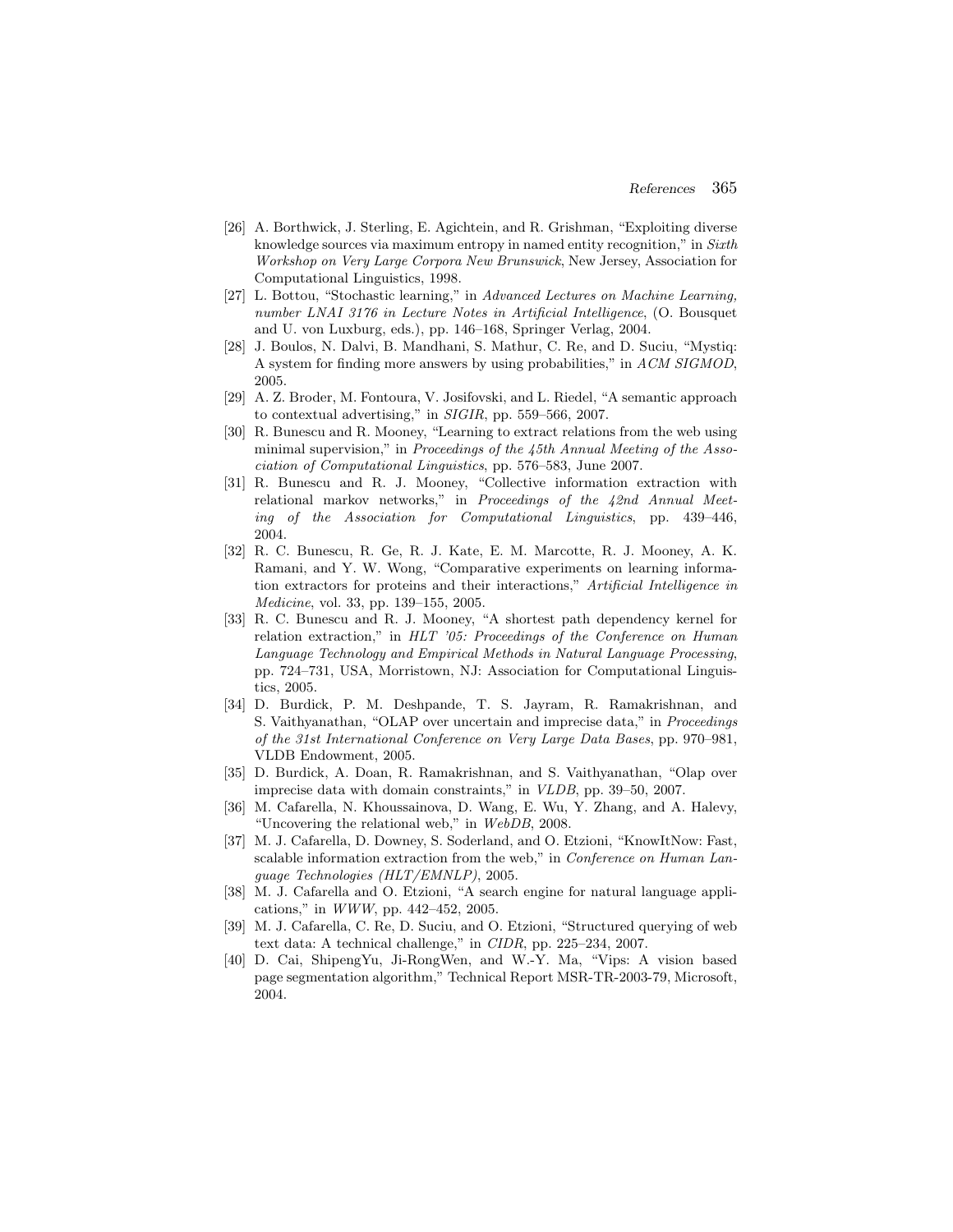- [26] A. Borthwick, J. Sterling, E. Agichtein, and R. Grishman, "Exploiting diverse knowledge sources via maximum entropy in named entity recognition," in Sixth Workshop on Very Large Corpora New Brunswick, New Jersey, Association for Computational Linguistics, 1998.
- [27] L. Bottou, "Stochastic learning," in Advanced Lectures on Machine Learning, number LNAI 3176 in Lecture Notes in Artificial Intelligence, (O. Bousquet and U. von Luxburg, eds.), pp. 146–168, Springer Verlag, 2004.
- [28] J. Boulos, N. Dalvi, B. Mandhani, S. Mathur, C. Re, and D. Suciu, "Mystiq: A system for finding more answers by using probabilities," in ACM SIGMOD, 2005.
- [29] A. Z. Broder, M. Fontoura, V. Josifovski, and L. Riedel, "A semantic approach to contextual advertising," in SIGIR, pp. 559–566, 2007.
- [30] R. Bunescu and R. Mooney, "Learning to extract relations from the web using minimal supervision," in Proceedings of the 45th Annual Meeting of the Association of Computational Linguistics, pp. 576–583, June 2007.
- [31] R. Bunescu and R. J. Mooney, "Collective information extraction with relational markov networks," in Proceedings of the 42nd Annual Meeting of the Association for Computational Linguistics, pp. 439–446, 2004.
- [32] R. C. Bunescu, R. Ge, R. J. Kate, E. M. Marcotte, R. J. Mooney, A. K. Ramani, and Y. W. Wong, "Comparative experiments on learning information extractors for proteins and their interactions," Artificial Intelligence in Medicine, vol. 33, pp. 139–155, 2005.
- [33] R. C. Bunescu and R. J. Mooney, "A shortest path dependency kernel for relation extraction," in HLT '05: Proceedings of the Conference on Human Language Technology and Empirical Methods in Natural Language Processing, pp. 724–731, USA, Morristown, NJ: Association for Computational Linguistics, 2005.
- [34] D. Burdick, P. M. Deshpande, T. S. Jayram, R. Ramakrishnan, and S. Vaithyanathan, "OLAP over uncertain and imprecise data," in *Proceedings* of the 31st International Conference on Very Large Data Bases, pp. 970–981, VLDB Endowment, 2005.
- [35] D. Burdick, A. Doan, R. Ramakrishnan, and S. Vaithyanathan, "Olap over imprecise data with domain constraints," in VLDB, pp. 39–50, 2007.
- [36] M. Cafarella, N. Khoussainova, D. Wang, E. Wu, Y. Zhang, and A. Halevy, "Uncovering the relational web," in WebDB, 2008.
- [37] M. J. Cafarella, D. Downey, S. Soderland, and O. Etzioni, "KnowItNow: Fast, scalable information extraction from the web," in *Conference on Human Lan*guage Technologies (HLT/EMNLP), 2005.
- [38] M. J. Cafarella and O. Etzioni, "A search engine for natural language applications," in WWW, pp. 442–452, 2005.
- [39] M. J. Cafarella, C. Re, D. Suciu, and O. Etzioni, "Structured querying of web text data: A technical challenge," in CIDR, pp. 225–234, 2007.
- [40] D. Cai, ShipengYu, Ji-RongWen, and W.-Y. Ma, "Vips: A vision based page segmentation algorithm," Technical Report MSR-TR-2003-79, Microsoft, 2004.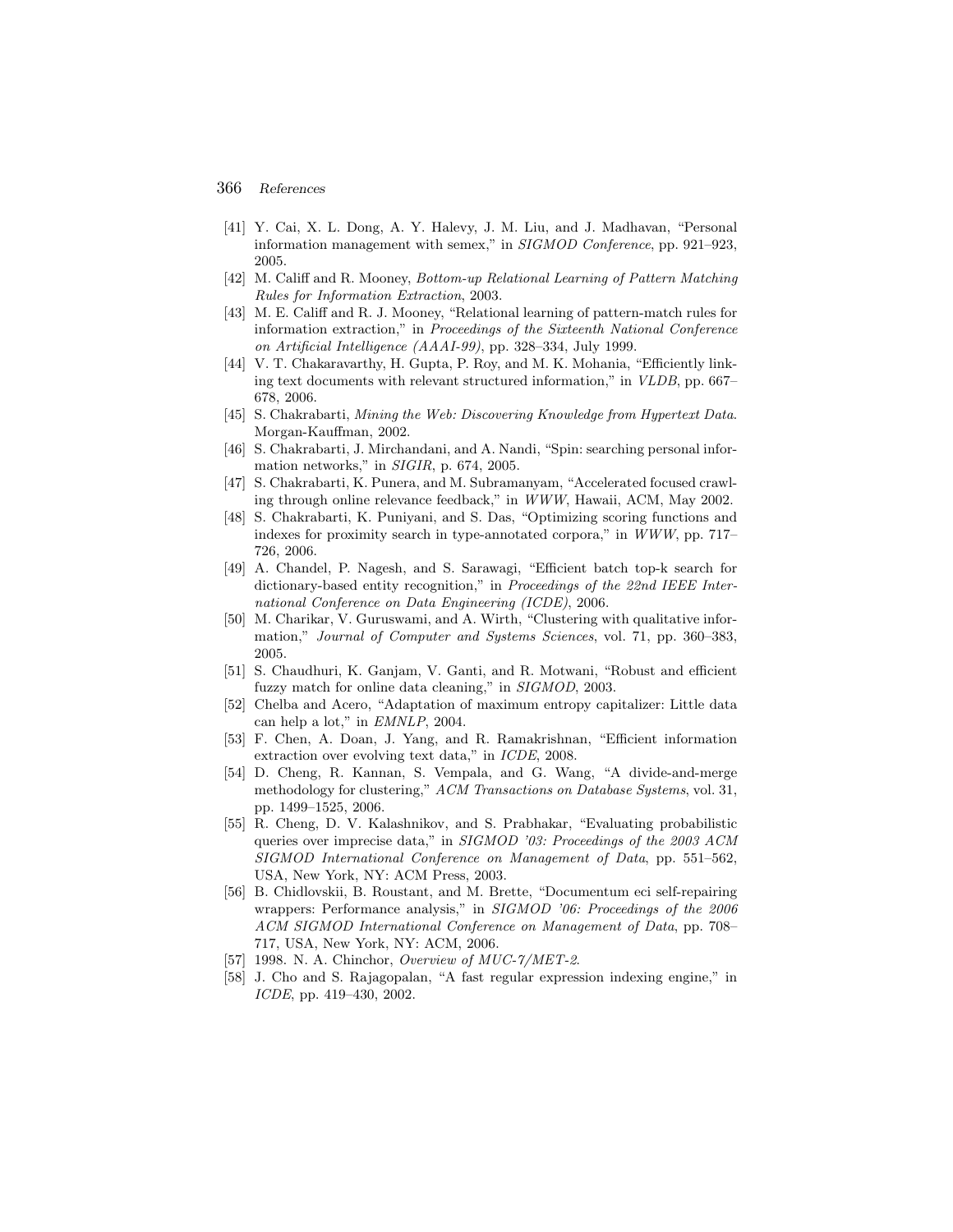- [41] Y. Cai, X. L. Dong, A. Y. Halevy, J. M. Liu, and J. Madhavan, "Personal information management with semex," in SIGMOD Conference, pp. 921–923, 2005.
- [42] M. Califf and R. Mooney, Bottom-up Relational Learning of Pattern Matching Rules for Information Extraction, 2003.
- [43] M. E. Califf and R. J. Mooney, "Relational learning of pattern-match rules for information extraction," in Proceedings of the Sixteenth National Conference on Artificial Intelligence (AAAI-99), pp. 328–334, July 1999.
- [44] V. T. Chakaravarthy, H. Gupta, P. Roy, and M. K. Mohania, "Efficiently linking text documents with relevant structured information," in VLDB, pp. 667– 678, 2006.
- [45] S. Chakrabarti, Mining the Web: Discovering Knowledge from Hypertext Data. Morgan-Kauffman, 2002.
- [46] S. Chakrabarti, J. Mirchandani, and A. Nandi, "Spin: searching personal information networks," in SIGIR, p. 674, 2005.
- [47] S. Chakrabarti, K. Punera, and M. Subramanyam, "Accelerated focused crawling through online relevance feedback," in WWW, Hawaii, ACM, May 2002.
- [48] S. Chakrabarti, K. Puniyani, and S. Das, "Optimizing scoring functions and indexes for proximity search in type-annotated corpora," in WWW, pp. 717– 726, 2006.
- [49] A. Chandel, P. Nagesh, and S. Sarawagi, "Efficient batch top-k search for dictionary-based entity recognition," in Proceedings of the 22nd IEEE International Conference on Data Engineering (ICDE), 2006.
- [50] M. Charikar, V. Guruswami, and A. Wirth, "Clustering with qualitative information," Journal of Computer and Systems Sciences, vol. 71, pp. 360–383, 2005.
- [51] S. Chaudhuri, K. Ganjam, V. Ganti, and R. Motwani, "Robust and efficient fuzzy match for online data cleaning," in SIGMOD, 2003.
- [52] Chelba and Acero, "Adaptation of maximum entropy capitalizer: Little data can help a lot," in EMNLP, 2004.
- [53] F. Chen, A. Doan, J. Yang, and R. Ramakrishnan, "Efficient information extraction over evolving text data," in ICDE, 2008.
- [54] D. Cheng, R. Kannan, S. Vempala, and G. Wang, "A divide-and-merge methodology for clustering," ACM Transactions on Database Systems, vol. 31, pp. 1499–1525, 2006.
- [55] R. Cheng, D. V. Kalashnikov, and S. Prabhakar, "Evaluating probabilistic queries over imprecise data," in SIGMOD '03: Proceedings of the 2003 ACM SIGMOD International Conference on Management of Data, pp. 551–562, USA, New York, NY: ACM Press, 2003.
- [56] B. Chidlovskii, B. Roustant, and M. Brette, "Documentum eci self-repairing wrappers: Performance analysis," in SIGMOD '06: Proceedings of the 2006 ACM SIGMOD International Conference on Management of Data, pp. 708– 717, USA, New York, NY: ACM, 2006.
- [57] 1998. N. A. Chinchor, *Overview of MUC-7/MET-2*.
- [58] J. Cho and S. Rajagopalan, "A fast regular expression indexing engine," in ICDE, pp. 419–430, 2002.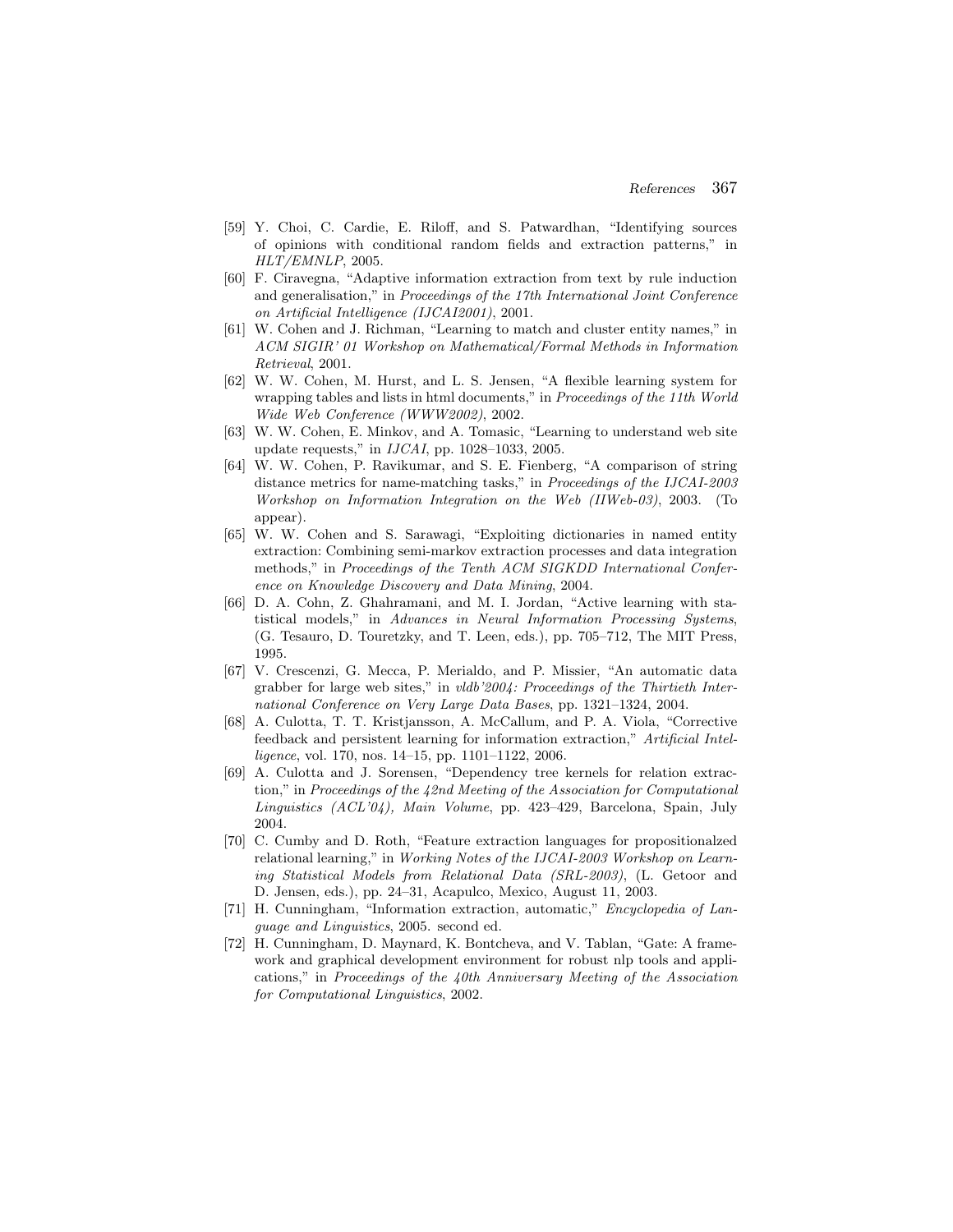- [59] Y. Choi, C. Cardie, E. Riloff, and S. Patwardhan, "Identifying sources of opinions with conditional random fields and extraction patterns," in HLT/EMNLP, 2005.
- [60] F. Ciravegna, "Adaptive information extraction from text by rule induction and generalisation," in Proceedings of the 17th International Joint Conference on Artificial Intelligence (IJCAI2001), 2001.
- [61] W. Cohen and J. Richman, "Learning to match and cluster entity names," in ACM SIGIR' 01 Workshop on Mathematical/Formal Methods in Information Retrieval, 2001.
- [62] W. W. Cohen, M. Hurst, and L. S. Jensen, "A flexible learning system for wrapping tables and lists in html documents," in Proceedings of the 11th World Wide Web Conference (WWW2002), 2002.
- [63] W. W. Cohen, E. Minkov, and A. Tomasic, "Learning to understand web site update requests," in IJCAI, pp. 1028–1033, 2005.
- [64] W. W. Cohen, P. Ravikumar, and S. E. Fienberg, "A comparison of string distance metrics for name-matching tasks," in *Proceedings of the IJCAI-2003* Workshop on Information Integration on the Web (IIWeb-03), 2003. (To appear).
- [65] W. W. Cohen and S. Sarawagi, "Exploiting dictionaries in named entity extraction: Combining semi-markov extraction processes and data integration methods," in Proceedings of the Tenth ACM SIGKDD International Conference on Knowledge Discovery and Data Mining, 2004.
- [66] D. A. Cohn, Z. Ghahramani, and M. I. Jordan, "Active learning with statistical models," in Advances in Neural Information Processing Systems, (G. Tesauro, D. Touretzky, and T. Leen, eds.), pp. 705–712, The MIT Press, 1995.
- [67] V. Crescenzi, G. Mecca, P. Merialdo, and P. Missier, "An automatic data grabber for large web sites," in vldb'2004: Proceedings of the Thirtieth International Conference on Very Large Data Bases, pp. 1321–1324, 2004.
- [68] A. Culotta, T. T. Kristjansson, A. McCallum, and P. A. Viola, "Corrective feedback and persistent learning for information extraction," Artificial Intelligence, vol. 170, nos. 14–15, pp. 1101–1122, 2006.
- [69] A. Culotta and J. Sorensen, "Dependency tree kernels for relation extraction," in Proceedings of the 42nd Meeting of the Association for Computational Linguistics (ACL'04), Main Volume, pp. 423–429, Barcelona, Spain, July 2004.
- [70] C. Cumby and D. Roth, "Feature extraction languages for propositionalzed relational learning," in Working Notes of the IJCAI-2003 Workshop on Learning Statistical Models from Relational Data (SRL-2003), (L. Getoor and D. Jensen, eds.), pp. 24–31, Acapulco, Mexico, August 11, 2003.
- [71] H. Cunningham, "Information extraction, automatic," Encyclopedia of Language and Linguistics, 2005. second ed.
- [72] H. Cunningham, D. Maynard, K. Bontcheva, and V. Tablan, "Gate: A framework and graphical development environment for robust nlp tools and applications," in Proceedings of the 40th Anniversary Meeting of the Association for Computational Linguistics, 2002.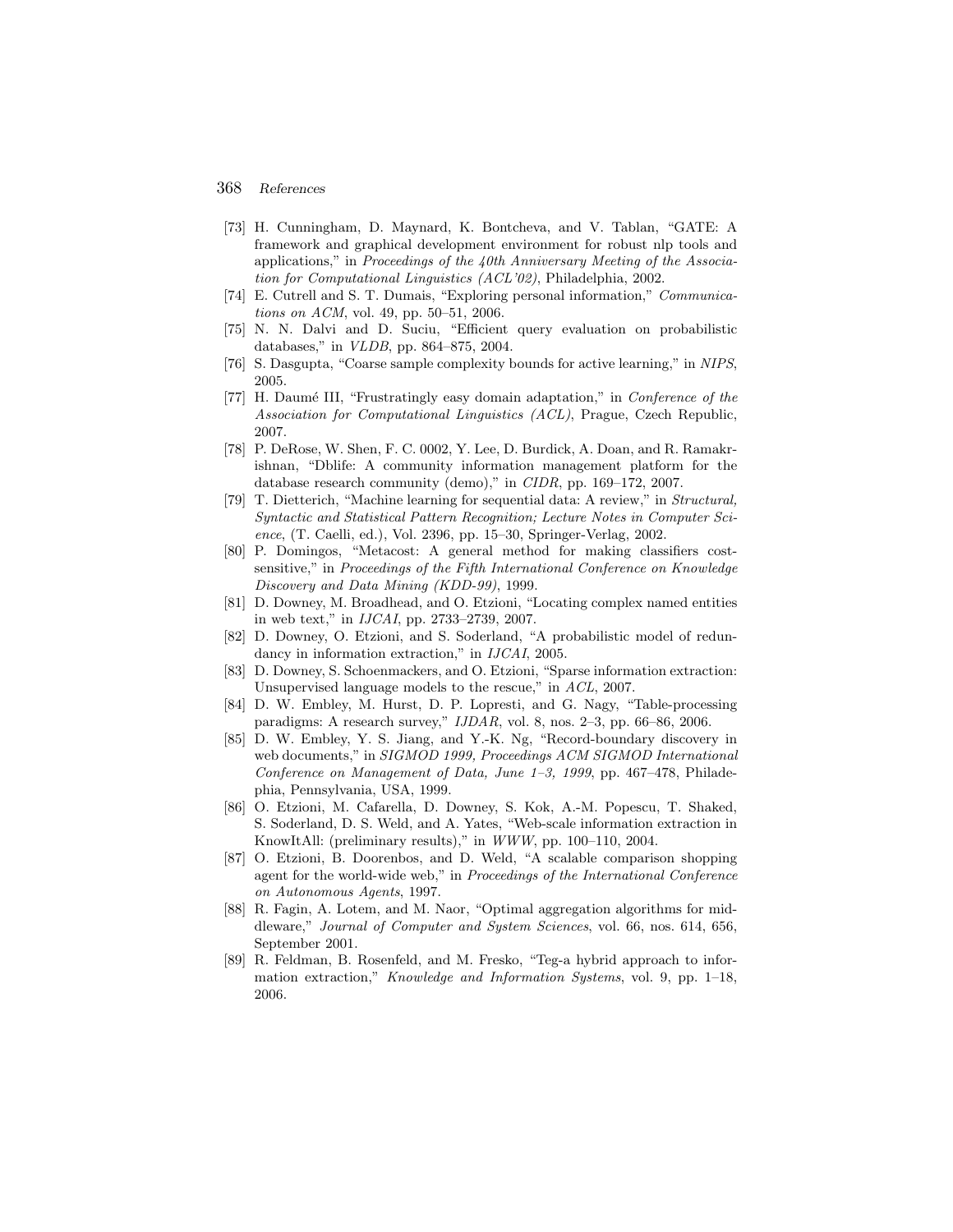- [73] H. Cunningham, D. Maynard, K. Bontcheva, and V. Tablan, "GATE: A framework and graphical development environment for robust nlp tools and applications," in Proceedings of the 40th Anniversary Meeting of the Association for Computational Linguistics (ACL'02), Philadelphia, 2002.
- [74] E. Cutrell and S. T. Dumais, "Exploring personal information," Communications on ACM, vol. 49, pp. 50–51, 2006.
- [75] N. N. Dalvi and D. Suciu, "Efficient query evaluation on probabilistic databases," in VLDB, pp. 864–875, 2004.
- [76] S. Dasgupta, "Coarse sample complexity bounds for active learning," in NIPS, 2005.
- [77] H. Daumé III, "Frustratingly easy domain adaptation," in *Conference of the* Association for Computational Linguistics (ACL), Prague, Czech Republic, 2007.
- [78] P. DeRose, W. Shen, F. C. 0002, Y. Lee, D. Burdick, A. Doan, and R. Ramakrishnan, "Dblife: A community information management platform for the database research community (demo)," in CIDR, pp. 169–172, 2007.
- [79] T. Dietterich, "Machine learning for sequential data: A review," in Structural, Syntactic and Statistical Pattern Recognition; Lecture Notes in Computer Science, (T. Caelli, ed.), Vol. 2396, pp. 15–30, Springer-Verlag, 2002.
- [80] P. Domingos, "Metacost: A general method for making classifiers costsensitive," in Proceedings of the Fifth International Conference on Knowledge Discovery and Data Mining (KDD-99), 1999.
- [81] D. Downey, M. Broadhead, and O. Etzioni, "Locating complex named entities in web text," in IJCAI, pp. 2733–2739, 2007.
- [82] D. Downey, O. Etzioni, and S. Soderland, "A probabilistic model of redundancy in information extraction," in IJCAI, 2005.
- [83] D. Downey, S. Schoenmackers, and O. Etzioni, "Sparse information extraction: Unsupervised language models to the rescue," in ACL, 2007.
- [84] D. W. Embley, M. Hurst, D. P. Lopresti, and G. Nagy, "Table-processing paradigms: A research survey," IJDAR, vol. 8, nos. 2–3, pp. 66–86, 2006.
- [85] D. W. Embley, Y. S. Jiang, and Y.-K. Ng, "Record-boundary discovery in web documents," in SIGMOD 1999, Proceedings ACM SIGMOD International Conference on Management of Data, June 1–3, 1999, pp. 467–478, Philadephia, Pennsylvania, USA, 1999.
- [86] O. Etzioni, M. Cafarella, D. Downey, S. Kok, A.-M. Popescu, T. Shaked, S. Soderland, D. S. Weld, and A. Yates, "Web-scale information extraction in KnowItAll: (preliminary results)," in WWW, pp. 100–110, 2004.
- [87] O. Etzioni, B. Doorenbos, and D. Weld, "A scalable comparison shopping agent for the world-wide web," in Proceedings of the International Conference on Autonomous Agents, 1997.
- [88] R. Fagin, A. Lotem, and M. Naor, "Optimal aggregation algorithms for middleware," Journal of Computer and System Sciences, vol. 66, nos. 614, 656, September 2001.
- [89] R. Feldman, B. Rosenfeld, and M. Fresko, "Teg-a hybrid approach to information extraction," Knowledge and Information Systems, vol. 9, pp. 1–18, 2006.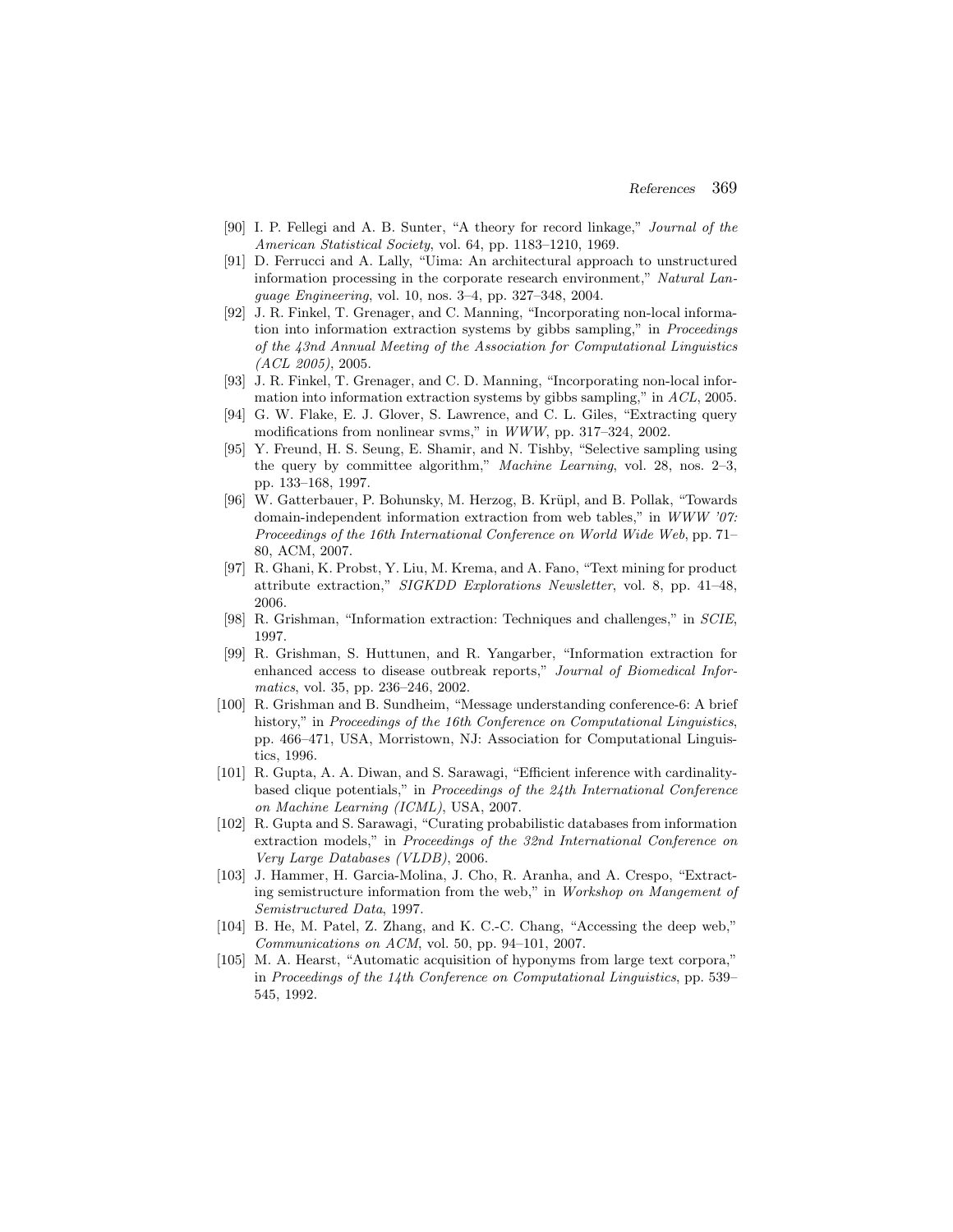- [90] I. P. Fellegi and A. B. Sunter, "A theory for record linkage," Journal of the American Statistical Society, vol. 64, pp. 1183–1210, 1969.
- [91] D. Ferrucci and A. Lally, "Uima: An architectural approach to unstructured information processing in the corporate research environment," Natural Language Engineering, vol. 10, nos. 3–4, pp. 327–348, 2004.
- [92] J. R. Finkel, T. Grenager, and C. Manning, "Incorporating non-local information into information extraction systems by gibbs sampling," in Proceedings of the 43nd Annual Meeting of the Association for Computational Linguistics (ACL 2005), 2005.
- [93] J. R. Finkel, T. Grenager, and C. D. Manning, "Incorporating non-local information into information extraction systems by gibbs sampling," in ACL, 2005.
- [94] G. W. Flake, E. J. Glover, S. Lawrence, and C. L. Giles, "Extracting query modifications from nonlinear svms," in WWW, pp. 317–324, 2002.
- [95] Y. Freund, H. S. Seung, E. Shamir, and N. Tishby, "Selective sampling using the query by committee algorithm," Machine Learning, vol. 28, nos. 2–3, pp. 133–168, 1997.
- [96] W. Gatterbauer, P. Bohunsky, M. Herzog, B. Krüpl, and B. Pollak, "Towards domain-independent information extraction from web tables," in WWW '07: Proceedings of the 16th International Conference on World Wide Web, pp. 71– 80, ACM, 2007.
- [97] R. Ghani, K. Probst, Y. Liu, M. Krema, and A. Fano, "Text mining for product attribute extraction," SIGKDD Explorations Newsletter, vol. 8, pp. 41–48, 2006.
- [98] R. Grishman, "Information extraction: Techniques and challenges," in SCIE, 1997.
- [99] R. Grishman, S. Huttunen, and R. Yangarber, "Information extraction for enhanced access to disease outbreak reports," Journal of Biomedical Informatics, vol. 35, pp. 236–246, 2002.
- [100] R. Grishman and B. Sundheim, "Message understanding conference-6: A brief history," in Proceedings of the 16th Conference on Computational Linguistics, pp. 466–471, USA, Morristown, NJ: Association for Computational Linguistics, 1996.
- [101] R. Gupta, A. A. Diwan, and S. Sarawagi, "Efficient inference with cardinalitybased clique potentials," in Proceedings of the 24th International Conference on Machine Learning (ICML), USA, 2007.
- [102] R. Gupta and S. Sarawagi, "Curating probabilistic databases from information extraction models," in Proceedings of the 32nd International Conference on Very Large Databases (VLDB), 2006.
- [103] J. Hammer, H. Garcia-Molina, J. Cho, R. Aranha, and A. Crespo, "Extracting semistructure information from the web," in Workshop on Mangement of Semistructured Data, 1997.
- [104] B. He, M. Patel, Z. Zhang, and K. C.-C. Chang, "Accessing the deep web," Communications on ACM, vol. 50, pp. 94–101, 2007.
- [105] M. A. Hearst, "Automatic acquisition of hyponyms from large text corpora," in Proceedings of the 14th Conference on Computational Linguistics, pp. 539– 545, 1992.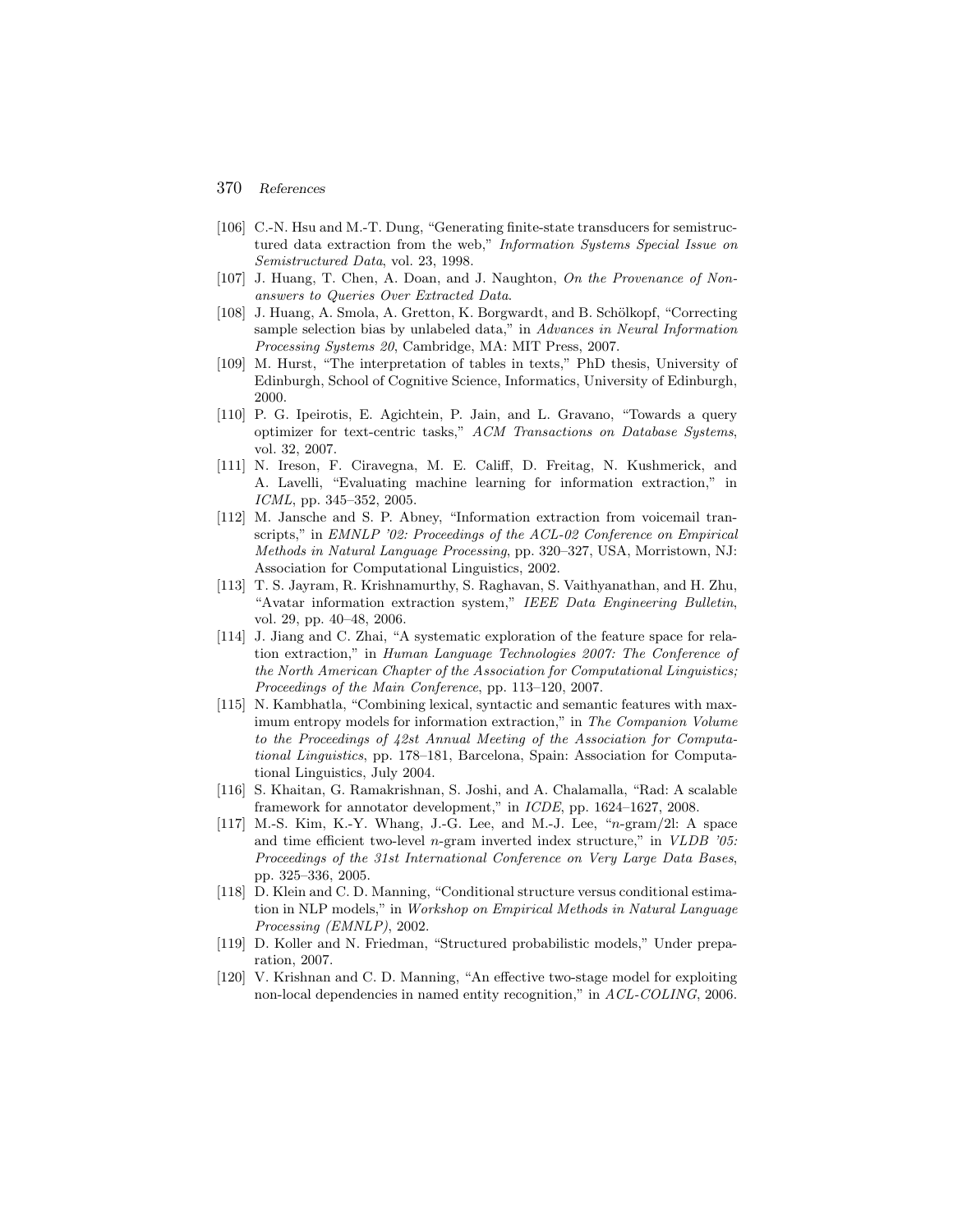- [106] C.-N. Hsu and M.-T. Dung, "Generating finite-state transducers for semistructured data extraction from the web," Information Systems Special Issue on Semistructured Data, vol. 23, 1998.
- [107] J. Huang, T. Chen, A. Doan, and J. Naughton, On the Provenance of Nonanswers to Queries Over Extracted Data.
- [108] J. Huang, A. Smola, A. Gretton, K. Borgwardt, and B. Schölkopf, "Correcting sample selection bias by unlabeled data," in Advances in Neural Information Processing Systems 20, Cambridge, MA: MIT Press, 2007.
- [109] M. Hurst, "The interpretation of tables in texts," PhD thesis, University of Edinburgh, School of Cognitive Science, Informatics, University of Edinburgh, 2000.
- [110] P. G. Ipeirotis, E. Agichtein, P. Jain, and L. Gravano, "Towards a query optimizer for text-centric tasks," ACM Transactions on Database Systems, vol. 32, 2007.
- [111] N. Ireson, F. Ciravegna, M. E. Califf, D. Freitag, N. Kushmerick, and A. Lavelli, "Evaluating machine learning for information extraction," in ICML, pp. 345–352, 2005.
- [112] M. Jansche and S. P. Abney, "Information extraction from voicemail transcripts," in EMNLP '02: Proceedings of the ACL-02 Conference on Empirical Methods in Natural Language Processing, pp. 320–327, USA, Morristown, NJ: Association for Computational Linguistics, 2002.
- [113] T. S. Jayram, R. Krishnamurthy, S. Raghavan, S. Vaithyanathan, and H. Zhu, "Avatar information extraction system," IEEE Data Engineering Bulletin, vol. 29, pp. 40–48, 2006.
- [114] J. Jiang and C. Zhai, "A systematic exploration of the feature space for relation extraction," in Human Language Technologies 2007: The Conference of the North American Chapter of the Association for Computational Linguistics; Proceedings of the Main Conference, pp. 113–120, 2007.
- [115] N. Kambhatla, "Combining lexical, syntactic and semantic features with maximum entropy models for information extraction," in The Companion Volume to the Proceedings of 42st Annual Meeting of the Association for Computational Linguistics, pp. 178–181, Barcelona, Spain: Association for Computational Linguistics, July 2004.
- [116] S. Khaitan, G. Ramakrishnan, S. Joshi, and A. Chalamalla, "Rad: A scalable framework for annotator development," in ICDE, pp. 1624–1627, 2008.
- [117] M.-S. Kim, K.-Y. Whang, J.-G. Lee, and M.-J. Lee, "n-gram/2l: A space and time efficient two-level *n*-gram inverted index structure," in *VLDB '05:* Proceedings of the 31st International Conference on Very Large Data Bases, pp. 325–336, 2005.
- [118] D. Klein and C. D. Manning, "Conditional structure versus conditional estimation in NLP models," in Workshop on Empirical Methods in Natural Language Processing (EMNLP), 2002.
- [119] D. Koller and N. Friedman, "Structured probabilistic models," Under preparation, 2007.
- [120] V. Krishnan and C. D. Manning, "An effective two-stage model for exploiting non-local dependencies in named entity recognition," in ACL-COLING, 2006.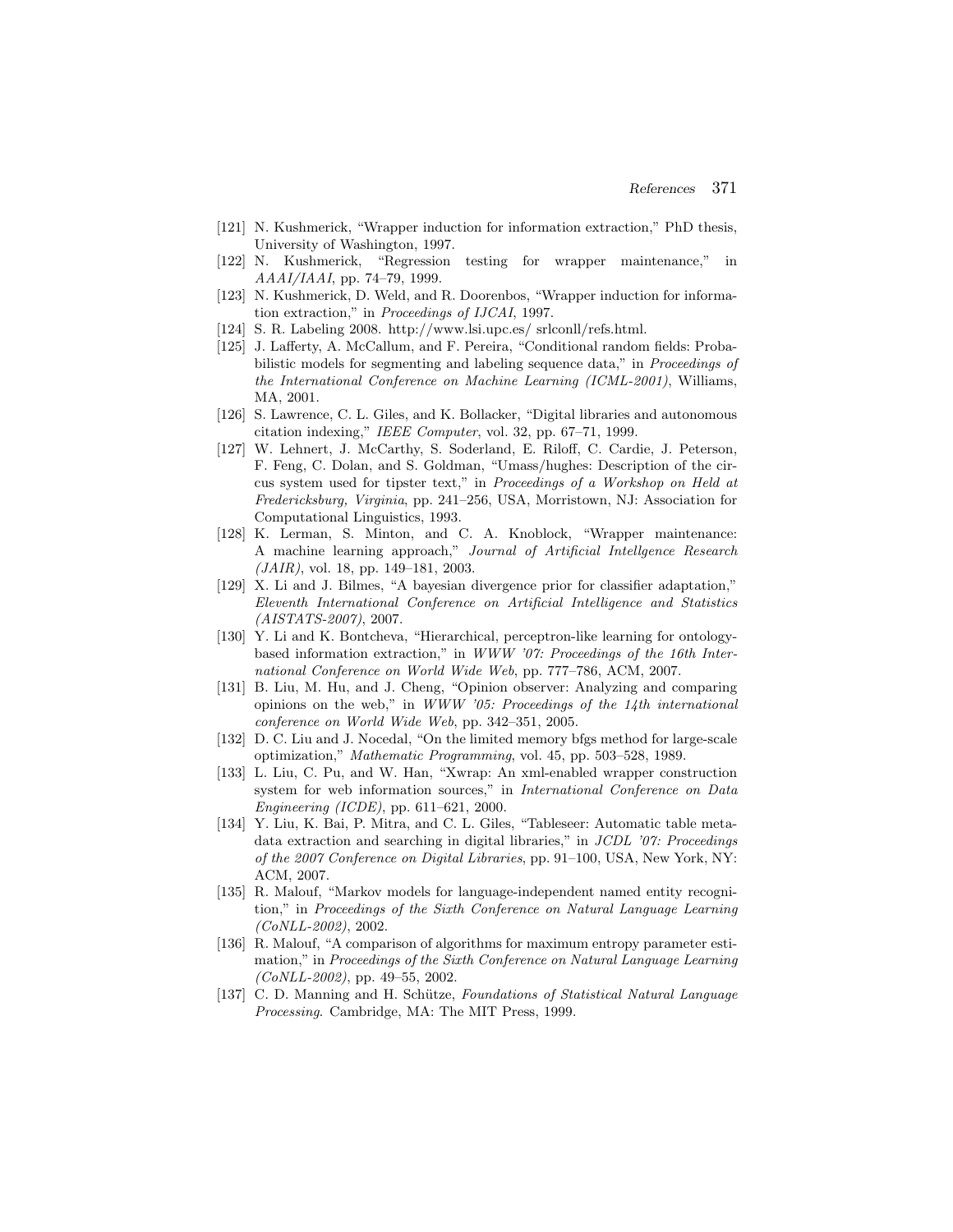- [121] N. Kushmerick, "Wrapper induction for information extraction," PhD thesis, University of Washington, 1997.
- [122] N. Kushmerick, "Regression testing for wrapper maintenance," in AAAI/IAAI, pp. 74–79, 1999.
- [123] N. Kushmerick, D. Weld, and R. Doorenbos, "Wrapper induction for information extraction," in Proceedings of IJCAI, 1997.
- [124] S. R. Labeling 2008. http://www.lsi.upc.es/ srlconll/refs.html.
- [125] J. Lafferty, A. McCallum, and F. Pereira, "Conditional random fields: Probabilistic models for segmenting and labeling sequence data," in *Proceedings of* the International Conference on Machine Learning (ICML-2001), Williams, MA, 2001.
- [126] S. Lawrence, C. L. Giles, and K. Bollacker, "Digital libraries and autonomous citation indexing," IEEE Computer, vol. 32, pp. 67–71, 1999.
- [127] W. Lehnert, J. McCarthy, S. Soderland, E. Riloff, C. Cardie, J. Peterson, F. Feng, C. Dolan, and S. Goldman, "Umass/hughes: Description of the circus system used for tipster text," in Proceedings of a Workshop on Held at Fredericksburg, Virginia, pp. 241–256, USA, Morristown, NJ: Association for Computational Linguistics, 1993.
- [128] K. Lerman, S. Minton, and C. A. Knoblock, "Wrapper maintenance: A machine learning approach," Journal of Artificial Intellgence Research (JAIR), vol. 18, pp. 149–181, 2003.
- [129] X. Li and J. Bilmes, "A bayesian divergence prior for classifier adaptation," Eleventh International Conference on Artificial Intelligence and Statistics (AISTATS-2007), 2007.
- [130] Y. Li and K. Bontcheva, "Hierarchical, perceptron-like learning for ontologybased information extraction," in WWW '07: Proceedings of the 16th International Conference on World Wide Web, pp. 777–786, ACM, 2007.
- [131] B. Liu, M. Hu, and J. Cheng, "Opinion observer: Analyzing and comparing opinions on the web," in WWW '05: Proceedings of the 14th international conference on World Wide Web, pp. 342–351, 2005.
- [132] D. C. Liu and J. Nocedal, "On the limited memory bfgs method for large-scale optimization," Mathematic Programming, vol. 45, pp. 503–528, 1989.
- [133] L. Liu, C. Pu, and W. Han, "Xwrap: An xml-enabled wrapper construction system for web information sources," in International Conference on Data Engineering (ICDE), pp. 611–621, 2000.
- [134] Y. Liu, K. Bai, P. Mitra, and C. L. Giles, "Tableseer: Automatic table metadata extraction and searching in digital libraries," in  $JCDL$  '07: Proceedings of the 2007 Conference on Digital Libraries, pp. 91–100, USA, New York, NY: ACM, 2007.
- [135] R. Malouf, "Markov models for language-independent named entity recognition," in Proceedings of the Sixth Conference on Natural Language Learning (CoNLL-2002), 2002.
- [136] R. Malouf, "A comparison of algorithms for maximum entropy parameter estimation," in Proceedings of the Sixth Conference on Natural Language Learning  $(CoNLL-2002)$ , pp. 49–55, 2002.
- [137] C. D. Manning and H. Schütze, Foundations of Statistical Natural Language Processing. Cambridge, MA: The MIT Press, 1999.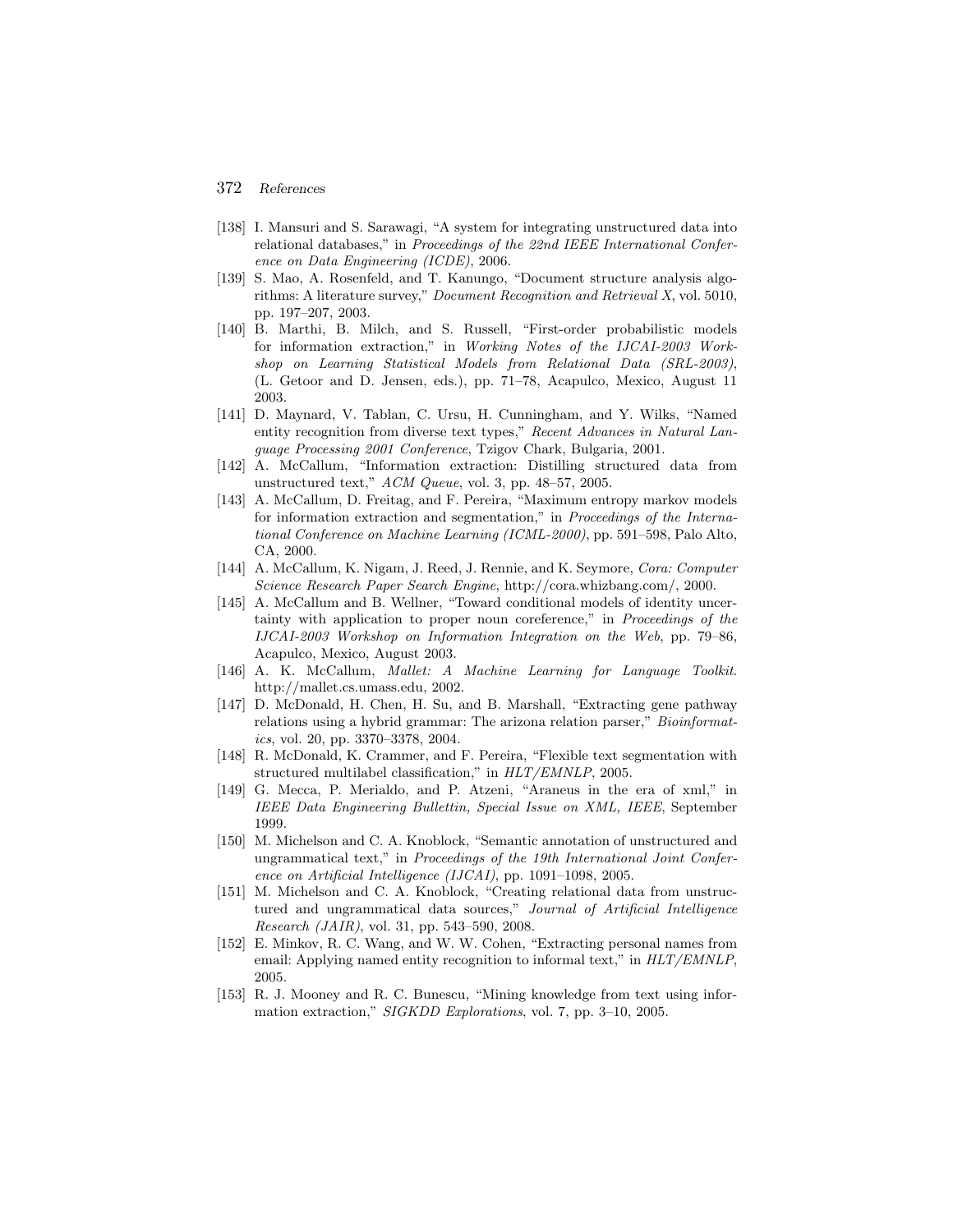- [138] I. Mansuri and S. Sarawagi, "A system for integrating unstructured data into relational databases," in Proceedings of the 22nd IEEE International Conference on Data Engineering (ICDE), 2006.
- [139] S. Mao, A. Rosenfeld, and T. Kanungo, "Document structure analysis algorithms: A literature survey," Document Recognition and Retrieval X, vol. 5010, pp. 197–207, 2003.
- [140] B. Marthi, B. Milch, and S. Russell, "First-order probabilistic models for information extraction," in Working Notes of the IJCAI-2003 Workshop on Learning Statistical Models from Relational Data (SRL-2003), (L. Getoor and D. Jensen, eds.), pp. 71–78, Acapulco, Mexico, August 11 2003.
- [141] D. Maynard, V. Tablan, C. Ursu, H. Cunningham, and Y. Wilks, "Named entity recognition from diverse text types," Recent Advances in Natural Language Processing 2001 Conference, Tzigov Chark, Bulgaria, 2001.
- [142] A. McCallum, "Information extraction: Distilling structured data from unstructured text," ACM Queue, vol. 3, pp. 48–57, 2005.
- [143] A. McCallum, D. Freitag, and F. Pereira, "Maximum entropy markov models for information extraction and segmentation," in Proceedings of the International Conference on Machine Learning (ICML-2000), pp. 591–598, Palo Alto, CA, 2000.
- [144] A. McCallum, K. Nigam, J. Reed, J. Rennie, and K. Seymore, Cora: Computer Science Research Paper Search Engine, http://cora.whizbang.com/, 2000.
- [145] A. McCallum and B. Wellner, "Toward conditional models of identity uncertainty with application to proper noun coreference," in Proceedings of the IJCAI-2003 Workshop on Information Integration on the Web, pp. 79–86, Acapulco, Mexico, August 2003.
- [146] A. K. McCallum, Mallet: A Machine Learning for Language Toolkit. http://mallet.cs.umass.edu, 2002.
- [147] D. McDonald, H. Chen, H. Su, and B. Marshall, "Extracting gene pathway relations using a hybrid grammar: The arizona relation parser," *Bioinformat*ics, vol. 20, pp. 3370–3378, 2004.
- [148] R. McDonald, K. Crammer, and F. Pereira, "Flexible text segmentation with structured multilabel classification," in HLT/EMNLP, 2005.
- [149] G. Mecca, P. Merialdo, and P. Atzeni, "Araneus in the era of xml," in IEEE Data Engineering Bullettin, Special Issue on XML, IEEE, September 1999.
- [150] M. Michelson and C. A. Knoblock, "Semantic annotation of unstructured and ungrammatical text," in Proceedings of the 19th International Joint Conference on Artificial Intelligence (IJCAI), pp. 1091–1098, 2005.
- [151] M. Michelson and C. A. Knoblock, "Creating relational data from unstructured and ungrammatical data sources," Journal of Artificial Intelligence Research (JAIR), vol. 31, pp. 543–590, 2008.
- [152] E. Minkov, R. C. Wang, and W. W. Cohen, "Extracting personal names from email: Applying named entity recognition to informal text," in  $HLT/EMNLP$ , 2005.
- [153] R. J. Mooney and R. C. Bunescu, "Mining knowledge from text using information extraction," SIGKDD Explorations, vol. 7, pp. 3–10, 2005.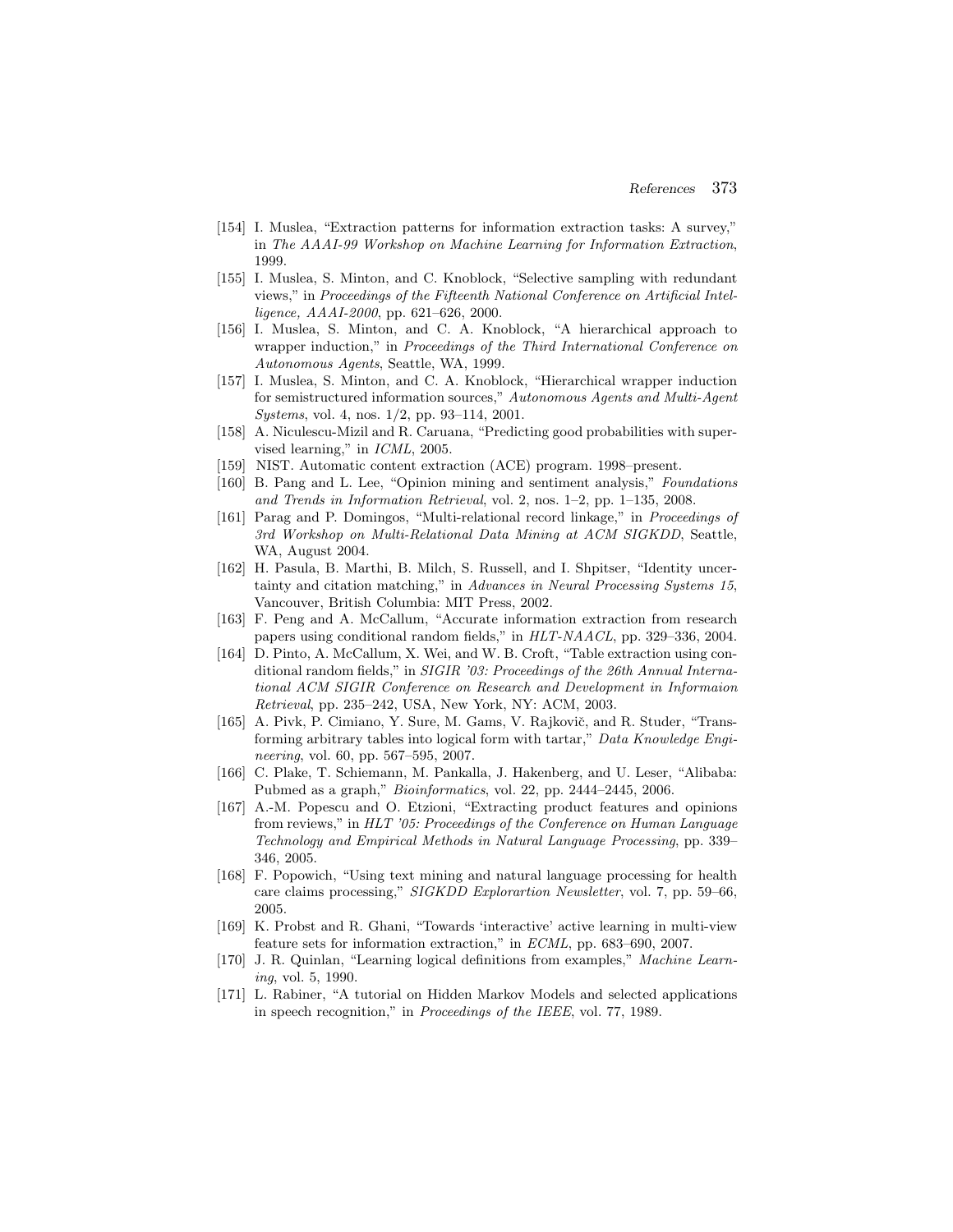- [154] I. Muslea, "Extraction patterns for information extraction tasks: A survey," in The AAAI-99 Workshop on Machine Learning for Information Extraction, 1999.
- [155] I. Muslea, S. Minton, and C. Knoblock, "Selective sampling with redundant views," in Proceedings of the Fifteenth National Conference on Artificial Intelligence, AAAI-2000, pp. 621-626, 2000.
- [156] I. Muslea, S. Minton, and C. A. Knoblock, "A hierarchical approach to wrapper induction," in Proceedings of the Third International Conference on Autonomous Agents, Seattle, WA, 1999.
- [157] I. Muslea, S. Minton, and C. A. Knoblock, "Hierarchical wrapper induction for semistructured information sources," Autonomous Agents and Multi-Agent Systems, vol. 4, nos. 1/2, pp. 93–114, 2001.
- [158] A. Niculescu-Mizil and R. Caruana, "Predicting good probabilities with supervised learning," in ICML, 2005.
- [159] NIST. Automatic content extraction (ACE) program. 1998–present.
- [160] B. Pang and L. Lee, "Opinion mining and sentiment analysis," Foundations and Trends in Information Retrieval, vol. 2, nos. 1–2, pp. 1–135, 2008.
- [161] Parag and P. Domingos, "Multi-relational record linkage," in Proceedings of 3rd Workshop on Multi-Relational Data Mining at ACM SIGKDD, Seattle, WA, August 2004.
- [162] H. Pasula, B. Marthi, B. Milch, S. Russell, and I. Shpitser, "Identity uncertainty and citation matching," in Advances in Neural Processing Systems 15, Vancouver, British Columbia: MIT Press, 2002.
- [163] F. Peng and A. McCallum, "Accurate information extraction from research papers using conditional random fields," in HLT-NAACL, pp. 329–336, 2004.
- [164] D. Pinto, A. McCallum, X. Wei, and W. B. Croft, "Table extraction using conditional random fields," in SIGIR '03: Proceedings of the 26th Annual International ACM SIGIR Conference on Research and Development in Informaion Retrieval, pp. 235–242, USA, New York, NY: ACM, 2003.
- [165] A. Pivk, P. Cimiano, Y. Sure, M. Gams, V. Rajkovič, and R. Studer, "Transforming arbitrary tables into logical form with tartar," Data Knowledge Engineering, vol. 60, pp. 567–595, 2007.
- [166] C. Plake, T. Schiemann, M. Pankalla, J. Hakenberg, and U. Leser, "Alibaba: Pubmed as a graph," Bioinformatics, vol. 22, pp. 2444–2445, 2006.
- [167] A.-M. Popescu and O. Etzioni, "Extracting product features and opinions from reviews," in HLT '05: Proceedings of the Conference on Human Language Technology and Empirical Methods in Natural Language Processing, pp. 339– 346, 2005.
- [168] F. Popowich, "Using text mining and natural language processing for health care claims processing," SIGKDD Explorartion Newsletter, vol. 7, pp. 59–66, 2005.
- [169] K. Probst and R. Ghani, "Towards 'interactive' active learning in multi-view feature sets for information extraction," in ECML, pp. 683–690, 2007.
- [170] J. R. Quinlan, "Learning logical definitions from examples," Machine Learning, vol. 5, 1990.
- [171] L. Rabiner, "A tutorial on Hidden Markov Models and selected applications in speech recognition," in Proceedings of the IEEE, vol. 77, 1989.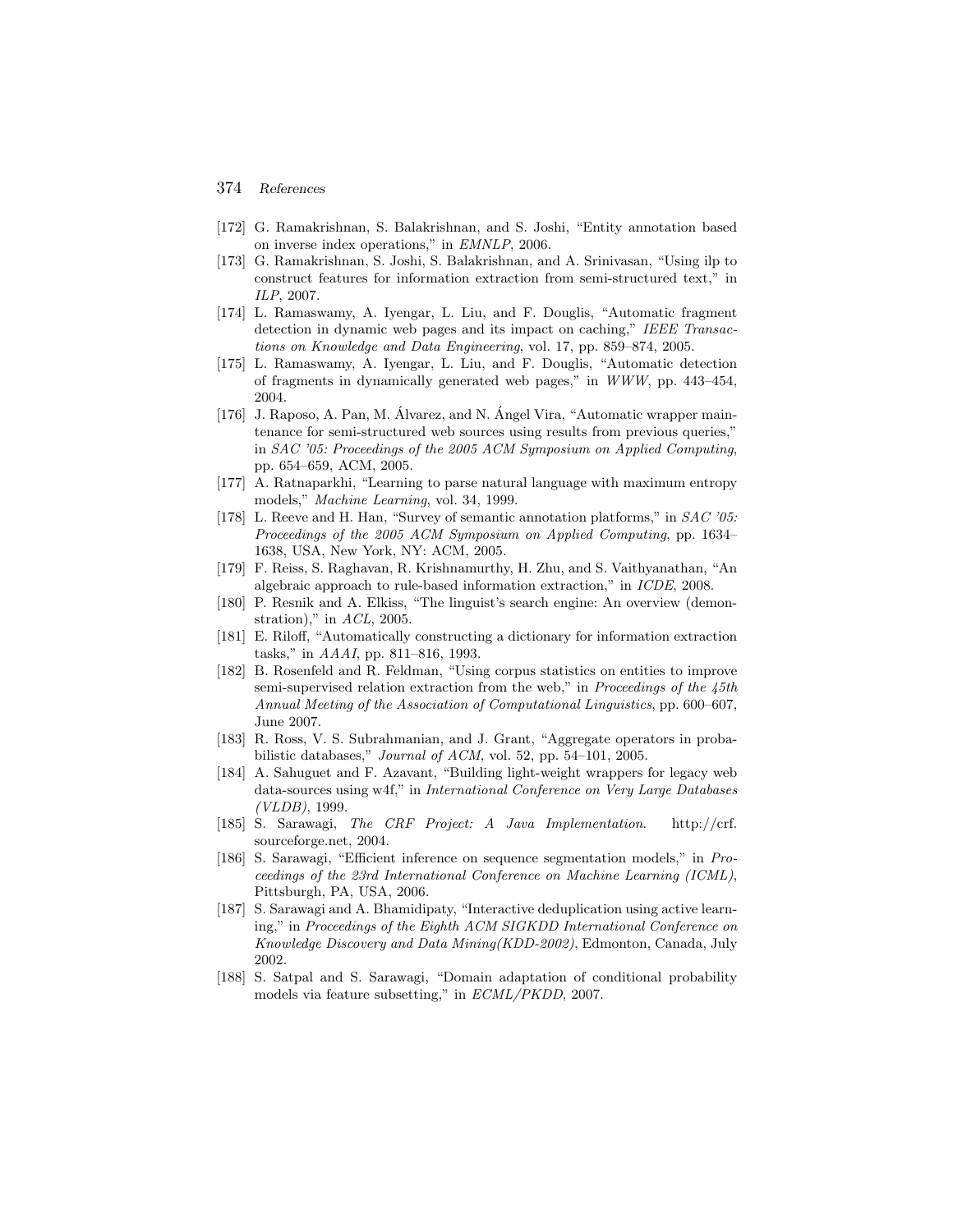- [172] G. Ramakrishnan, S. Balakrishnan, and S. Joshi, "Entity annotation based on inverse index operations," in EMNLP, 2006.
- [173] G. Ramakrishnan, S. Joshi, S. Balakrishnan, and A. Srinivasan, "Using ilp to construct features for information extraction from semi-structured text," in ILP, 2007.
- [174] L. Ramaswamy, A. Iyengar, L. Liu, and F. Douglis, "Automatic fragment detection in dynamic web pages and its impact on caching," IEEE Transactions on Knowledge and Data Engineering, vol. 17, pp. 859–874, 2005.
- [175] L. Ramaswamy, A. Iyengar, L. Liu, and F. Douglis, "Automatic detection of fragments in dynamically generated web pages," in WWW, pp. 443–454, 2004.
- [176] J. Raposo, A. Pan, M. Álvarez, and N. Ángel Vira, "Automatic wrapper maintenance for semi-structured web sources using results from previous queries," in SAC '05: Proceedings of the 2005 ACM Symposium on Applied Computing, pp. 654–659, ACM, 2005.
- [177] A. Ratnaparkhi, "Learning to parse natural language with maximum entropy models," Machine Learning, vol. 34, 1999.
- [178] L. Reeve and H. Han, "Survey of semantic annotation platforms," in SAC '05: Proceedings of the 2005 ACM Symposium on Applied Computing, pp. 1634– 1638, USA, New York, NY: ACM, 2005.
- [179] F. Reiss, S. Raghavan, R. Krishnamurthy, H. Zhu, and S. Vaithyanathan, "An algebraic approach to rule-based information extraction," in ICDE, 2008.
- [180] P. Resnik and A. Elkiss, "The linguist's search engine: An overview (demonstration)," in  $\Lambda CL$ , 2005.
- [181] E. Riloff, "Automatically constructing a dictionary for information extraction tasks," in AAAI, pp. 811–816, 1993.
- [182] B. Rosenfeld and R. Feldman, "Using corpus statistics on entities to improve semi-supervised relation extraction from the web," in Proceedings of the 45th Annual Meeting of the Association of Computational Linguistics, pp. 600–607, June 2007.
- [183] R. Ross, V. S. Subrahmanian, and J. Grant, "Aggregate operators in probabilistic databases," Journal of ACM, vol. 52, pp. 54–101, 2005.
- [184] A. Sahuguet and F. Azavant, "Building light-weight wrappers for legacy web data-sources using w4f," in International Conference on Very Large Databases (VLDB), 1999.
- [185] S. Sarawagi, The CRF Project: A Java Implementation. http://crf. sourceforge.net, 2004.
- [186] S. Sarawagi, "Efficient inference on sequence segmentation models," in Proceedings of the 23rd International Conference on Machine Learning (ICML), Pittsburgh, PA, USA, 2006.
- [187] S. Sarawagi and A. Bhamidipaty, "Interactive deduplication using active learning," in Proceedings of the Eighth ACM SIGKDD International Conference on Knowledge Discovery and Data Mining(KDD-2002), Edmonton, Canada, July 2002.
- [188] S. Satpal and S. Sarawagi, "Domain adaptation of conditional probability models via feature subsetting," in ECML/PKDD, 2007.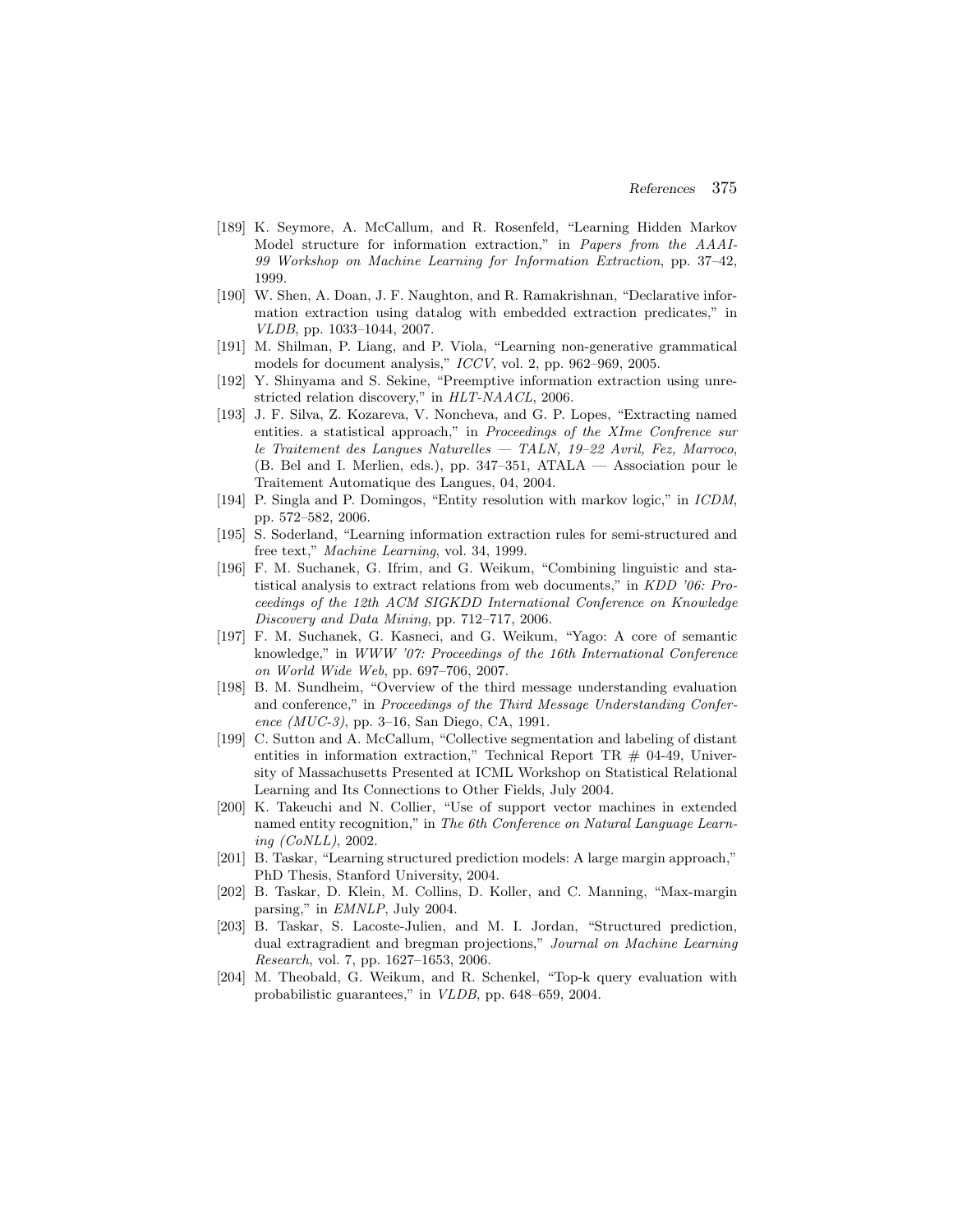- [189] K. Seymore, A. McCallum, and R. Rosenfeld, "Learning Hidden Markov Model structure for information extraction," in Papers from the AAAI-99 Workshop on Machine Learning for Information Extraction, pp. 37–42, 1999.
- [190] W. Shen, A. Doan, J. F. Naughton, and R. Ramakrishnan, "Declarative information extraction using datalog with embedded extraction predicates," in VLDB, pp. 1033–1044, 2007.
- [191] M. Shilman, P. Liang, and P. Viola, "Learning non-generative grammatical models for document analysis," ICCV, vol. 2, pp. 962–969, 2005.
- [192] Y. Shinyama and S. Sekine, "Preemptive information extraction using unrestricted relation discovery," in HLT-NAACL, 2006.
- [193] J. F. Silva, Z. Kozareva, V. Noncheva, and G. P. Lopes, "Extracting named entities. a statistical approach," in Proceedings of the XIme Confrence sur le Traitement des Langues Naturelles — TALN, 19–22 Avril, Fez, Marroco, (B. Bel and I. Merlien, eds.), pp. 347–351, ATALA — Association pour le Traitement Automatique des Langues, 04, 2004.
- [194] P. Singla and P. Domingos, "Entity resolution with markov logic," in ICDM, pp. 572–582, 2006.
- [195] S. Soderland, "Learning information extraction rules for semi-structured and free text," Machine Learning, vol. 34, 1999.
- [196] F. M. Suchanek, G. Ifrim, and G. Weikum, "Combining linguistic and statistical analysis to extract relations from web documents," in KDD '06: Proceedings of the 12th ACM SIGKDD International Conference on Knowledge Discovery and Data Mining, pp. 712–717, 2006.
- [197] F. M. Suchanek, G. Kasneci, and G. Weikum, "Yago: A core of semantic knowledge," in WWW '07: Proceedings of the 16th International Conference on World Wide Web, pp. 697–706, 2007.
- [198] B. M. Sundheim, "Overview of the third message understanding evaluation and conference," in Proceedings of the Third Message Understanding Conference (MUC-3), pp. 3–16, San Diego, CA, 1991.
- [199] C. Sutton and A. McCallum, "Collective segmentation and labeling of distant entities in information extraction," Technical Report TR  $#$  04-49, University of Massachusetts Presented at ICML Workshop on Statistical Relational Learning and Its Connections to Other Fields, July 2004.
- [200] K. Takeuchi and N. Collier, "Use of support vector machines in extended named entity recognition," in The 6th Conference on Natural Language Learning (CoNLL), 2002.
- [201] B. Taskar, "Learning structured prediction models: A large margin approach," PhD Thesis, Stanford University, 2004.
- [202] B. Taskar, D. Klein, M. Collins, D. Koller, and C. Manning, "Max-margin parsing," in EMNLP, July 2004.
- [203] B. Taskar, S. Lacoste-Julien, and M. I. Jordan, "Structured prediction, dual extragradient and bregman projections," Journal on Machine Learning Research, vol. 7, pp. 1627–1653, 2006.
- [204] M. Theobald, G. Weikum, and R. Schenkel, "Top-k query evaluation with probabilistic guarantees," in VLDB, pp. 648–659, 2004.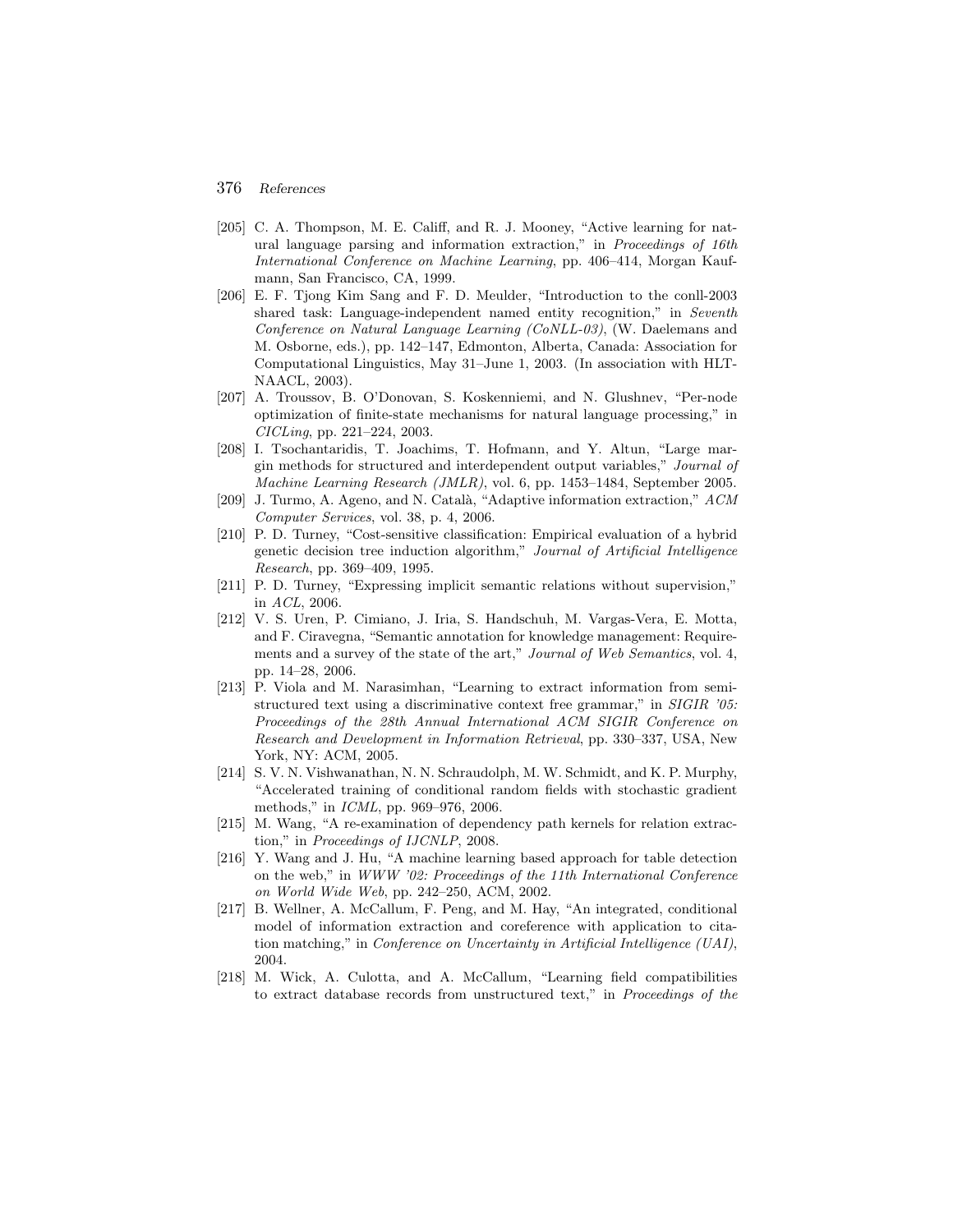- [205] C. A. Thompson, M. E. Califf, and R. J. Mooney, "Active learning for natural language parsing and information extraction," in Proceedings of 16th International Conference on Machine Learning, pp. 406–414, Morgan Kaufmann, San Francisco, CA, 1999.
- [206] E. F. Tjong Kim Sang and F. D. Meulder, "Introduction to the conll-2003 shared task: Language-independent named entity recognition," in Seventh Conference on Natural Language Learning (CoNLL-03), (W. Daelemans and M. Osborne, eds.), pp. 142–147, Edmonton, Alberta, Canada: Association for Computational Linguistics, May 31–June 1, 2003. (In association with HLT-NAACL, 2003).
- [207] A. Troussov, B. O'Donovan, S. Koskenniemi, and N. Glushnev, "Per-node optimization of finite-state mechanisms for natural language processing," in CICLing, pp. 221–224, 2003.
- [208] I. Tsochantaridis, T. Joachims, T. Hofmann, and Y. Altun, "Large margin methods for structured and interdependent output variables," Journal of Machine Learning Research (JMLR), vol. 6, pp. 1453–1484, September 2005.
- [209] J. Turmo, A. Ageno, and N. Català, "Adaptive information extraction,"  $ACM$ Computer Services, vol. 38, p. 4, 2006.
- [210] P. D. Turney, "Cost-sensitive classification: Empirical evaluation of a hybrid genetic decision tree induction algorithm," Journal of Artificial Intelligence Research, pp. 369–409, 1995.
- [211] P. D. Turney, "Expressing implicit semantic relations without supervision," in ACL, 2006.
- [212] V. S. Uren, P. Cimiano, J. Iria, S. Handschuh, M. Vargas-Vera, E. Motta, and F. Ciravegna, "Semantic annotation for knowledge management: Requirements and a survey of the state of the art," Journal of Web Semantics, vol. 4, pp. 14–28, 2006.
- [213] P. Viola and M. Narasimhan, "Learning to extract information from semistructured text using a discriminative context free grammar," in SIGIR '05: Proceedings of the 28th Annual International ACM SIGIR Conference on Research and Development in Information Retrieval, pp. 330–337, USA, New York, NY: ACM, 2005.
- [214] S. V. N. Vishwanathan, N. N. Schraudolph, M. W. Schmidt, and K. P. Murphy, "Accelerated training of conditional random fields with stochastic gradient methods," in ICML, pp. 969–976, 2006.
- [215] M. Wang, "A re-examination of dependency path kernels for relation extraction," in Proceedings of IJCNLP, 2008.
- [216] Y. Wang and J. Hu, "A machine learning based approach for table detection on the web," in WWW '02: Proceedings of the 11th International Conference on World Wide Web, pp. 242–250, ACM, 2002.
- [217] B. Wellner, A. McCallum, F. Peng, and M. Hay, "An integrated, conditional model of information extraction and coreference with application to citation matching," in Conference on Uncertainty in Artificial Intelligence (UAI), 2004.
- [218] M. Wick, A. Culotta, and A. McCallum, "Learning field compatibilities to extract database records from unstructured text," in Proceedings of the